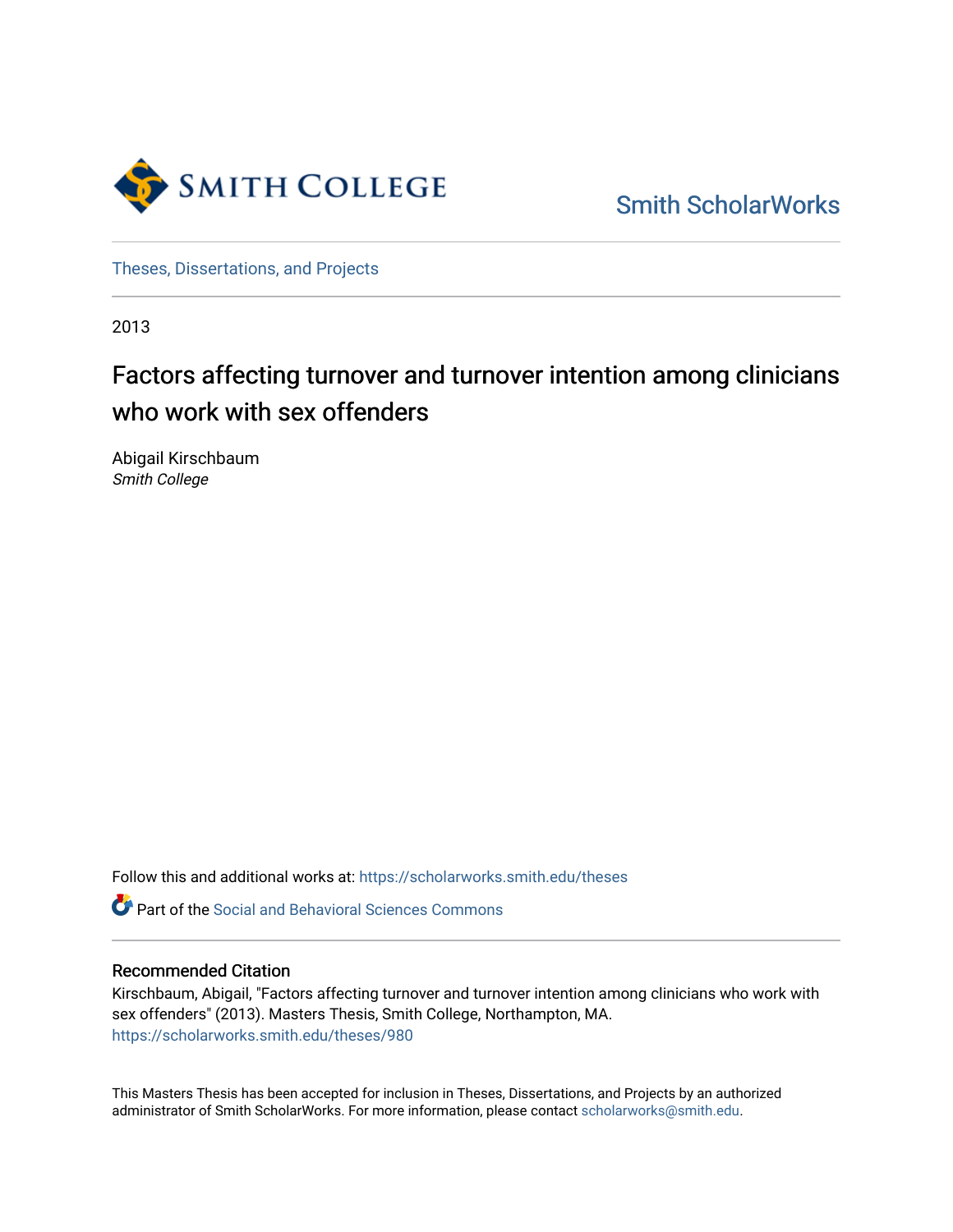

[Smith ScholarWorks](https://scholarworks.smith.edu/) 

[Theses, Dissertations, and Projects](https://scholarworks.smith.edu/theses) 

2013

# Factors affecting turnover and turnover intention among clinicians who work with sex offenders

Abigail Kirschbaum Smith College

Follow this and additional works at: [https://scholarworks.smith.edu/theses](https://scholarworks.smith.edu/theses?utm_source=scholarworks.smith.edu%2Ftheses%2F980&utm_medium=PDF&utm_campaign=PDFCoverPages) 

**C** Part of the Social and Behavioral Sciences Commons

# Recommended Citation

Kirschbaum, Abigail, "Factors affecting turnover and turnover intention among clinicians who work with sex offenders" (2013). Masters Thesis, Smith College, Northampton, MA. [https://scholarworks.smith.edu/theses/980](https://scholarworks.smith.edu/theses/980?utm_source=scholarworks.smith.edu%2Ftheses%2F980&utm_medium=PDF&utm_campaign=PDFCoverPages) 

This Masters Thesis has been accepted for inclusion in Theses, Dissertations, and Projects by an authorized administrator of Smith ScholarWorks. For more information, please contact [scholarworks@smith.edu](mailto:scholarworks@smith.edu).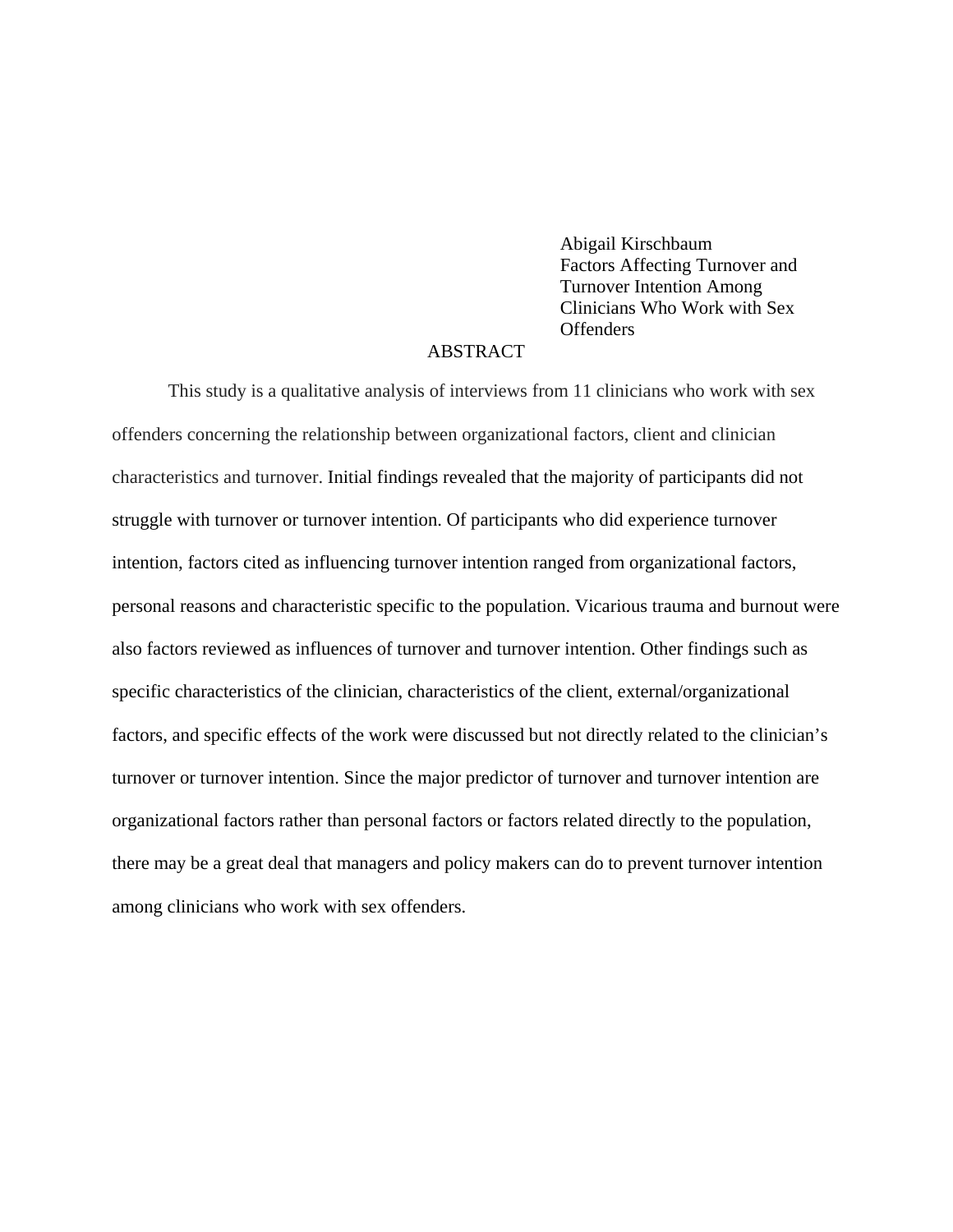Abigail Kirschbaum Factors Affecting Turnover and Turnover Intention Among Clinicians Who Work with Sex **Offenders** 

# ABSTRACT

This study is a qualitative analysis of interviews from 11 clinicians who work with sex offenders concerning the relationship between organizational factors, client and clinician characteristics and turnover. Initial findings revealed that the majority of participants did not struggle with turnover or turnover intention. Of participants who did experience turnover intention, factors cited as influencing turnover intention ranged from organizational factors, personal reasons and characteristic specific to the population. Vicarious trauma and burnout were also factors reviewed as influences of turnover and turnover intention. Other findings such as specific characteristics of the clinician, characteristics of the client, external/organizational factors, and specific effects of the work were discussed but not directly related to the clinician's turnover or turnover intention. Since the major predictor of turnover and turnover intention are organizational factors rather than personal factors or factors related directly to the population, there may be a great deal that managers and policy makers can do to prevent turnover intention among clinicians who work with sex offenders.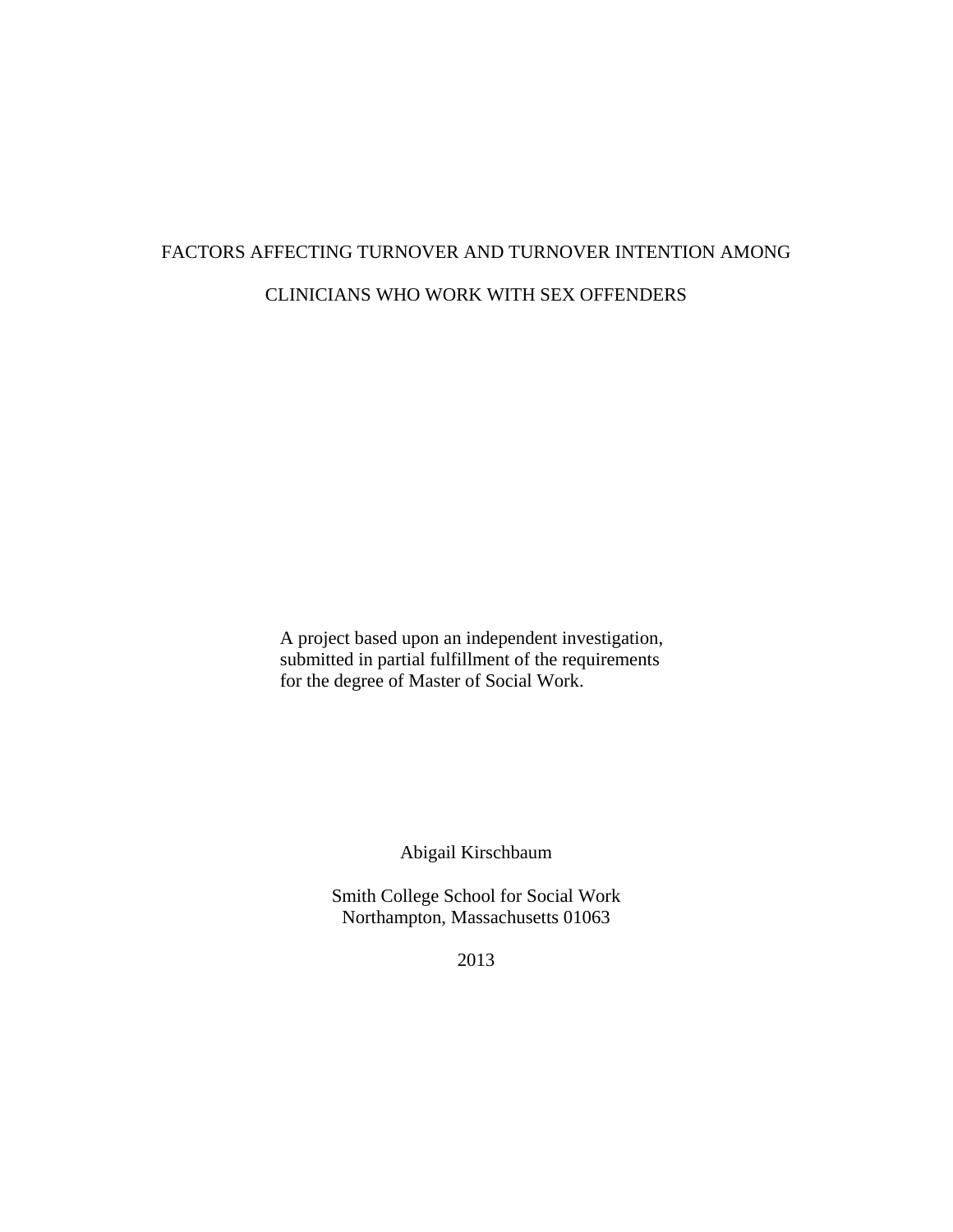# FACTORS AFFECTING TURNOVER AND TURNOVER INTENTION AMONG CLINICIANS WHO WORK WITH SEX OFFENDERS

A project based upon an independent investigation, submitted in partial fulfillment of the requirements for the degree of Master of Social Work.

Abigail Kirschbaum

Smith College School for Social Work Northampton, Massachusetts 01063

2013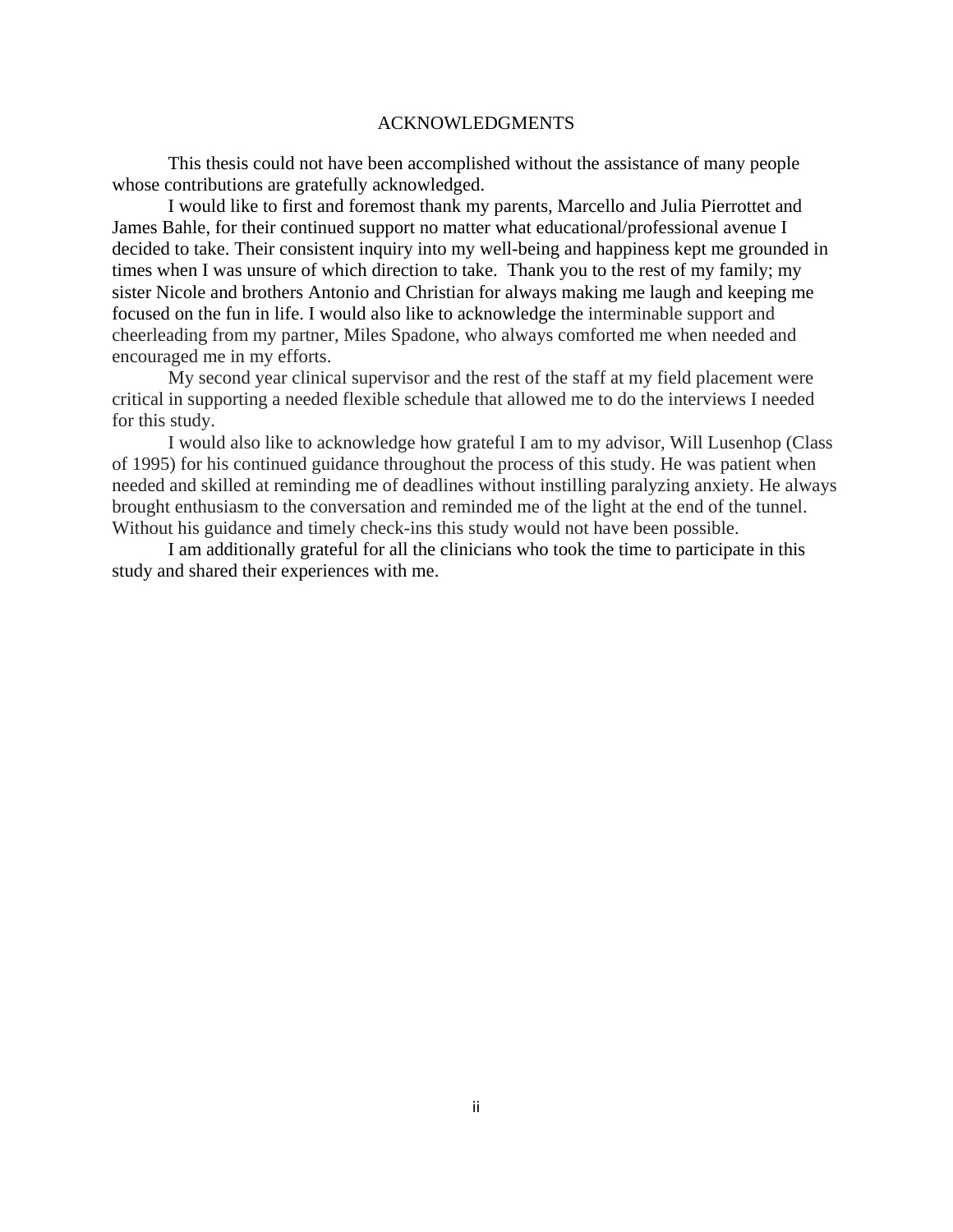#### ACKNOWLEDGMENTS

 This thesis could not have been accomplished without the assistance of many people whose contributions are gratefully acknowledged.

 I would like to first and foremost thank my parents, Marcello and Julia Pierrottet and James Bahle, for their continued support no matter what educational/professional avenue I decided to take. Their consistent inquiry into my well-being and happiness kept me grounded in times when I was unsure of which direction to take. Thank you to the rest of my family; my sister Nicole and brothers Antonio and Christian for always making me laugh and keeping me focused on the fun in life. I would also like to acknowledge the interminable support and cheerleading from my partner, Miles Spadone, who always comforted me when needed and encouraged me in my efforts.

My second year clinical supervisor and the rest of the staff at my field placement were critical in supporting a needed flexible schedule that allowed me to do the interviews I needed for this study.

I would also like to acknowledge how grateful I am to my advisor, Will Lusenhop (Class of 1995) for his continued guidance throughout the process of this study. He was patient when needed and skilled at reminding me of deadlines without instilling paralyzing anxiety. He always brought enthusiasm to the conversation and reminded me of the light at the end of the tunnel. Without his guidance and timely check-ins this study would not have been possible.

I am additionally grateful for all the clinicians who took the time to participate in this study and shared their experiences with me.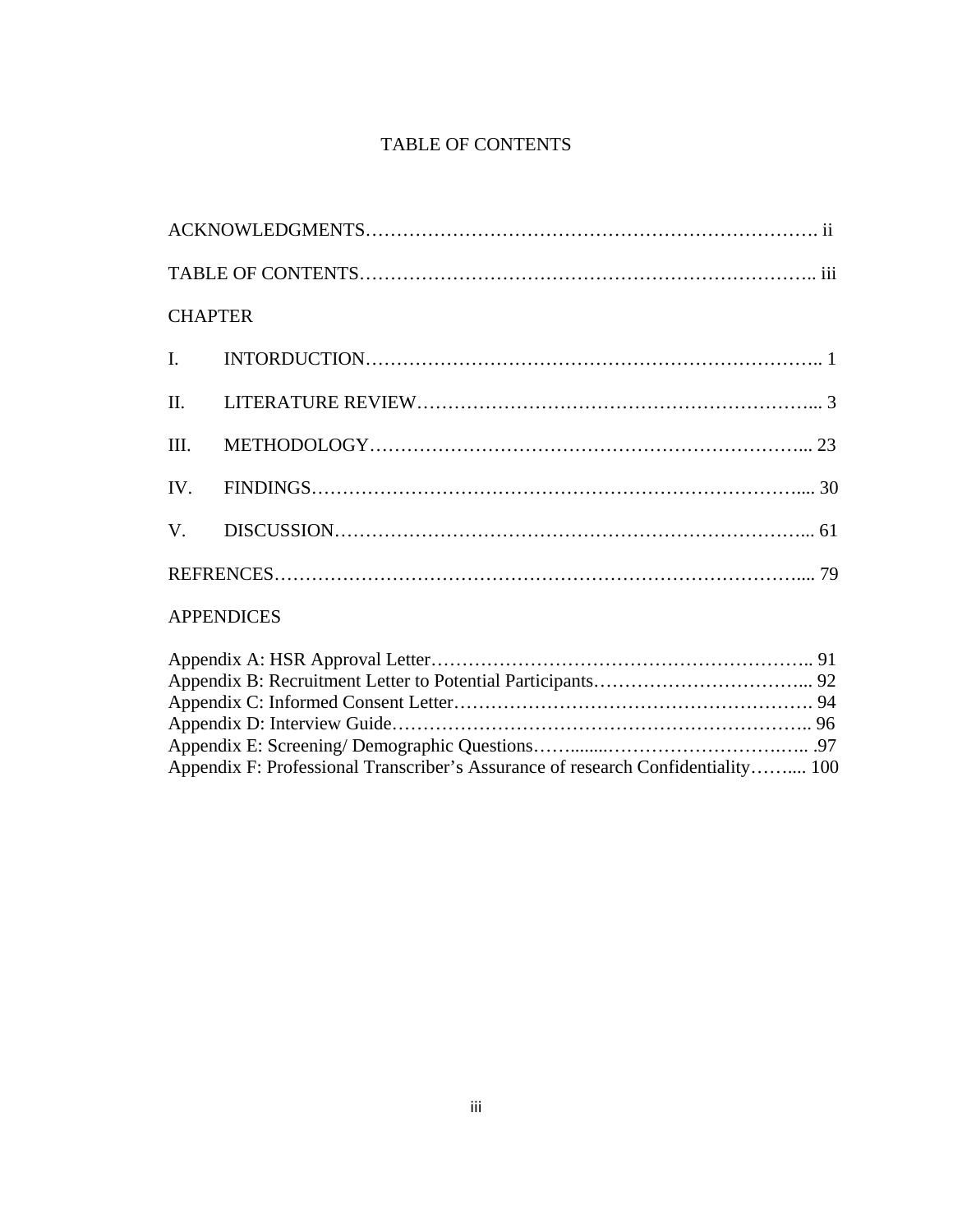# TABLE OF CONTENTS

| <b>CHAPTER</b>    |  |  |  |
|-------------------|--|--|--|
|                   |  |  |  |
|                   |  |  |  |
|                   |  |  |  |
|                   |  |  |  |
|                   |  |  |  |
|                   |  |  |  |
| <b>APPENDICES</b> |  |  |  |

| Appendix F: Professional Transcriber's Assurance of research Confidentiality 100 |  |
|----------------------------------------------------------------------------------|--|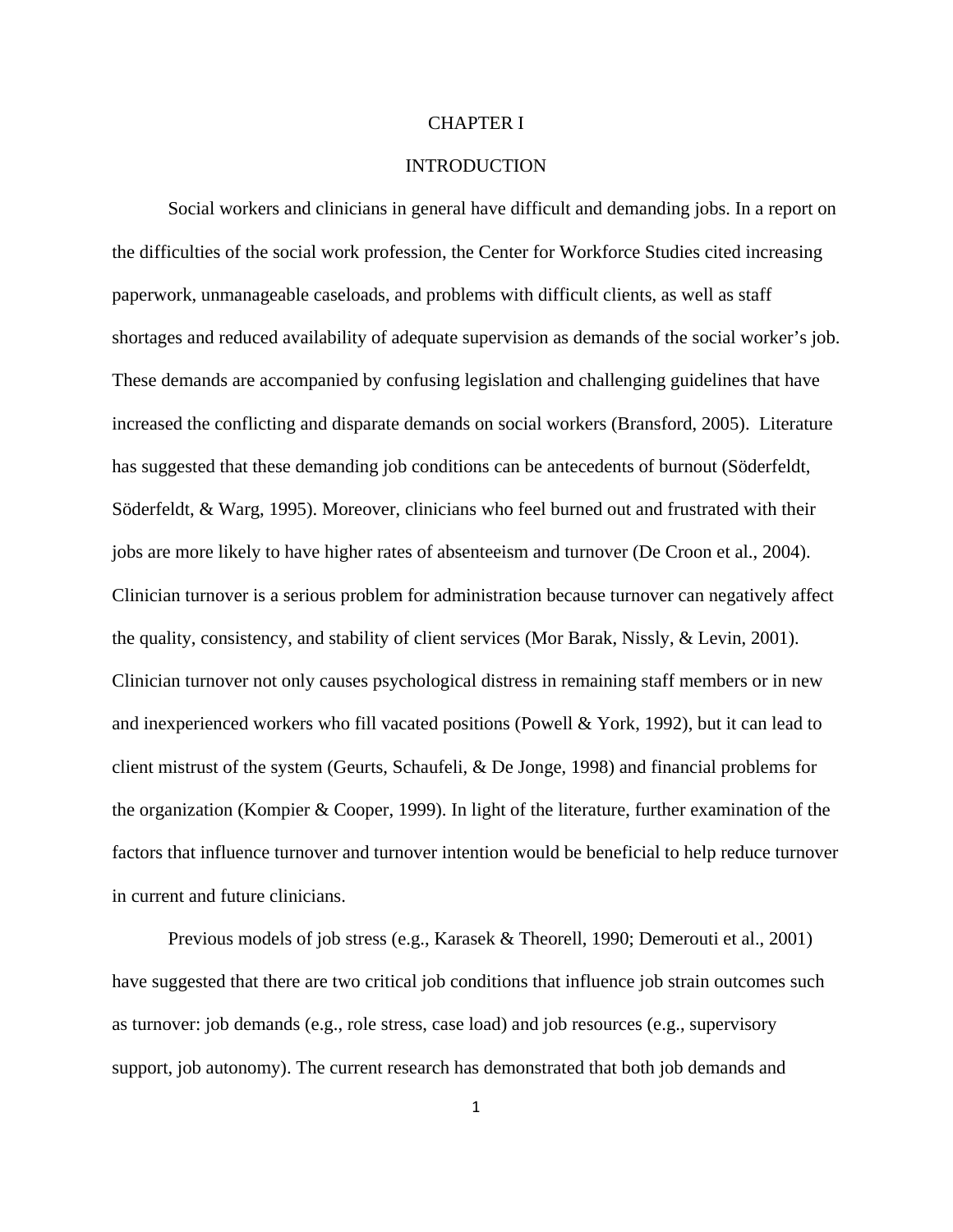#### CHAPTER I

# **INTRODUCTION**

Social workers and clinicians in general have difficult and demanding jobs. In a report on the difficulties of the social work profession, the Center for Workforce Studies cited increasing paperwork, unmanageable caseloads, and problems with difficult clients, as well as staff shortages and reduced availability of adequate supervision as demands of the social worker's job. These demands are accompanied by confusing legislation and challenging guidelines that have increased the conflicting and disparate demands on social workers (Bransford, 2005). Literature has suggested that these demanding job conditions can be antecedents of burnout (Söderfeldt, Söderfeldt, & Warg, 1995). Moreover, clinicians who feel burned out and frustrated with their jobs are more likely to have higher rates of absenteeism and turnover (De Croon et al., 2004). Clinician turnover is a serious problem for administration because turnover can negatively affect the quality, consistency, and stability of client services (Mor Barak, Nissly, & Levin, 2001). Clinician turnover not only causes psychological distress in remaining staff members or in new and inexperienced workers who fill vacated positions (Powell & York, 1992), but it can lead to client mistrust of the system (Geurts, Schaufeli, & De Jonge, 1998) and financial problems for the organization (Kompier & Cooper, 1999). In light of the literature, further examination of the factors that influence turnover and turnover intention would be beneficial to help reduce turnover in current and future clinicians.

Previous models of job stress (e.g., Karasek & Theorell, 1990; Demerouti et al., 2001) have suggested that there are two critical job conditions that influence job strain outcomes such as turnover: job demands (e.g., role stress, case load) and job resources (e.g., supervisory support, job autonomy). The current research has demonstrated that both job demands and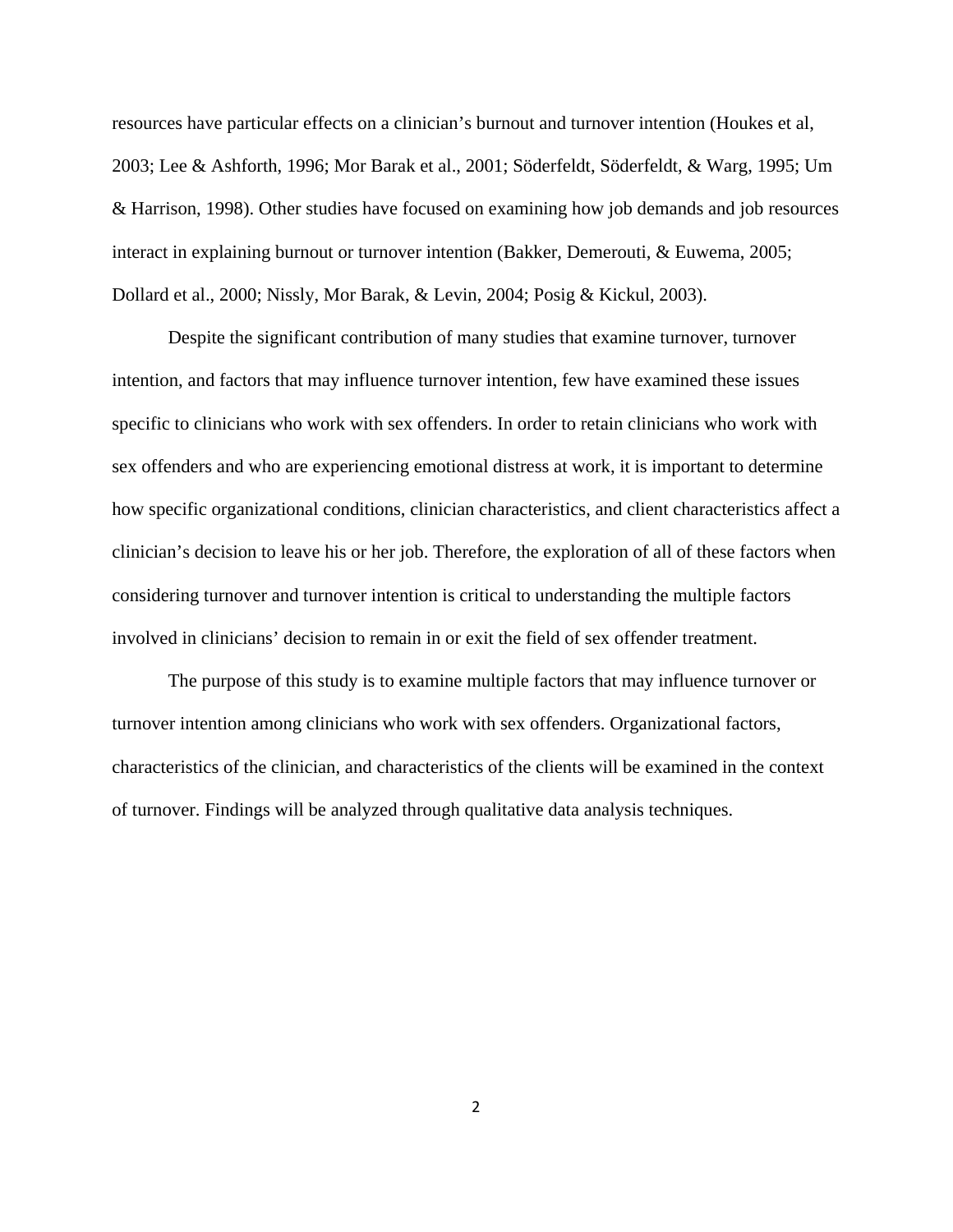resources have particular effects on a clinician's burnout and turnover intention (Houkes et al, 2003; Lee & Ashforth, 1996; Mor Barak et al., 2001; Söderfeldt, Söderfeldt, & Warg, 1995; Um & Harrison, 1998). Other studies have focused on examining how job demands and job resources interact in explaining burnout or turnover intention (Bakker, Demerouti, & Euwema, 2005; Dollard et al., 2000; Nissly, Mor Barak, & Levin, 2004; Posig & Kickul, 2003).

Despite the significant contribution of many studies that examine turnover, turnover intention, and factors that may influence turnover intention, few have examined these issues specific to clinicians who work with sex offenders. In order to retain clinicians who work with sex offenders and who are experiencing emotional distress at work, it is important to determine how specific organizational conditions, clinician characteristics, and client characteristics affect a clinician's decision to leave his or her job. Therefore, the exploration of all of these factors when considering turnover and turnover intention is critical to understanding the multiple factors involved in clinicians' decision to remain in or exit the field of sex offender treatment.

The purpose of this study is to examine multiple factors that may influence turnover or turnover intention among clinicians who work with sex offenders. Organizational factors, characteristics of the clinician, and characteristics of the clients will be examined in the context of turnover. Findings will be analyzed through qualitative data analysis techniques.

2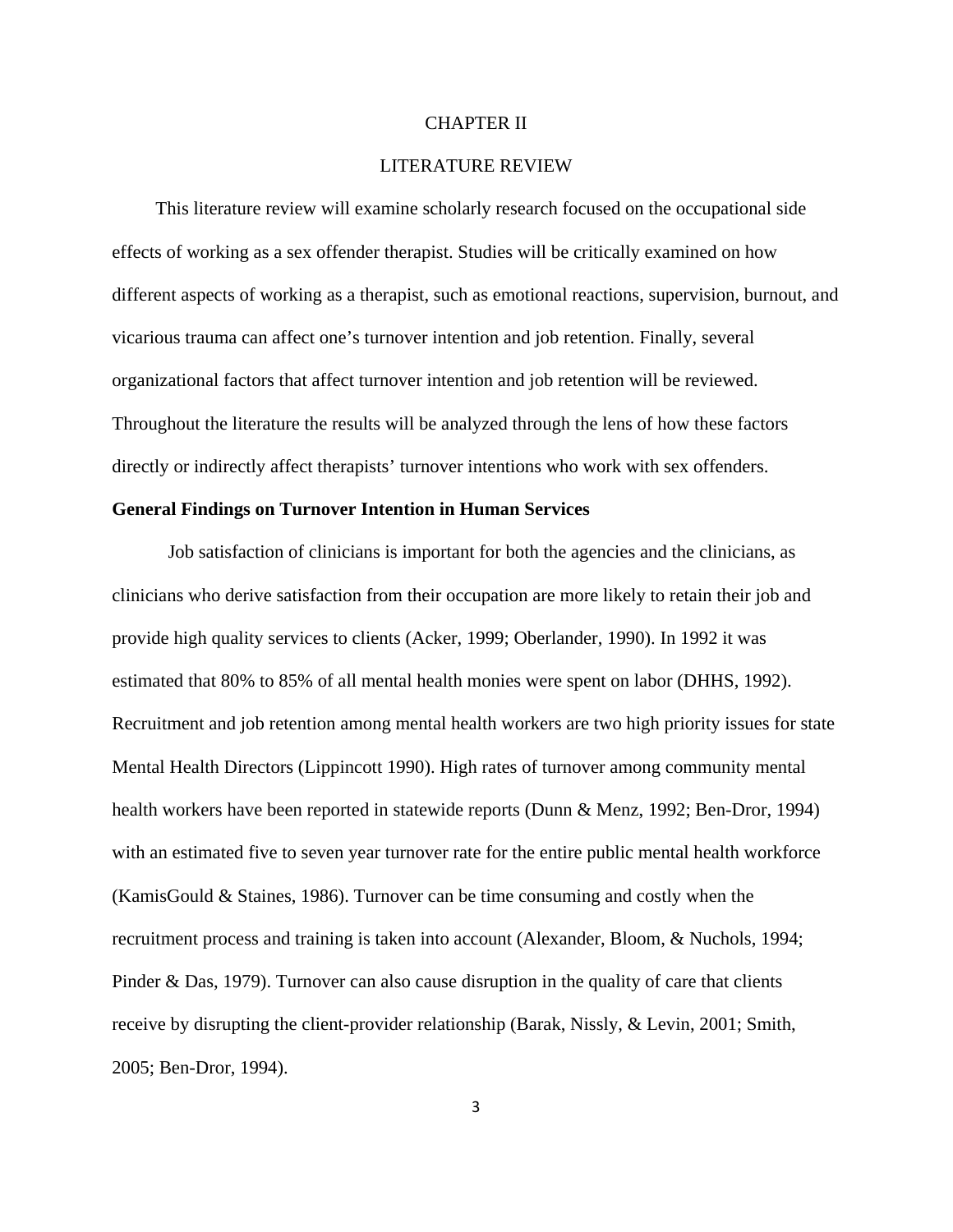#### CHAPTER II

# LITERATURE REVIEW

 This literature review will examine scholarly research focused on the occupational side effects of working as a sex offender therapist. Studies will be critically examined on how different aspects of working as a therapist, such as emotional reactions, supervision, burnout, and vicarious trauma can affect one's turnover intention and job retention. Finally, several organizational factors that affect turnover intention and job retention will be reviewed. Throughout the literature the results will be analyzed through the lens of how these factors directly or indirectly affect therapists' turnover intentions who work with sex offenders.

# **General Findings on Turnover Intention in Human Services**

Job satisfaction of clinicians is important for both the agencies and the clinicians, as clinicians who derive satisfaction from their occupation are more likely to retain their job and provide high quality services to clients (Acker, 1999; Oberlander, 1990). In 1992 it was estimated that 80% to 85% of all mental health monies were spent on labor (DHHS, 1992). Recruitment and job retention among mental health workers are two high priority issues for state Mental Health Directors (Lippincott 1990). High rates of turnover among community mental health workers have been reported in statewide reports (Dunn & Menz, 1992; Ben-Dror, 1994) with an estimated five to seven year turnover rate for the entire public mental health workforce (KamisGould & Staines, 1986). Turnover can be time consuming and costly when the recruitment process and training is taken into account (Alexander, Bloom, & Nuchols, 1994; Pinder & Das, 1979). Turnover can also cause disruption in the quality of care that clients receive by disrupting the client-provider relationship (Barak, Nissly, & Levin, 2001; Smith, 2005; Ben-Dror, 1994).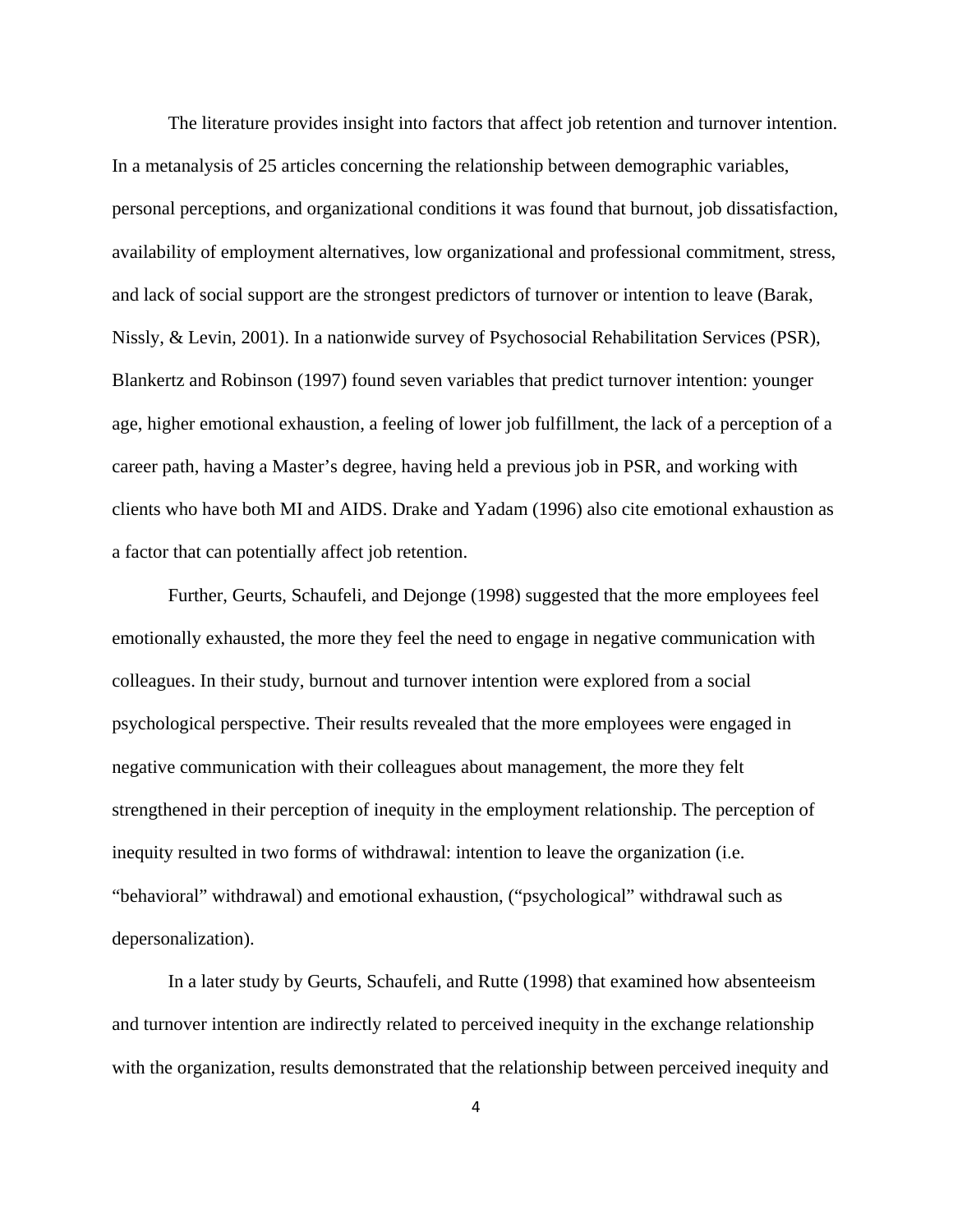The literature provides insight into factors that affect job retention and turnover intention. In a metanalysis of 25 articles concerning the relationship between demographic variables, personal perceptions, and organizational conditions it was found that burnout, job dissatisfaction, availability of employment alternatives, low organizational and professional commitment, stress, and lack of social support are the strongest predictors of turnover or intention to leave (Barak, Nissly, & Levin, 2001). In a nationwide survey of Psychosocial Rehabilitation Services (PSR), Blankertz and Robinson (1997) found seven variables that predict turnover intention: younger age, higher emotional exhaustion, a feeling of lower job fulfillment, the lack of a perception of a career path, having a Master's degree, having held a previous job in PSR, and working with clients who have both MI and AIDS. Drake and Yadam (1996) also cite emotional exhaustion as a factor that can potentially affect job retention.

Further, Geurts, Schaufeli, and Dejonge (1998) suggested that the more employees feel emotionally exhausted, the more they feel the need to engage in negative communication with colleagues. In their study, burnout and turnover intention were explored from a social psychological perspective. Their results revealed that the more employees were engaged in negative communication with their colleagues about management, the more they felt strengthened in their perception of inequity in the employment relationship. The perception of inequity resulted in two forms of withdrawal: intention to leave the organization (i.e. "behavioral" withdrawal) and emotional exhaustion, ("psychological" withdrawal such as depersonalization).

In a later study by Geurts, Schaufeli, and Rutte (1998) that examined how absenteeism and turnover intention are indirectly related to perceived inequity in the exchange relationship with the organization, results demonstrated that the relationship between perceived inequity and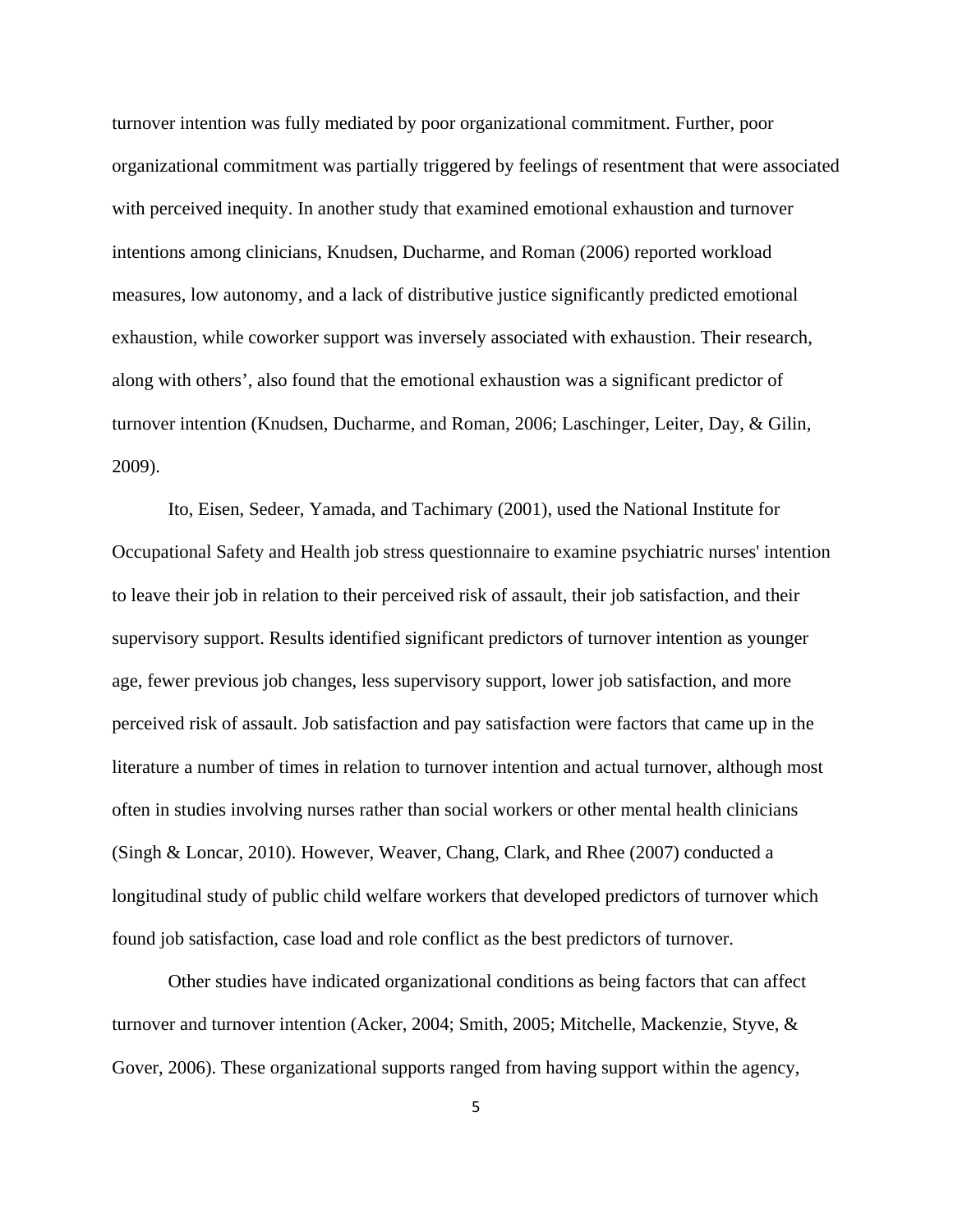turnover intention was fully mediated by poor organizational commitment. Further, poor organizational commitment was partially triggered by feelings of resentment that were associated with perceived inequity. In another study that examined emotional exhaustion and turnover intentions among clinicians, Knudsen, Ducharme, and Roman (2006) reported workload measures, low autonomy, and a lack of distributive justice significantly predicted emotional exhaustion, while coworker support was inversely associated with exhaustion. Their research, along with others', also found that the emotional exhaustion was a significant predictor of turnover intention (Knudsen, Ducharme, and Roman, 2006; Laschinger, Leiter, Day, & Gilin, 2009).

Ito, Eisen, Sedeer, Yamada, and Tachimary (2001), used the National Institute for Occupational Safety and Health job stress questionnaire to examine psychiatric nurses' intention to leave their job in relation to their perceived risk of assault, their job satisfaction, and their supervisory support. Results identified significant predictors of turnover intention as younger age, fewer previous job changes, less supervisory support, lower job satisfaction, and more perceived risk of assault. Job satisfaction and pay satisfaction were factors that came up in the literature a number of times in relation to turnover intention and actual turnover, although most often in studies involving nurses rather than social workers or other mental health clinicians (Singh & Loncar, 2010). However, Weaver, Chang, Clark, and Rhee (2007) conducted a longitudinal study of public child welfare workers that developed predictors of turnover which found job satisfaction, case load and role conflict as the best predictors of turnover.

Other studies have indicated organizational conditions as being factors that can affect turnover and turnover intention (Acker, 2004; Smith, 2005; Mitchelle, Mackenzie, Styve, & Gover, 2006). These organizational supports ranged from having support within the agency,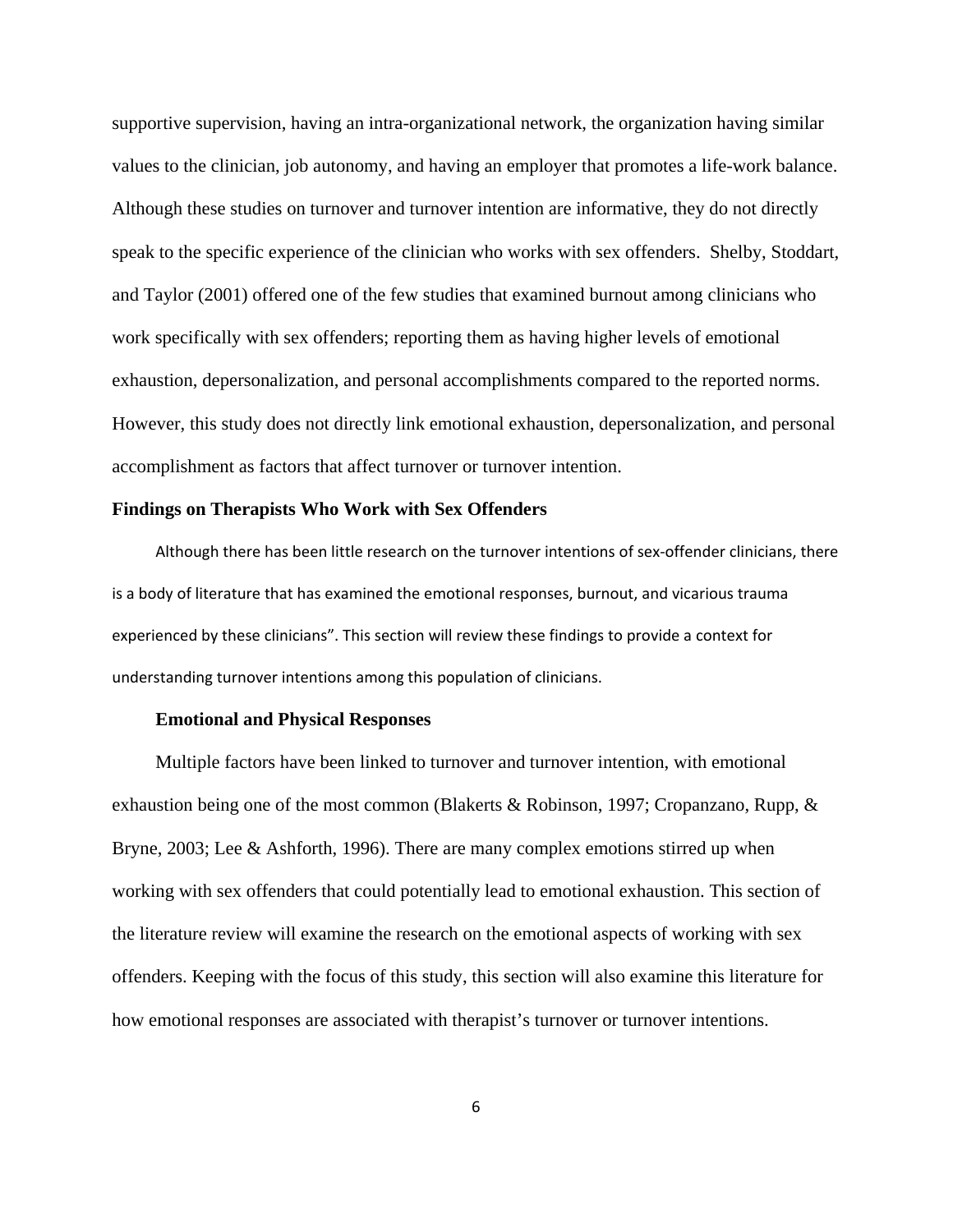supportive supervision, having an intra-organizational network, the organization having similar values to the clinician, job autonomy, and having an employer that promotes a life-work balance. Although these studies on turnover and turnover intention are informative, they do not directly speak to the specific experience of the clinician who works with sex offenders. Shelby, Stoddart, and Taylor (2001) offered one of the few studies that examined burnout among clinicians who work specifically with sex offenders; reporting them as having higher levels of emotional exhaustion, depersonalization, and personal accomplishments compared to the reported norms. However, this study does not directly link emotional exhaustion, depersonalization, and personal accomplishment as factors that affect turnover or turnover intention.

# **Findings on Therapists Who Work with Sex Offenders**

Although there has been little research on the turnover intentions of sex‐offender clinicians, there is a body of literature that has examined the emotional responses, burnout, and vicarious trauma experienced by these clinicians". This section will review these findings to provide a context for understanding turnover intentions among this population of clinicians.

### **Emotional and Physical Responses**

 Multiple factors have been linked to turnover and turnover intention, with emotional exhaustion being one of the most common (Blakerts & Robinson, 1997; Cropanzano, Rupp, & Bryne, 2003; Lee & Ashforth, 1996). There are many complex emotions stirred up when working with sex offenders that could potentially lead to emotional exhaustion. This section of the literature review will examine the research on the emotional aspects of working with sex offenders. Keeping with the focus of this study, this section will also examine this literature for how emotional responses are associated with therapist's turnover or turnover intentions.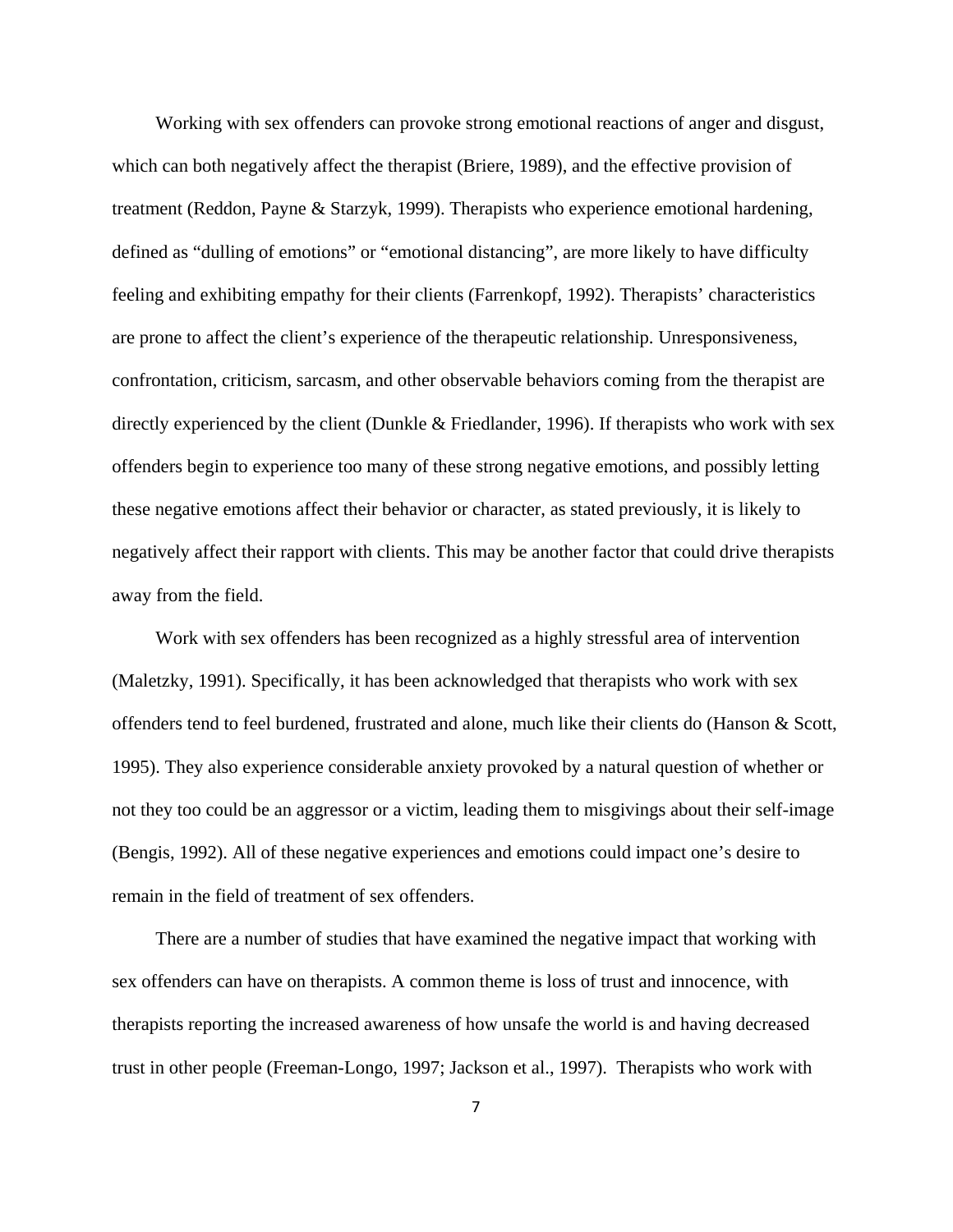Working with sex offenders can provoke strong emotional reactions of anger and disgust, which can both negatively affect the therapist (Briere, 1989), and the effective provision of treatment (Reddon, Payne & Starzyk, 1999). Therapists who experience emotional hardening, defined as "dulling of emotions" or "emotional distancing", are more likely to have difficulty feeling and exhibiting empathy for their clients (Farrenkopf, 1992). Therapists' characteristics are prone to affect the client's experience of the therapeutic relationship. Unresponsiveness, confrontation, criticism, sarcasm, and other observable behaviors coming from the therapist are directly experienced by the client (Dunkle & Friedlander, 1996). If therapists who work with sex offenders begin to experience too many of these strong negative emotions, and possibly letting these negative emotions affect their behavior or character, as stated previously, it is likely to negatively affect their rapport with clients. This may be another factor that could drive therapists away from the field.

 Work with sex offenders has been recognized as a highly stressful area of intervention (Maletzky, 1991). Specifically, it has been acknowledged that therapists who work with sex offenders tend to feel burdened, frustrated and alone, much like their clients do (Hanson & Scott, 1995). They also experience considerable anxiety provoked by a natural question of whether or not they too could be an aggressor or a victim, leading them to misgivings about their self-image (Bengis, 1992). All of these negative experiences and emotions could impact one's desire to remain in the field of treatment of sex offenders.

 There are a number of studies that have examined the negative impact that working with sex offenders can have on therapists. A common theme is loss of trust and innocence, with therapists reporting the increased awareness of how unsafe the world is and having decreased trust in other people (Freeman-Longo, 1997; Jackson et al., 1997). Therapists who work with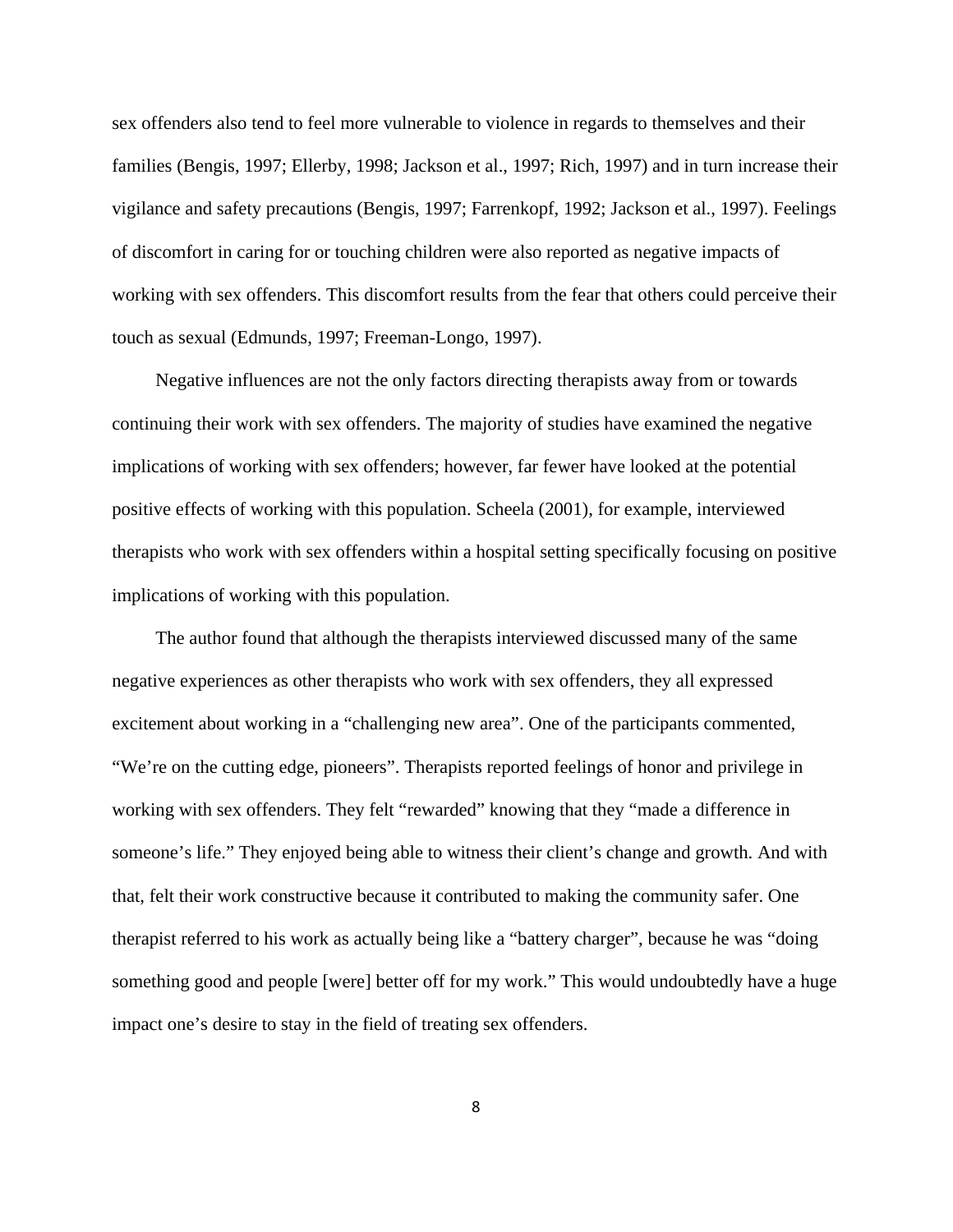sex offenders also tend to feel more vulnerable to violence in regards to themselves and their families (Bengis, 1997; Ellerby, 1998; Jackson et al., 1997; Rich, 1997) and in turn increase their vigilance and safety precautions (Bengis, 1997; Farrenkopf, 1992; Jackson et al., 1997). Feelings of discomfort in caring for or touching children were also reported as negative impacts of working with sex offenders. This discomfort results from the fear that others could perceive their touch as sexual (Edmunds, 1997; Freeman-Longo, 1997).

 Negative influences are not the only factors directing therapists away from or towards continuing their work with sex offenders. The majority of studies have examined the negative implications of working with sex offenders; however, far fewer have looked at the potential positive effects of working with this population. Scheela (2001), for example, interviewed therapists who work with sex offenders within a hospital setting specifically focusing on positive implications of working with this population.

 The author found that although the therapists interviewed discussed many of the same negative experiences as other therapists who work with sex offenders, they all expressed excitement about working in a "challenging new area". One of the participants commented, "We're on the cutting edge, pioneers". Therapists reported feelings of honor and privilege in working with sex offenders. They felt "rewarded" knowing that they "made a difference in someone's life." They enjoyed being able to witness their client's change and growth. And with that, felt their work constructive because it contributed to making the community safer. One therapist referred to his work as actually being like a "battery charger", because he was "doing something good and people [were] better off for my work." This would undoubtedly have a huge impact one's desire to stay in the field of treating sex offenders.

8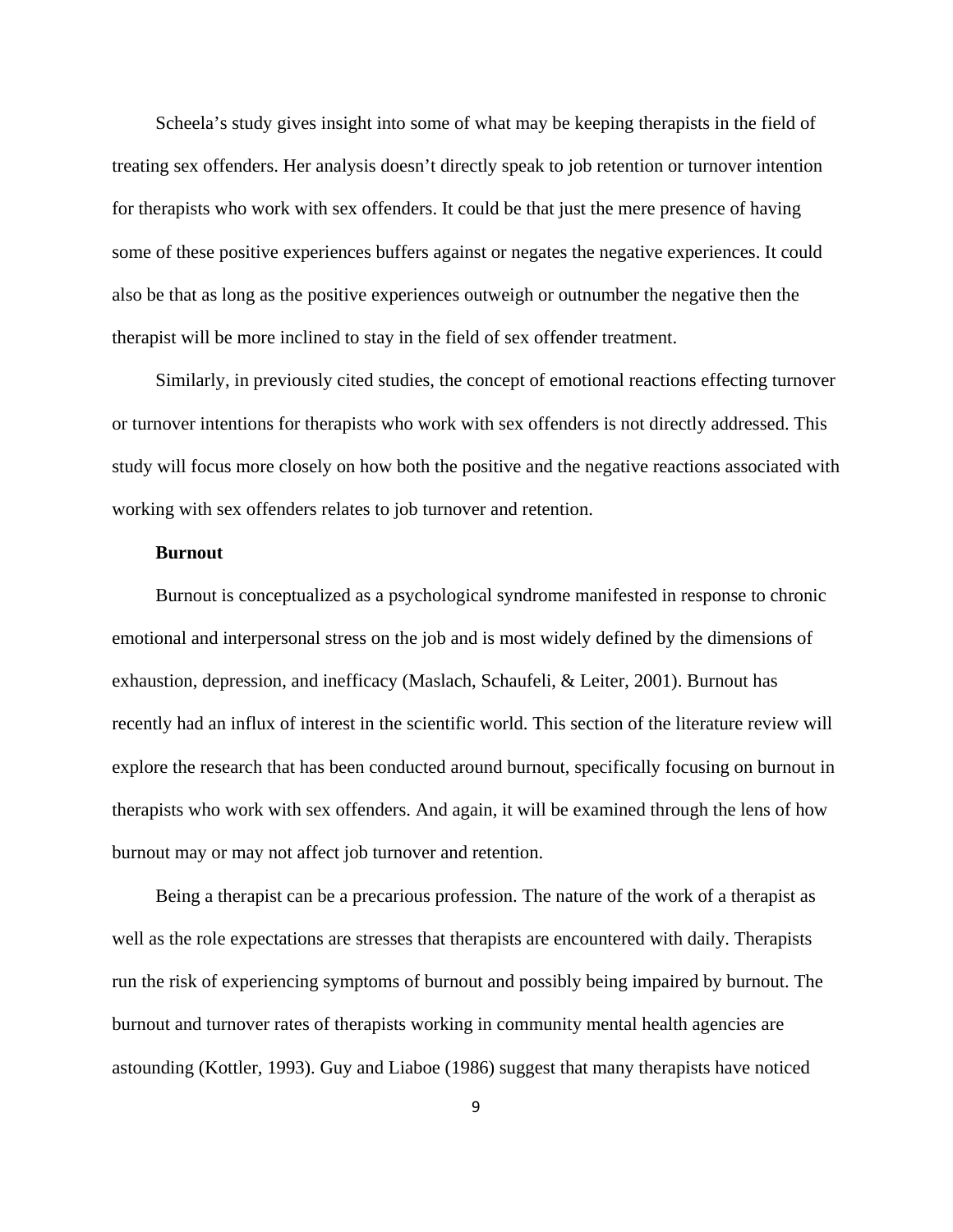Scheela's study gives insight into some of what may be keeping therapists in the field of treating sex offenders. Her analysis doesn't directly speak to job retention or turnover intention for therapists who work with sex offenders. It could be that just the mere presence of having some of these positive experiences buffers against or negates the negative experiences. It could also be that as long as the positive experiences outweigh or outnumber the negative then the therapist will be more inclined to stay in the field of sex offender treatment.

 Similarly, in previously cited studies, the concept of emotional reactions effecting turnover or turnover intentions for therapists who work with sex offenders is not directly addressed. This study will focus more closely on how both the positive and the negative reactions associated with working with sex offenders relates to job turnover and retention.

#### **Burnout**

 Burnout is conceptualized as a psychological syndrome manifested in response to chronic emotional and interpersonal stress on the job and is most widely defined by the dimensions of exhaustion, depression, and inefficacy (Maslach, Schaufeli, & Leiter, 2001). Burnout has recently had an influx of interest in the scientific world. This section of the literature review will explore the research that has been conducted around burnout, specifically focusing on burnout in therapists who work with sex offenders. And again, it will be examined through the lens of how burnout may or may not affect job turnover and retention.

 Being a therapist can be a precarious profession. The nature of the work of a therapist as well as the role expectations are stresses that therapists are encountered with daily. Therapists run the risk of experiencing symptoms of burnout and possibly being impaired by burnout. The burnout and turnover rates of therapists working in community mental health agencies are astounding (Kottler, 1993). Guy and Liaboe (1986) suggest that many therapists have noticed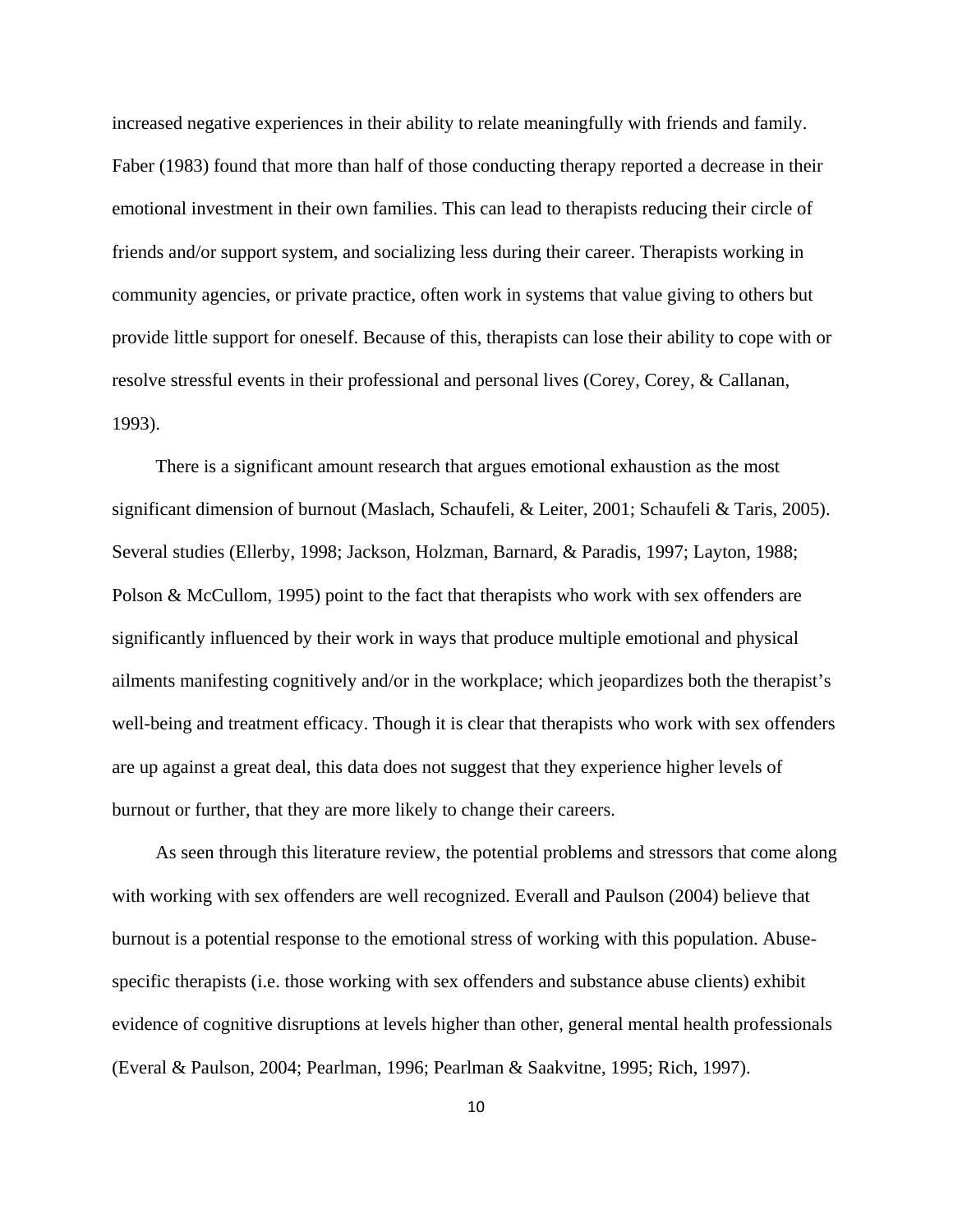increased negative experiences in their ability to relate meaningfully with friends and family. Faber (1983) found that more than half of those conducting therapy reported a decrease in their emotional investment in their own families. This can lead to therapists reducing their circle of friends and/or support system, and socializing less during their career. Therapists working in community agencies, or private practice, often work in systems that value giving to others but provide little support for oneself. Because of this, therapists can lose their ability to cope with or resolve stressful events in their professional and personal lives (Corey, Corey, & Callanan, 1993).

 There is a significant amount research that argues emotional exhaustion as the most significant dimension of burnout (Maslach, Schaufeli, & Leiter, 2001; Schaufeli & Taris, 2005). Several studies (Ellerby, 1998; Jackson, Holzman, Barnard, & Paradis, 1997; Layton, 1988; Polson & McCullom, 1995) point to the fact that therapists who work with sex offenders are significantly influenced by their work in ways that produce multiple emotional and physical ailments manifesting cognitively and/or in the workplace; which jeopardizes both the therapist's well-being and treatment efficacy. Though it is clear that therapists who work with sex offenders are up against a great deal, this data does not suggest that they experience higher levels of burnout or further, that they are more likely to change their careers.

 As seen through this literature review, the potential problems and stressors that come along with working with sex offenders are well recognized. Everall and Paulson (2004) believe that burnout is a potential response to the emotional stress of working with this population. Abusespecific therapists (i.e. those working with sex offenders and substance abuse clients) exhibit evidence of cognitive disruptions at levels higher than other, general mental health professionals (Everal & Paulson, 2004; Pearlman, 1996; Pearlman & Saakvitne, 1995; Rich, 1997).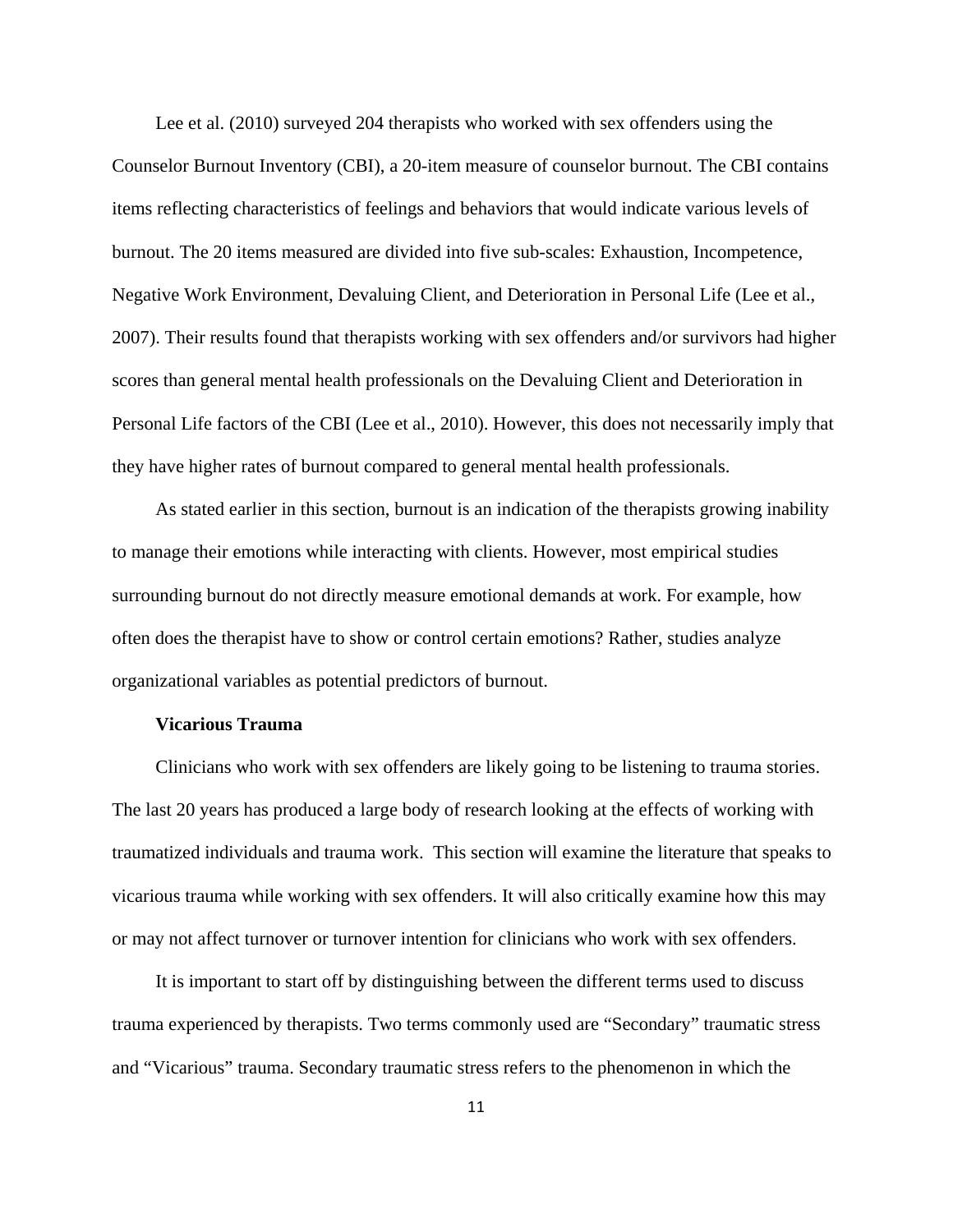Lee et al. (2010) surveyed 204 therapists who worked with sex offenders using the Counselor Burnout Inventory (CBI), a 20-item measure of counselor burnout. The CBI contains items reflecting characteristics of feelings and behaviors that would indicate various levels of burnout. The 20 items measured are divided into five sub-scales: Exhaustion, Incompetence, Negative Work Environment, Devaluing Client, and Deterioration in Personal Life (Lee et al., 2007). Their results found that therapists working with sex offenders and/or survivors had higher scores than general mental health professionals on the Devaluing Client and Deterioration in Personal Life factors of the CBI (Lee et al., 2010). However, this does not necessarily imply that they have higher rates of burnout compared to general mental health professionals.

 As stated earlier in this section, burnout is an indication of the therapists growing inability to manage their emotions while interacting with clients. However, most empirical studies surrounding burnout do not directly measure emotional demands at work. For example, how often does the therapist have to show or control certain emotions? Rather, studies analyze organizational variables as potential predictors of burnout.

# **Vicarious Trauma**

 Clinicians who work with sex offenders are likely going to be listening to trauma stories. The last 20 years has produced a large body of research looking at the effects of working with traumatized individuals and trauma work. This section will examine the literature that speaks to vicarious trauma while working with sex offenders. It will also critically examine how this may or may not affect turnover or turnover intention for clinicians who work with sex offenders.

 It is important to start off by distinguishing between the different terms used to discuss trauma experienced by therapists. Two terms commonly used are "Secondary" traumatic stress and "Vicarious" trauma. Secondary traumatic stress refers to the phenomenon in which the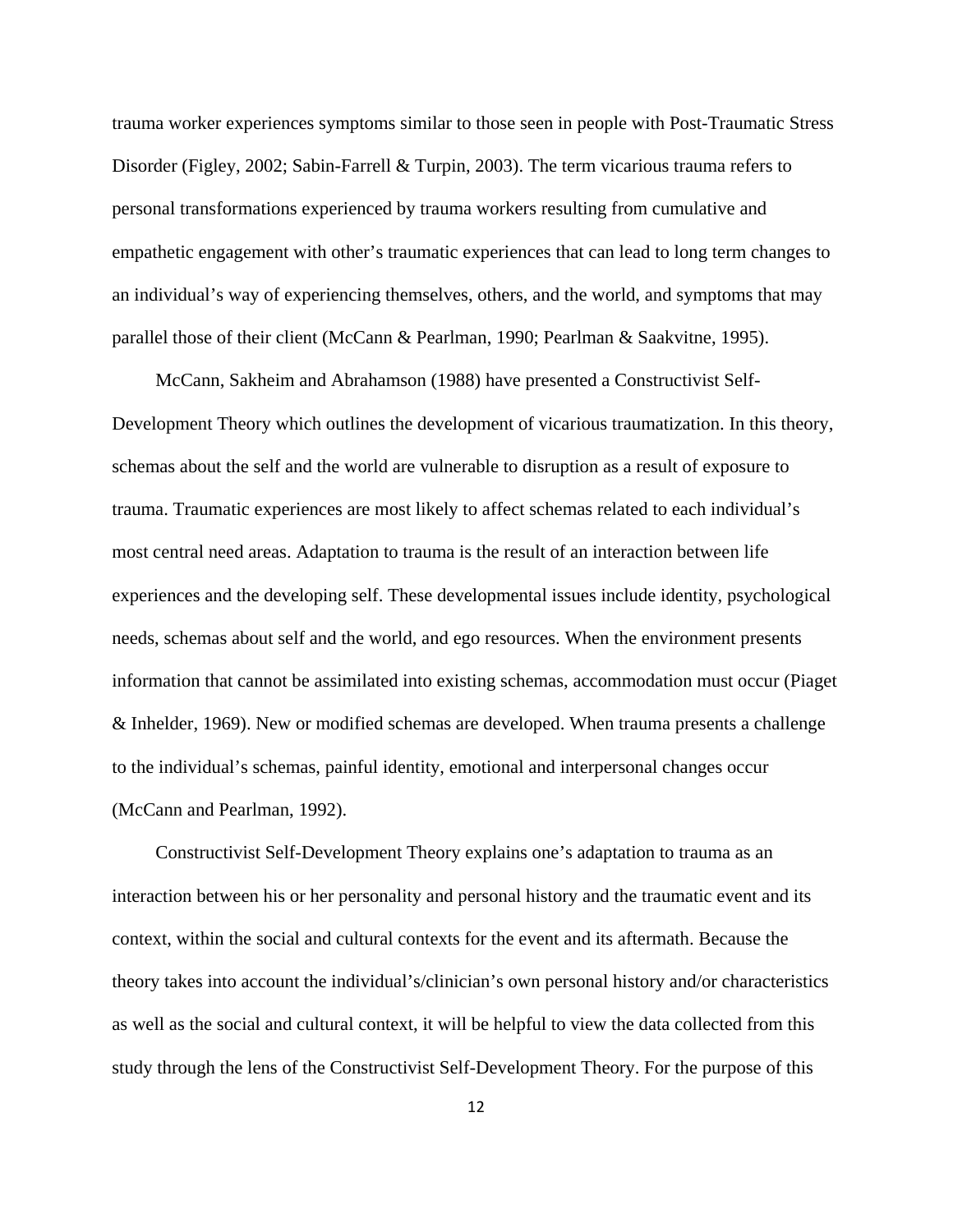trauma worker experiences symptoms similar to those seen in people with Post-Traumatic Stress Disorder (Figley, 2002; Sabin-Farrell & Turpin, 2003). The term vicarious trauma refers to personal transformations experienced by trauma workers resulting from cumulative and empathetic engagement with other's traumatic experiences that can lead to long term changes to an individual's way of experiencing themselves, others, and the world, and symptoms that may parallel those of their client (McCann & Pearlman, 1990; Pearlman & Saakvitne, 1995).

 McCann, Sakheim and Abrahamson (1988) have presented a Constructivist Self-Development Theory which outlines the development of vicarious traumatization. In this theory, schemas about the self and the world are vulnerable to disruption as a result of exposure to trauma. Traumatic experiences are most likely to affect schemas related to each individual's most central need areas. Adaptation to trauma is the result of an interaction between life experiences and the developing self. These developmental issues include identity, psychological needs, schemas about self and the world, and ego resources. When the environment presents information that cannot be assimilated into existing schemas, accommodation must occur (Piaget & Inhelder, 1969). New or modified schemas are developed. When trauma presents a challenge to the individual's schemas, painful identity, emotional and interpersonal changes occur (McCann and Pearlman, 1992).

 Constructivist Self-Development Theory explains one's adaptation to trauma as an interaction between his or her personality and personal history and the traumatic event and its context, within the social and cultural contexts for the event and its aftermath. Because the theory takes into account the individual's/clinician's own personal history and/or characteristics as well as the social and cultural context, it will be helpful to view the data collected from this study through the lens of the Constructivist Self-Development Theory. For the purpose of this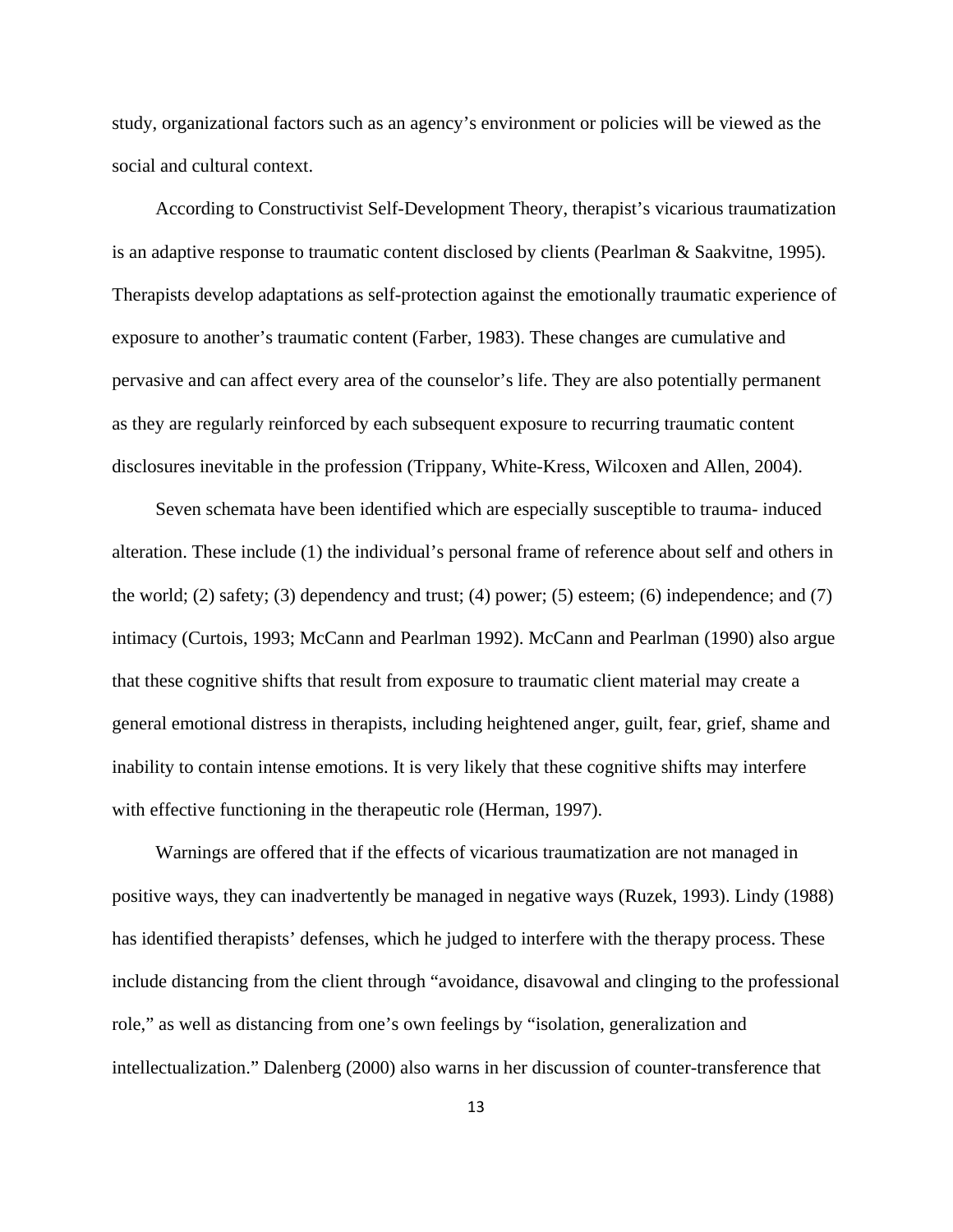study, organizational factors such as an agency's environment or policies will be viewed as the social and cultural context.

 According to Constructivist Self-Development Theory, therapist's vicarious traumatization is an adaptive response to traumatic content disclosed by clients (Pearlman & Saakvitne, 1995). Therapists develop adaptations as self-protection against the emotionally traumatic experience of exposure to another's traumatic content (Farber, 1983). These changes are cumulative and pervasive and can affect every area of the counselor's life. They are also potentially permanent as they are regularly reinforced by each subsequent exposure to recurring traumatic content disclosures inevitable in the profession (Trippany, White-Kress, Wilcoxen and Allen, 2004).

 Seven schemata have been identified which are especially susceptible to trauma- induced alteration. These include (1) the individual's personal frame of reference about self and others in the world; (2) safety; (3) dependency and trust; (4) power; (5) esteem; (6) independence; and (7) intimacy (Curtois, 1993; McCann and Pearlman 1992). McCann and Pearlman (1990) also argue that these cognitive shifts that result from exposure to traumatic client material may create a general emotional distress in therapists, including heightened anger, guilt, fear, grief, shame and inability to contain intense emotions. It is very likely that these cognitive shifts may interfere with effective functioning in the therapeutic role (Herman, 1997).

 Warnings are offered that if the effects of vicarious traumatization are not managed in positive ways, they can inadvertently be managed in negative ways (Ruzek, 1993). Lindy (1988) has identified therapists' defenses, which he judged to interfere with the therapy process. These include distancing from the client through "avoidance, disavowal and clinging to the professional role," as well as distancing from one's own feelings by "isolation, generalization and intellectualization." Dalenberg (2000) also warns in her discussion of counter-transference that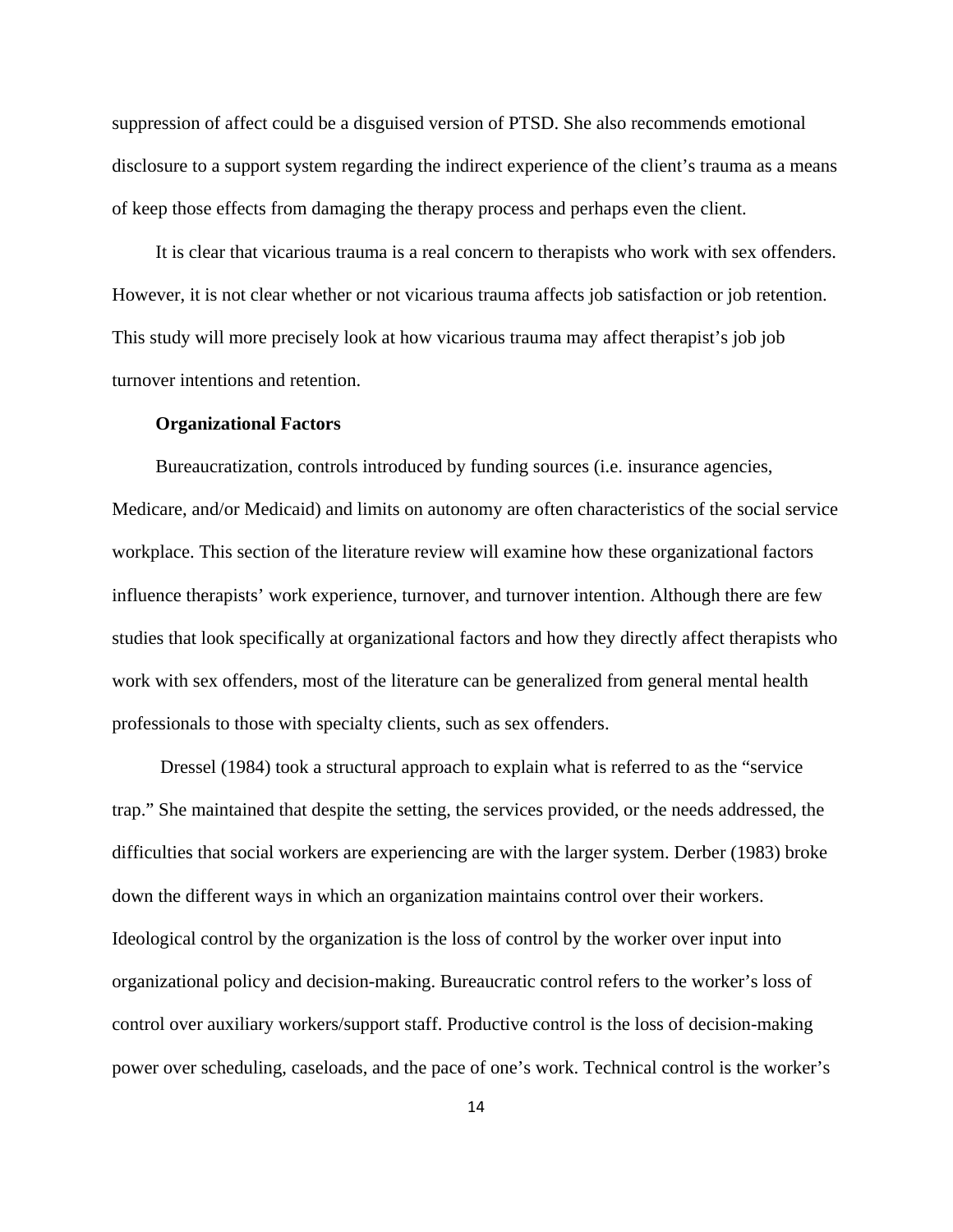suppression of affect could be a disguised version of PTSD. She also recommends emotional disclosure to a support system regarding the indirect experience of the client's trauma as a means of keep those effects from damaging the therapy process and perhaps even the client.

 It is clear that vicarious trauma is a real concern to therapists who work with sex offenders. However, it is not clear whether or not vicarious trauma affects job satisfaction or job retention. This study will more precisely look at how vicarious trauma may affect therapist's job job turnover intentions and retention.

#### **Organizational Factors**

 Bureaucratization, controls introduced by funding sources (i.e. insurance agencies, Medicare, and/or Medicaid) and limits on autonomy are often characteristics of the social service workplace. This section of the literature review will examine how these organizational factors influence therapists' work experience, turnover, and turnover intention. Although there are few studies that look specifically at organizational factors and how they directly affect therapists who work with sex offenders, most of the literature can be generalized from general mental health professionals to those with specialty clients, such as sex offenders.

 Dressel (1984) took a structural approach to explain what is referred to as the "service trap." She maintained that despite the setting, the services provided, or the needs addressed, the difficulties that social workers are experiencing are with the larger system. Derber (1983) broke down the different ways in which an organization maintains control over their workers. Ideological control by the organization is the loss of control by the worker over input into organizational policy and decision-making. Bureaucratic control refers to the worker's loss of control over auxiliary workers/support staff. Productive control is the loss of decision-making power over scheduling, caseloads, and the pace of one's work. Technical control is the worker's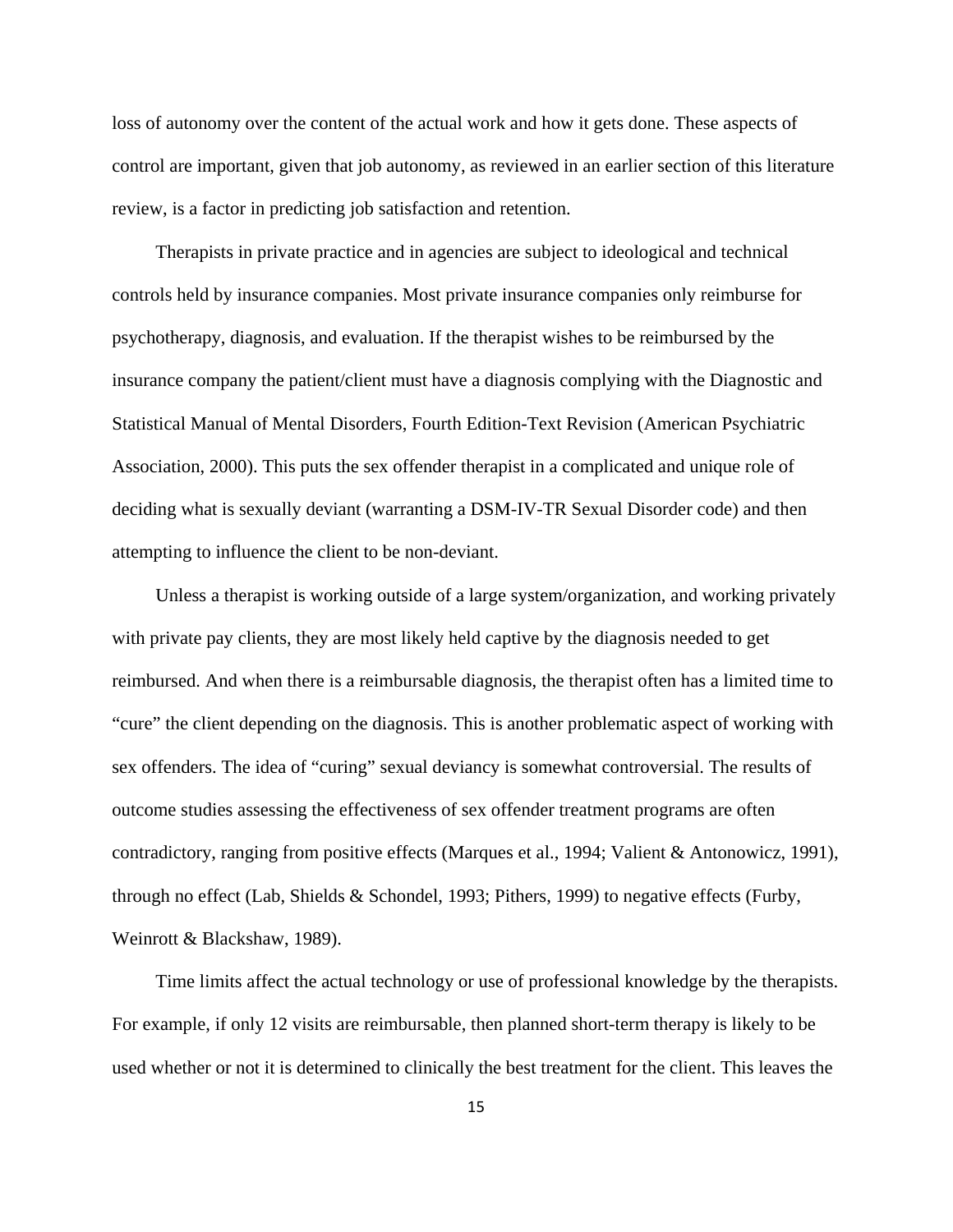loss of autonomy over the content of the actual work and how it gets done. These aspects of control are important, given that job autonomy, as reviewed in an earlier section of this literature review, is a factor in predicting job satisfaction and retention.

 Therapists in private practice and in agencies are subject to ideological and technical controls held by insurance companies. Most private insurance companies only reimburse for psychotherapy, diagnosis, and evaluation. If the therapist wishes to be reimbursed by the insurance company the patient/client must have a diagnosis complying with the Diagnostic and Statistical Manual of Mental Disorders, Fourth Edition-Text Revision (American Psychiatric Association, 2000). This puts the sex offender therapist in a complicated and unique role of deciding what is sexually deviant (warranting a DSM-IV-TR Sexual Disorder code) and then attempting to influence the client to be non-deviant.

 Unless a therapist is working outside of a large system/organization, and working privately with private pay clients, they are most likely held captive by the diagnosis needed to get reimbursed. And when there is a reimbursable diagnosis, the therapist often has a limited time to "cure" the client depending on the diagnosis. This is another problematic aspect of working with sex offenders. The idea of "curing" sexual deviancy is somewhat controversial. The results of outcome studies assessing the effectiveness of sex offender treatment programs are often contradictory, ranging from positive effects (Marques et al., 1994; Valient & Antonowicz, 1991), through no effect (Lab, Shields & Schondel, 1993; Pithers, 1999) to negative effects (Furby, Weinrott & Blackshaw, 1989).

 Time limits affect the actual technology or use of professional knowledge by the therapists. For example, if only 12 visits are reimbursable, then planned short-term therapy is likely to be used whether or not it is determined to clinically the best treatment for the client. This leaves the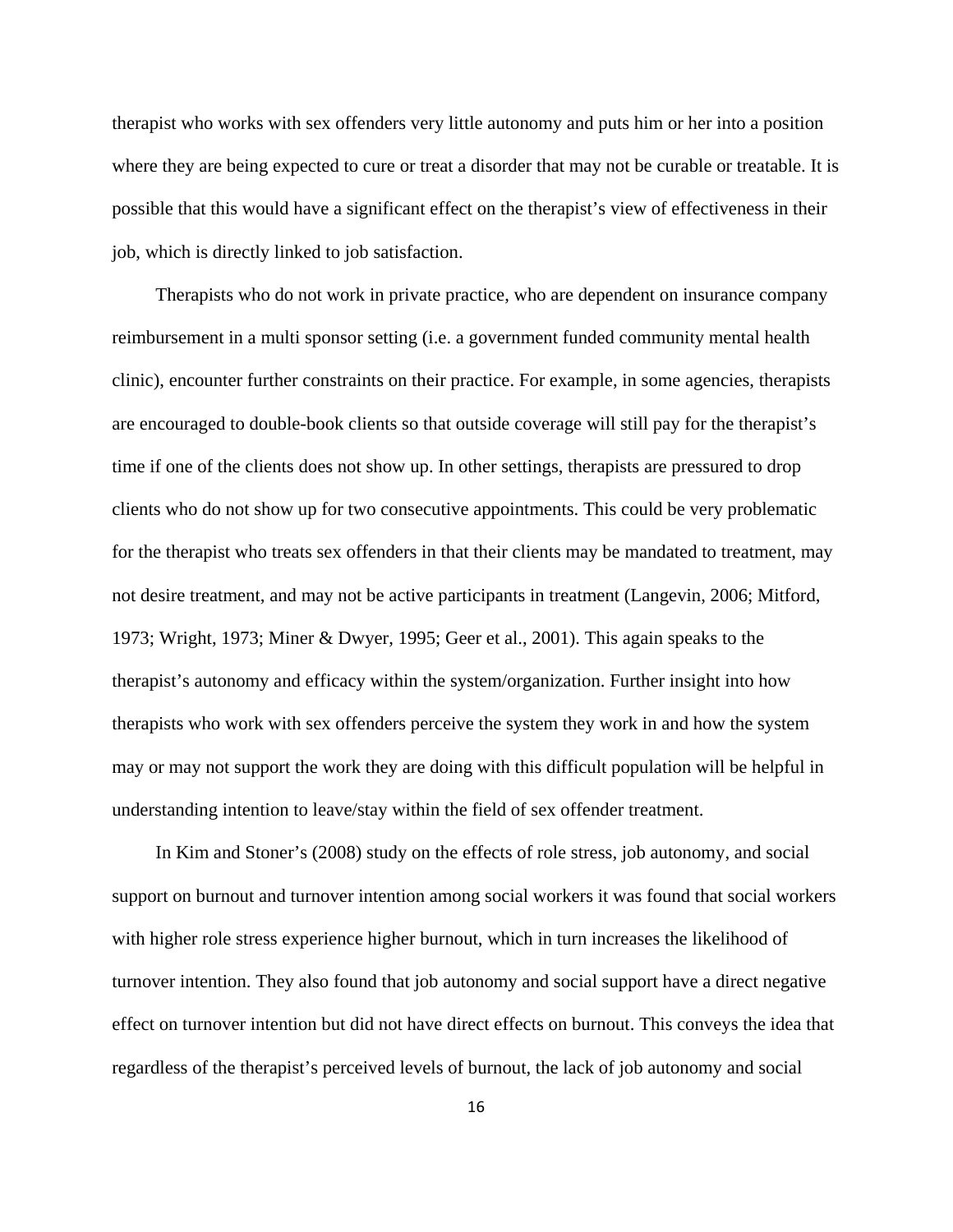therapist who works with sex offenders very little autonomy and puts him or her into a position where they are being expected to cure or treat a disorder that may not be curable or treatable. It is possible that this would have a significant effect on the therapist's view of effectiveness in their job, which is directly linked to job satisfaction.

 Therapists who do not work in private practice, who are dependent on insurance company reimbursement in a multi sponsor setting (i.e. a government funded community mental health clinic), encounter further constraints on their practice. For example, in some agencies, therapists are encouraged to double-book clients so that outside coverage will still pay for the therapist's time if one of the clients does not show up. In other settings, therapists are pressured to drop clients who do not show up for two consecutive appointments. This could be very problematic for the therapist who treats sex offenders in that their clients may be mandated to treatment, may not desire treatment, and may not be active participants in treatment (Langevin, 2006; Mitford, 1973; Wright, 1973; Miner & Dwyer, 1995; Geer et al., 2001). This again speaks to the therapist's autonomy and efficacy within the system/organization. Further insight into how therapists who work with sex offenders perceive the system they work in and how the system may or may not support the work they are doing with this difficult population will be helpful in understanding intention to leave/stay within the field of sex offender treatment.

 In Kim and Stoner's (2008) study on the effects of role stress, job autonomy, and social support on burnout and turnover intention among social workers it was found that social workers with higher role stress experience higher burnout, which in turn increases the likelihood of turnover intention. They also found that job autonomy and social support have a direct negative effect on turnover intention but did not have direct effects on burnout. This conveys the idea that regardless of the therapist's perceived levels of burnout, the lack of job autonomy and social

16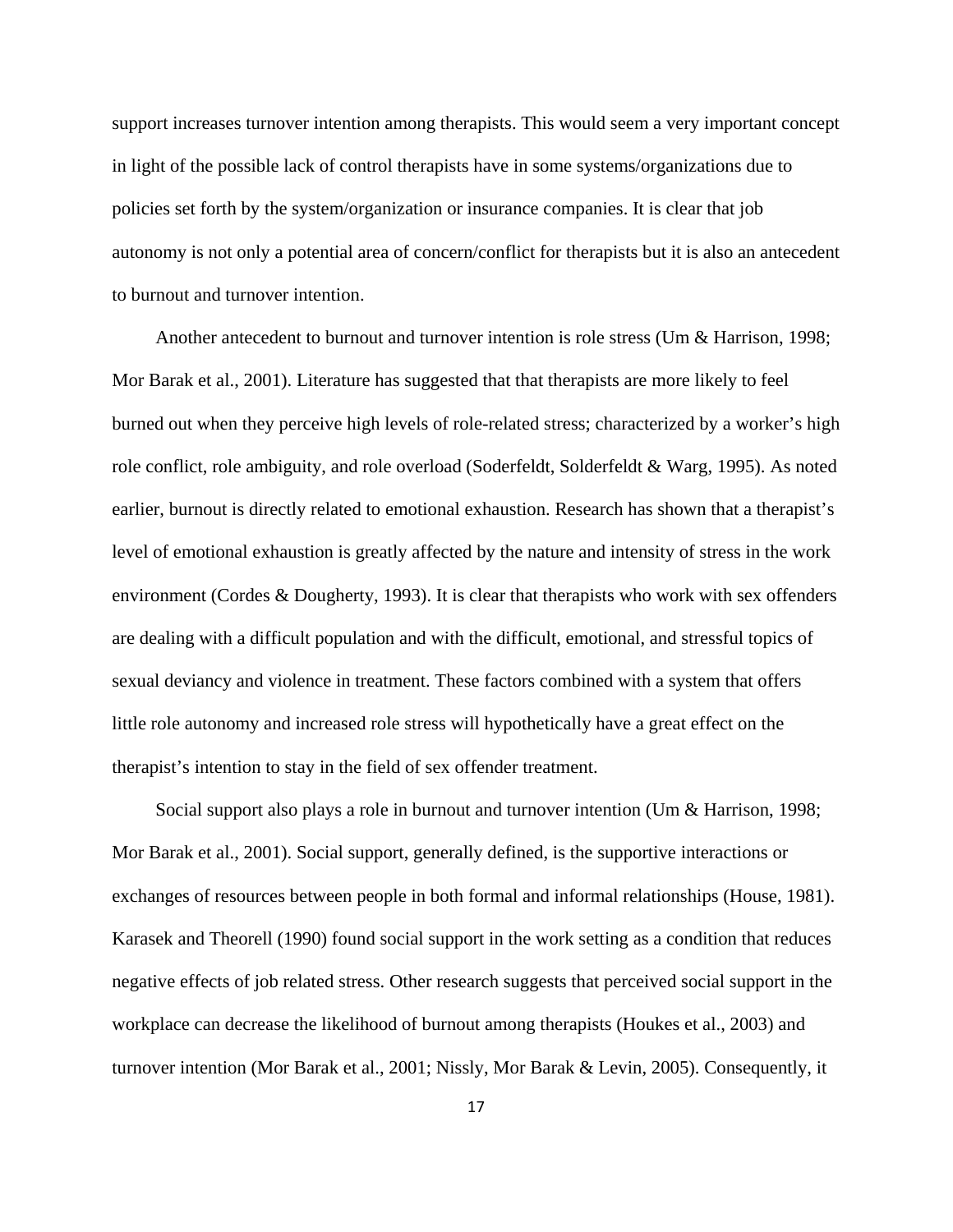support increases turnover intention among therapists. This would seem a very important concept in light of the possible lack of control therapists have in some systems/organizations due to policies set forth by the system/organization or insurance companies. It is clear that job autonomy is not only a potential area of concern/conflict for therapists but it is also an antecedent to burnout and turnover intention.

 Another antecedent to burnout and turnover intention is role stress (Um & Harrison, 1998; Mor Barak et al., 2001). Literature has suggested that that therapists are more likely to feel burned out when they perceive high levels of role-related stress; characterized by a worker's high role conflict, role ambiguity, and role overload (Soderfeldt, Solderfeldt & Warg, 1995). As noted earlier, burnout is directly related to emotional exhaustion. Research has shown that a therapist's level of emotional exhaustion is greatly affected by the nature and intensity of stress in the work environment (Cordes & Dougherty, 1993). It is clear that therapists who work with sex offenders are dealing with a difficult population and with the difficult, emotional, and stressful topics of sexual deviancy and violence in treatment. These factors combined with a system that offers little role autonomy and increased role stress will hypothetically have a great effect on the therapist's intention to stay in the field of sex offender treatment.

 Social support also plays a role in burnout and turnover intention (Um & Harrison, 1998; Mor Barak et al., 2001). Social support, generally defined, is the supportive interactions or exchanges of resources between people in both formal and informal relationships (House, 1981). Karasek and Theorell (1990) found social support in the work setting as a condition that reduces negative effects of job related stress. Other research suggests that perceived social support in the workplace can decrease the likelihood of burnout among therapists (Houkes et al., 2003) and turnover intention (Mor Barak et al., 2001; Nissly, Mor Barak & Levin, 2005). Consequently, it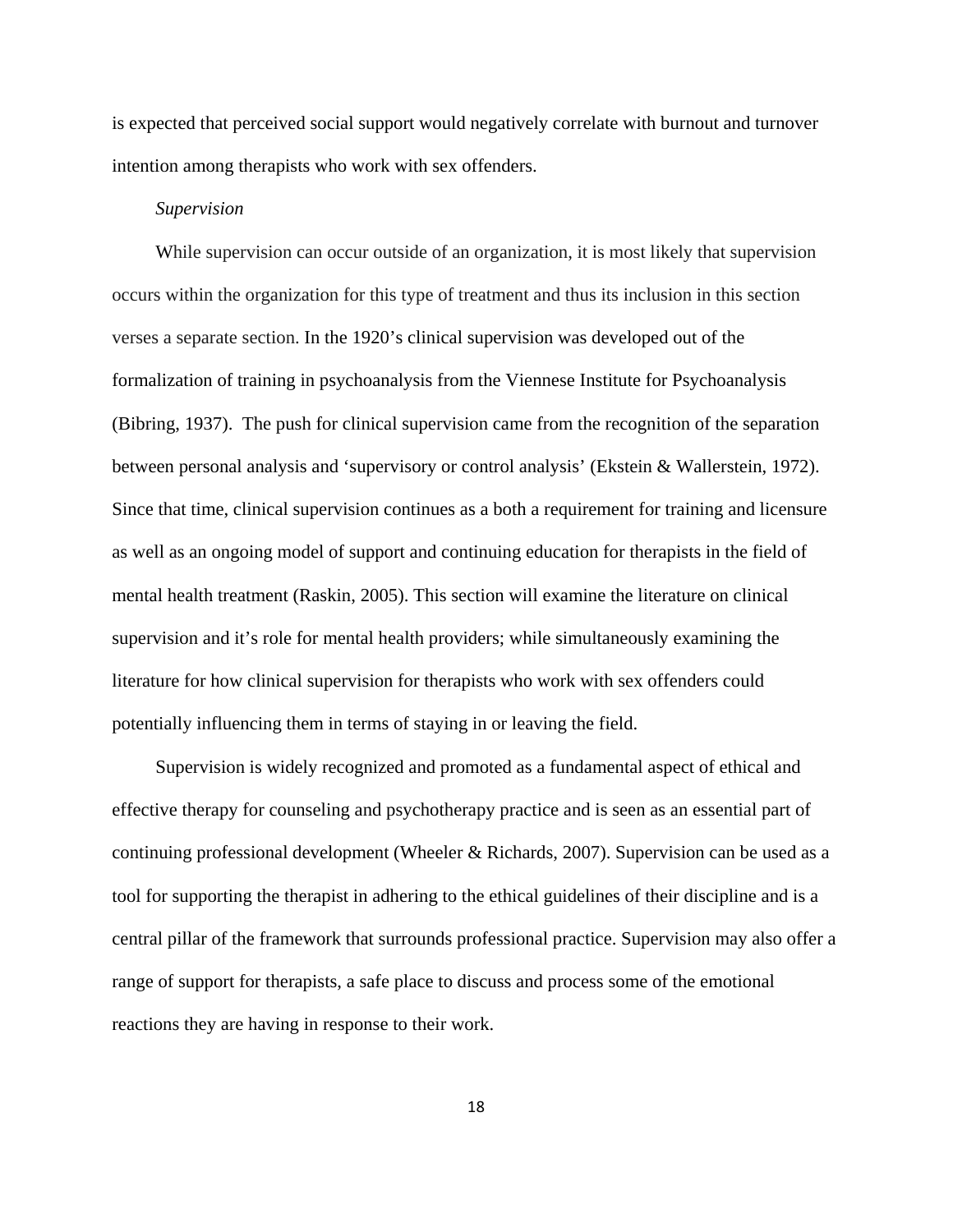is expected that perceived social support would negatively correlate with burnout and turnover intention among therapists who work with sex offenders.

#### *Supervision*

 While supervision can occur outside of an organization, it is most likely that supervision occurs within the organization for this type of treatment and thus its inclusion in this section verses a separate section. In the 1920's clinical supervision was developed out of the formalization of training in psychoanalysis from the Viennese Institute for Psychoanalysis (Bibring, 1937). The push for clinical supervision came from the recognition of the separation between personal analysis and 'supervisory or control analysis' (Ekstein & Wallerstein, 1972). Since that time, clinical supervision continues as a both a requirement for training and licensure as well as an ongoing model of support and continuing education for therapists in the field of mental health treatment (Raskin, 2005). This section will examine the literature on clinical supervision and it's role for mental health providers; while simultaneously examining the literature for how clinical supervision for therapists who work with sex offenders could potentially influencing them in terms of staying in or leaving the field.

 Supervision is widely recognized and promoted as a fundamental aspect of ethical and effective therapy for counseling and psychotherapy practice and is seen as an essential part of continuing professional development (Wheeler & Richards, 2007). Supervision can be used as a tool for supporting the therapist in adhering to the ethical guidelines of their discipline and is a central pillar of the framework that surrounds professional practice. Supervision may also offer a range of support for therapists, a safe place to discuss and process some of the emotional reactions they are having in response to their work.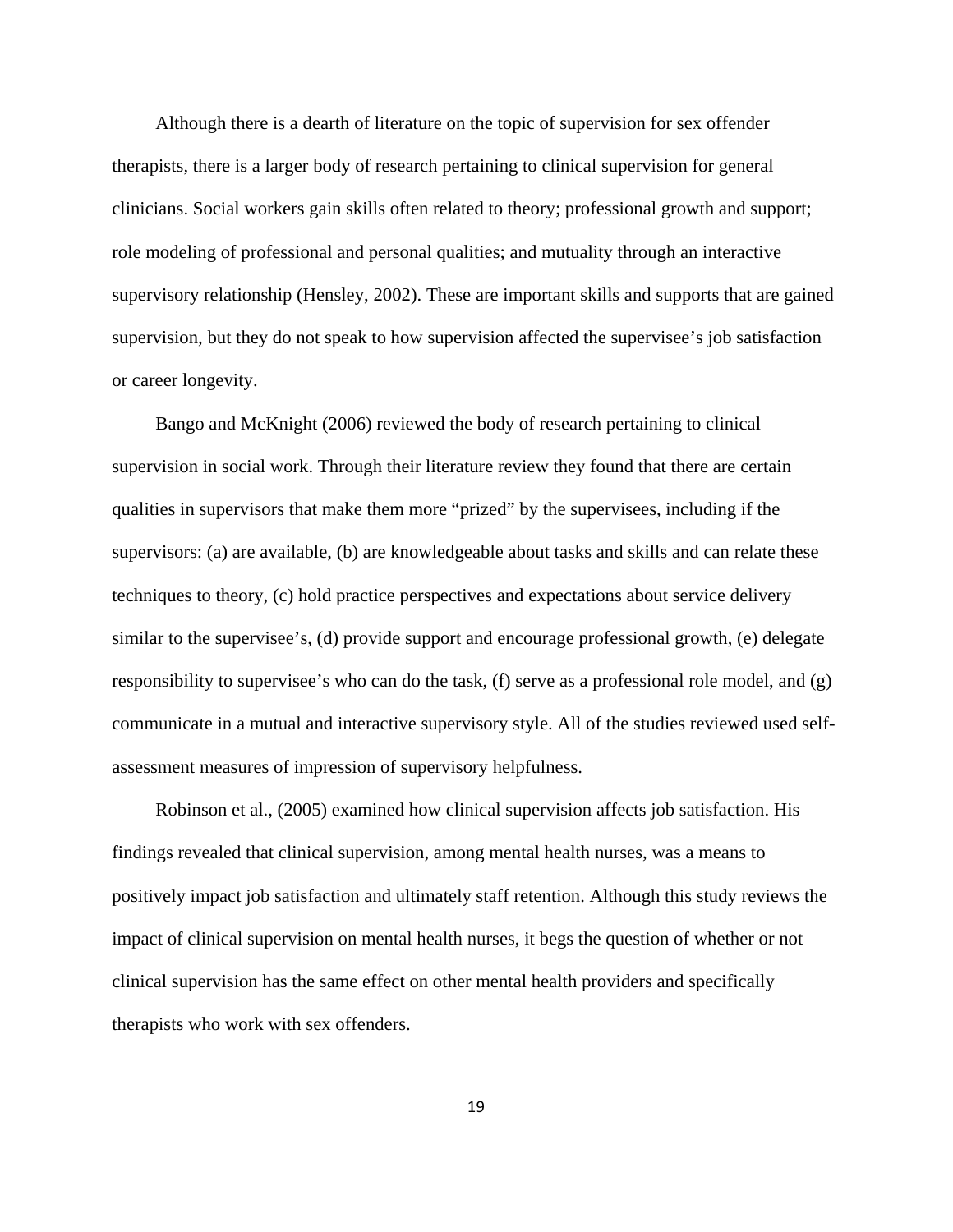Although there is a dearth of literature on the topic of supervision for sex offender therapists, there is a larger body of research pertaining to clinical supervision for general clinicians. Social workers gain skills often related to theory; professional growth and support; role modeling of professional and personal qualities; and mutuality through an interactive supervisory relationship (Hensley, 2002). These are important skills and supports that are gained supervision, but they do not speak to how supervision affected the supervisee's job satisfaction or career longevity.

 Bango and McKnight (2006) reviewed the body of research pertaining to clinical supervision in social work. Through their literature review they found that there are certain qualities in supervisors that make them more "prized" by the supervisees, including if the supervisors: (a) are available, (b) are knowledgeable about tasks and skills and can relate these techniques to theory, (c) hold practice perspectives and expectations about service delivery similar to the supervisee's, (d) provide support and encourage professional growth, (e) delegate responsibility to supervisee's who can do the task,  $(f)$  serve as a professional role model, and  $(g)$ communicate in a mutual and interactive supervisory style. All of the studies reviewed used selfassessment measures of impression of supervisory helpfulness.

 Robinson et al., (2005) examined how clinical supervision affects job satisfaction. His findings revealed that clinical supervision, among mental health nurses, was a means to positively impact job satisfaction and ultimately staff retention. Although this study reviews the impact of clinical supervision on mental health nurses, it begs the question of whether or not clinical supervision has the same effect on other mental health providers and specifically therapists who work with sex offenders.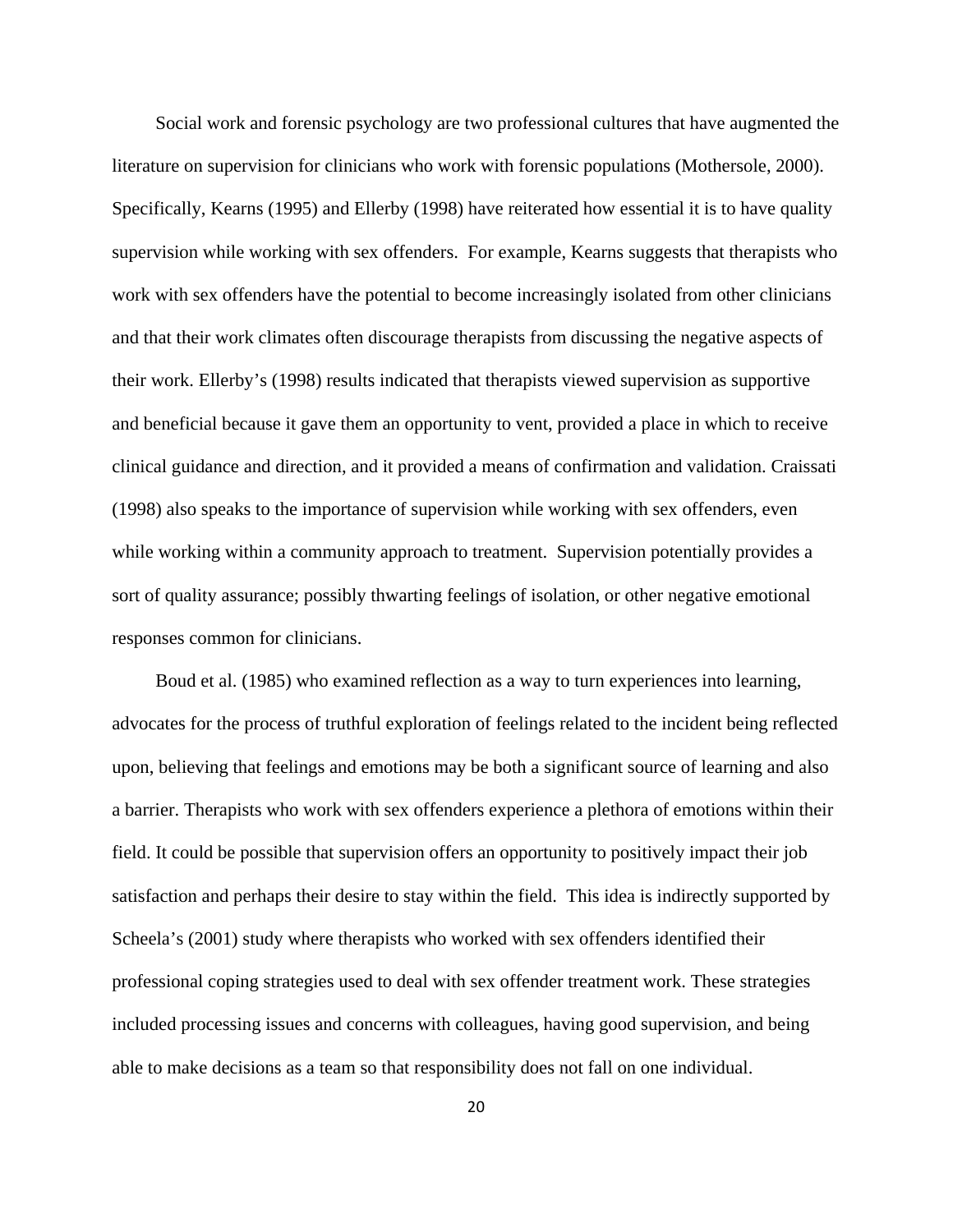Social work and forensic psychology are two professional cultures that have augmented the literature on supervision for clinicians who work with forensic populations (Mothersole, 2000). Specifically, Kearns (1995) and Ellerby (1998) have reiterated how essential it is to have quality supervision while working with sex offenders. For example, Kearns suggests that therapists who work with sex offenders have the potential to become increasingly isolated from other clinicians and that their work climates often discourage therapists from discussing the negative aspects of their work. Ellerby's (1998) results indicated that therapists viewed supervision as supportive and beneficial because it gave them an opportunity to vent, provided a place in which to receive clinical guidance and direction, and it provided a means of confirmation and validation. Craissati (1998) also speaks to the importance of supervision while working with sex offenders, even while working within a community approach to treatment. Supervision potentially provides a sort of quality assurance; possibly thwarting feelings of isolation, or other negative emotional responses common for clinicians.

 Boud et al. (1985) who examined reflection as a way to turn experiences into learning, advocates for the process of truthful exploration of feelings related to the incident being reflected upon, believing that feelings and emotions may be both a significant source of learning and also a barrier. Therapists who work with sex offenders experience a plethora of emotions within their field. It could be possible that supervision offers an opportunity to positively impact their job satisfaction and perhaps their desire to stay within the field. This idea is indirectly supported by Scheela's (2001) study where therapists who worked with sex offenders identified their professional coping strategies used to deal with sex offender treatment work. These strategies included processing issues and concerns with colleagues, having good supervision, and being able to make decisions as a team so that responsibility does not fall on one individual.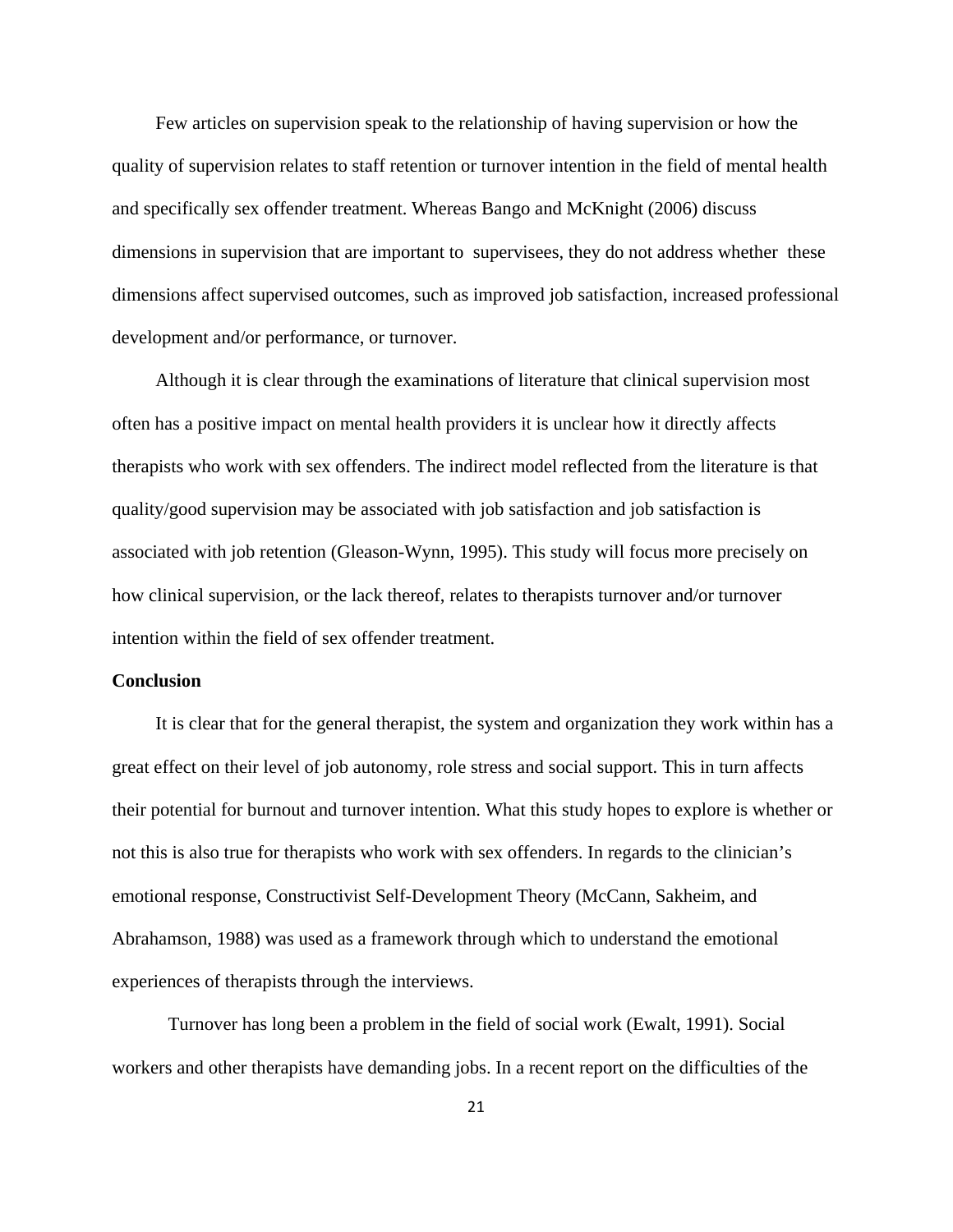Few articles on supervision speak to the relationship of having supervision or how the quality of supervision relates to staff retention or turnover intention in the field of mental health and specifically sex offender treatment. Whereas Bango and McKnight (2006) discuss dimensions in supervision that are important to supervisees, they do not address whether these dimensions affect supervised outcomes, such as improved job satisfaction, increased professional development and/or performance, or turnover.

 Although it is clear through the examinations of literature that clinical supervision most often has a positive impact on mental health providers it is unclear how it directly affects therapists who work with sex offenders. The indirect model reflected from the literature is that quality/good supervision may be associated with job satisfaction and job satisfaction is associated with job retention (Gleason-Wynn, 1995). This study will focus more precisely on how clinical supervision, or the lack thereof, relates to therapists turnover and/or turnover intention within the field of sex offender treatment.

# **Conclusion**

 It is clear that for the general therapist, the system and organization they work within has a great effect on their level of job autonomy, role stress and social support. This in turn affects their potential for burnout and turnover intention. What this study hopes to explore is whether or not this is also true for therapists who work with sex offenders. In regards to the clinician's emotional response, Constructivist Self-Development Theory (McCann, Sakheim, and Abrahamson, 1988) was used as a framework through which to understand the emotional experiences of therapists through the interviews.

Turnover has long been a problem in the field of social work (Ewalt, 1991). Social workers and other therapists have demanding jobs. In a recent report on the difficulties of the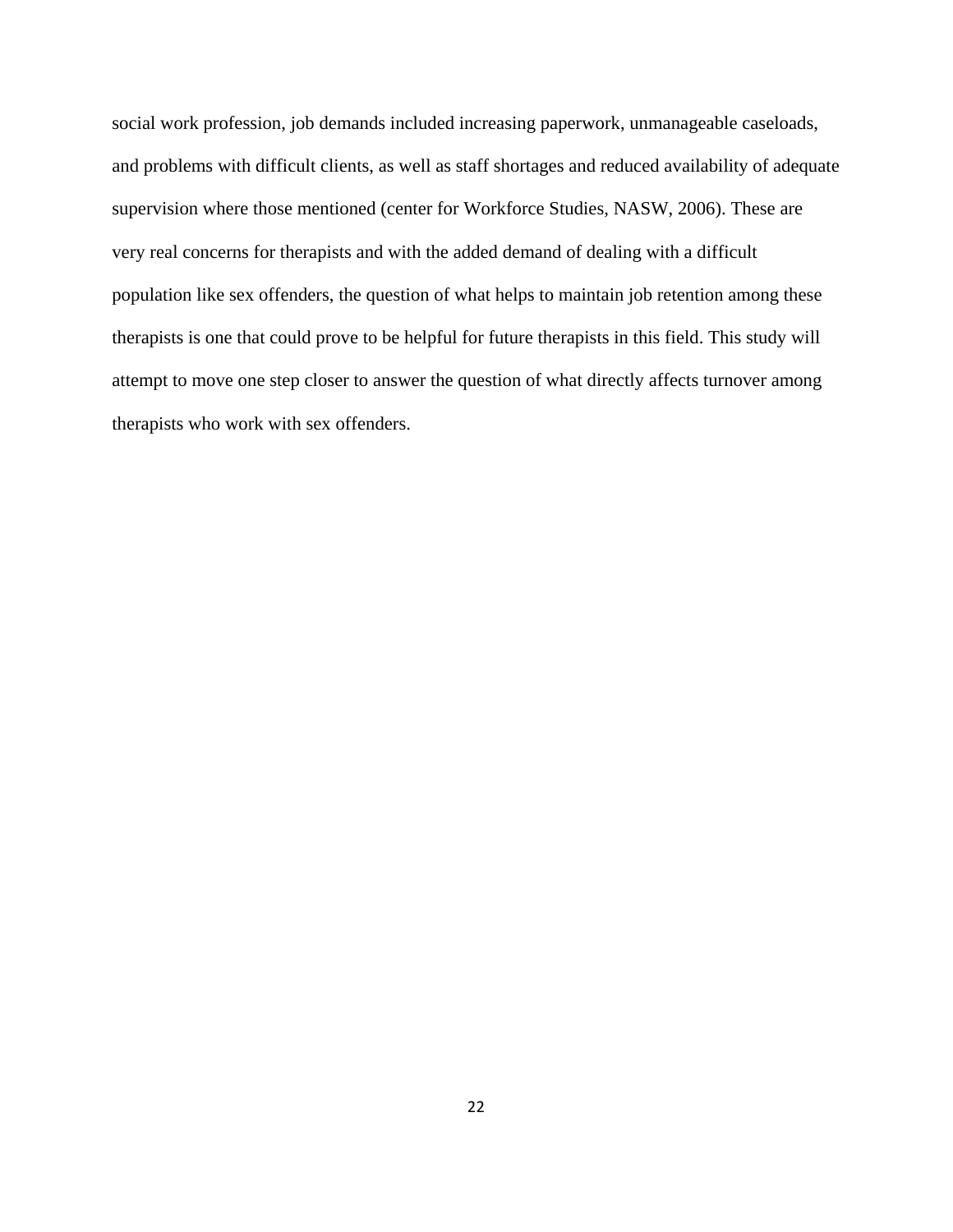social work profession, job demands included increasing paperwork, unmanageable caseloads, and problems with difficult clients, as well as staff shortages and reduced availability of adequate supervision where those mentioned (center for Workforce Studies, NASW, 2006). These are very real concerns for therapists and with the added demand of dealing with a difficult population like sex offenders, the question of what helps to maintain job retention among these therapists is one that could prove to be helpful for future therapists in this field. This study will attempt to move one step closer to answer the question of what directly affects turnover among therapists who work with sex offenders.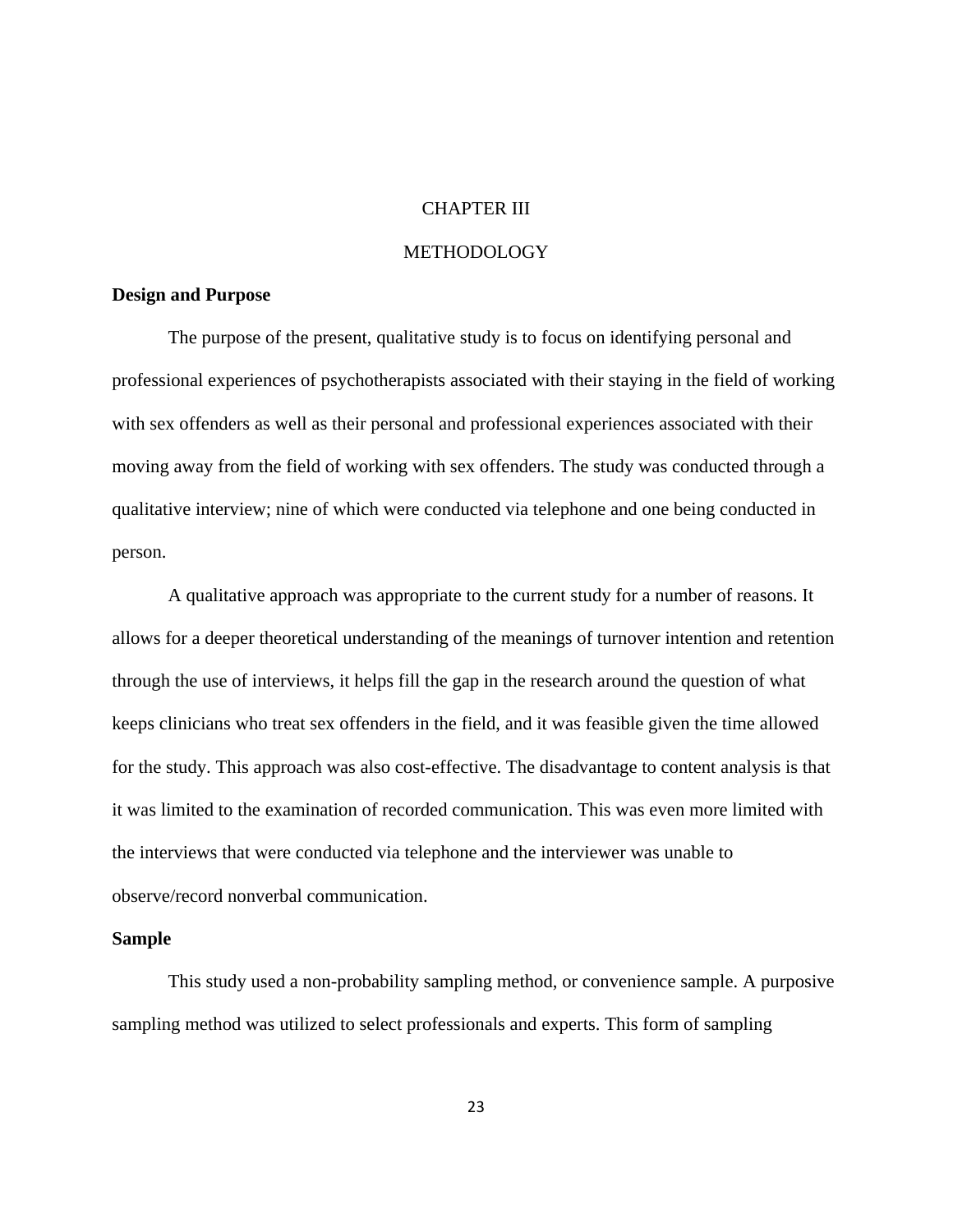# CHAPTER III

# METHODOLOGY

# **Design and Purpose**

The purpose of the present, qualitative study is to focus on identifying personal and professional experiences of psychotherapists associated with their staying in the field of working with sex offenders as well as their personal and professional experiences associated with their moving away from the field of working with sex offenders. The study was conducted through a qualitative interview; nine of which were conducted via telephone and one being conducted in person.

A qualitative approach was appropriate to the current study for a number of reasons. It allows for a deeper theoretical understanding of the meanings of turnover intention and retention through the use of interviews, it helps fill the gap in the research around the question of what keeps clinicians who treat sex offenders in the field, and it was feasible given the time allowed for the study. This approach was also cost-effective. The disadvantage to content analysis is that it was limited to the examination of recorded communication. This was even more limited with the interviews that were conducted via telephone and the interviewer was unable to observe/record nonverbal communication.

#### **Sample**

This study used a non-probability sampling method, or convenience sample. A purposive sampling method was utilized to select professionals and experts. This form of sampling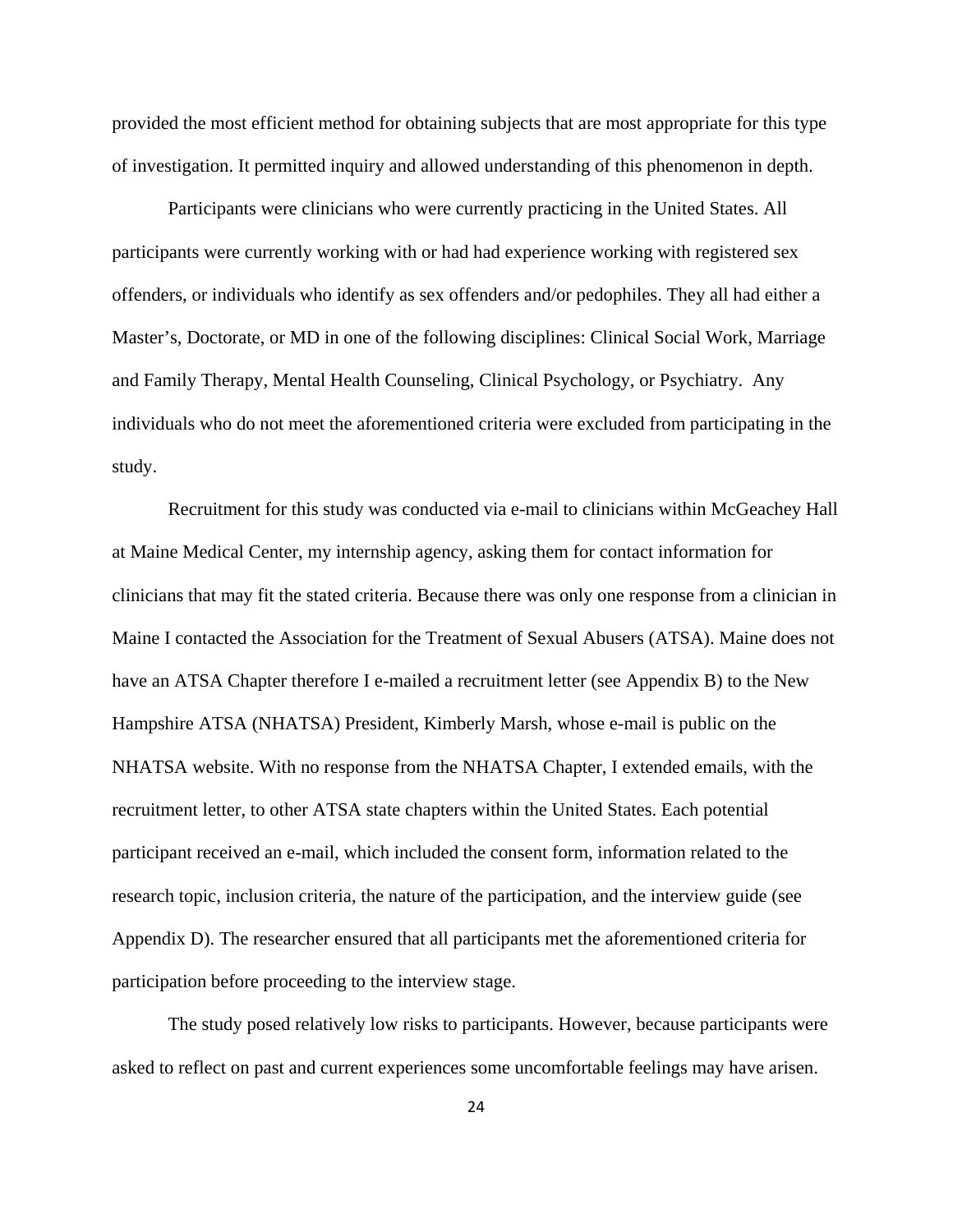provided the most efficient method for obtaining subjects that are most appropriate for this type of investigation. It permitted inquiry and allowed understanding of this phenomenon in depth.

Participants were clinicians who were currently practicing in the United States. All participants were currently working with or had had experience working with registered sex offenders, or individuals who identify as sex offenders and/or pedophiles. They all had either a Master's, Doctorate, or MD in one of the following disciplines: Clinical Social Work, Marriage and Family Therapy, Mental Health Counseling, Clinical Psychology, or Psychiatry. Any individuals who do not meet the aforementioned criteria were excluded from participating in the study.

Recruitment for this study was conducted via e-mail to clinicians within McGeachey Hall at Maine Medical Center, my internship agency, asking them for contact information for clinicians that may fit the stated criteria. Because there was only one response from a clinician in Maine I contacted the Association for the Treatment of Sexual Abusers (ATSA). Maine does not have an ATSA Chapter therefore I e-mailed a recruitment letter (see Appendix B) to the New Hampshire ATSA (NHATSA) President, Kimberly Marsh, whose e-mail is public on the NHATSA website. With no response from the NHATSA Chapter, I extended emails, with the recruitment letter, to other ATSA state chapters within the United States. Each potential participant received an e-mail, which included the consent form, information related to the research topic, inclusion criteria, the nature of the participation, and the interview guide (see Appendix D). The researcher ensured that all participants met the aforementioned criteria for participation before proceeding to the interview stage.

The study posed relatively low risks to participants. However, because participants were asked to reflect on past and current experiences some uncomfortable feelings may have arisen.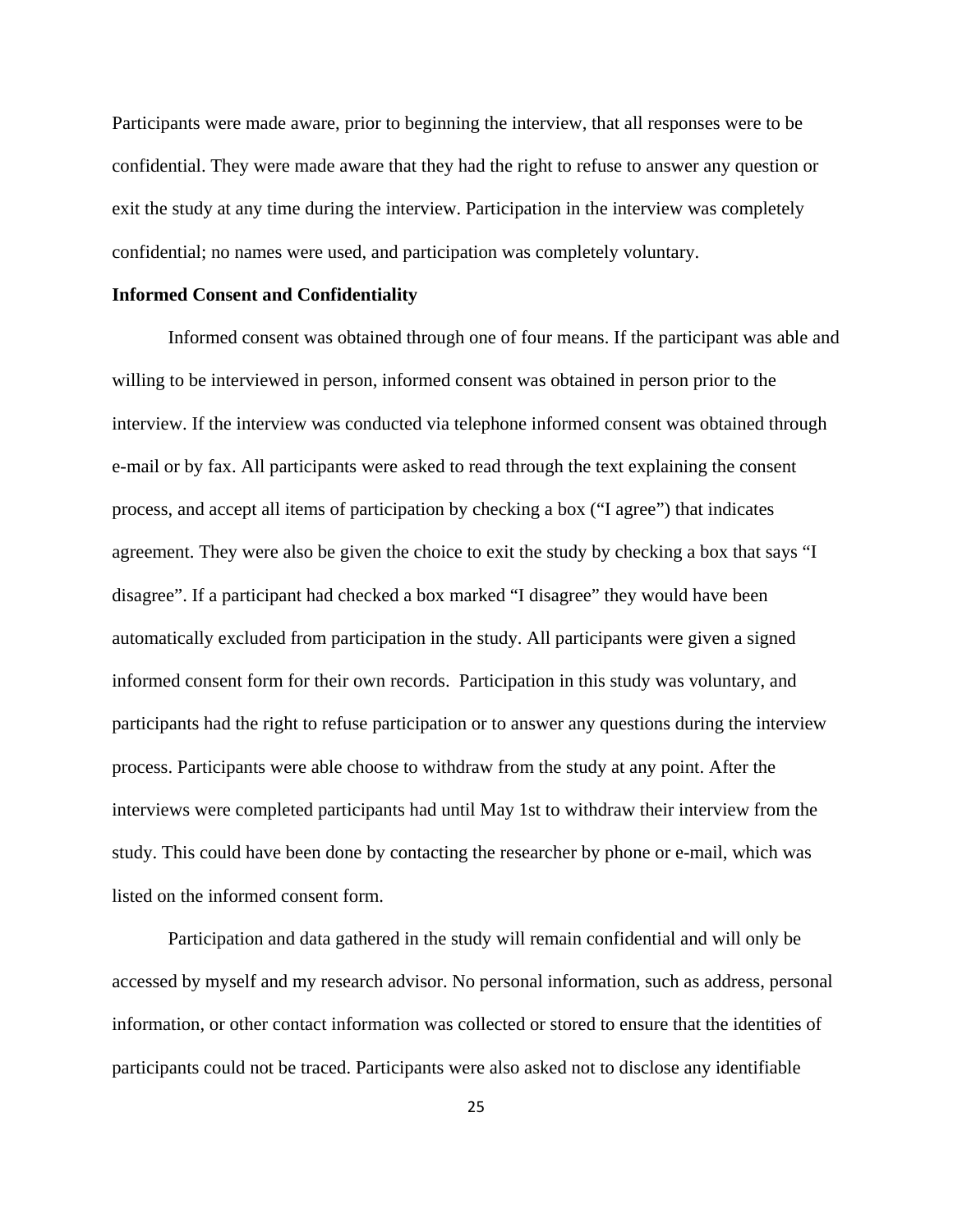Participants were made aware, prior to beginning the interview, that all responses were to be confidential. They were made aware that they had the right to refuse to answer any question or exit the study at any time during the interview. Participation in the interview was completely confidential; no names were used, and participation was completely voluntary.

# **Informed Consent and Confidentiality**

Informed consent was obtained through one of four means. If the participant was able and willing to be interviewed in person, informed consent was obtained in person prior to the interview. If the interview was conducted via telephone informed consent was obtained through e-mail or by fax. All participants were asked to read through the text explaining the consent process, and accept all items of participation by checking a box ("I agree") that indicates agreement. They were also be given the choice to exit the study by checking a box that says "I disagree". If a participant had checked a box marked "I disagree" they would have been automatically excluded from participation in the study. All participants were given a signed informed consent form for their own records. Participation in this study was voluntary, and participants had the right to refuse participation or to answer any questions during the interview process. Participants were able choose to withdraw from the study at any point. After the interviews were completed participants had until May 1st to withdraw their interview from the study. This could have been done by contacting the researcher by phone or e-mail, which was listed on the informed consent form.

Participation and data gathered in the study will remain confidential and will only be accessed by myself and my research advisor. No personal information, such as address, personal information, or other contact information was collected or stored to ensure that the identities of participants could not be traced. Participants were also asked not to disclose any identifiable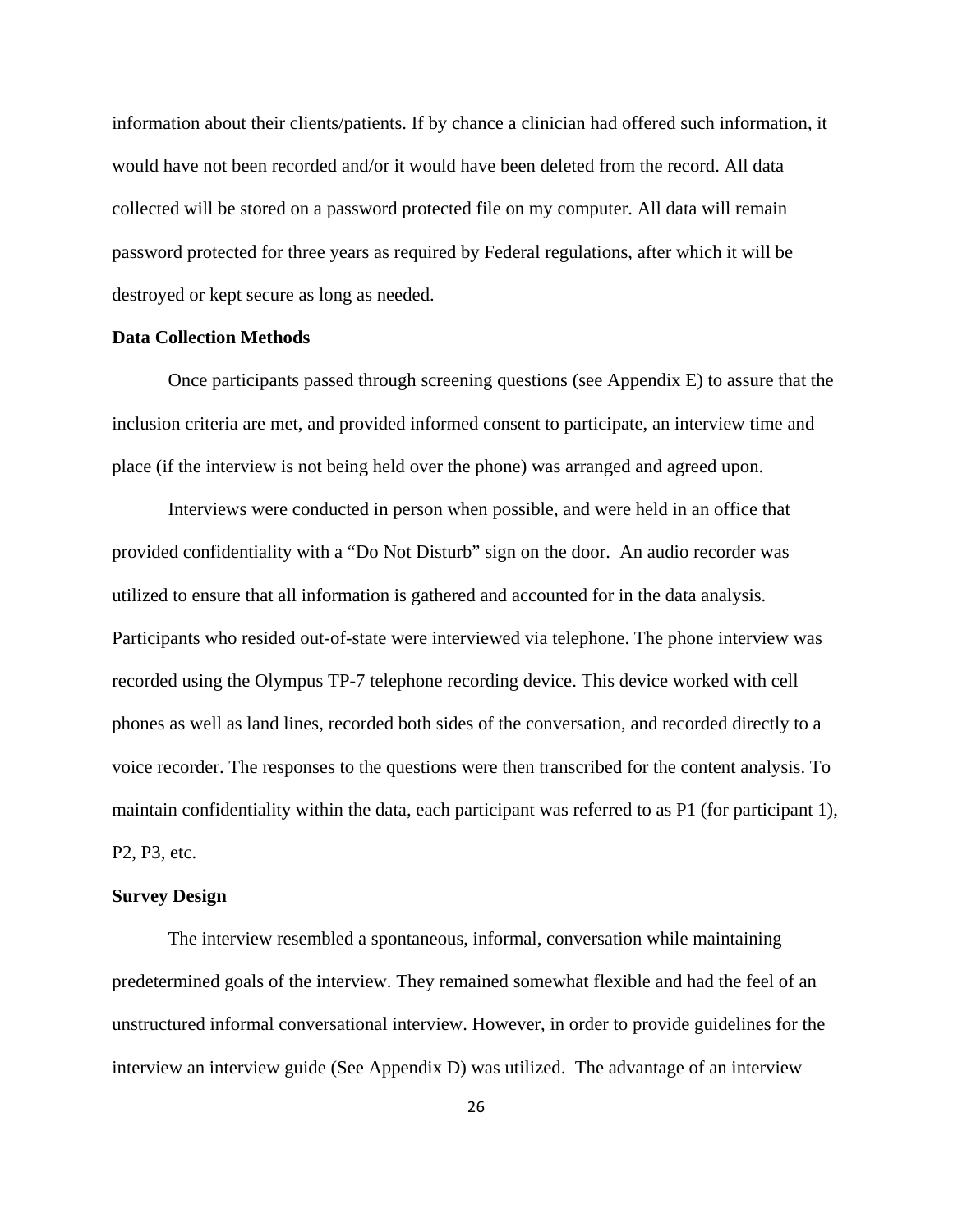information about their clients/patients. If by chance a clinician had offered such information, it would have not been recorded and/or it would have been deleted from the record. All data collected will be stored on a password protected file on my computer. All data will remain password protected for three years as required by Federal regulations, after which it will be destroyed or kept secure as long as needed.

# **Data Collection Methods**

 Once participants passed through screening questions (see Appendix E) to assure that the inclusion criteria are met, and provided informed consent to participate, an interview time and place (if the interview is not being held over the phone) was arranged and agreed upon.

 Interviews were conducted in person when possible, and were held in an office that provided confidentiality with a "Do Not Disturb" sign on the door. An audio recorder was utilized to ensure that all information is gathered and accounted for in the data analysis. Participants who resided out-of-state were interviewed via telephone. The phone interview was recorded using the Olympus TP-7 telephone recording device. This device worked with cell phones as well as land lines, recorded both sides of the conversation, and recorded directly to a voice recorder. The responses to the questions were then transcribed for the content analysis. To maintain confidentiality within the data, each participant was referred to as P1 (for participant 1), P2, P3, etc.

# **Survey Design**

 The interview resembled a spontaneous, informal, conversation while maintaining predetermined goals of the interview. They remained somewhat flexible and had the feel of an unstructured informal conversational interview. However, in order to provide guidelines for the interview an interview guide (See Appendix D) was utilized. The advantage of an interview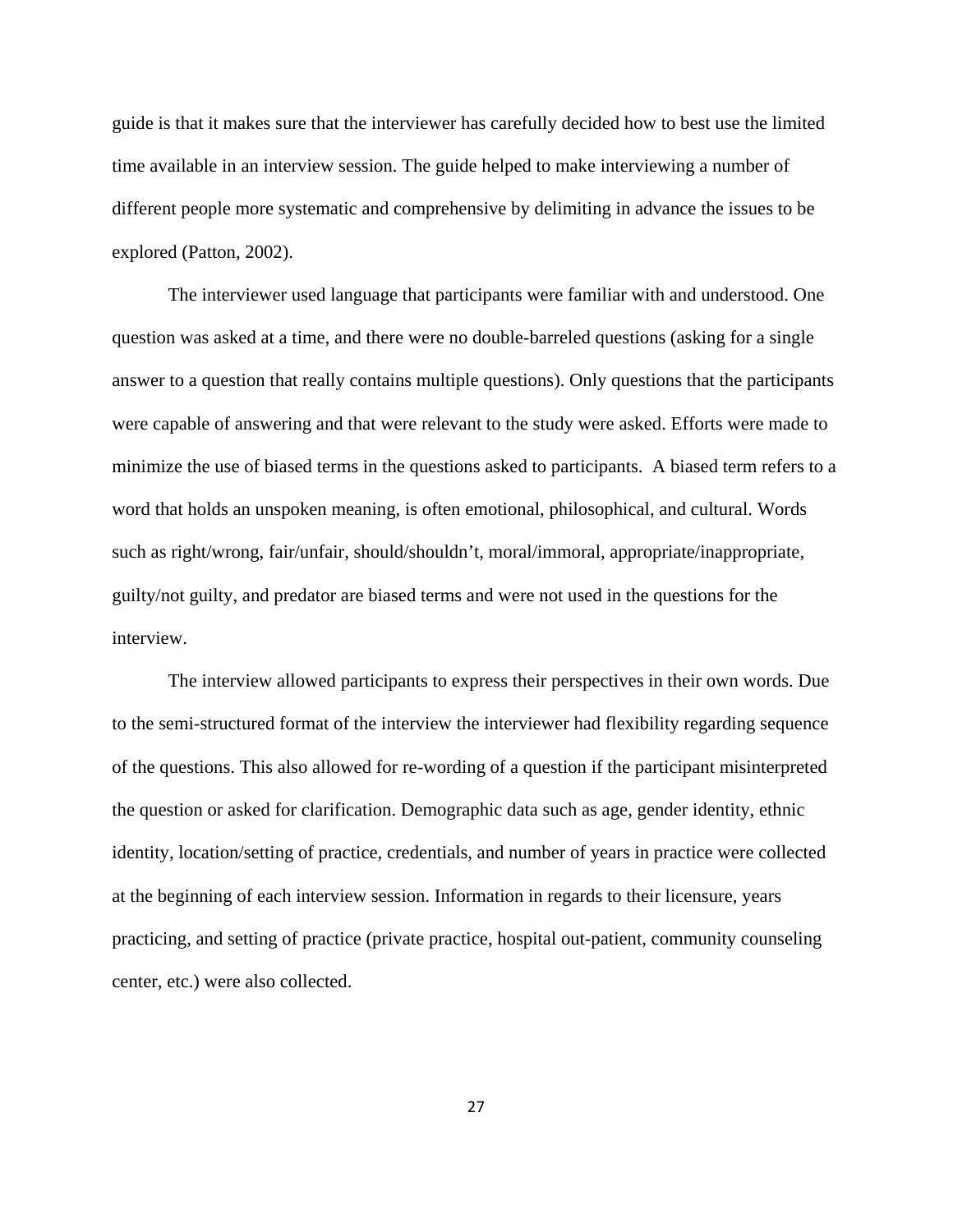guide is that it makes sure that the interviewer has carefully decided how to best use the limited time available in an interview session. The guide helped to make interviewing a number of different people more systematic and comprehensive by delimiting in advance the issues to be explored (Patton, 2002).

 The interviewer used language that participants were familiar with and understood. One question was asked at a time, and there were no double-barreled questions (asking for a single answer to a question that really contains multiple questions). Only questions that the participants were capable of answering and that were relevant to the study were asked. Efforts were made to minimize the use of biased terms in the questions asked to participants. A biased term refers to a word that holds an unspoken meaning, is often emotional, philosophical, and cultural. Words such as right/wrong, fair/unfair, should/shouldn't, moral/immoral, appropriate/inappropriate, guilty/not guilty, and predator are biased terms and were not used in the questions for the interview.

 The interview allowed participants to express their perspectives in their own words. Due to the semi-structured format of the interview the interviewer had flexibility regarding sequence of the questions. This also allowed for re-wording of a question if the participant misinterpreted the question or asked for clarification. Demographic data such as age, gender identity, ethnic identity, location/setting of practice, credentials, and number of years in practice were collected at the beginning of each interview session. Information in regards to their licensure, years practicing, and setting of practice (private practice, hospital out-patient, community counseling center, etc.) were also collected.

27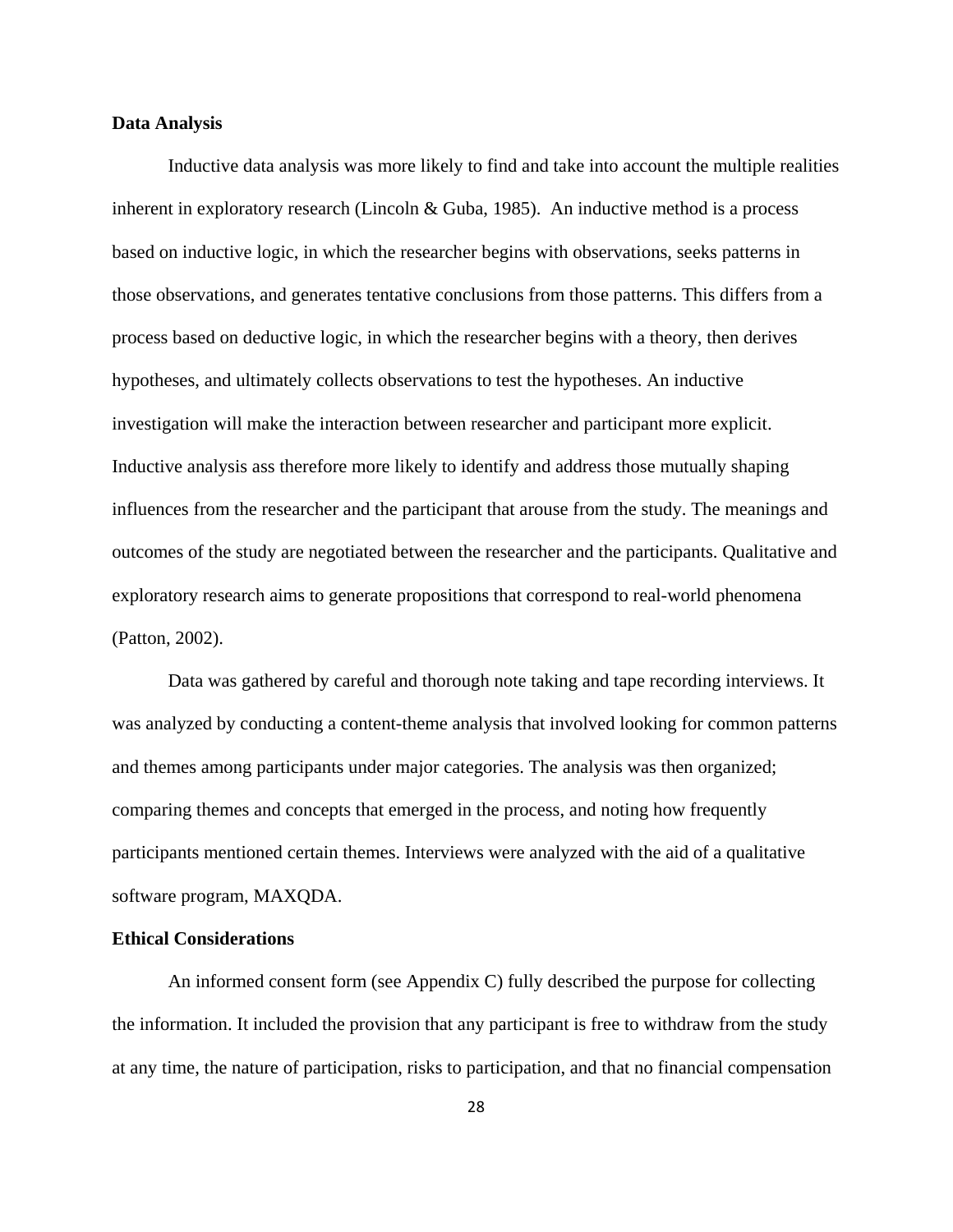# **Data Analysis**

Inductive data analysis was more likely to find and take into account the multiple realities inherent in exploratory research (Lincoln  $& Guba, 1985$ ). An inductive method is a process based on inductive logic, in which the researcher begins with observations, seeks patterns in those observations, and generates tentative conclusions from those patterns. This differs from a process based on deductive logic, in which the researcher begins with a theory, then derives hypotheses, and ultimately collects observations to test the hypotheses. An inductive investigation will make the interaction between researcher and participant more explicit. Inductive analysis ass therefore more likely to identify and address those mutually shaping influences from the researcher and the participant that arouse from the study. The meanings and outcomes of the study are negotiated between the researcher and the participants. Qualitative and exploratory research aims to generate propositions that correspond to real-world phenomena (Patton, 2002).

 Data was gathered by careful and thorough note taking and tape recording interviews. It was analyzed by conducting a content-theme analysis that involved looking for common patterns and themes among participants under major categories. The analysis was then organized; comparing themes and concepts that emerged in the process, and noting how frequently participants mentioned certain themes. Interviews were analyzed with the aid of a qualitative software program, MAXQDA.

# **Ethical Considerations**

 An informed consent form (see Appendix C) fully described the purpose for collecting the information. It included the provision that any participant is free to withdraw from the study at any time, the nature of participation, risks to participation, and that no financial compensation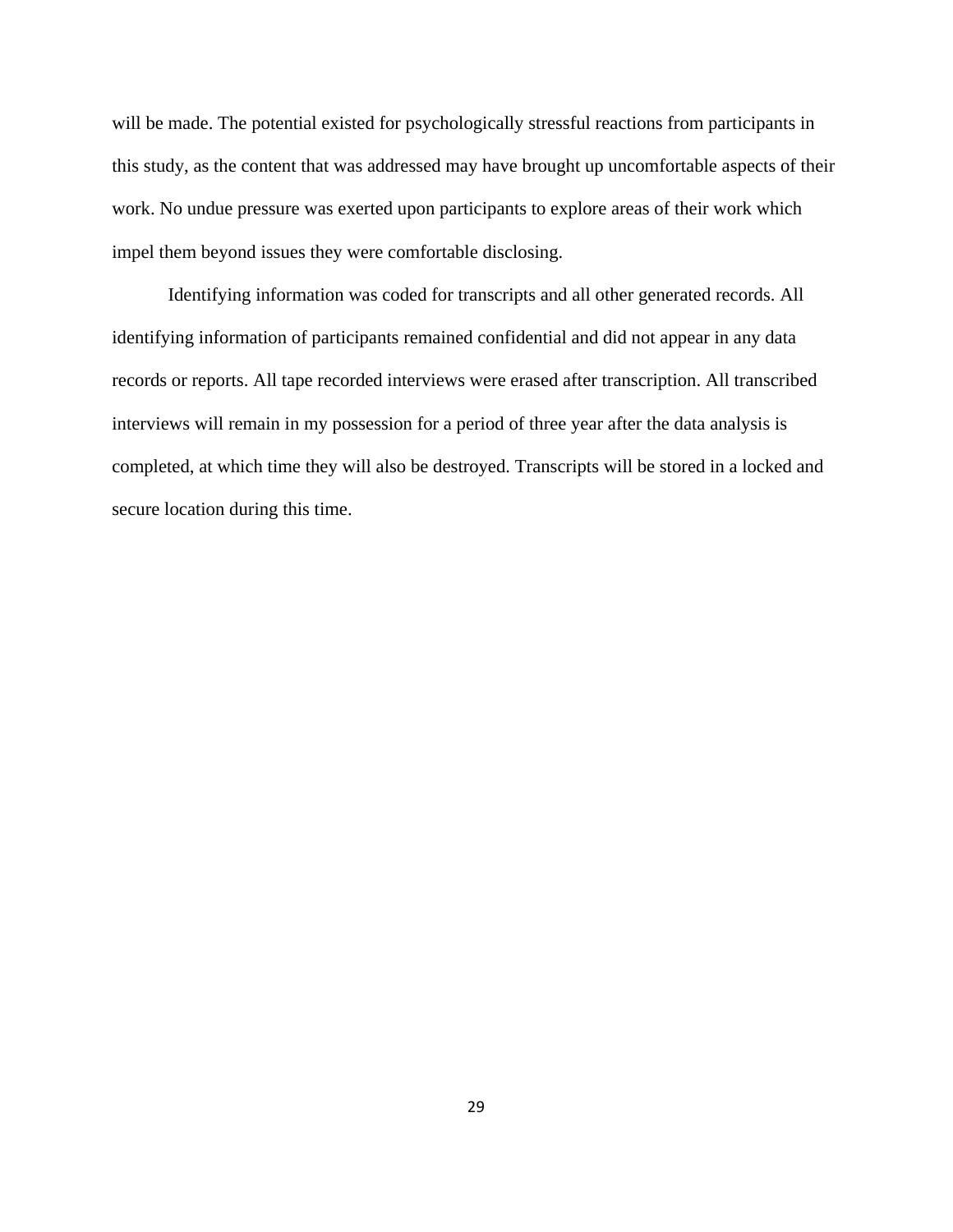will be made. The potential existed for psychologically stressful reactions from participants in this study, as the content that was addressed may have brought up uncomfortable aspects of their work. No undue pressure was exerted upon participants to explore areas of their work which impel them beyond issues they were comfortable disclosing.

 Identifying information was coded for transcripts and all other generated records. All identifying information of participants remained confidential and did not appear in any data records or reports. All tape recorded interviews were erased after transcription. All transcribed interviews will remain in my possession for a period of three year after the data analysis is completed, at which time they will also be destroyed. Transcripts will be stored in a locked and secure location during this time.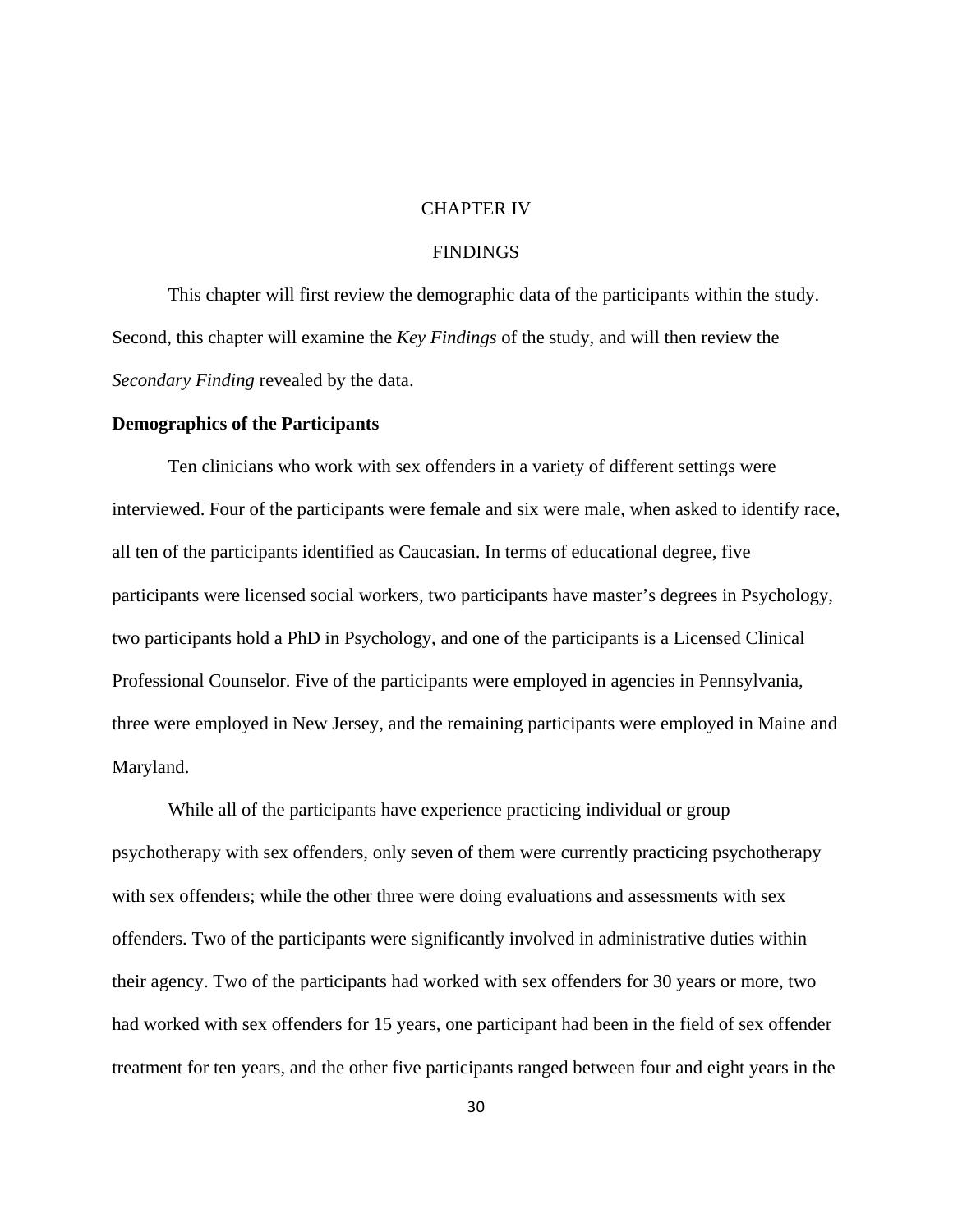# CHAPTER IV

# FINDINGS

This chapter will first review the demographic data of the participants within the study. Second, this chapter will examine the *Key Findings* of the study, and will then review the *Secondary Finding* revealed by the data.

#### **Demographics of the Participants**

 Ten clinicians who work with sex offenders in a variety of different settings were interviewed. Four of the participants were female and six were male, when asked to identify race, all ten of the participants identified as Caucasian. In terms of educational degree, five participants were licensed social workers, two participants have master's degrees in Psychology, two participants hold a PhD in Psychology, and one of the participants is a Licensed Clinical Professional Counselor. Five of the participants were employed in agencies in Pennsylvania, three were employed in New Jersey, and the remaining participants were employed in Maine and Maryland.

While all of the participants have experience practicing individual or group psychotherapy with sex offenders, only seven of them were currently practicing psychotherapy with sex offenders; while the other three were doing evaluations and assessments with sex offenders. Two of the participants were significantly involved in administrative duties within their agency. Two of the participants had worked with sex offenders for 30 years or more, two had worked with sex offenders for 15 years, one participant had been in the field of sex offender treatment for ten years, and the other five participants ranged between four and eight years in the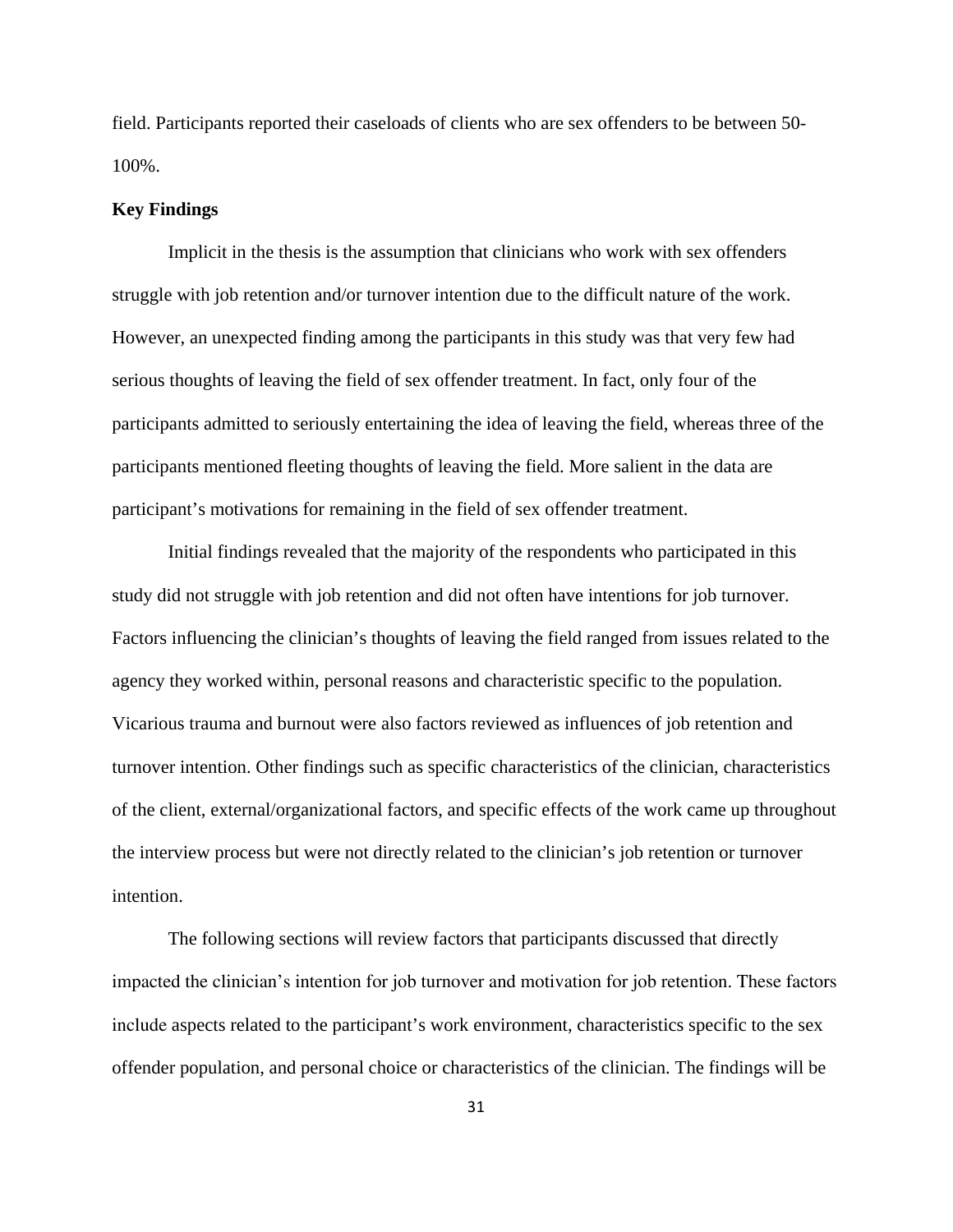field. Participants reported their caseloads of clients who are sex offenders to be between 50- 100%.

#### **Key Findings**

Implicit in the thesis is the assumption that clinicians who work with sex offenders struggle with job retention and/or turnover intention due to the difficult nature of the work. However, an unexpected finding among the participants in this study was that very few had serious thoughts of leaving the field of sex offender treatment. In fact, only four of the participants admitted to seriously entertaining the idea of leaving the field, whereas three of the participants mentioned fleeting thoughts of leaving the field. More salient in the data are participant's motivations for remaining in the field of sex offender treatment.

Initial findings revealed that the majority of the respondents who participated in this study did not struggle with job retention and did not often have intentions for job turnover. Factors influencing the clinician's thoughts of leaving the field ranged from issues related to the agency they worked within, personal reasons and characteristic specific to the population. Vicarious trauma and burnout were also factors reviewed as influences of job retention and turnover intention. Other findings such as specific characteristics of the clinician, characteristics of the client, external/organizational factors, and specific effects of the work came up throughout the interview process but were not directly related to the clinician's job retention or turnover intention.

 The following sections will review factors that participants discussed that directly impacted the clinician's intention for job turnover and motivation for job retention. These factors include aspects related to the participant's work environment, characteristics specific to the sex offender population, and personal choice or characteristics of the clinician. The findings will be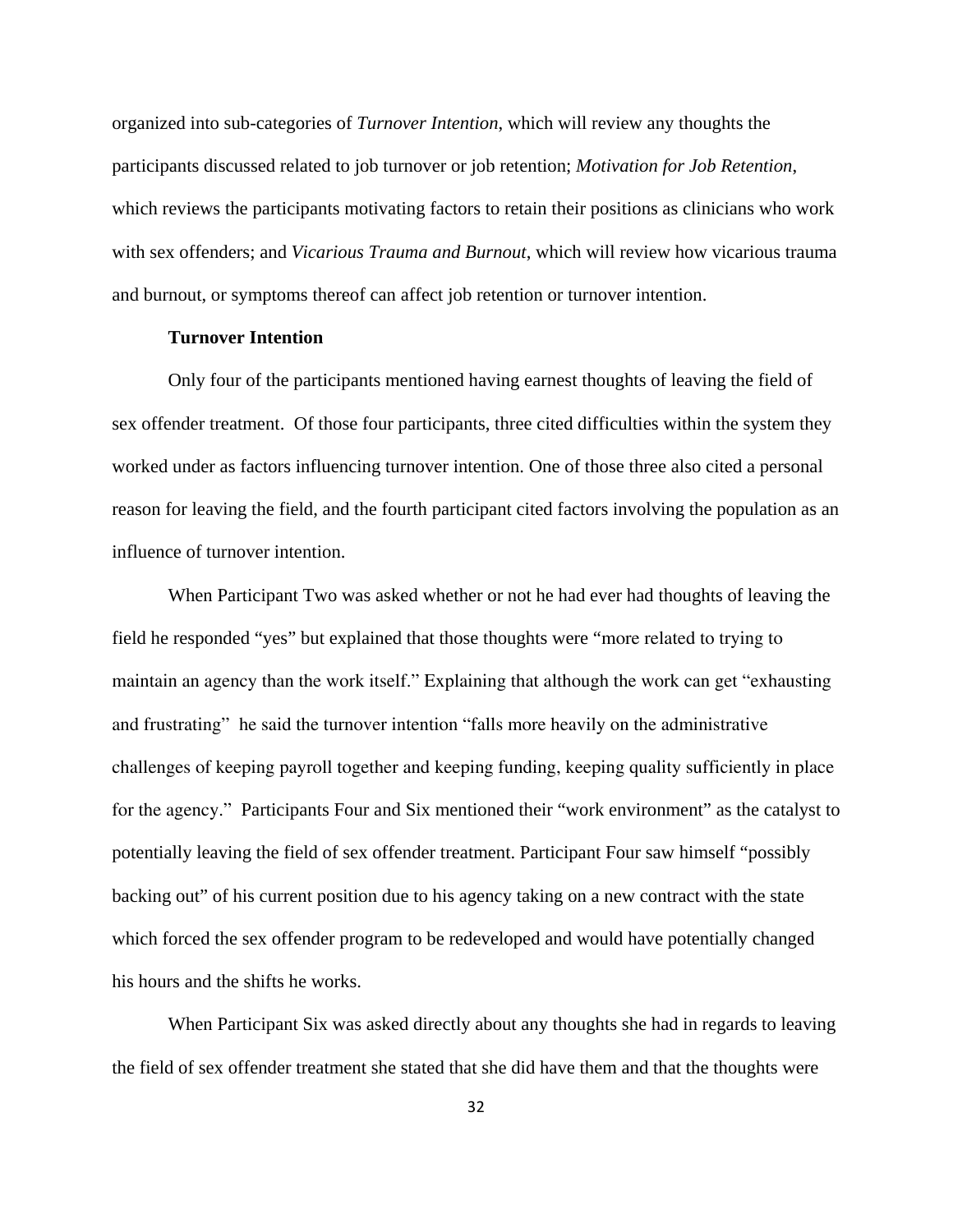organized into sub-categories of *Turnover Intention*, which will review any thoughts the participants discussed related to job turnover or job retention; *Motivation for Job Retention*, which reviews the participants motivating factors to retain their positions as clinicians who work with sex offenders; and *Vicarious Trauma and Burnout*, which will review how vicarious trauma and burnout, or symptoms thereof can affect job retention or turnover intention.

## **Turnover Intention**

Only four of the participants mentioned having earnest thoughts of leaving the field of sex offender treatment. Of those four participants, three cited difficulties within the system they worked under as factors influencing turnover intention. One of those three also cited a personal reason for leaving the field, and the fourth participant cited factors involving the population as an influence of turnover intention.

When Participant Two was asked whether or not he had ever had thoughts of leaving the field he responded "yes" but explained that those thoughts were "more related to trying to maintain an agency than the work itself." Explaining that although the work can get "exhausting and frustrating" he said the turnover intention "falls more heavily on the administrative challenges of keeping payroll together and keeping funding, keeping quality sufficiently in place for the agency." Participants Four and Six mentioned their "work environment" as the catalyst to potentially leaving the field of sex offender treatment. Participant Four saw himself "possibly backing out" of his current position due to his agency taking on a new contract with the state which forced the sex offender program to be redeveloped and would have potentially changed his hours and the shifts he works.

When Participant Six was asked directly about any thoughts she had in regards to leaving the field of sex offender treatment she stated that she did have them and that the thoughts were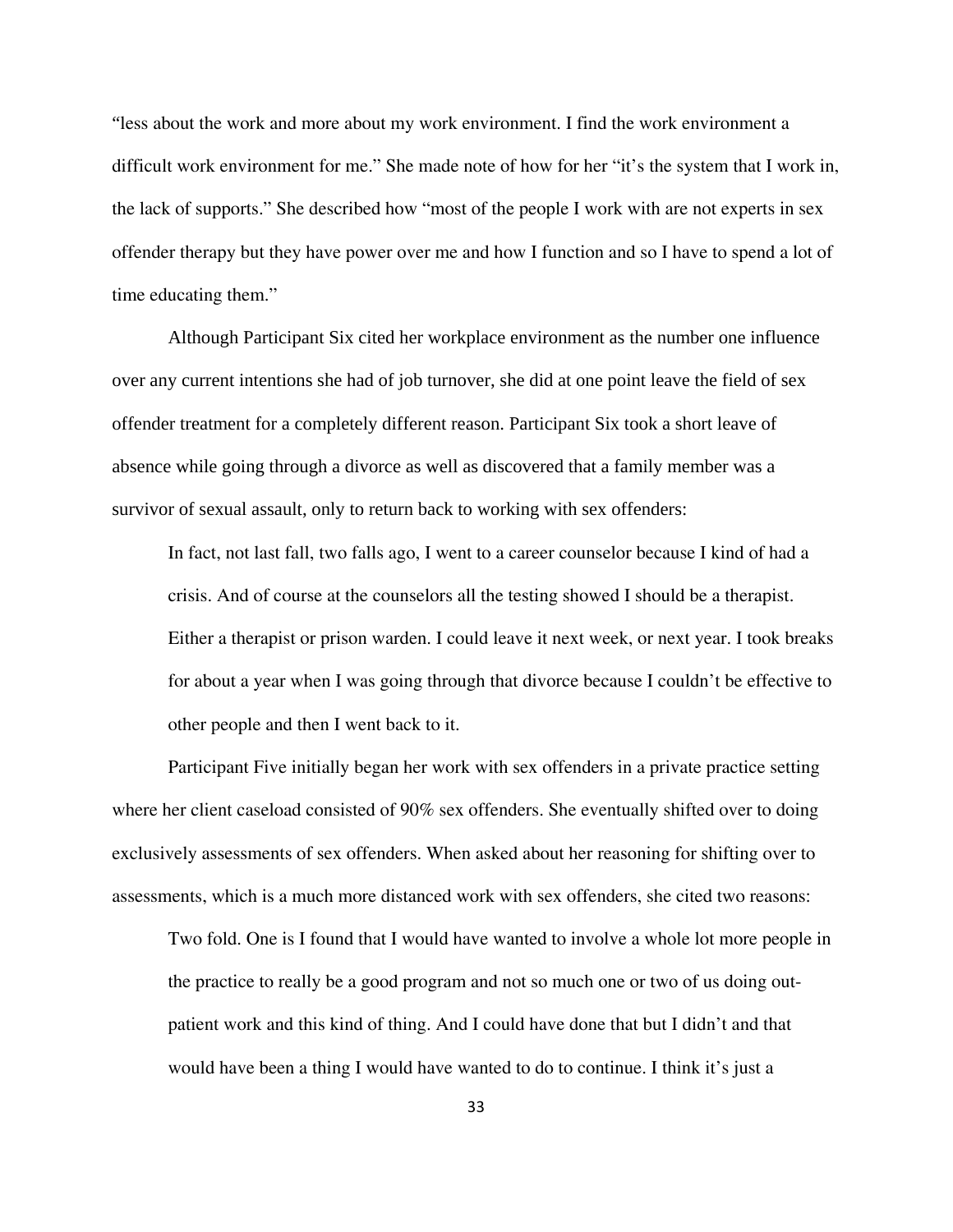"less about the work and more about my work environment. I find the work environment a difficult work environment for me." She made note of how for her "it's the system that I work in, the lack of supports." She described how "most of the people I work with are not experts in sex offender therapy but they have power over me and how I function and so I have to spend a lot of time educating them."

Although Participant Six cited her workplace environment as the number one influence over any current intentions she had of job turnover, she did at one point leave the field of sex offender treatment for a completely different reason. Participant Six took a short leave of absence while going through a divorce as well as discovered that a family member was a survivor of sexual assault, only to return back to working with sex offenders:

In fact, not last fall, two falls ago, I went to a career counselor because I kind of had a crisis. And of course at the counselors all the testing showed I should be a therapist. Either a therapist or prison warden. I could leave it next week, or next year. I took breaks for about a year when I was going through that divorce because I couldn't be effective to other people and then I went back to it.

 Participant Five initially began her work with sex offenders in a private practice setting where her client caseload consisted of 90% sex offenders. She eventually shifted over to doing exclusively assessments of sex offenders. When asked about her reasoning for shifting over to assessments, which is a much more distanced work with sex offenders, she cited two reasons:

Two fold. One is I found that I would have wanted to involve a whole lot more people in the practice to really be a good program and not so much one or two of us doing outpatient work and this kind of thing. And I could have done that but I didn't and that would have been a thing I would have wanted to do to continue. I think it's just a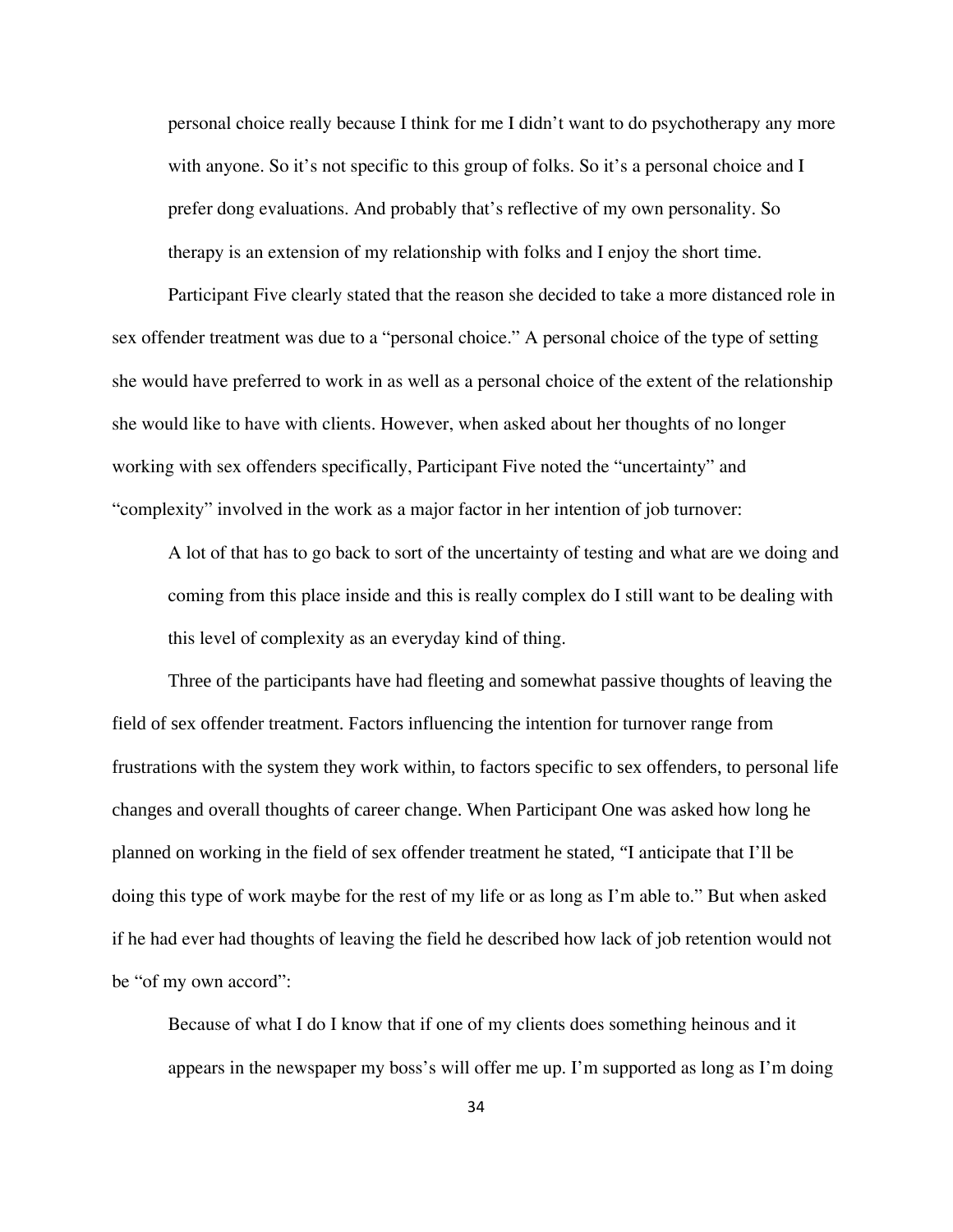personal choice really because I think for me I didn't want to do psychotherapy any more with anyone. So it's not specific to this group of folks. So it's a personal choice and I prefer dong evaluations. And probably that's reflective of my own personality. So therapy is an extension of my relationship with folks and I enjoy the short time.

Participant Five clearly stated that the reason she decided to take a more distanced role in sex offender treatment was due to a "personal choice." A personal choice of the type of setting she would have preferred to work in as well as a personal choice of the extent of the relationship she would like to have with clients. However, when asked about her thoughts of no longer working with sex offenders specifically, Participant Five noted the "uncertainty" and "complexity" involved in the work as a major factor in her intention of job turnover:

A lot of that has to go back to sort of the uncertainty of testing and what are we doing and coming from this place inside and this is really complex do I still want to be dealing with this level of complexity as an everyday kind of thing.

Three of the participants have had fleeting and somewhat passive thoughts of leaving the field of sex offender treatment. Factors influencing the intention for turnover range from frustrations with the system they work within, to factors specific to sex offenders, to personal life changes and overall thoughts of career change. When Participant One was asked how long he planned on working in the field of sex offender treatment he stated, "I anticipate that I'll be doing this type of work maybe for the rest of my life or as long as I'm able to." But when asked if he had ever had thoughts of leaving the field he described how lack of job retention would not be "of my own accord":

Because of what I do I know that if one of my clients does something heinous and it appears in the newspaper my boss's will offer me up. I'm supported as long as I'm doing

34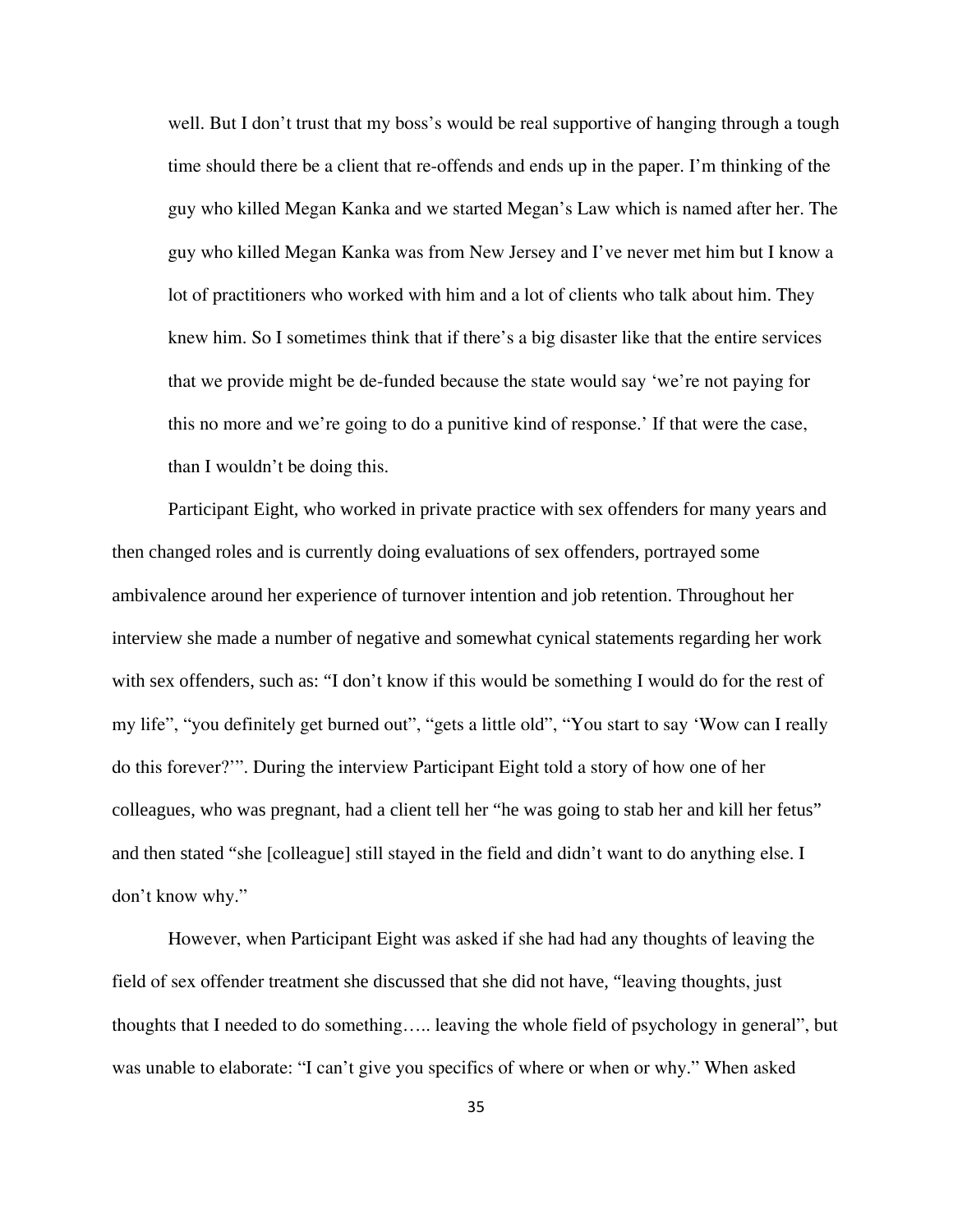well. But I don't trust that my boss's would be real supportive of hanging through a tough time should there be a client that re-offends and ends up in the paper. I'm thinking of the guy who killed Megan Kanka and we started Megan's Law which is named after her. The guy who killed Megan Kanka was from New Jersey and I've never met him but I know a lot of practitioners who worked with him and a lot of clients who talk about him. They knew him. So I sometimes think that if there's a big disaster like that the entire services that we provide might be de-funded because the state would say 'we're not paying for this no more and we're going to do a punitive kind of response.' If that were the case, than I wouldn't be doing this.

Participant Eight, who worked in private practice with sex offenders for many years and then changed roles and is currently doing evaluations of sex offenders, portrayed some ambivalence around her experience of turnover intention and job retention. Throughout her interview she made a number of negative and somewhat cynical statements regarding her work with sex offenders, such as: "I don't know if this would be something I would do for the rest of my life", "you definitely get burned out", "gets a little old", "You start to say 'Wow can I really do this forever?'". During the interview Participant Eight told a story of how one of her colleagues, who was pregnant, had a client tell her "he was going to stab her and kill her fetus" and then stated "she [colleague] still stayed in the field and didn't want to do anything else. I don't know why."

However, when Participant Eight was asked if she had had any thoughts of leaving the field of sex offender treatment she discussed that she did not have, "leaving thoughts, just thoughts that I needed to do something….. leaving the whole field of psychology in general", but was unable to elaborate: "I can't give you specifics of where or when or why." When asked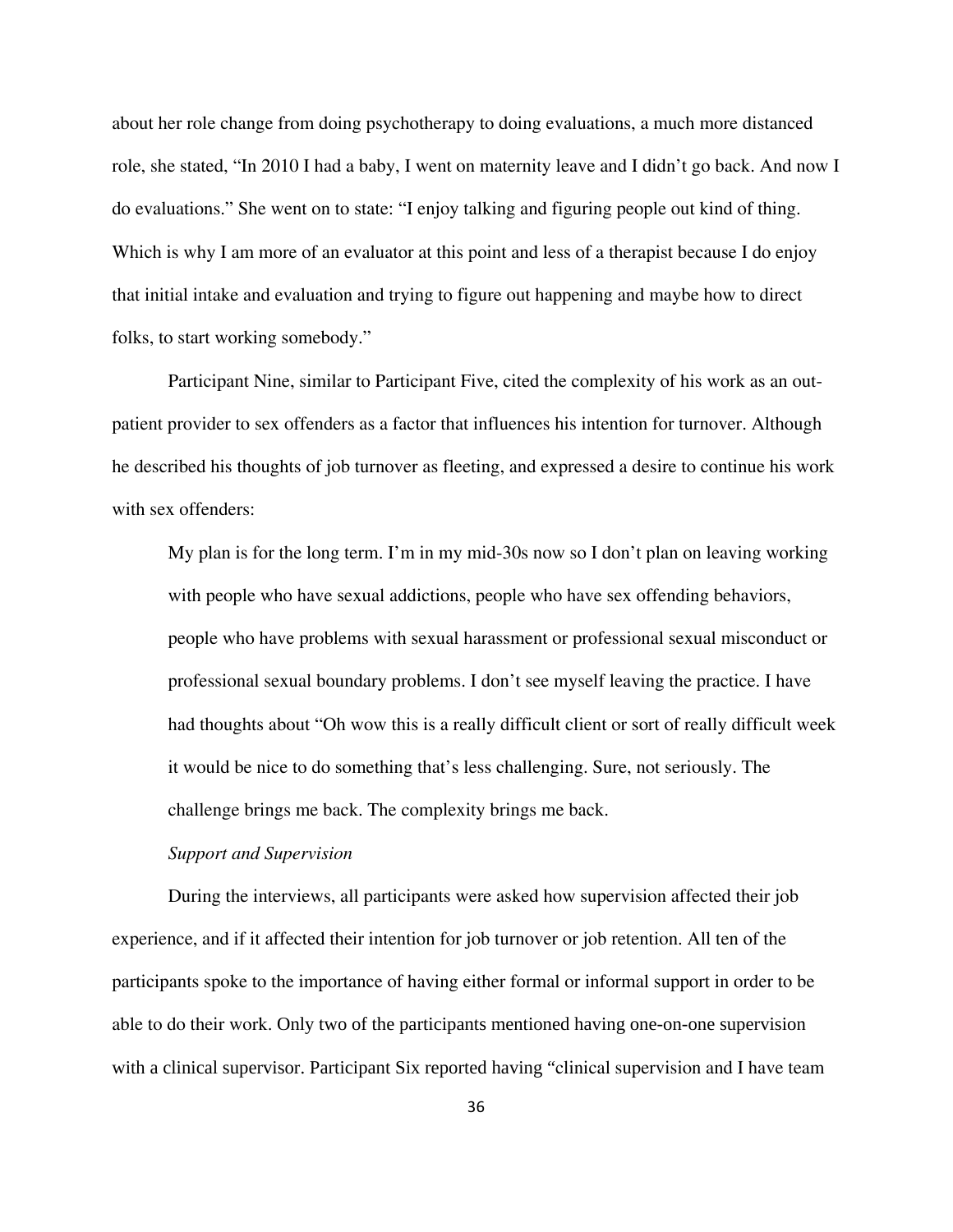about her role change from doing psychotherapy to doing evaluations, a much more distanced role, she stated, "In 2010 I had a baby, I went on maternity leave and I didn't go back. And now I do evaluations." She went on to state: "I enjoy talking and figuring people out kind of thing. Which is why I am more of an evaluator at this point and less of a therapist because I do enjoy that initial intake and evaluation and trying to figure out happening and maybe how to direct folks, to start working somebody."

Participant Nine, similar to Participant Five, cited the complexity of his work as an outpatient provider to sex offenders as a factor that influences his intention for turnover. Although he described his thoughts of job turnover as fleeting, and expressed a desire to continue his work with sex offenders:

My plan is for the long term. I'm in my mid-30s now so I don't plan on leaving working with people who have sexual addictions, people who have sex offending behaviors, people who have problems with sexual harassment or professional sexual misconduct or professional sexual boundary problems. I don't see myself leaving the practice. I have had thoughts about "Oh wow this is a really difficult client or sort of really difficult week it would be nice to do something that's less challenging. Sure, not seriously. The challenge brings me back. The complexity brings me back.

#### *Support and Supervision*

 During the interviews, all participants were asked how supervision affected their job experience, and if it affected their intention for job turnover or job retention. All ten of the participants spoke to the importance of having either formal or informal support in order to be able to do their work. Only two of the participants mentioned having one-on-one supervision with a clinical supervisor. Participant Six reported having "clinical supervision and I have team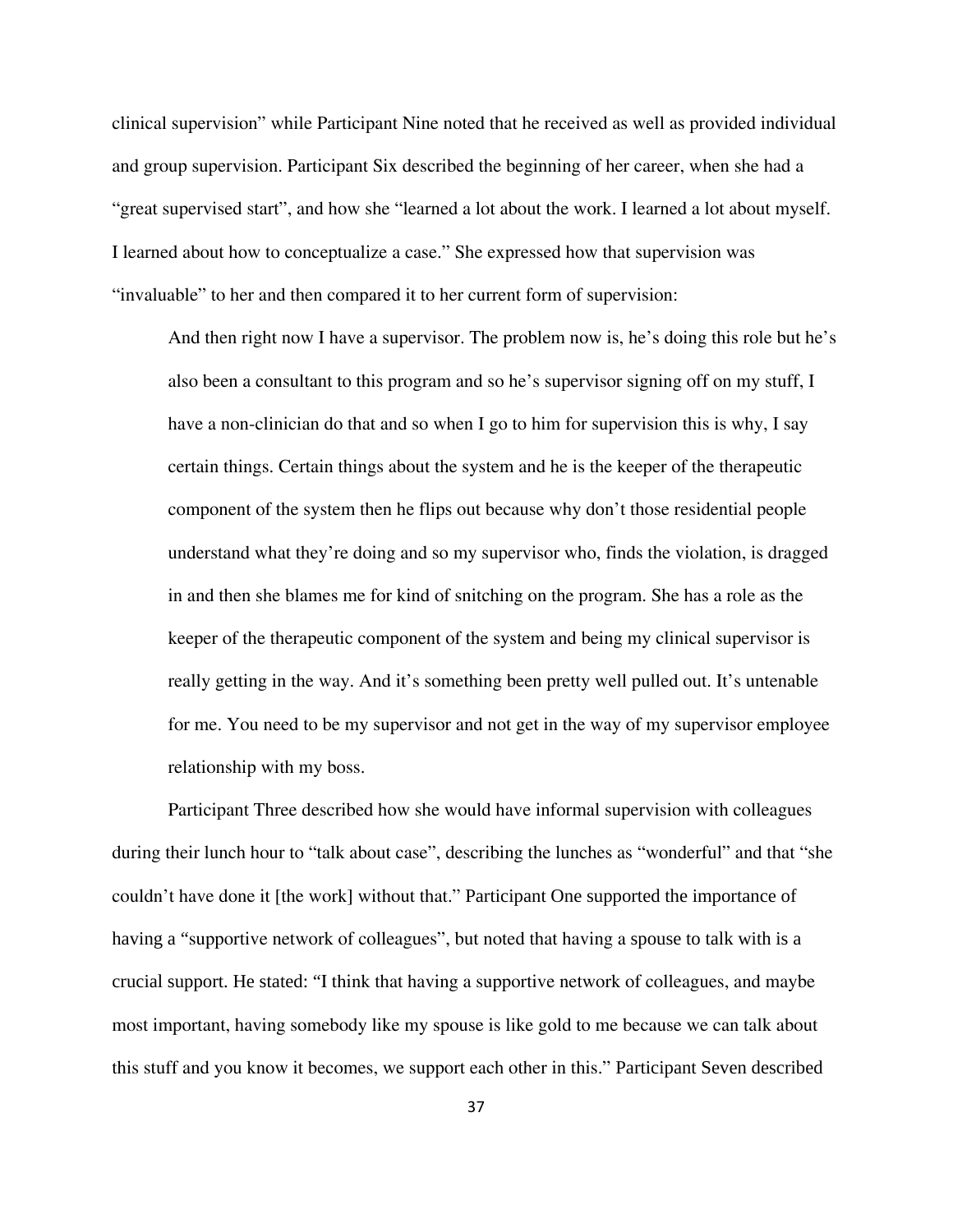clinical supervision" while Participant Nine noted that he received as well as provided individual and group supervision. Participant Six described the beginning of her career, when she had a "great supervised start", and how she "learned a lot about the work. I learned a lot about myself. I learned about how to conceptualize a case." She expressed how that supervision was "invaluable" to her and then compared it to her current form of supervision:

And then right now I have a supervisor. The problem now is, he's doing this role but he's also been a consultant to this program and so he's supervisor signing off on my stuff, I have a non-clinician do that and so when I go to him for supervision this is why, I say certain things. Certain things about the system and he is the keeper of the therapeutic component of the system then he flips out because why don't those residential people understand what they're doing and so my supervisor who, finds the violation, is dragged in and then she blames me for kind of snitching on the program. She has a role as the keeper of the therapeutic component of the system and being my clinical supervisor is really getting in the way. And it's something been pretty well pulled out. It's untenable for me. You need to be my supervisor and not get in the way of my supervisor employee relationship with my boss.

Participant Three described how she would have informal supervision with colleagues during their lunch hour to "talk about case", describing the lunches as "wonderful" and that "she couldn't have done it [the work] without that." Participant One supported the importance of having a "supportive network of colleagues", but noted that having a spouse to talk with is a crucial support. He stated: "I think that having a supportive network of colleagues, and maybe most important, having somebody like my spouse is like gold to me because we can talk about this stuff and you know it becomes, we support each other in this." Participant Seven described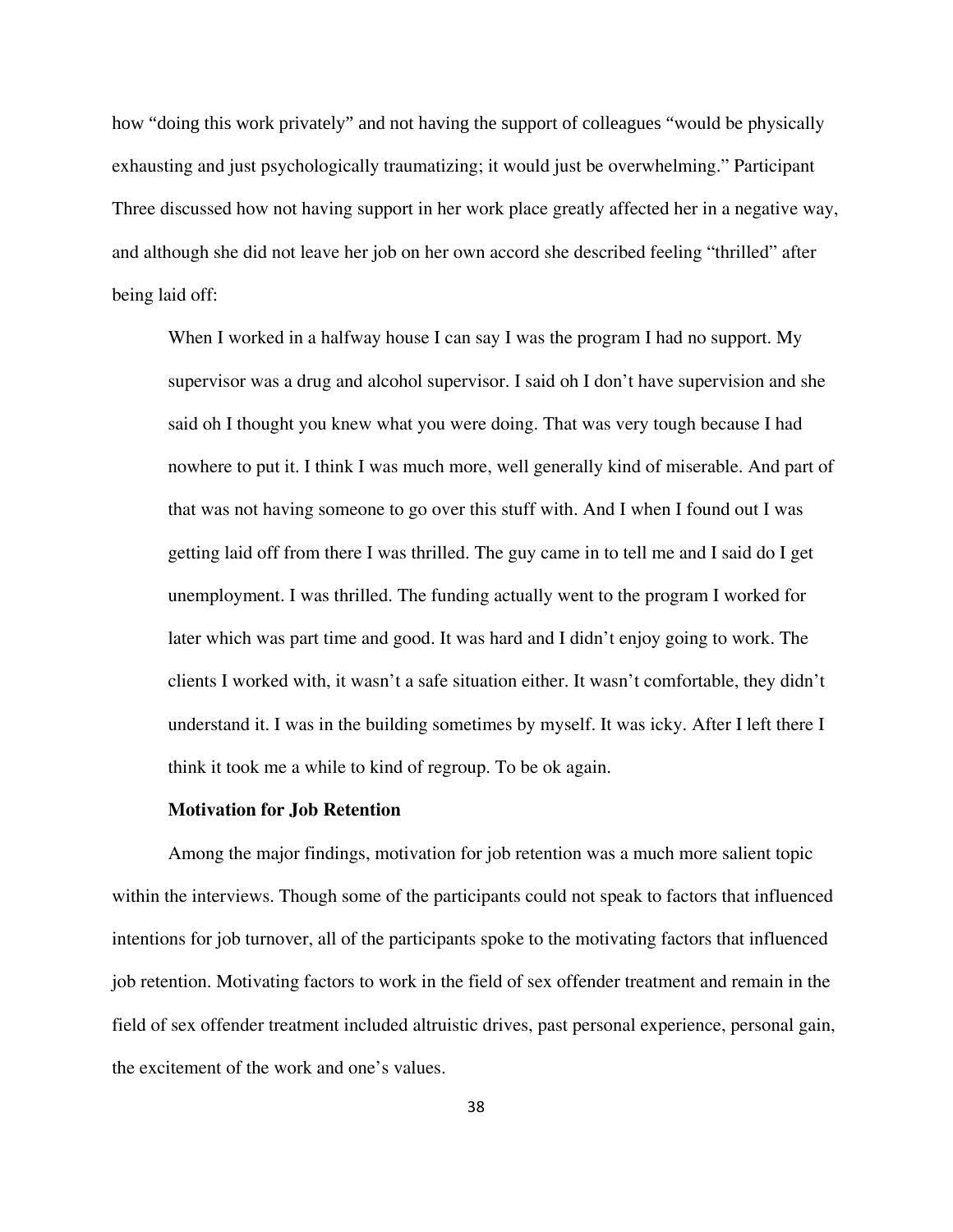how "doing this work privately" and not having the support of colleagues "would be physically exhausting and just psychologically traumatizing; it would just be overwhelming." Participant Three discussed how not having support in her work place greatly affected her in a negative way, and although she did not leave her job on her own accord she described feeling "thrilled" after being laid off:

When I worked in a halfway house I can say I was the program I had no support. My supervisor was a drug and alcohol supervisor. I said oh I don't have supervision and she said oh I thought you knew what you were doing. That was very tough because I had nowhere to put it. I think I was much more, well generally kind of miserable. And part of that was not having someone to go over this stuff with. And I when I found out I was getting laid off from there I was thrilled. The guy came in to tell me and I said do I get unemployment. I was thrilled. The funding actually went to the program I worked for later which was part time and good. It was hard and I didn't enjoy going to work. The clients I worked with, it wasn't a safe situation either. It wasn't comfortable, they didn't understand it. I was in the building sometimes by myself. It was icky. After I left there I think it took me a while to kind of regroup. To be ok again.

#### **Motivation for Job Retention**

Among the major findings, motivation for job retention was a much more salient topic within the interviews. Though some of the participants could not speak to factors that influenced intentions for job turnover, all of the participants spoke to the motivating factors that influenced job retention. Motivating factors to work in the field of sex offender treatment and remain in the field of sex offender treatment included altruistic drives, past personal experience, personal gain, the excitement of the work and one's values.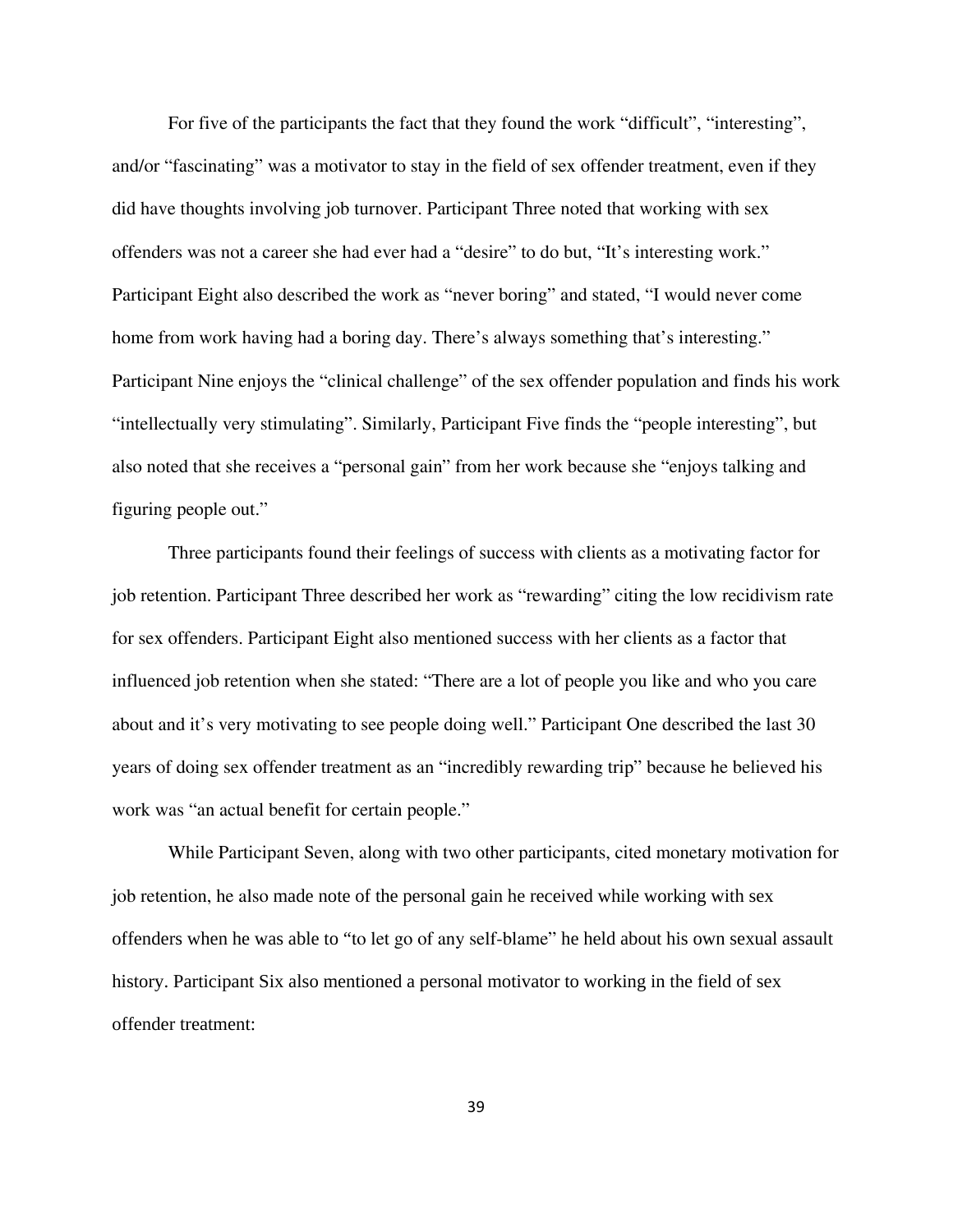For five of the participants the fact that they found the work "difficult", "interesting", and/or "fascinating" was a motivator to stay in the field of sex offender treatment, even if they did have thoughts involving job turnover. Participant Three noted that working with sex offenders was not a career she had ever had a "desire" to do but, "It's interesting work." Participant Eight also described the work as "never boring" and stated, "I would never come home from work having had a boring day. There's always something that's interesting." Participant Nine enjoys the "clinical challenge" of the sex offender population and finds his work "intellectually very stimulating". Similarly, Participant Five finds the "people interesting", but also noted that she receives a "personal gain" from her work because she "enjoys talking and figuring people out."

Three participants found their feelings of success with clients as a motivating factor for job retention. Participant Three described her work as "rewarding" citing the low recidivism rate for sex offenders. Participant Eight also mentioned success with her clients as a factor that influenced job retention when she stated: "There are a lot of people you like and who you care about and it's very motivating to see people doing well." Participant One described the last 30 years of doing sex offender treatment as an "incredibly rewarding trip" because he believed his work was "an actual benefit for certain people."

While Participant Seven, along with two other participants, cited monetary motivation for job retention, he also made note of the personal gain he received while working with sex offenders when he was able to "to let go of any self-blame" he held about his own sexual assault history. Participant Six also mentioned a personal motivator to working in the field of sex offender treatment:

39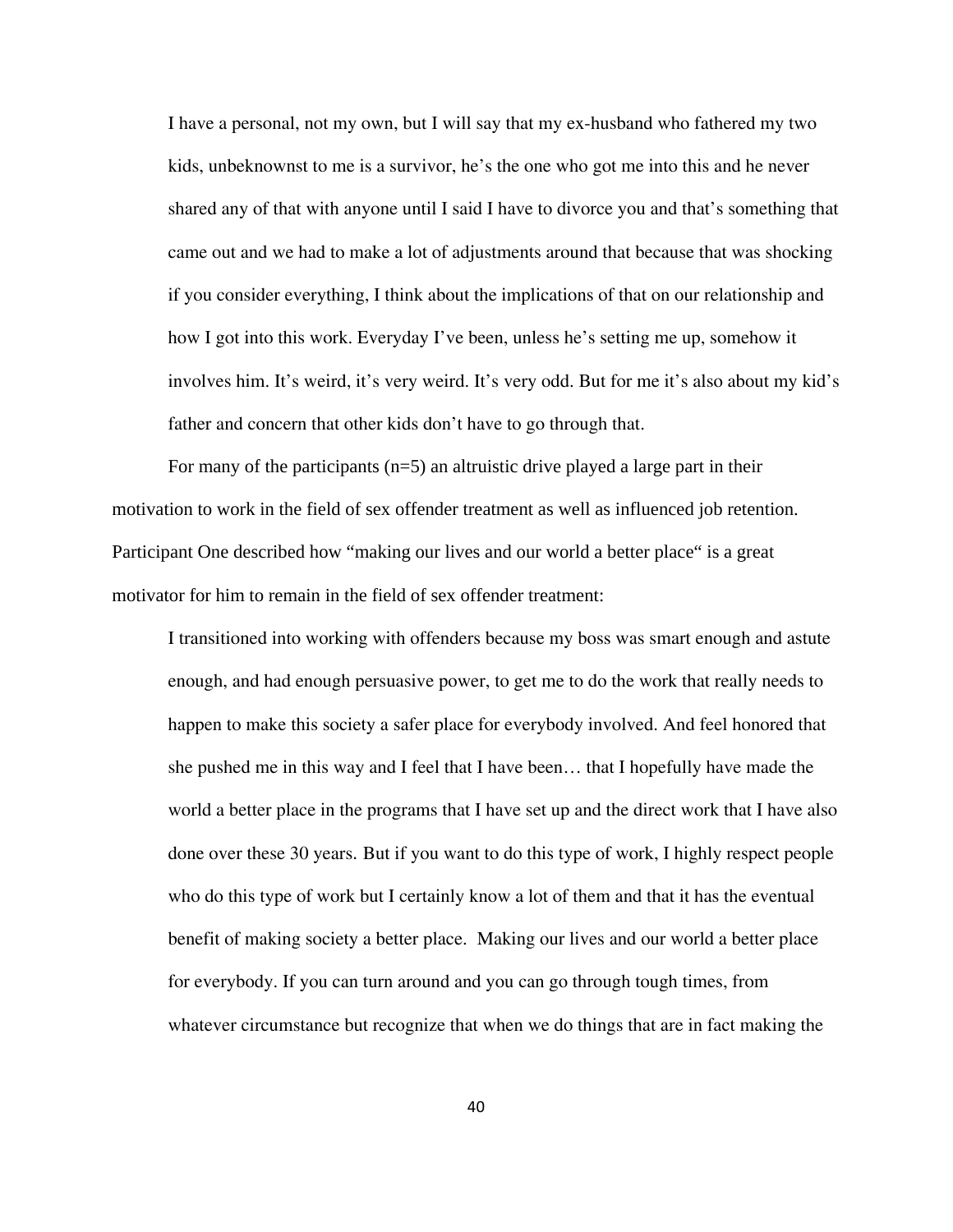I have a personal, not my own, but I will say that my ex-husband who fathered my two kids, unbeknownst to me is a survivor, he's the one who got me into this and he never shared any of that with anyone until I said I have to divorce you and that's something that came out and we had to make a lot of adjustments around that because that was shocking if you consider everything, I think about the implications of that on our relationship and how I got into this work. Everyday I've been, unless he's setting me up, somehow it involves him. It's weird, it's very weird. It's very odd. But for me it's also about my kid's father and concern that other kids don't have to go through that.

For many of the participants  $(n=5)$  an altruistic drive played a large part in their motivation to work in the field of sex offender treatment as well as influenced job retention. Participant One described how "making our lives and our world a better place" is a great motivator for him to remain in the field of sex offender treatment:

I transitioned into working with offenders because my boss was smart enough and astute enough, and had enough persuasive power, to get me to do the work that really needs to happen to make this society a safer place for everybody involved. And feel honored that she pushed me in this way and I feel that I have been… that I hopefully have made the world a better place in the programs that I have set up and the direct work that I have also done over these 30 years. But if you want to do this type of work, I highly respect people who do this type of work but I certainly know a lot of them and that it has the eventual benefit of making society a better place. Making our lives and our world a better place for everybody. If you can turn around and you can go through tough times, from whatever circumstance but recognize that when we do things that are in fact making the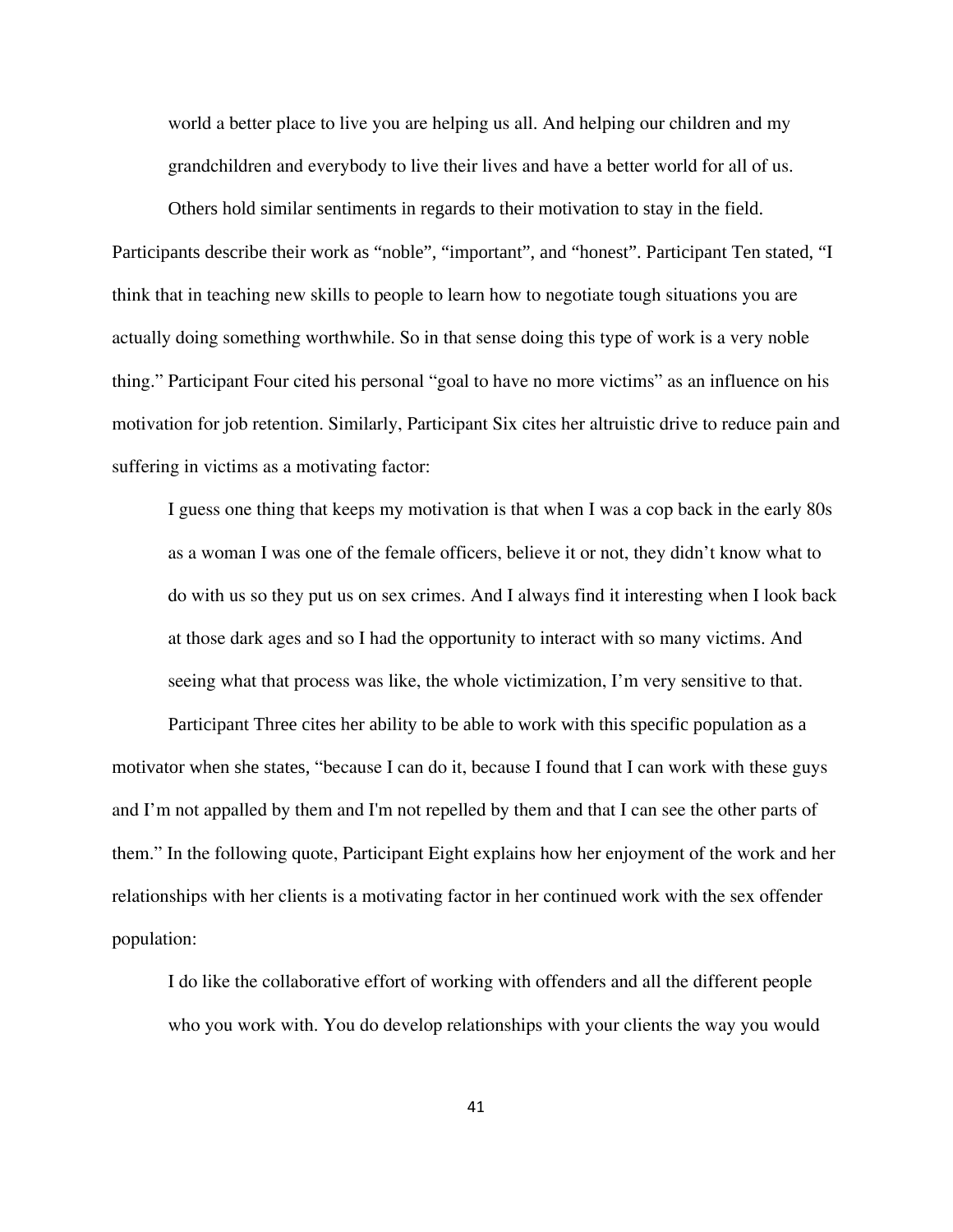world a better place to live you are helping us all. And helping our children and my grandchildren and everybody to live their lives and have a better world for all of us.

Others hold similar sentiments in regards to their motivation to stay in the field. Participants describe their work as "noble", "important", and "honest". Participant Ten stated, "I think that in teaching new skills to people to learn how to negotiate tough situations you are actually doing something worthwhile. So in that sense doing this type of work is a very noble thing." Participant Four cited his personal "goal to have no more victims" as an influence on his motivation for job retention. Similarly, Participant Six cites her altruistic drive to reduce pain and suffering in victims as a motivating factor:

I guess one thing that keeps my motivation is that when I was a cop back in the early 80s as a woman I was one of the female officers, believe it or not, they didn't know what to do with us so they put us on sex crimes. And I always find it interesting when I look back at those dark ages and so I had the opportunity to interact with so many victims. And seeing what that process was like, the whole victimization, I'm very sensitive to that.

Participant Three cites her ability to be able to work with this specific population as a motivator when she states, "because I can do it, because I found that I can work with these guys and I'm not appalled by them and I'm not repelled by them and that I can see the other parts of them." In the following quote, Participant Eight explains how her enjoyment of the work and her relationships with her clients is a motivating factor in her continued work with the sex offender population:

I do like the collaborative effort of working with offenders and all the different people who you work with. You do develop relationships with your clients the way you would

41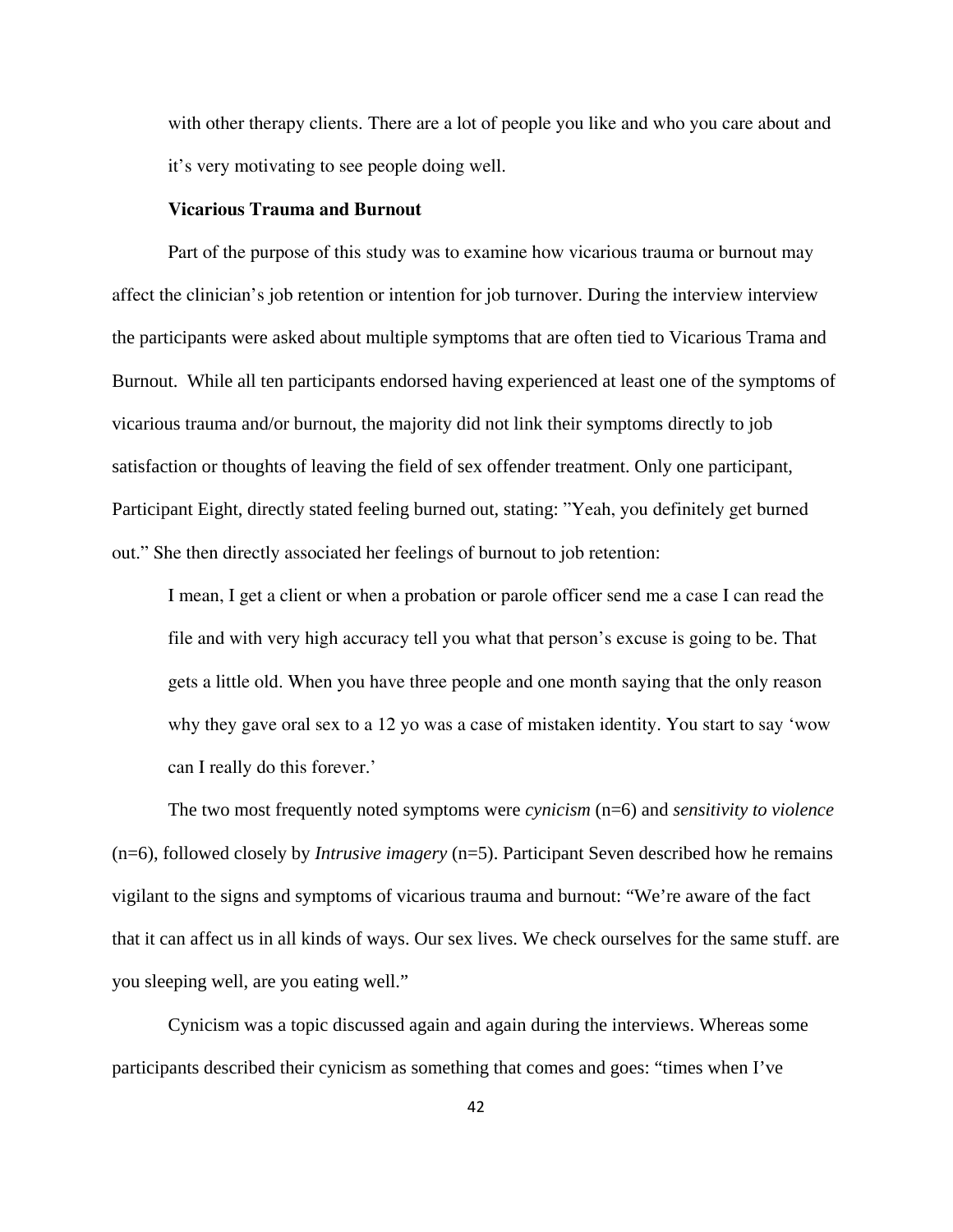with other therapy clients. There are a lot of people you like and who you care about and it's very motivating to see people doing well.

#### **Vicarious Trauma and Burnout**

Part of the purpose of this study was to examine how vicarious trauma or burnout may affect the clinician's job retention or intention for job turnover. During the interview interview the participants were asked about multiple symptoms that are often tied to Vicarious Trama and Burnout. While all ten participants endorsed having experienced at least one of the symptoms of vicarious trauma and/or burnout, the majority did not link their symptoms directly to job satisfaction or thoughts of leaving the field of sex offender treatment. Only one participant, Participant Eight, directly stated feeling burned out, stating: "Yeah, you definitely get burned out." She then directly associated her feelings of burnout to job retention:

I mean, I get a client or when a probation or parole officer send me a case I can read the file and with very high accuracy tell you what that person's excuse is going to be. That gets a little old. When you have three people and one month saying that the only reason why they gave oral sex to a 12 yo was a case of mistaken identity. You start to say 'wow can I really do this forever.'

The two most frequently noted symptoms were *cynicism* (n=6) and *sensitivity to violence*  (n=6), followed closely by *Intrusive imagery* (n=5). Participant Seven described how he remains vigilant to the signs and symptoms of vicarious trauma and burnout: "We're aware of the fact that it can affect us in all kinds of ways. Our sex lives. We check ourselves for the same stuff. are you sleeping well, are you eating well."

Cynicism was a topic discussed again and again during the interviews. Whereas some participants described their cynicism as something that comes and goes: "times when I've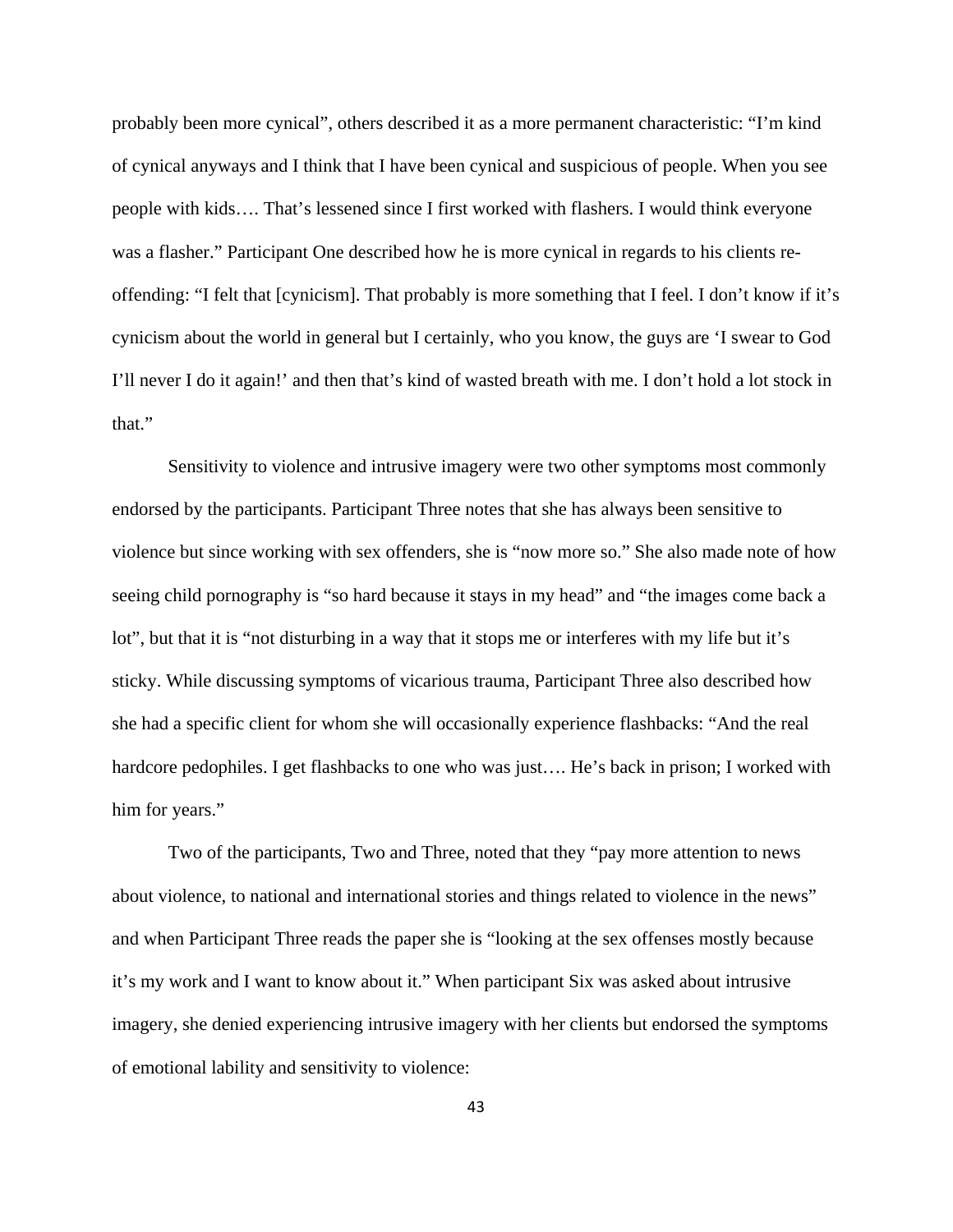probably been more cynical", others described it as a more permanent characteristic: "I'm kind of cynical anyways and I think that I have been cynical and suspicious of people. When you see people with kids…. That's lessened since I first worked with flashers. I would think everyone was a flasher." Participant One described how he is more cynical in regards to his clients reoffending: "I felt that [cynicism]. That probably is more something that I feel. I don't know if it's cynicism about the world in general but I certainly, who you know, the guys are 'I swear to God I'll never I do it again!' and then that's kind of wasted breath with me. I don't hold a lot stock in that."

Sensitivity to violence and intrusive imagery were two other symptoms most commonly endorsed by the participants. Participant Three notes that she has always been sensitive to violence but since working with sex offenders, she is "now more so." She also made note of how seeing child pornography is "so hard because it stays in my head" and "the images come back a lot", but that it is "not disturbing in a way that it stops me or interferes with my life but it's sticky. While discussing symptoms of vicarious trauma, Participant Three also described how she had a specific client for whom she will occasionally experience flashbacks: "And the real hardcore pedophiles. I get flashbacks to one who was just.... He's back in prison; I worked with him for years."

Two of the participants, Two and Three, noted that they "pay more attention to news about violence, to national and international stories and things related to violence in the news" and when Participant Three reads the paper she is "looking at the sex offenses mostly because it's my work and I want to know about it." When participant Six was asked about intrusive imagery, she denied experiencing intrusive imagery with her clients but endorsed the symptoms of emotional lability and sensitivity to violence: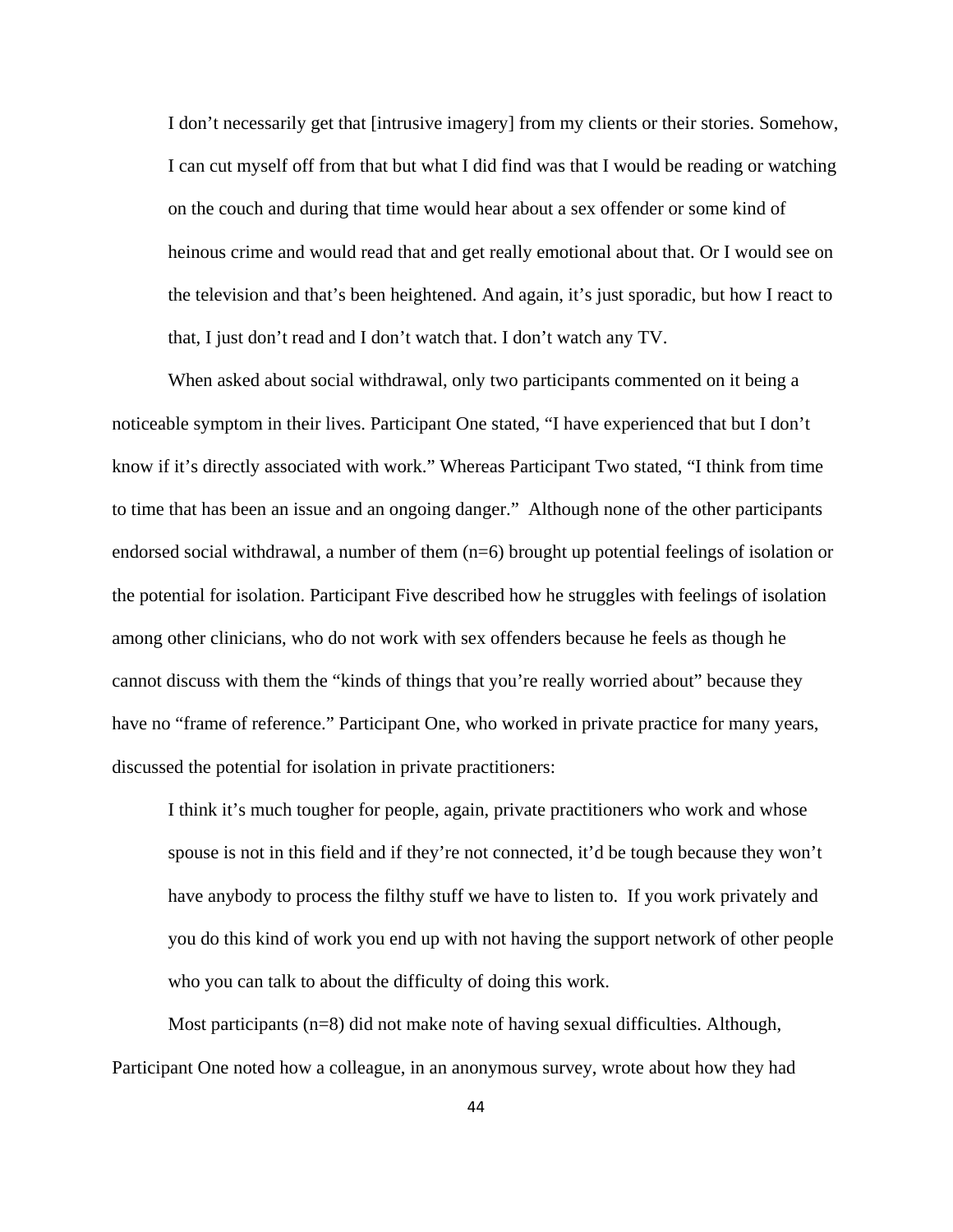I don't necessarily get that [intrusive imagery] from my clients or their stories. Somehow, I can cut myself off from that but what I did find was that I would be reading or watching on the couch and during that time would hear about a sex offender or some kind of heinous crime and would read that and get really emotional about that. Or I would see on the television and that's been heightened. And again, it's just sporadic, but how I react to that, I just don't read and I don't watch that. I don't watch any TV.

When asked about social withdrawal, only two participants commented on it being a noticeable symptom in their lives. Participant One stated, "I have experienced that but I don't know if it's directly associated with work." Whereas Participant Two stated, "I think from time to time that has been an issue and an ongoing danger." Although none of the other participants endorsed social withdrawal, a number of them (n=6) brought up potential feelings of isolation or the potential for isolation. Participant Five described how he struggles with feelings of isolation among other clinicians, who do not work with sex offenders because he feels as though he cannot discuss with them the "kinds of things that you're really worried about" because they have no "frame of reference." Participant One, who worked in private practice for many years, discussed the potential for isolation in private practitioners:

I think it's much tougher for people, again, private practitioners who work and whose spouse is not in this field and if they're not connected, it'd be tough because they won't have anybody to process the filthy stuff we have to listen to. If you work privately and you do this kind of work you end up with not having the support network of other people who you can talk to about the difficulty of doing this work.

Most participants (n=8) did not make note of having sexual difficulties. Although, Participant One noted how a colleague, in an anonymous survey, wrote about how they had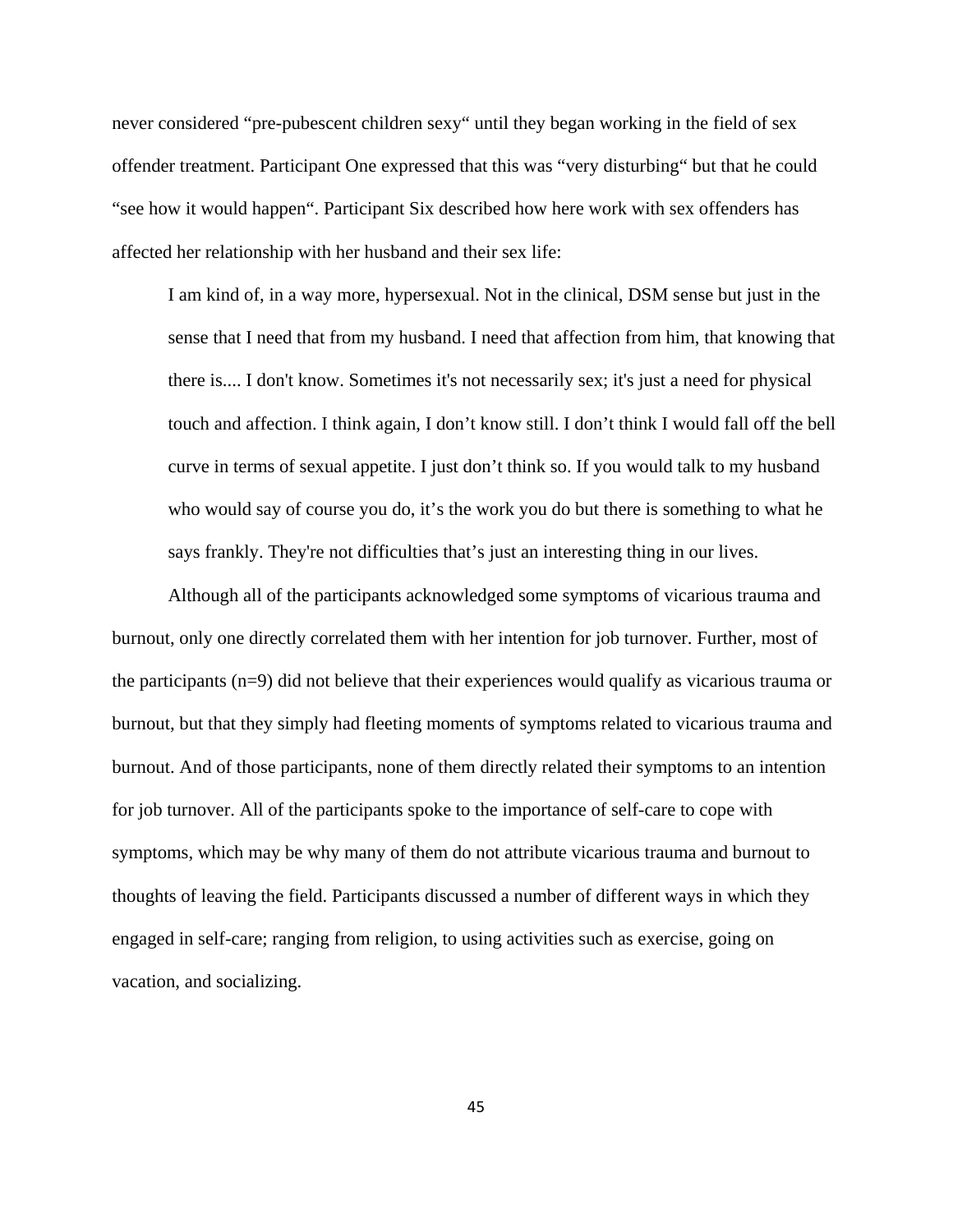never considered "pre-pubescent children sexy" until they began working in the field of sex offender treatment. Participant One expressed that this was "very disturbing" but that he could "see how it would happen". Participant Six described how here work with sex offenders has affected her relationship with her husband and their sex life:

I am kind of, in a way more, hypersexual. Not in the clinical, DSM sense but just in the sense that I need that from my husband. I need that affection from him, that knowing that there is.... I don't know. Sometimes it's not necessarily sex; it's just a need for physical touch and affection. I think again, I don't know still. I don't think I would fall off the bell curve in terms of sexual appetite. I just don't think so. If you would talk to my husband who would say of course you do, it's the work you do but there is something to what he says frankly. They're not difficulties that's just an interesting thing in our lives.

Although all of the participants acknowledged some symptoms of vicarious trauma and burnout, only one directly correlated them with her intention for job turnover. Further, most of the participants (n=9) did not believe that their experiences would qualify as vicarious trauma or burnout, but that they simply had fleeting moments of symptoms related to vicarious trauma and burnout. And of those participants, none of them directly related their symptoms to an intention for job turnover. All of the participants spoke to the importance of self-care to cope with symptoms, which may be why many of them do not attribute vicarious trauma and burnout to thoughts of leaving the field. Participants discussed a number of different ways in which they engaged in self-care; ranging from religion, to using activities such as exercise, going on vacation, and socializing.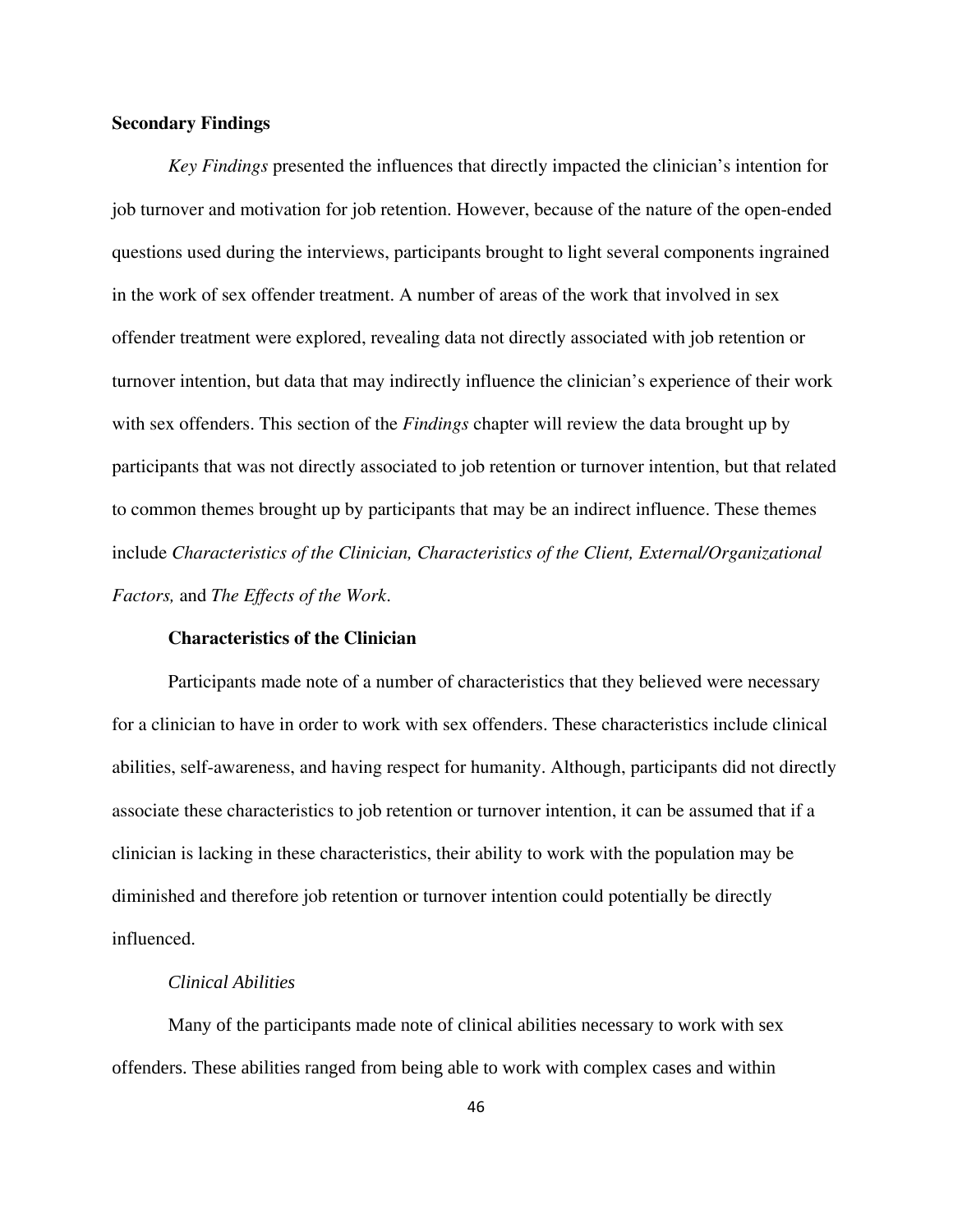# **Secondary Findings**

*Key Findings* presented the influences that directly impacted the clinician's intention for job turnover and motivation for job retention. However, because of the nature of the open-ended questions used during the interviews, participants brought to light several components ingrained in the work of sex offender treatment. A number of areas of the work that involved in sex offender treatment were explored, revealing data not directly associated with job retention or turnover intention, but data that may indirectly influence the clinician's experience of their work with sex offenders. This section of the *Findings* chapter will review the data brought up by participants that was not directly associated to job retention or turnover intention, but that related to common themes brought up by participants that may be an indirect influence. These themes include *Characteristics of the Clinician, Characteristics of the Client, External/Organizational Factors,* and *The Effects of the Work*.

## **Characteristics of the Clinician**

Participants made note of a number of characteristics that they believed were necessary for a clinician to have in order to work with sex offenders. These characteristics include clinical abilities, self-awareness, and having respect for humanity. Although, participants did not directly associate these characteristics to job retention or turnover intention, it can be assumed that if a clinician is lacking in these characteristics, their ability to work with the population may be diminished and therefore job retention or turnover intention could potentially be directly influenced.

# *Clinical Abilities*

 Many of the participants made note of clinical abilities necessary to work with sex offenders. These abilities ranged from being able to work with complex cases and within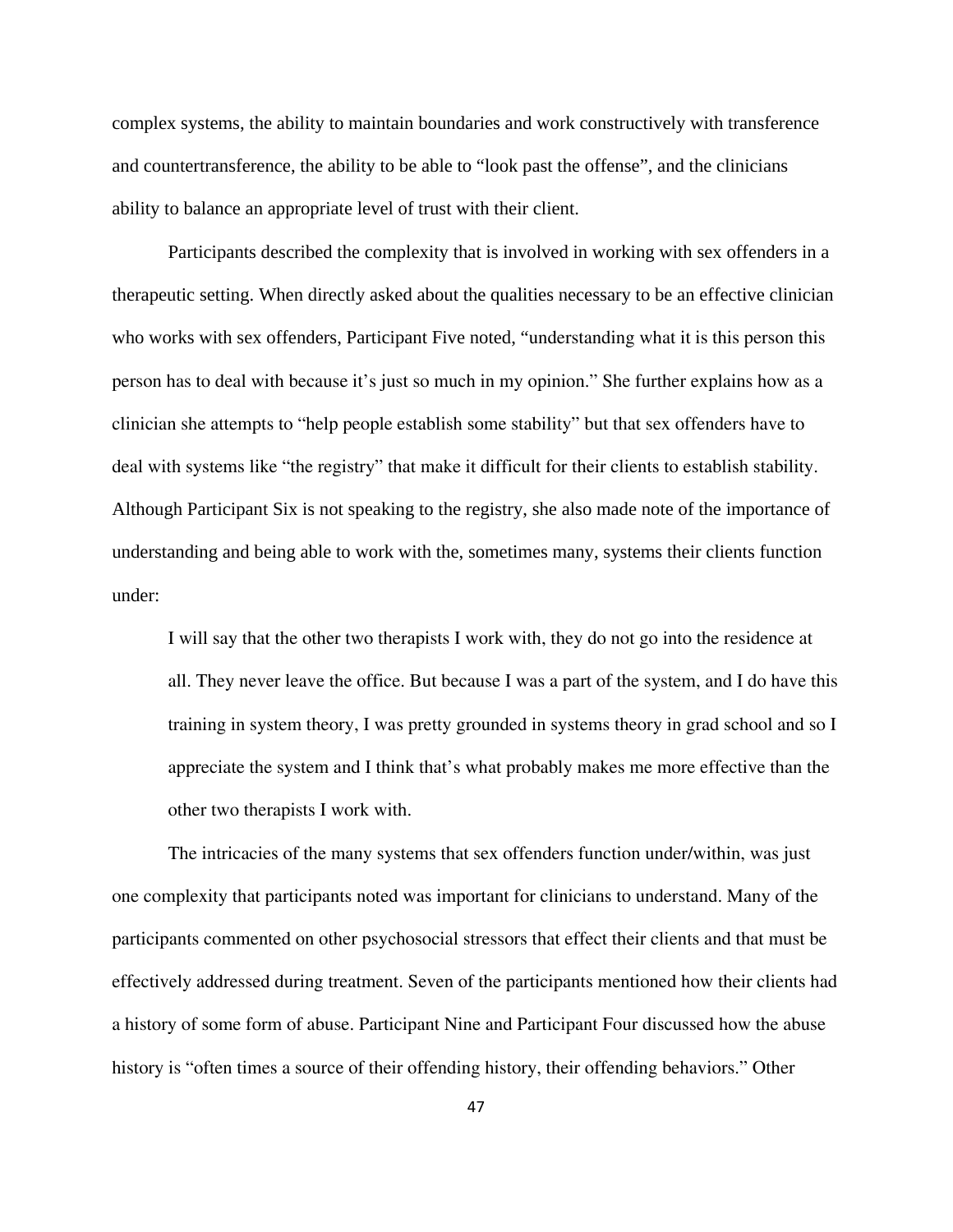complex systems, the ability to maintain boundaries and work constructively with transference and countertransference, the ability to be able to "look past the offense", and the clinicians ability to balance an appropriate level of trust with their client.

 Participants described the complexity that is involved in working with sex offenders in a therapeutic setting. When directly asked about the qualities necessary to be an effective clinician who works with sex offenders, Participant Five noted, "understanding what it is this person this person has to deal with because it's just so much in my opinion." She further explains how as a clinician she attempts to "help people establish some stability" but that sex offenders have to deal with systems like "the registry" that make it difficult for their clients to establish stability. Although Participant Six is not speaking to the registry, she also made note of the importance of understanding and being able to work with the, sometimes many, systems their clients function under:

I will say that the other two therapists I work with, they do not go into the residence at all. They never leave the office. But because I was a part of the system, and I do have this training in system theory, I was pretty grounded in systems theory in grad school and so I appreciate the system and I think that's what probably makes me more effective than the other two therapists I work with.

The intricacies of the many systems that sex offenders function under/within, was just one complexity that participants noted was important for clinicians to understand. Many of the participants commented on other psychosocial stressors that effect their clients and that must be effectively addressed during treatment. Seven of the participants mentioned how their clients had a history of some form of abuse. Participant Nine and Participant Four discussed how the abuse history is "often times a source of their offending history, their offending behaviors." Other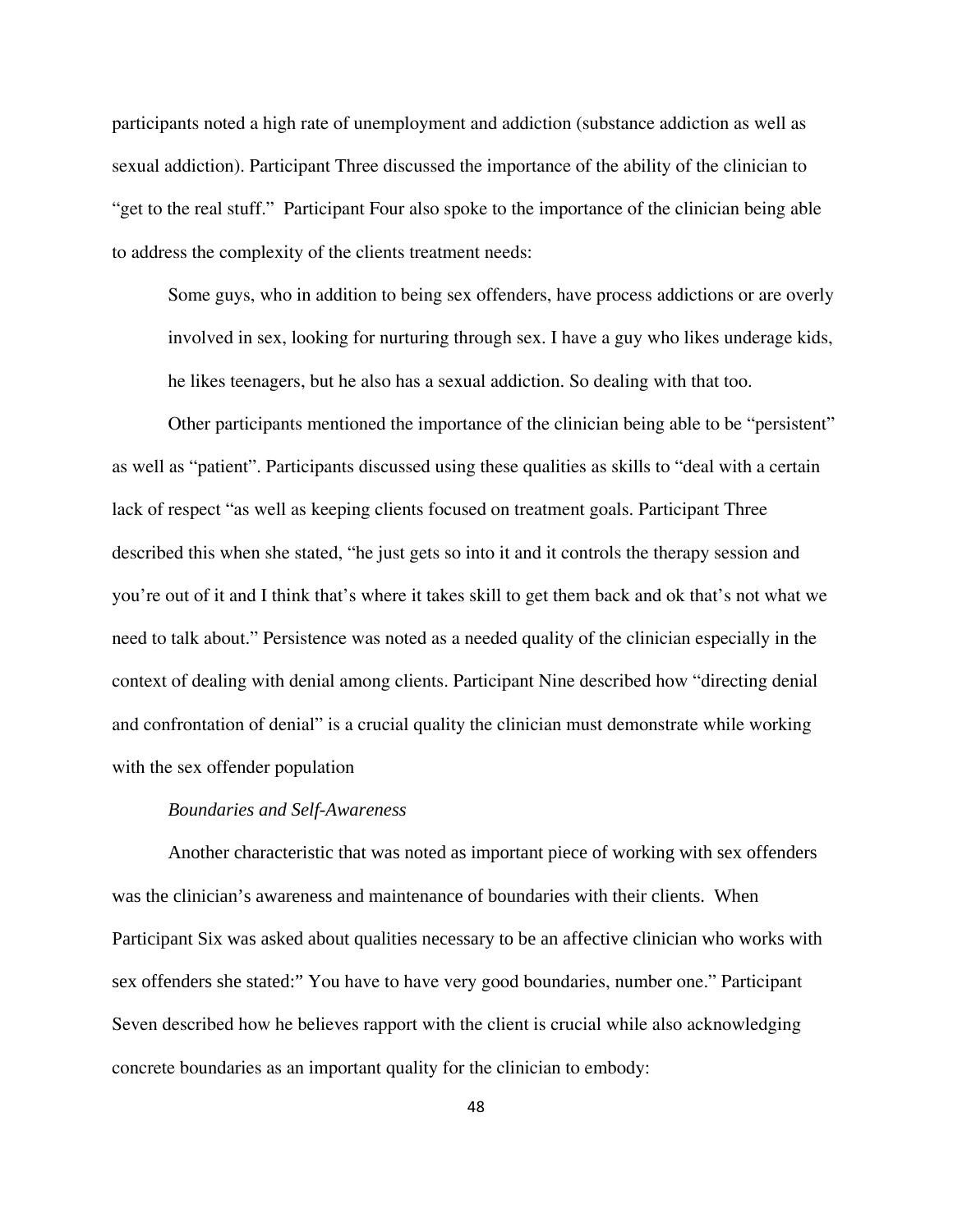participants noted a high rate of unemployment and addiction (substance addiction as well as sexual addiction). Participant Three discussed the importance of the ability of the clinician to "get to the real stuff." Participant Four also spoke to the importance of the clinician being able to address the complexity of the clients treatment needs:

Some guys, who in addition to being sex offenders, have process addictions or are overly involved in sex, looking for nurturing through sex. I have a guy who likes underage kids, he likes teenagers, but he also has a sexual addiction. So dealing with that too.

Other participants mentioned the importance of the clinician being able to be "persistent" as well as "patient". Participants discussed using these qualities as skills to "deal with a certain lack of respect "as well as keeping clients focused on treatment goals. Participant Three described this when she stated, "he just gets so into it and it controls the therapy session and you're out of it and I think that's where it takes skill to get them back and ok that's not what we need to talk about." Persistence was noted as a needed quality of the clinician especially in the context of dealing with denial among clients. Participant Nine described how "directing denial and confrontation of denial" is a crucial quality the clinician must demonstrate while working with the sex offender population

#### *Boundaries and Self-Awareness*

Another characteristic that was noted as important piece of working with sex offenders was the clinician's awareness and maintenance of boundaries with their clients. When Participant Six was asked about qualities necessary to be an affective clinician who works with sex offenders she stated:" You have to have very good boundaries, number one." Participant Seven described how he believes rapport with the client is crucial while also acknowledging concrete boundaries as an important quality for the clinician to embody: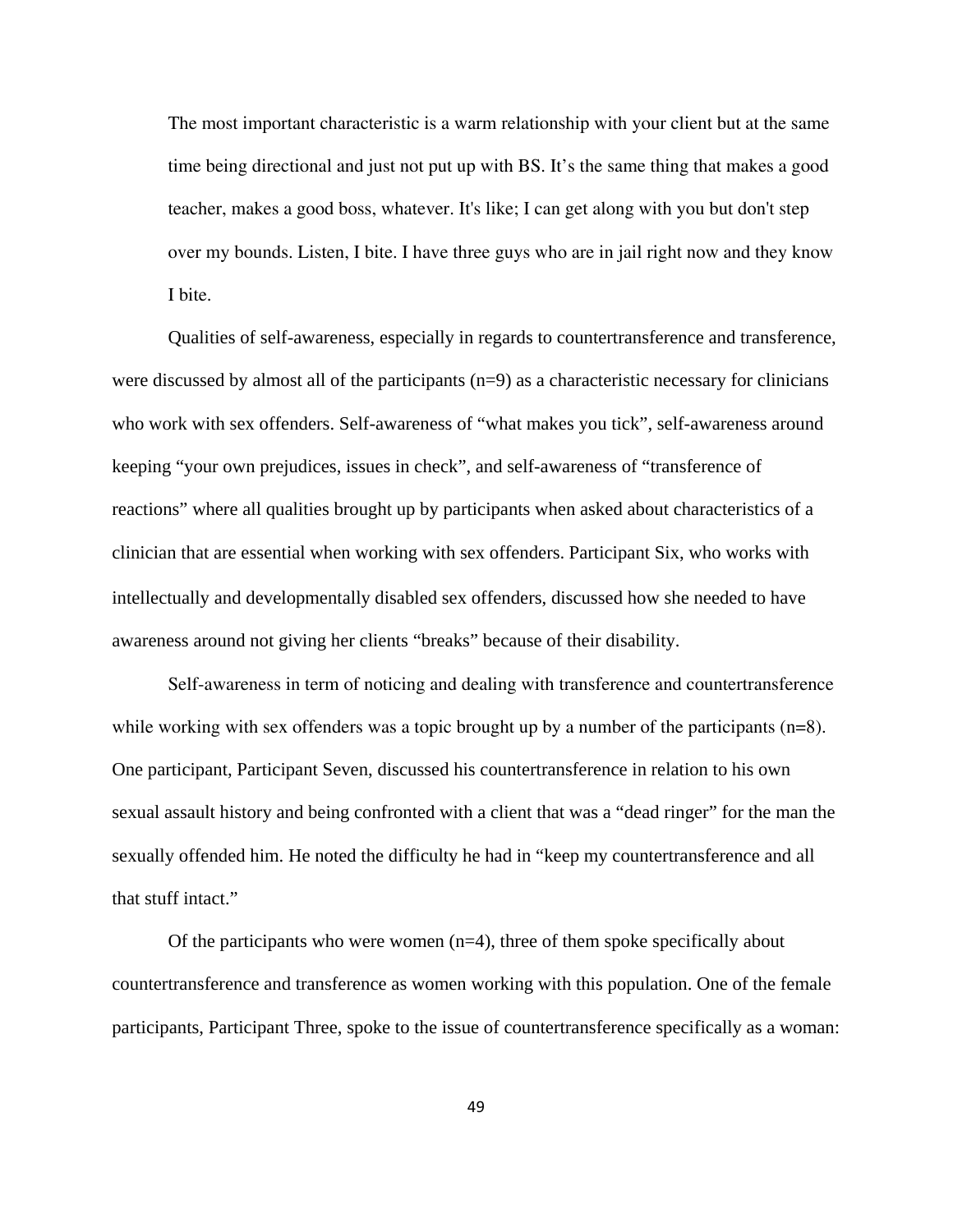The most important characteristic is a warm relationship with your client but at the same time being directional and just not put up with BS. It's the same thing that makes a good teacher, makes a good boss, whatever. It's like; I can get along with you but don't step over my bounds. Listen, I bite. I have three guys who are in jail right now and they know I bite.

Qualities of self-awareness, especially in regards to countertransference and transference, were discussed by almost all of the participants  $(n=9)$  as a characteristic necessary for clinicians who work with sex offenders. Self-awareness of "what makes you tick", self-awareness around keeping "your own prejudices, issues in check", and self-awareness of "transference of reactions" where all qualities brought up by participants when asked about characteristics of a clinician that are essential when working with sex offenders. Participant Six, who works with intellectually and developmentally disabled sex offenders, discussed how she needed to have awareness around not giving her clients "breaks" because of their disability.

Self-awareness in term of noticing and dealing with transference and countertransference while working with sex offenders was a topic brought up by a number of the participants (n=8). One participant, Participant Seven, discussed his countertransference in relation to his own sexual assault history and being confronted with a client that was a "dead ringer" for the man the sexually offended him. He noted the difficulty he had in "keep my countertransference and all that stuff intact."

Of the participants who were women  $(n=4)$ , three of them spoke specifically about countertransference and transference as women working with this population. One of the female participants, Participant Three, spoke to the issue of countertransference specifically as a woman: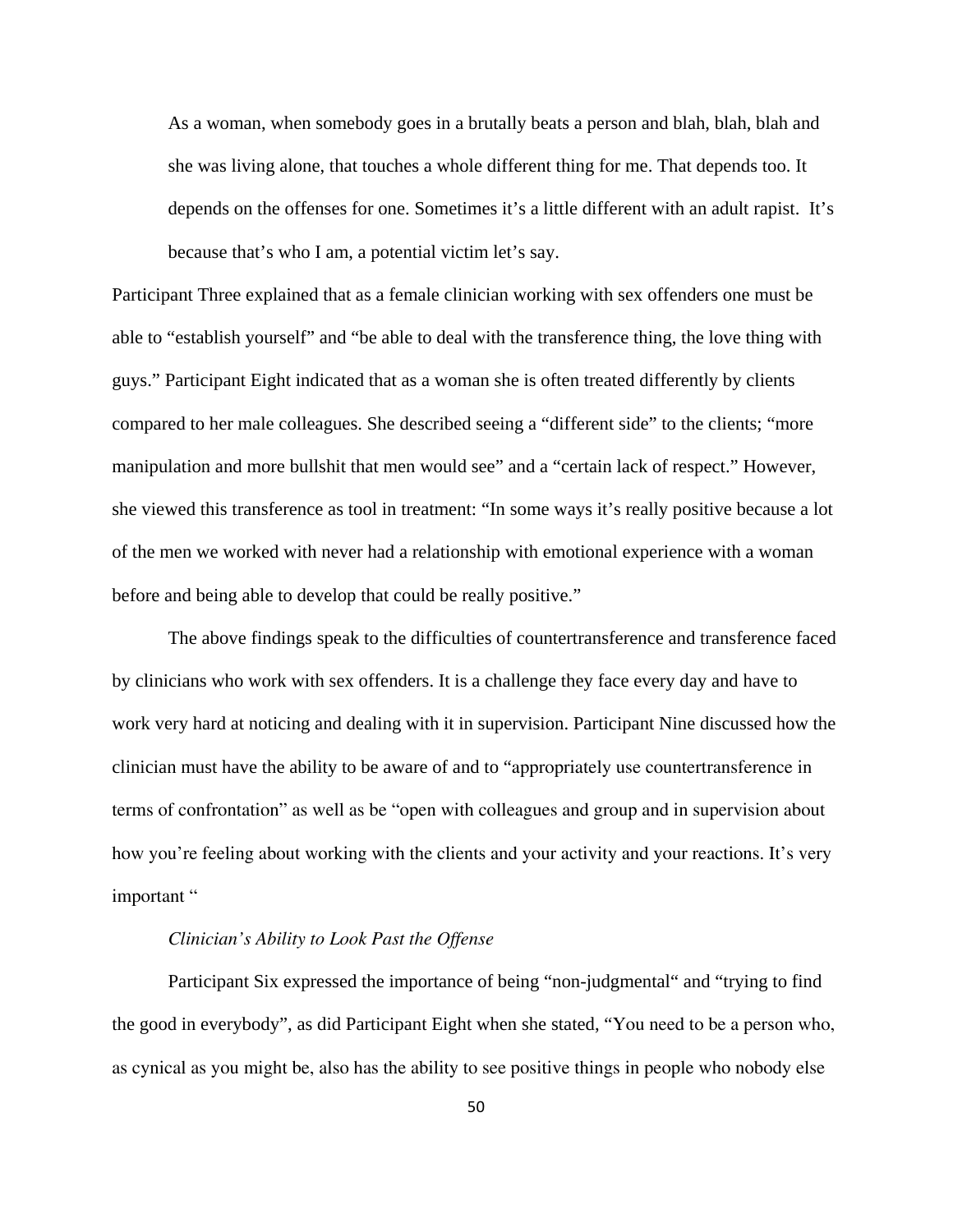As a woman, when somebody goes in a brutally beats a person and blah, blah, blah and she was living alone, that touches a whole different thing for me. That depends too. It depends on the offenses for one. Sometimes it's a little different with an adult rapist. It's because that's who I am, a potential victim let's say.

Participant Three explained that as a female clinician working with sex offenders one must be able to "establish yourself" and "be able to deal with the transference thing, the love thing with guys." Participant Eight indicated that as a woman she is often treated differently by clients compared to her male colleagues. She described seeing a "different side" to the clients; "more manipulation and more bullshit that men would see" and a "certain lack of respect." However, she viewed this transference as tool in treatment: "In some ways it's really positive because a lot of the men we worked with never had a relationship with emotional experience with a woman before and being able to develop that could be really positive."

The above findings speak to the difficulties of countertransference and transference faced by clinicians who work with sex offenders. It is a challenge they face every day and have to work very hard at noticing and dealing with it in supervision. Participant Nine discussed how the clinician must have the ability to be aware of and to "appropriately use countertransference in terms of confrontation" as well as be "open with colleagues and group and in supervision about how you're feeling about working with the clients and your activity and your reactions. It's very important "

## *Clinician's Ability to Look Past the Offense*

Participant Six expressed the importance of being "non-judgmental" and "trying to find the good in everybody", as did Participant Eight when she stated, "You need to be a person who, as cynical as you might be, also has the ability to see positive things in people who nobody else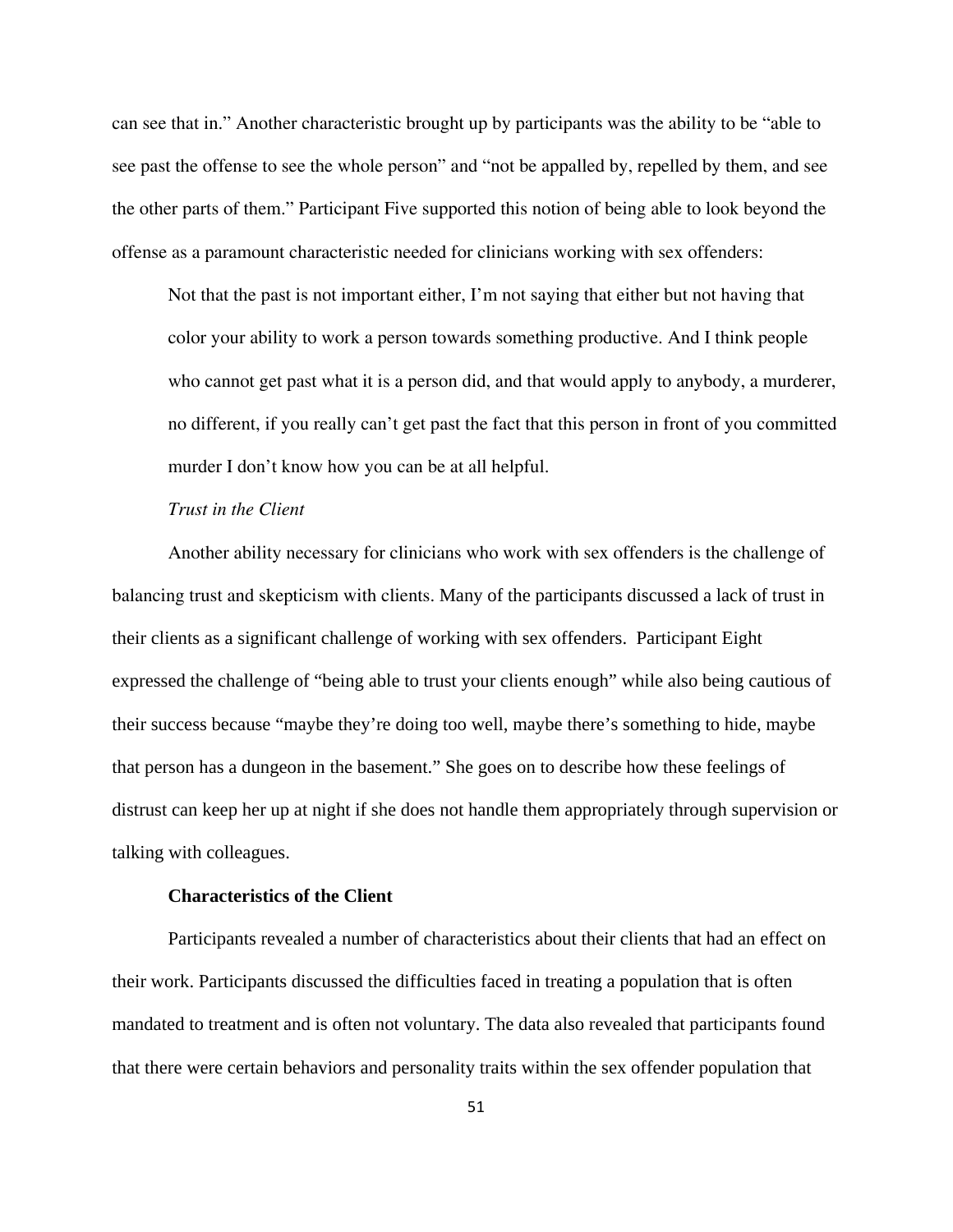can see that in." Another characteristic brought up by participants was the ability to be "able to see past the offense to see the whole person" and "not be appalled by, repelled by them, and see the other parts of them." Participant Five supported this notion of being able to look beyond the offense as a paramount characteristic needed for clinicians working with sex offenders:

Not that the past is not important either, I'm not saying that either but not having that color your ability to work a person towards something productive. And I think people who cannot get past what it is a person did, and that would apply to anybody, a murderer, no different, if you really can't get past the fact that this person in front of you committed murder I don't know how you can be at all helpful.

# *Trust in the Client*

 Another ability necessary for clinicians who work with sex offenders is the challenge of balancing trust and skepticism with clients. Many of the participants discussed a lack of trust in their clients as a significant challenge of working with sex offenders. Participant Eight expressed the challenge of "being able to trust your clients enough" while also being cautious of their success because "maybe they're doing too well, maybe there's something to hide, maybe that person has a dungeon in the basement." She goes on to describe how these feelings of distrust can keep her up at night if she does not handle them appropriately through supervision or talking with colleagues.

# **Characteristics of the Client**

Participants revealed a number of characteristics about their clients that had an effect on their work. Participants discussed the difficulties faced in treating a population that is often mandated to treatment and is often not voluntary. The data also revealed that participants found that there were certain behaviors and personality traits within the sex offender population that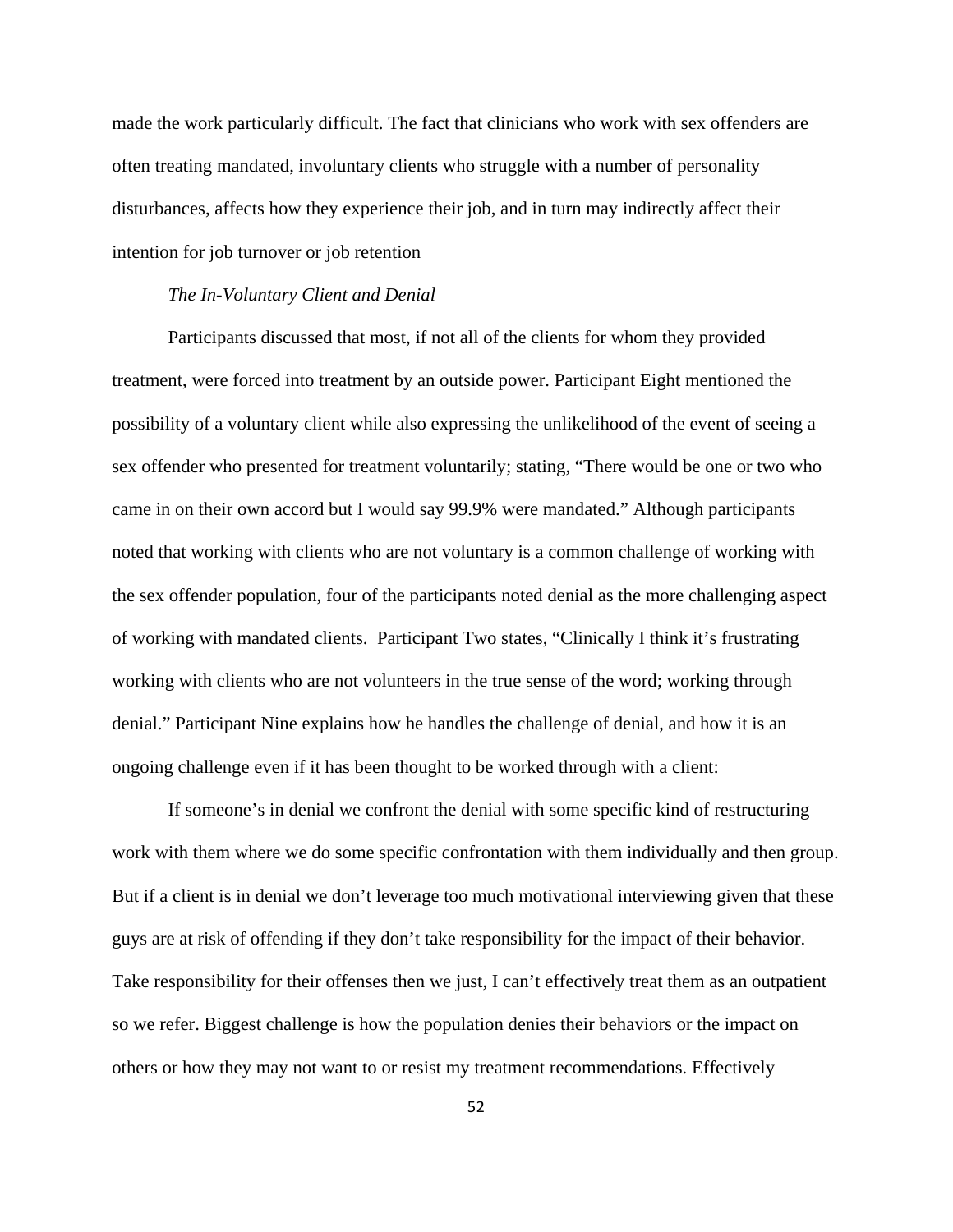made the work particularly difficult. The fact that clinicians who work with sex offenders are often treating mandated, involuntary clients who struggle with a number of personality disturbances, affects how they experience their job, and in turn may indirectly affect their intention for job turnover or job retention

## *The In-Voluntary Client and Denial*

Participants discussed that most, if not all of the clients for whom they provided treatment, were forced into treatment by an outside power. Participant Eight mentioned the possibility of a voluntary client while also expressing the unlikelihood of the event of seeing a sex offender who presented for treatment voluntarily; stating, "There would be one or two who came in on their own accord but I would say 99.9% were mandated." Although participants noted that working with clients who are not voluntary is a common challenge of working with the sex offender population, four of the participants noted denial as the more challenging aspect of working with mandated clients. Participant Two states, "Clinically I think it's frustrating working with clients who are not volunteers in the true sense of the word; working through denial." Participant Nine explains how he handles the challenge of denial, and how it is an ongoing challenge even if it has been thought to be worked through with a client:

If someone's in denial we confront the denial with some specific kind of restructuring work with them where we do some specific confrontation with them individually and then group. But if a client is in denial we don't leverage too much motivational interviewing given that these guys are at risk of offending if they don't take responsibility for the impact of their behavior. Take responsibility for their offenses then we just, I can't effectively treat them as an outpatient so we refer. Biggest challenge is how the population denies their behaviors or the impact on others or how they may not want to or resist my treatment recommendations. Effectively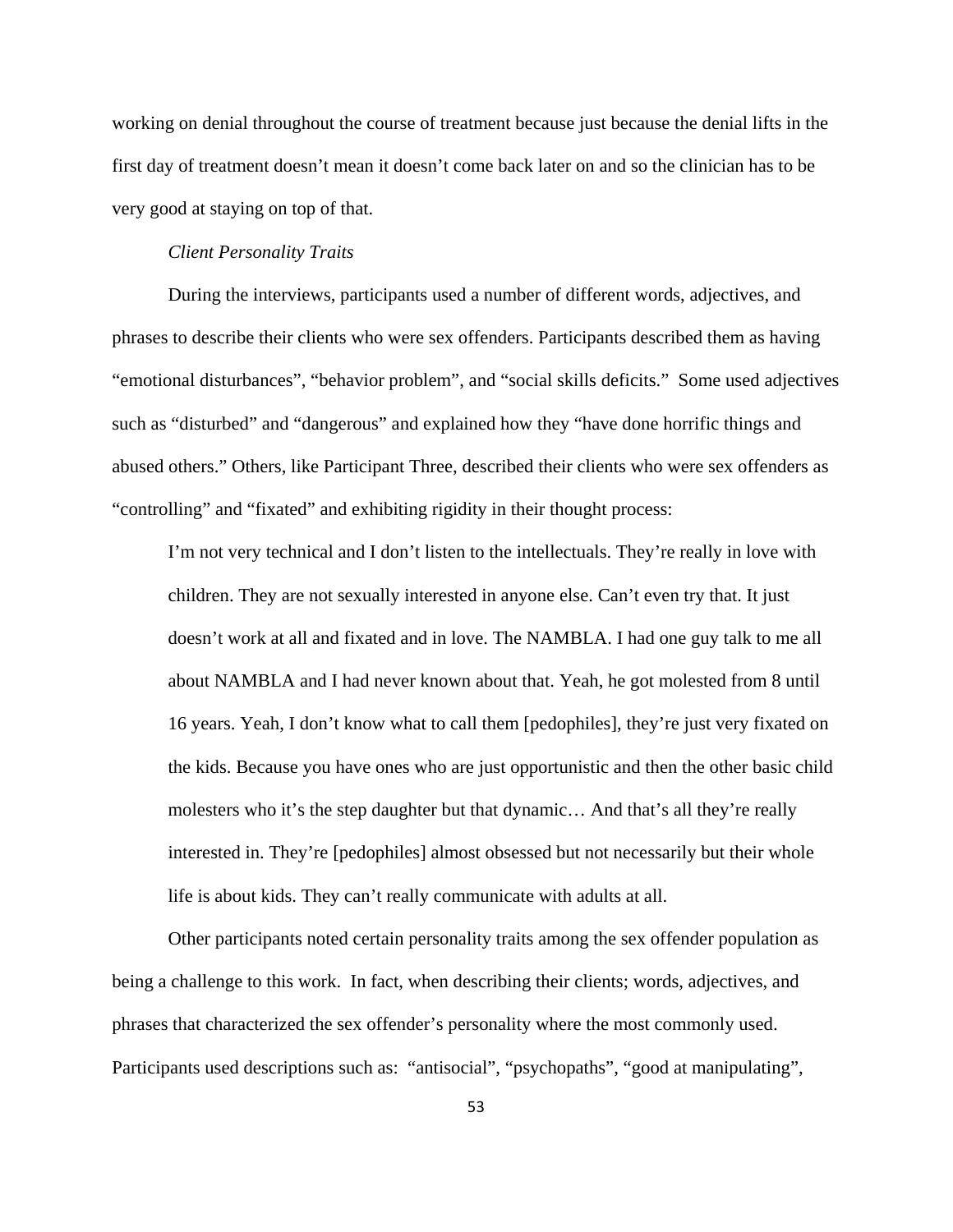working on denial throughout the course of treatment because just because the denial lifts in the first day of treatment doesn't mean it doesn't come back later on and so the clinician has to be very good at staying on top of that.

## *Client Personality Traits*

During the interviews, participants used a number of different words, adjectives, and phrases to describe their clients who were sex offenders. Participants described them as having "emotional disturbances", "behavior problem", and "social skills deficits." Some used adjectives such as "disturbed" and "dangerous" and explained how they "have done horrific things and abused others." Others, like Participant Three, described their clients who were sex offenders as "controlling" and "fixated" and exhibiting rigidity in their thought process:

I'm not very technical and I don't listen to the intellectuals. They're really in love with children. They are not sexually interested in anyone else. Can't even try that. It just doesn't work at all and fixated and in love. The NAMBLA. I had one guy talk to me all about NAMBLA and I had never known about that. Yeah, he got molested from 8 until 16 years. Yeah, I don't know what to call them [pedophiles], they're just very fixated on the kids. Because you have ones who are just opportunistic and then the other basic child molesters who it's the step daughter but that dynamic… And that's all they're really interested in. They're [pedophiles] almost obsessed but not necessarily but their whole life is about kids. They can't really communicate with adults at all.

Other participants noted certain personality traits among the sex offender population as being a challenge to this work. In fact, when describing their clients; words, adjectives, and phrases that characterized the sex offender's personality where the most commonly used. Participants used descriptions such as: "antisocial", "psychopaths", "good at manipulating",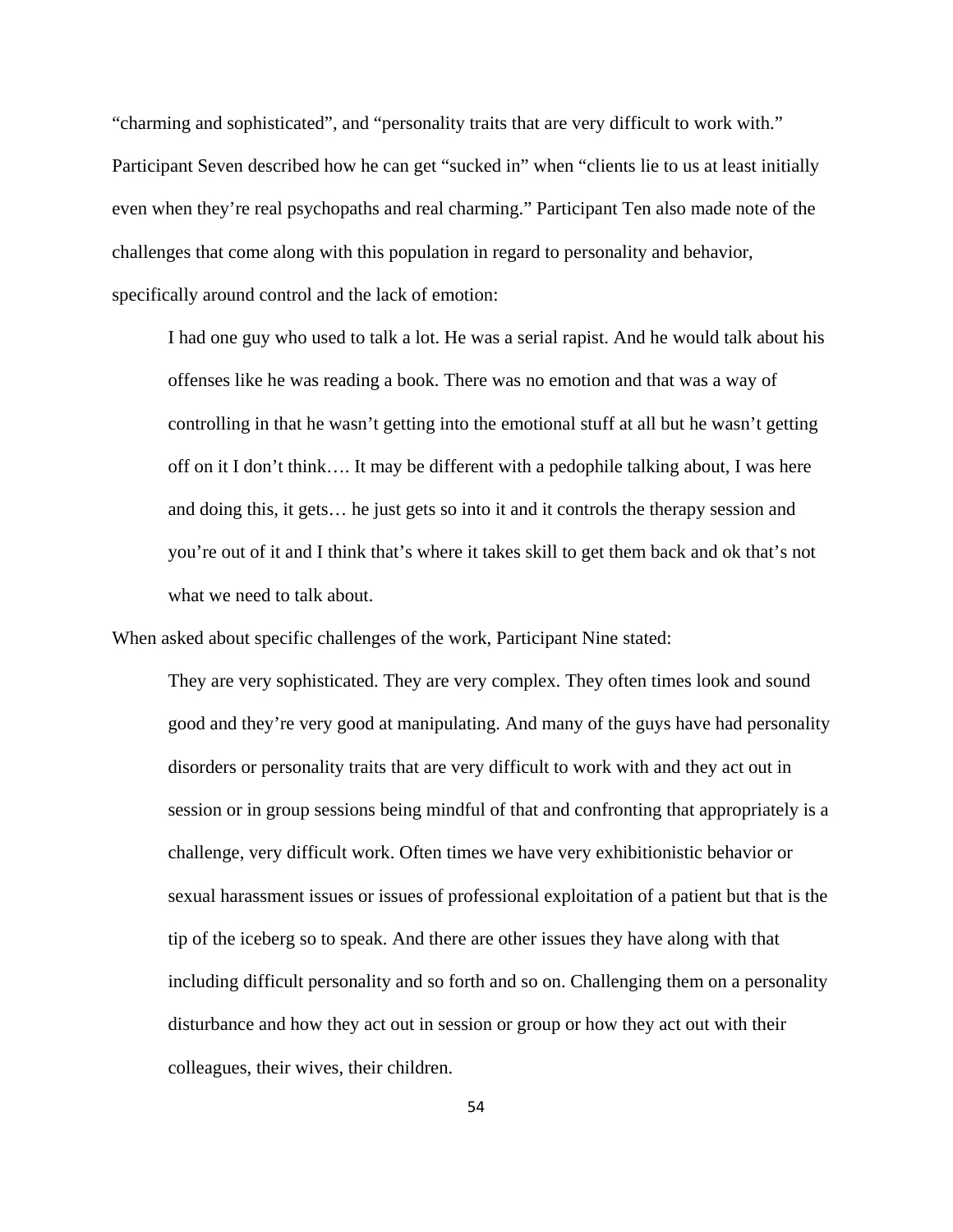"charming and sophisticated", and "personality traits that are very difficult to work with." Participant Seven described how he can get "sucked in" when "clients lie to us at least initially even when they're real psychopaths and real charming." Participant Ten also made note of the challenges that come along with this population in regard to personality and behavior, specifically around control and the lack of emotion:

I had one guy who used to talk a lot. He was a serial rapist. And he would talk about his offenses like he was reading a book. There was no emotion and that was a way of controlling in that he wasn't getting into the emotional stuff at all but he wasn't getting off on it I don't think…. It may be different with a pedophile talking about, I was here and doing this, it gets… he just gets so into it and it controls the therapy session and you're out of it and I think that's where it takes skill to get them back and ok that's not what we need to talk about.

When asked about specific challenges of the work, Participant Nine stated:

They are very sophisticated. They are very complex. They often times look and sound good and they're very good at manipulating. And many of the guys have had personality disorders or personality traits that are very difficult to work with and they act out in session or in group sessions being mindful of that and confronting that appropriately is a challenge, very difficult work. Often times we have very exhibitionistic behavior or sexual harassment issues or issues of professional exploitation of a patient but that is the tip of the iceberg so to speak. And there are other issues they have along with that including difficult personality and so forth and so on. Challenging them on a personality disturbance and how they act out in session or group or how they act out with their colleagues, their wives, their children.

54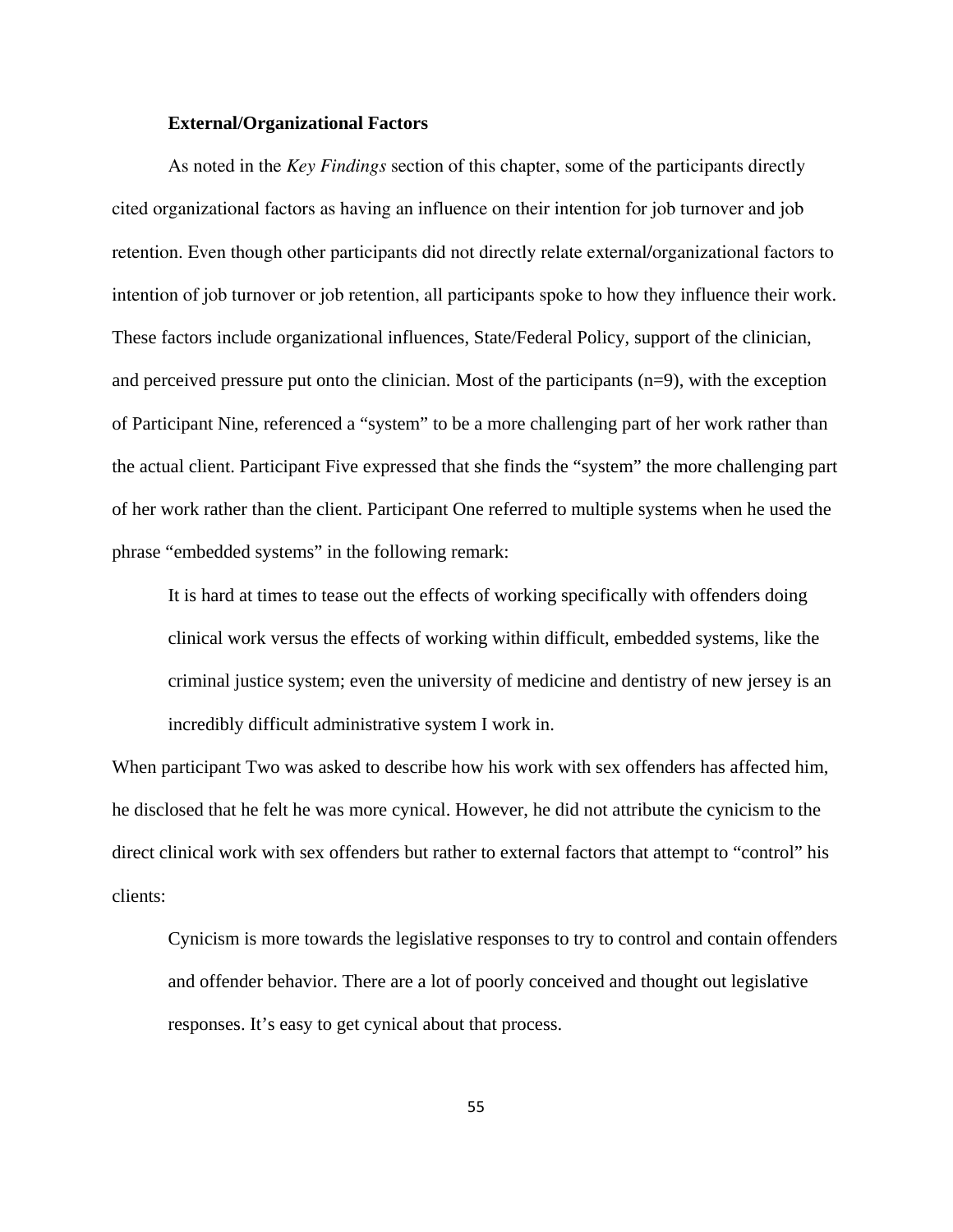#### **External/Organizational Factors**

As noted in the *Key Findings* section of this chapter, some of the participants directly cited organizational factors as having an influence on their intention for job turnover and job retention. Even though other participants did not directly relate external/organizational factors to intention of job turnover or job retention, all participants spoke to how they influence their work. These factors include organizational influences, State/Federal Policy, support of the clinician, and perceived pressure put onto the clinician. Most of the participants (n=9), with the exception of Participant Nine, referenced a "system" to be a more challenging part of her work rather than the actual client. Participant Five expressed that she finds the "system" the more challenging part of her work rather than the client. Participant One referred to multiple systems when he used the phrase "embedded systems" in the following remark:

It is hard at times to tease out the effects of working specifically with offenders doing clinical work versus the effects of working within difficult, embedded systems, like the criminal justice system; even the university of medicine and dentistry of new jersey is an incredibly difficult administrative system I work in.

When participant Two was asked to describe how his work with sex offenders has affected him, he disclosed that he felt he was more cynical. However, he did not attribute the cynicism to the direct clinical work with sex offenders but rather to external factors that attempt to "control" his clients:

Cynicism is more towards the legislative responses to try to control and contain offenders and offender behavior. There are a lot of poorly conceived and thought out legislative responses. It's easy to get cynical about that process.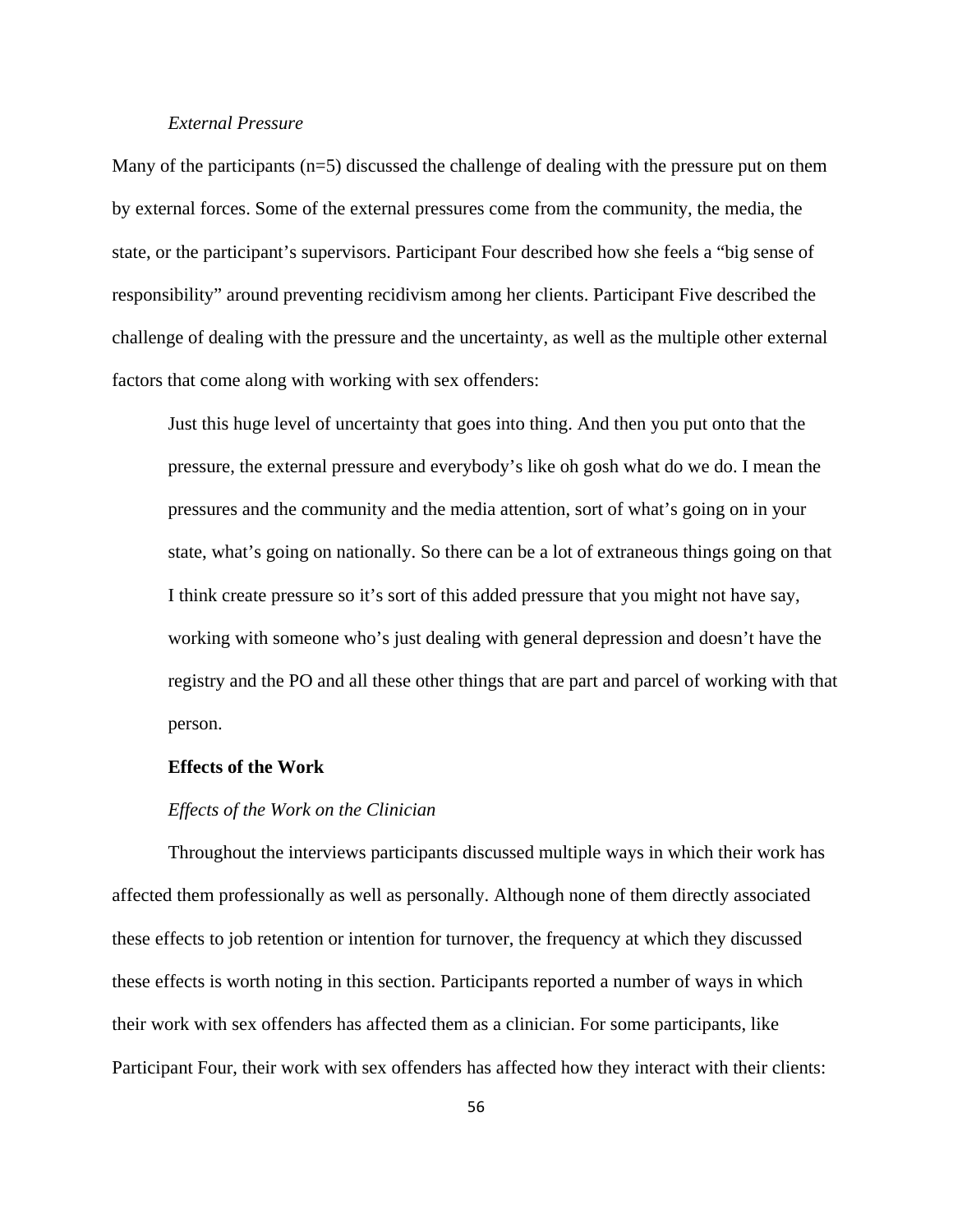# *External Pressure*

Many of the participants  $(n=5)$  discussed the challenge of dealing with the pressure put on them by external forces. Some of the external pressures come from the community, the media, the state, or the participant's supervisors. Participant Four described how she feels a "big sense of responsibility" around preventing recidivism among her clients. Participant Five described the challenge of dealing with the pressure and the uncertainty, as well as the multiple other external factors that come along with working with sex offenders:

Just this huge level of uncertainty that goes into thing. And then you put onto that the pressure, the external pressure and everybody's like oh gosh what do we do. I mean the pressures and the community and the media attention, sort of what's going on in your state, what's going on nationally. So there can be a lot of extraneous things going on that I think create pressure so it's sort of this added pressure that you might not have say, working with someone who's just dealing with general depression and doesn't have the registry and the PO and all these other things that are part and parcel of working with that person.

## **Effects of the Work**

#### *Effects of the Work on the Clinician*

Throughout the interviews participants discussed multiple ways in which their work has affected them professionally as well as personally. Although none of them directly associated these effects to job retention or intention for turnover, the frequency at which they discussed these effects is worth noting in this section. Participants reported a number of ways in which their work with sex offenders has affected them as a clinician. For some participants, like Participant Four, their work with sex offenders has affected how they interact with their clients: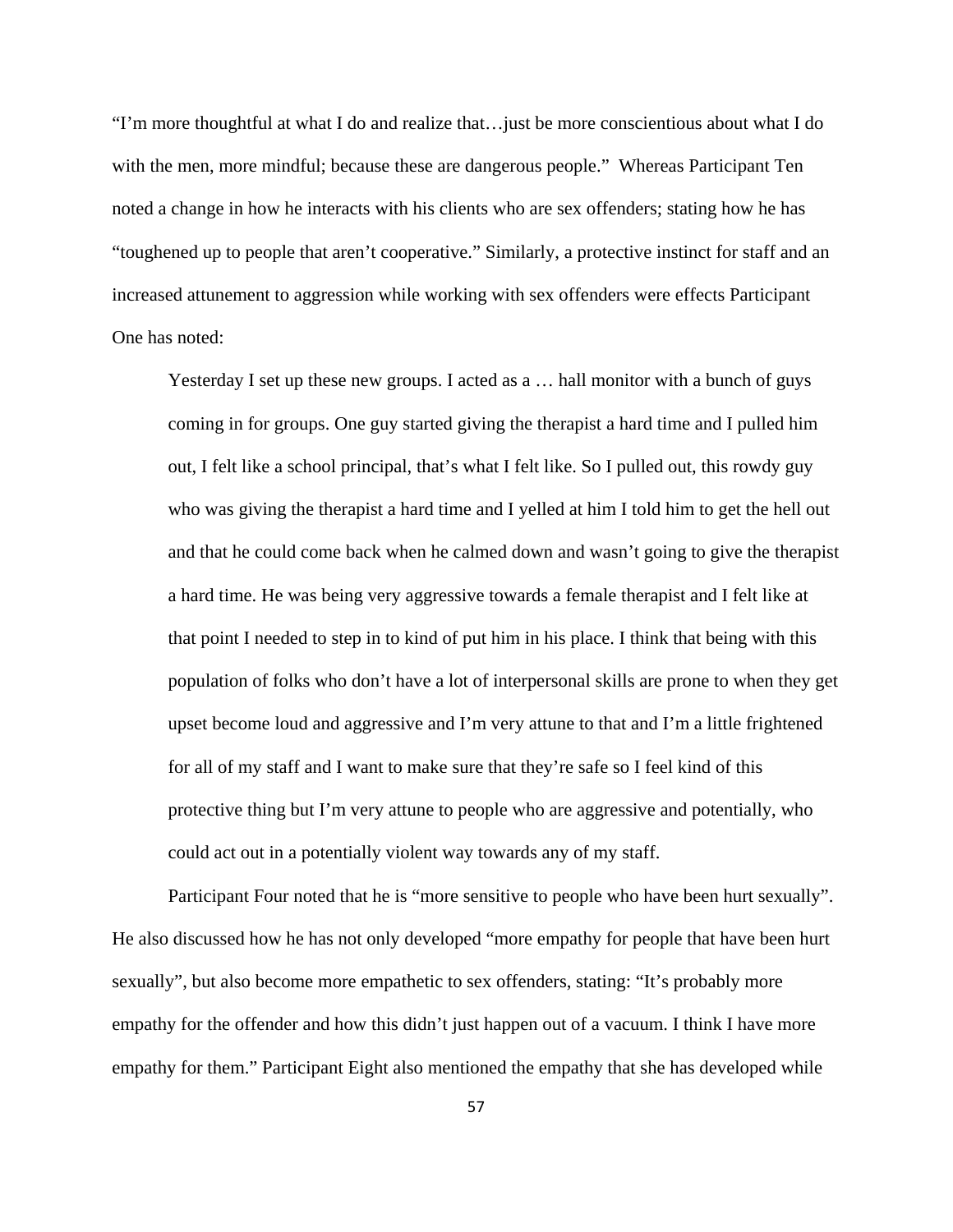"I'm more thoughtful at what I do and realize that…just be more conscientious about what I do with the men, more mindful; because these are dangerous people." Whereas Participant Ten noted a change in how he interacts with his clients who are sex offenders; stating how he has "toughened up to people that aren't cooperative." Similarly, a protective instinct for staff and an increased attunement to aggression while working with sex offenders were effects Participant One has noted:

Yesterday I set up these new groups. I acted as a … hall monitor with a bunch of guys coming in for groups. One guy started giving the therapist a hard time and I pulled him out, I felt like a school principal, that's what I felt like. So I pulled out, this rowdy guy who was giving the therapist a hard time and I yelled at him I told him to get the hell out and that he could come back when he calmed down and wasn't going to give the therapist a hard time. He was being very aggressive towards a female therapist and I felt like at that point I needed to step in to kind of put him in his place. I think that being with this population of folks who don't have a lot of interpersonal skills are prone to when they get upset become loud and aggressive and I'm very attune to that and I'm a little frightened for all of my staff and I want to make sure that they're safe so I feel kind of this protective thing but I'm very attune to people who are aggressive and potentially, who could act out in a potentially violent way towards any of my staff.

Participant Four noted that he is "more sensitive to people who have been hurt sexually". He also discussed how he has not only developed "more empathy for people that have been hurt sexually", but also become more empathetic to sex offenders, stating: "It's probably more empathy for the offender and how this didn't just happen out of a vacuum. I think I have more empathy for them." Participant Eight also mentioned the empathy that she has developed while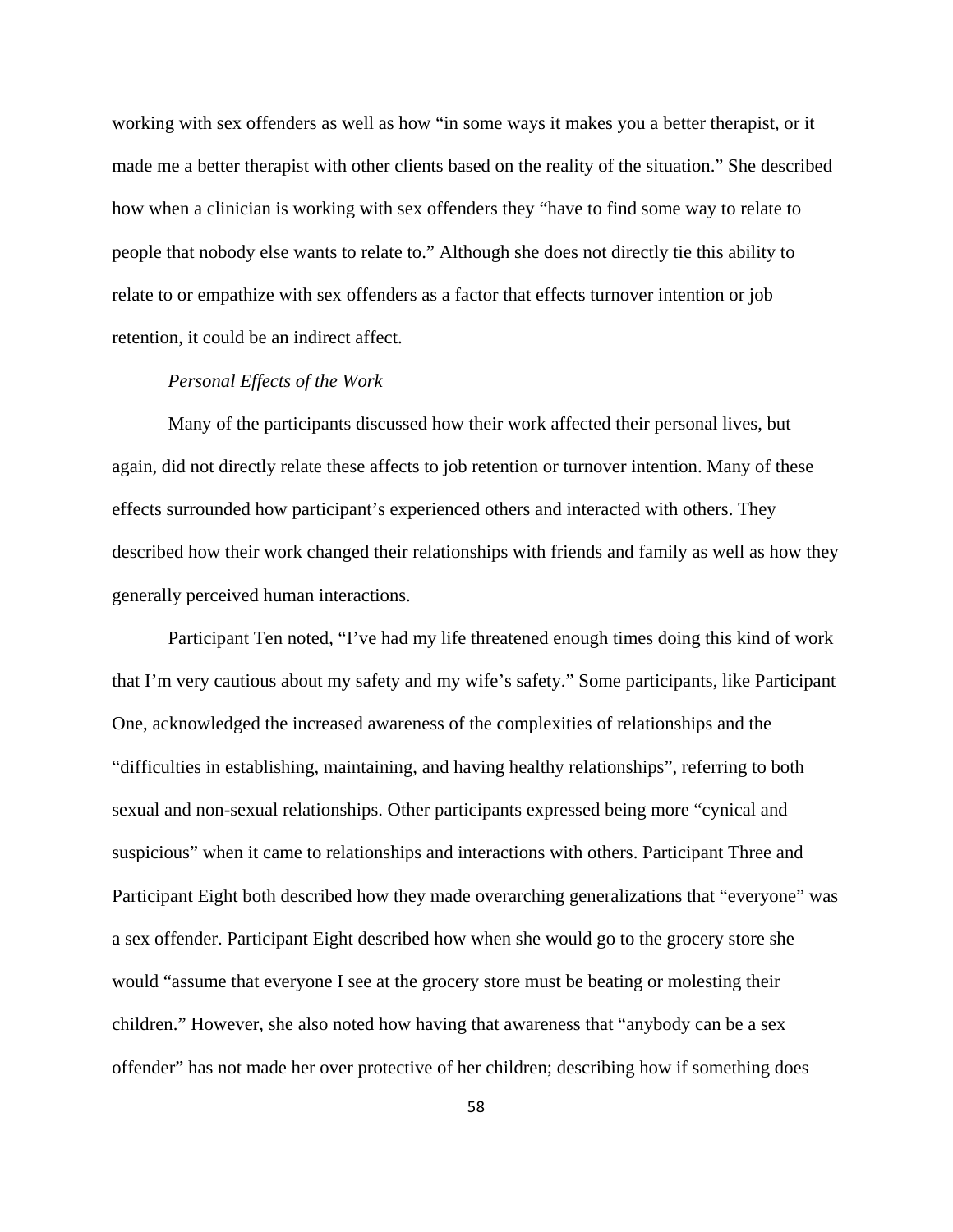working with sex offenders as well as how "in some ways it makes you a better therapist, or it made me a better therapist with other clients based on the reality of the situation." She described how when a clinician is working with sex offenders they "have to find some way to relate to people that nobody else wants to relate to." Although she does not directly tie this ability to relate to or empathize with sex offenders as a factor that effects turnover intention or job retention, it could be an indirect affect.

## *Personal Effects of the Work*

Many of the participants discussed how their work affected their personal lives, but again, did not directly relate these affects to job retention or turnover intention. Many of these effects surrounded how participant's experienced others and interacted with others. They described how their work changed their relationships with friends and family as well as how they generally perceived human interactions.

Participant Ten noted, "I've had my life threatened enough times doing this kind of work that I'm very cautious about my safety and my wife's safety." Some participants, like Participant One, acknowledged the increased awareness of the complexities of relationships and the "difficulties in establishing, maintaining, and having healthy relationships", referring to both sexual and non-sexual relationships. Other participants expressed being more "cynical and suspicious" when it came to relationships and interactions with others. Participant Three and Participant Eight both described how they made overarching generalizations that "everyone" was a sex offender. Participant Eight described how when she would go to the grocery store she would "assume that everyone I see at the grocery store must be beating or molesting their children." However, she also noted how having that awareness that "anybody can be a sex offender" has not made her over protective of her children; describing how if something does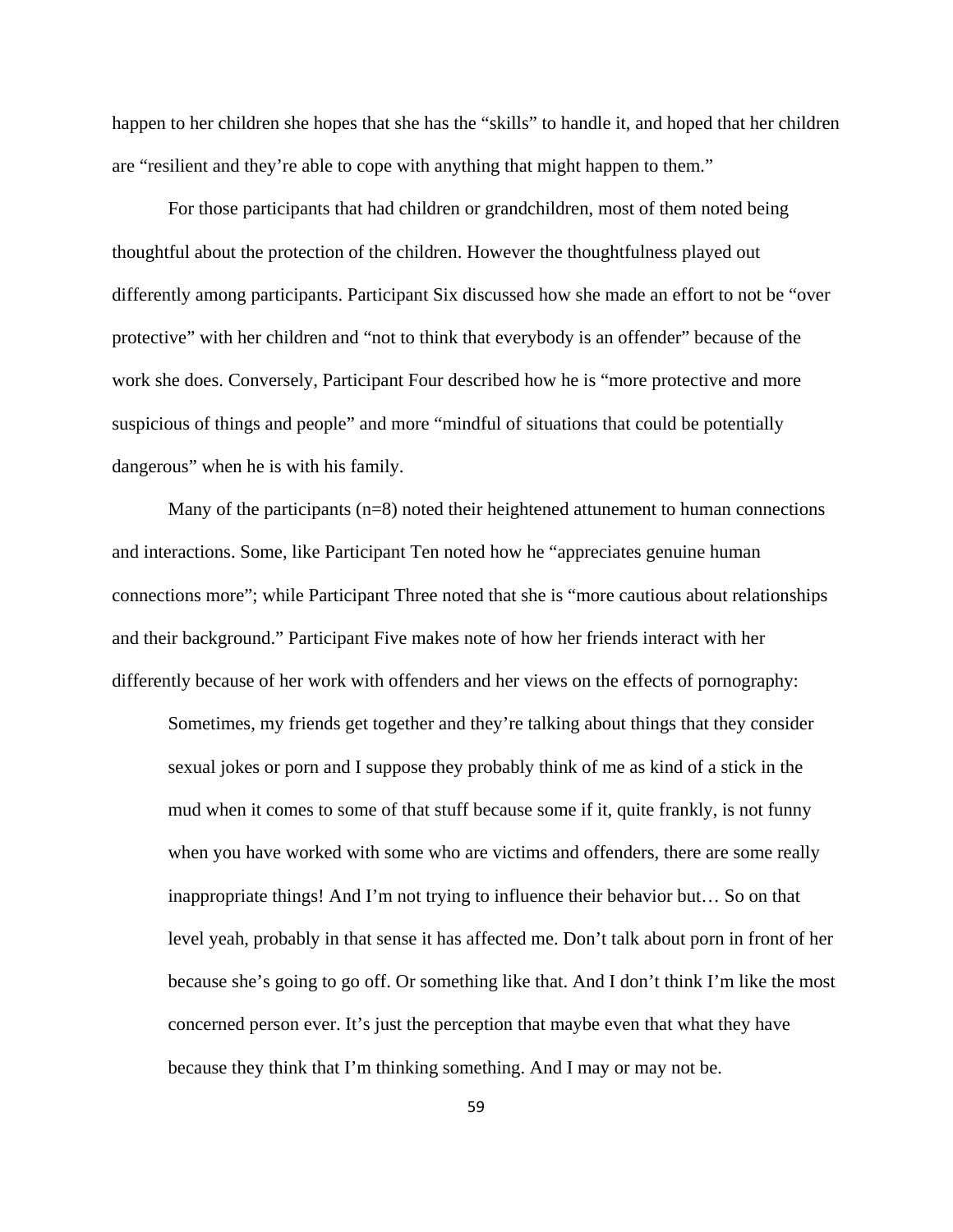happen to her children she hopes that she has the "skills" to handle it, and hoped that her children are "resilient and they're able to cope with anything that might happen to them."

For those participants that had children or grandchildren, most of them noted being thoughtful about the protection of the children. However the thoughtfulness played out differently among participants. Participant Six discussed how she made an effort to not be "over protective" with her children and "not to think that everybody is an offender" because of the work she does. Conversely, Participant Four described how he is "more protective and more suspicious of things and people" and more "mindful of situations that could be potentially dangerous" when he is with his family.

Many of the participants (n=8) noted their heightened attunement to human connections and interactions. Some, like Participant Ten noted how he "appreciates genuine human connections more"; while Participant Three noted that she is "more cautious about relationships and their background." Participant Five makes note of how her friends interact with her differently because of her work with offenders and her views on the effects of pornography:

Sometimes, my friends get together and they're talking about things that they consider sexual jokes or porn and I suppose they probably think of me as kind of a stick in the mud when it comes to some of that stuff because some if it, quite frankly, is not funny when you have worked with some who are victims and offenders, there are some really inappropriate things! And I'm not trying to influence their behavior but… So on that level yeah, probably in that sense it has affected me. Don't talk about porn in front of her because she's going to go off. Or something like that. And I don't think I'm like the most concerned person ever. It's just the perception that maybe even that what they have because they think that I'm thinking something. And I may or may not be.

59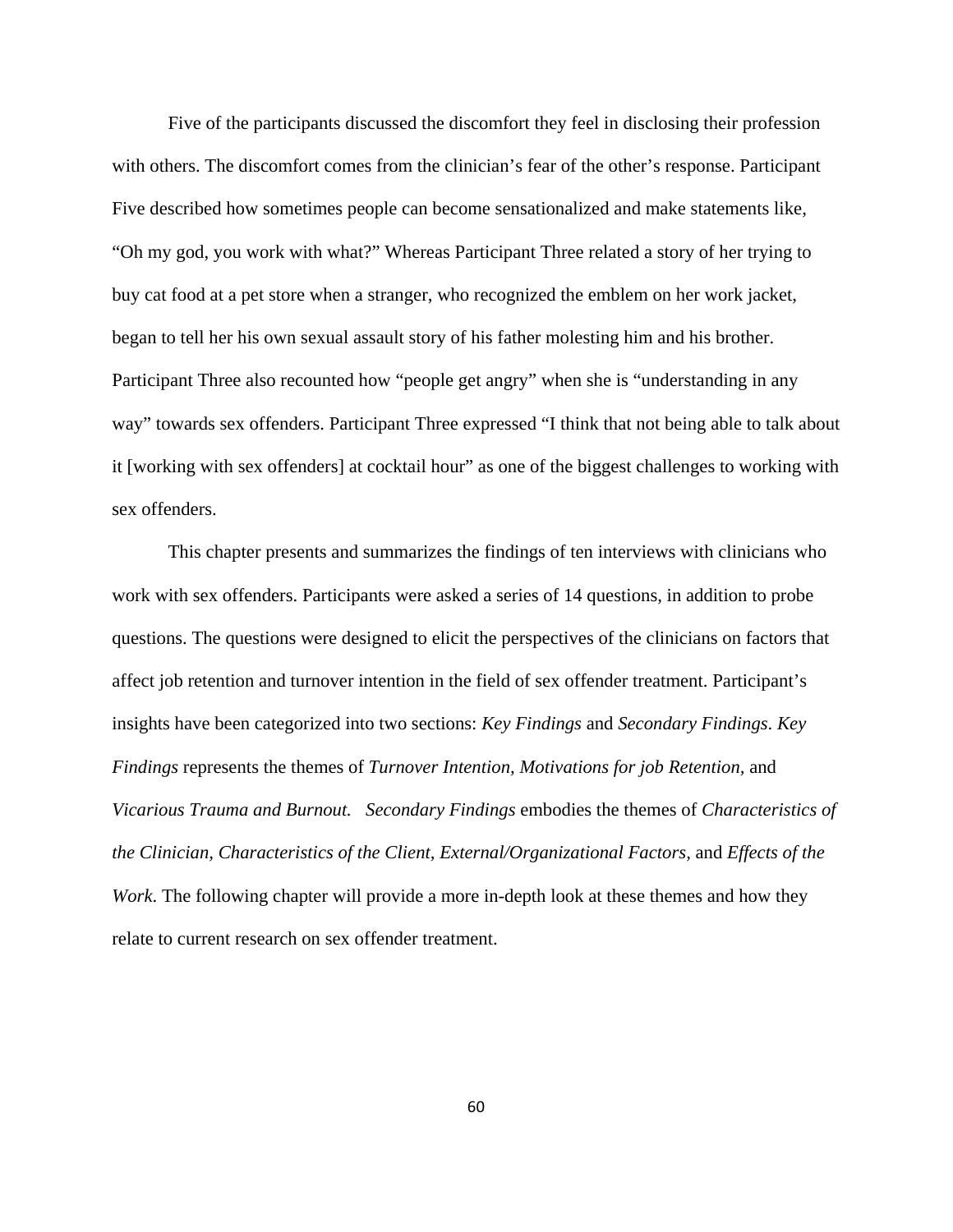Five of the participants discussed the discomfort they feel in disclosing their profession with others. The discomfort comes from the clinician's fear of the other's response. Participant Five described how sometimes people can become sensationalized and make statements like, "Oh my god, you work with what?" Whereas Participant Three related a story of her trying to buy cat food at a pet store when a stranger, who recognized the emblem on her work jacket, began to tell her his own sexual assault story of his father molesting him and his brother. Participant Three also recounted how "people get angry" when she is "understanding in any way" towards sex offenders. Participant Three expressed "I think that not being able to talk about it [working with sex offenders] at cocktail hour" as one of the biggest challenges to working with sex offenders.

This chapter presents and summarizes the findings of ten interviews with clinicians who work with sex offenders. Participants were asked a series of 14 questions, in addition to probe questions. The questions were designed to elicit the perspectives of the clinicians on factors that affect job retention and turnover intention in the field of sex offender treatment. Participant's insights have been categorized into two sections: *Key Findings* and *Secondary Findings*. *Key Findings* represents the themes of *Turnover Intention, Motivations for job Retention,* and *Vicarious Trauma and Burnout. Secondary Findings* embodies the themes of *Characteristics of the Clinician, Characteristics of the Client, External/Organizational Factors,* and *Effects of the Work*. The following chapter will provide a more in-depth look at these themes and how they relate to current research on sex offender treatment.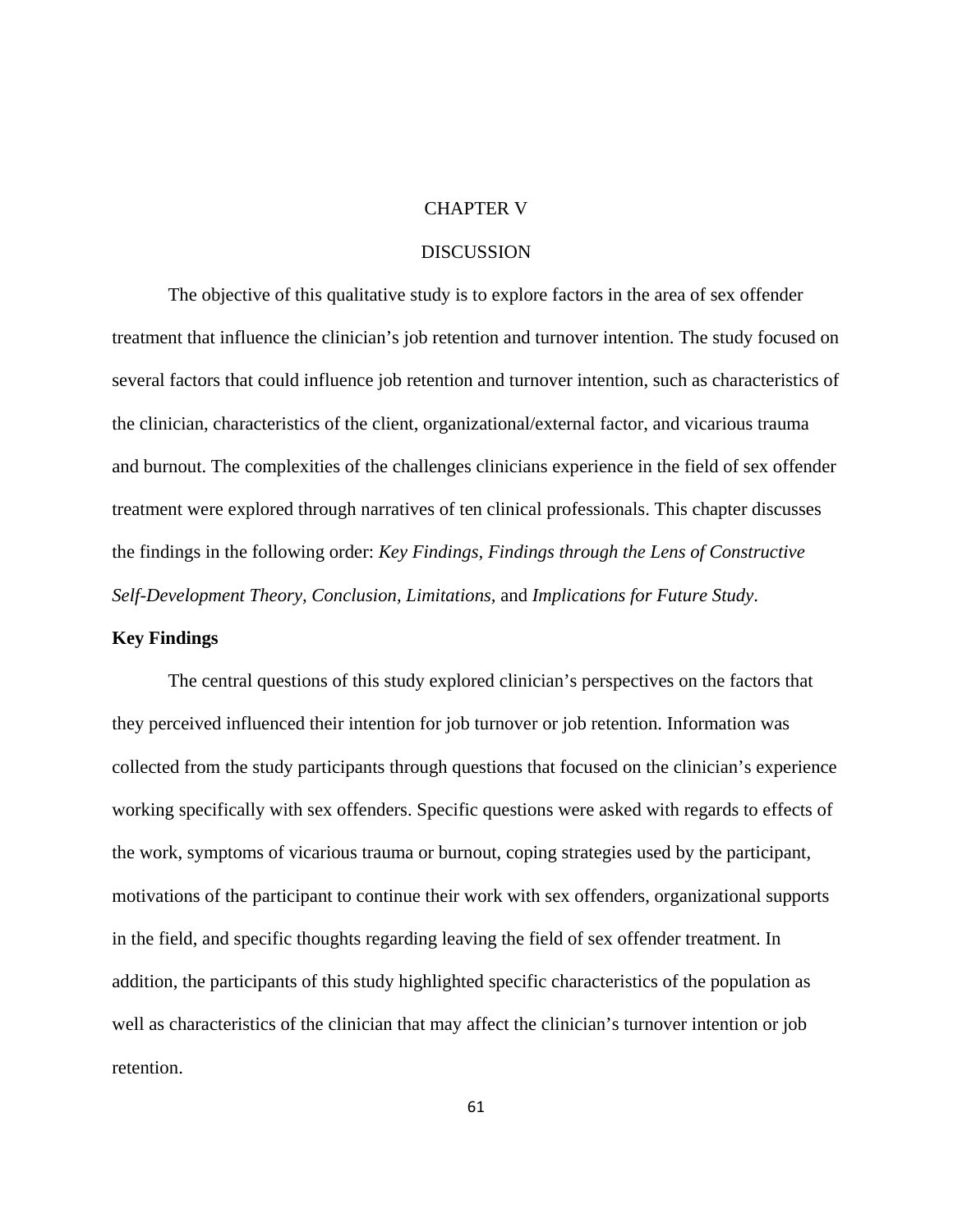# CHAPTER V

# **DISCUSSION**

The objective of this qualitative study is to explore factors in the area of sex offender treatment that influence the clinician's job retention and turnover intention. The study focused on several factors that could influence job retention and turnover intention, such as characteristics of the clinician, characteristics of the client, organizational/external factor, and vicarious trauma and burnout. The complexities of the challenges clinicians experience in the field of sex offender treatment were explored through narratives of ten clinical professionals. This chapter discusses the findings in the following order: *Key Findings, Findings through the Lens of Constructive Self-Development Theory, Conclusion, Limitations,* and *Implications for Future Study*.

## **Key Findings**

The central questions of this study explored clinician's perspectives on the factors that they perceived influenced their intention for job turnover or job retention. Information was collected from the study participants through questions that focused on the clinician's experience working specifically with sex offenders. Specific questions were asked with regards to effects of the work, symptoms of vicarious trauma or burnout, coping strategies used by the participant, motivations of the participant to continue their work with sex offenders, organizational supports in the field, and specific thoughts regarding leaving the field of sex offender treatment. In addition, the participants of this study highlighted specific characteristics of the population as well as characteristics of the clinician that may affect the clinician's turnover intention or job retention.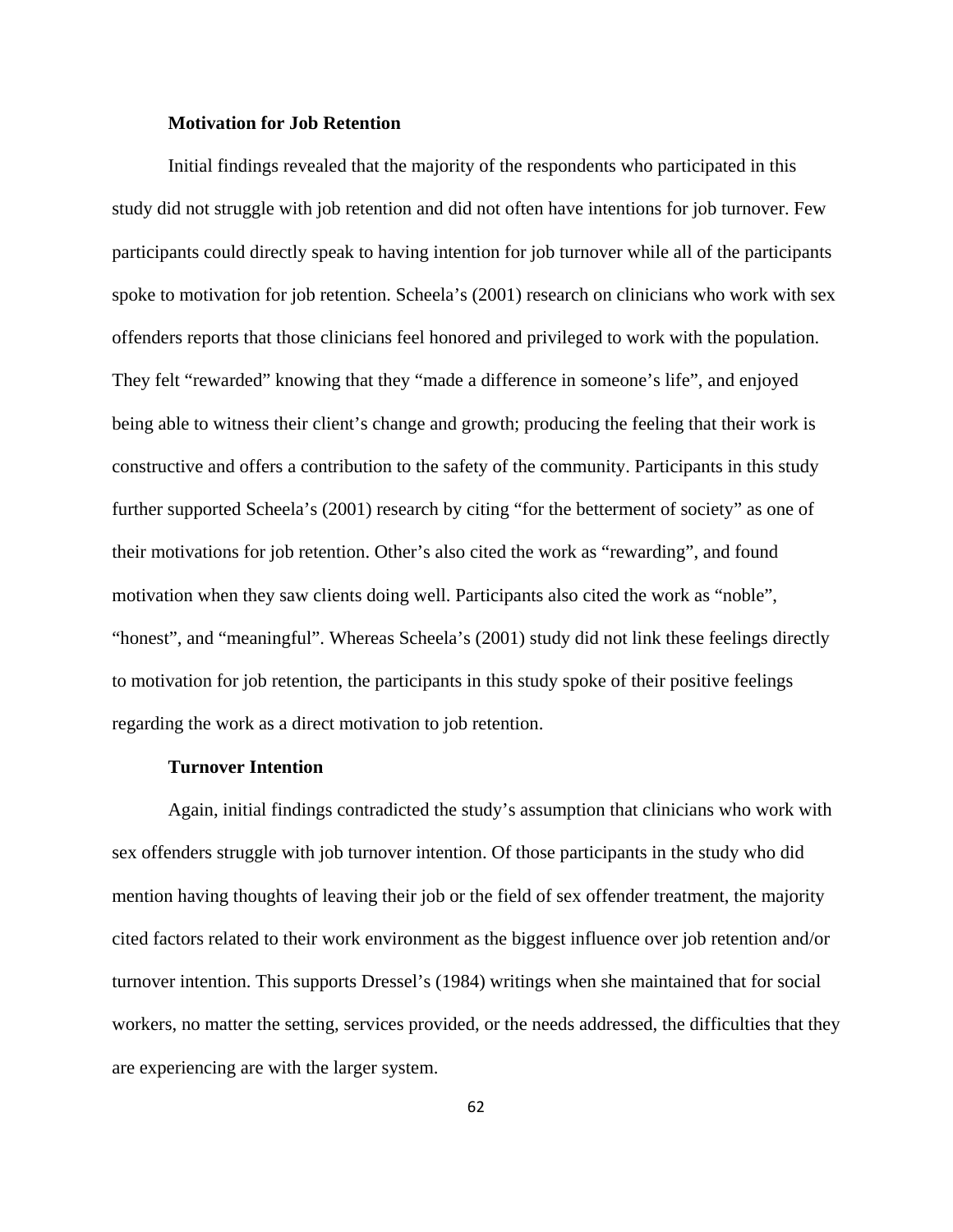## **Motivation for Job Retention**

Initial findings revealed that the majority of the respondents who participated in this study did not struggle with job retention and did not often have intentions for job turnover. Few participants could directly speak to having intention for job turnover while all of the participants spoke to motivation for job retention. Scheela's (2001) research on clinicians who work with sex offenders reports that those clinicians feel honored and privileged to work with the population. They felt "rewarded" knowing that they "made a difference in someone's life", and enjoyed being able to witness their client's change and growth; producing the feeling that their work is constructive and offers a contribution to the safety of the community. Participants in this study further supported Scheela's (2001) research by citing "for the betterment of society" as one of their motivations for job retention. Other's also cited the work as "rewarding", and found motivation when they saw clients doing well. Participants also cited the work as "noble", "honest", and "meaningful". Whereas Scheela's (2001) study did not link these feelings directly to motivation for job retention, the participants in this study spoke of their positive feelings regarding the work as a direct motivation to job retention.

#### **Turnover Intention**

Again, initial findings contradicted the study's assumption that clinicians who work with sex offenders struggle with job turnover intention. Of those participants in the study who did mention having thoughts of leaving their job or the field of sex offender treatment, the majority cited factors related to their work environment as the biggest influence over job retention and/or turnover intention. This supports Dressel's (1984) writings when she maintained that for social workers, no matter the setting, services provided, or the needs addressed, the difficulties that they are experiencing are with the larger system.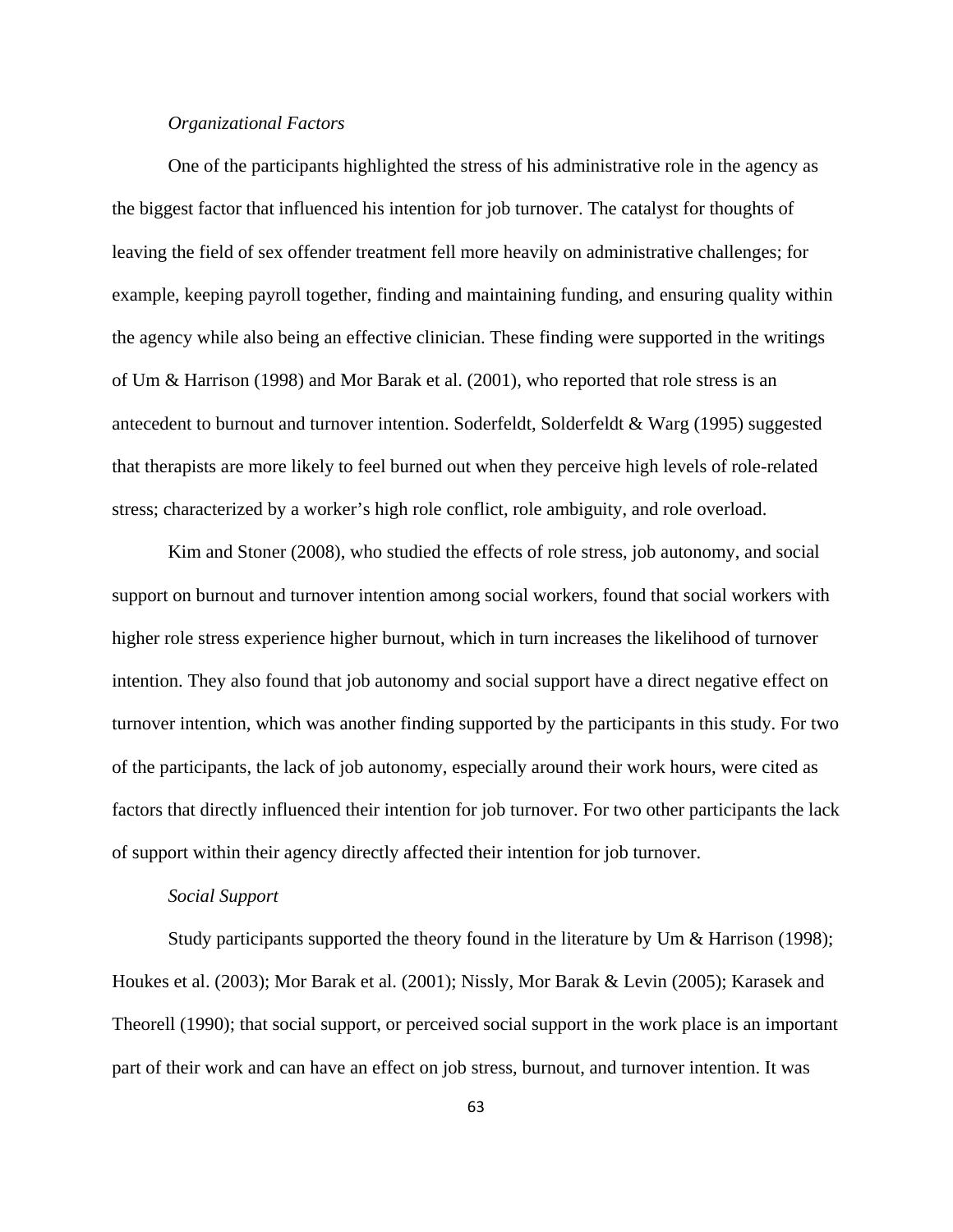# *Organizational Factors*

One of the participants highlighted the stress of his administrative role in the agency as the biggest factor that influenced his intention for job turnover. The catalyst for thoughts of leaving the field of sex offender treatment fell more heavily on administrative challenges; for example, keeping payroll together, finding and maintaining funding, and ensuring quality within the agency while also being an effective clinician. These finding were supported in the writings of Um & Harrison (1998) and Mor Barak et al. (2001), who reported that role stress is an antecedent to burnout and turnover intention. Soderfeldt, Solderfeldt & Warg (1995) suggested that therapists are more likely to feel burned out when they perceive high levels of role-related stress; characterized by a worker's high role conflict, role ambiguity, and role overload.

Kim and Stoner (2008), who studied the effects of role stress, job autonomy, and social support on burnout and turnover intention among social workers, found that social workers with higher role stress experience higher burnout, which in turn increases the likelihood of turnover intention. They also found that job autonomy and social support have a direct negative effect on turnover intention, which was another finding supported by the participants in this study. For two of the participants, the lack of job autonomy, especially around their work hours, were cited as factors that directly influenced their intention for job turnover. For two other participants the lack of support within their agency directly affected their intention for job turnover.

# *Social Support*

Study participants supported the theory found in the literature by Um & Harrison (1998); Houkes et al. (2003); Mor Barak et al. (2001); Nissly, Mor Barak & Levin (2005); Karasek and Theorell (1990); that social support, or perceived social support in the work place is an important part of their work and can have an effect on job stress, burnout, and turnover intention. It was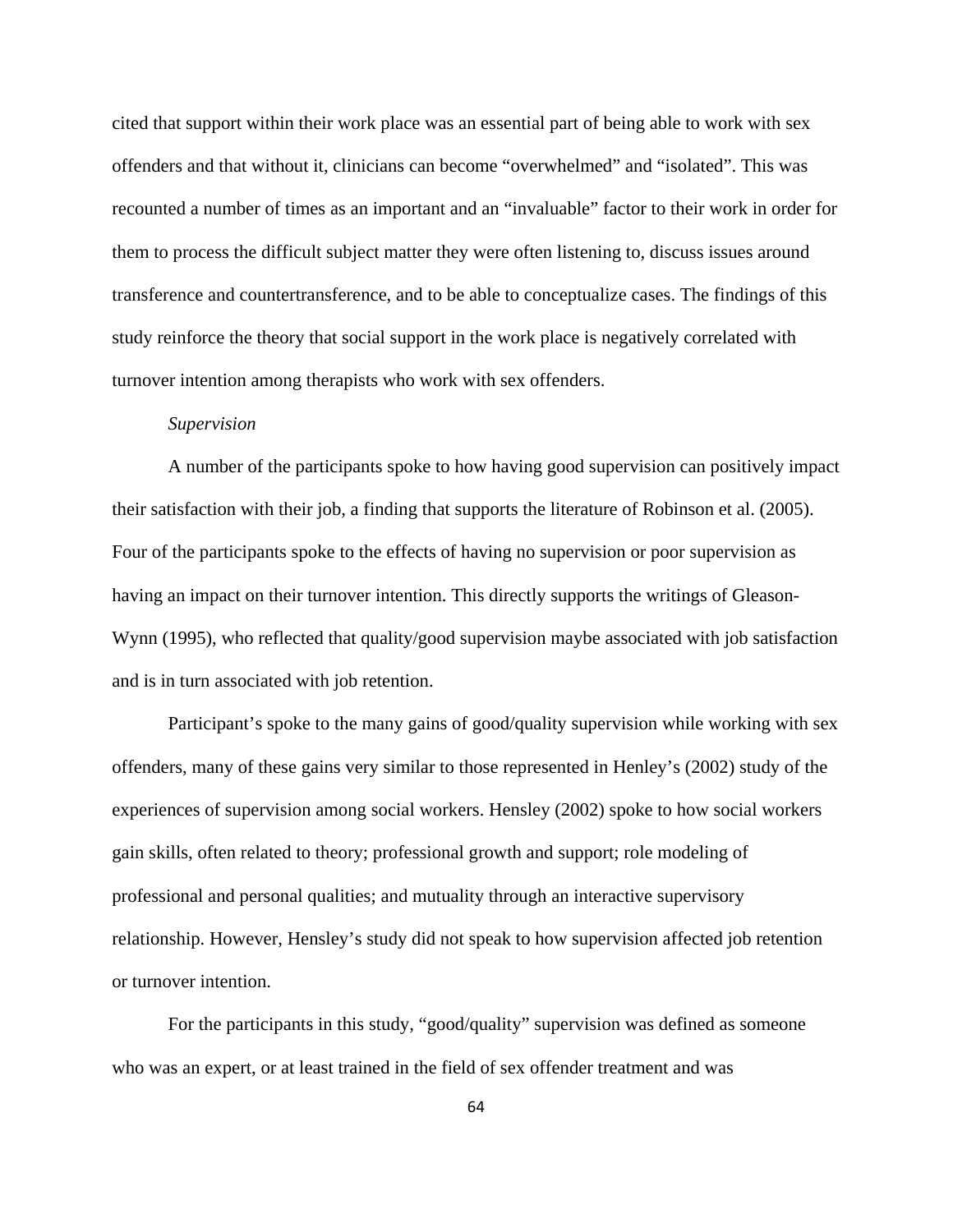cited that support within their work place was an essential part of being able to work with sex offenders and that without it, clinicians can become "overwhelmed" and "isolated". This was recounted a number of times as an important and an "invaluable" factor to their work in order for them to process the difficult subject matter they were often listening to, discuss issues around transference and countertransference, and to be able to conceptualize cases. The findings of this study reinforce the theory that social support in the work place is negatively correlated with turnover intention among therapists who work with sex offenders.

#### *Supervision*

A number of the participants spoke to how having good supervision can positively impact their satisfaction with their job, a finding that supports the literature of Robinson et al. (2005). Four of the participants spoke to the effects of having no supervision or poor supervision as having an impact on their turnover intention. This directly supports the writings of Gleason-Wynn (1995), who reflected that quality/good supervision maybe associated with job satisfaction and is in turn associated with job retention.

Participant's spoke to the many gains of good/quality supervision while working with sex offenders, many of these gains very similar to those represented in Henley's (2002) study of the experiences of supervision among social workers. Hensley (2002) spoke to how social workers gain skills, often related to theory; professional growth and support; role modeling of professional and personal qualities; and mutuality through an interactive supervisory relationship. However, Hensley's study did not speak to how supervision affected job retention or turnover intention.

For the participants in this study, "good/quality" supervision was defined as someone who was an expert, or at least trained in the field of sex offender treatment and was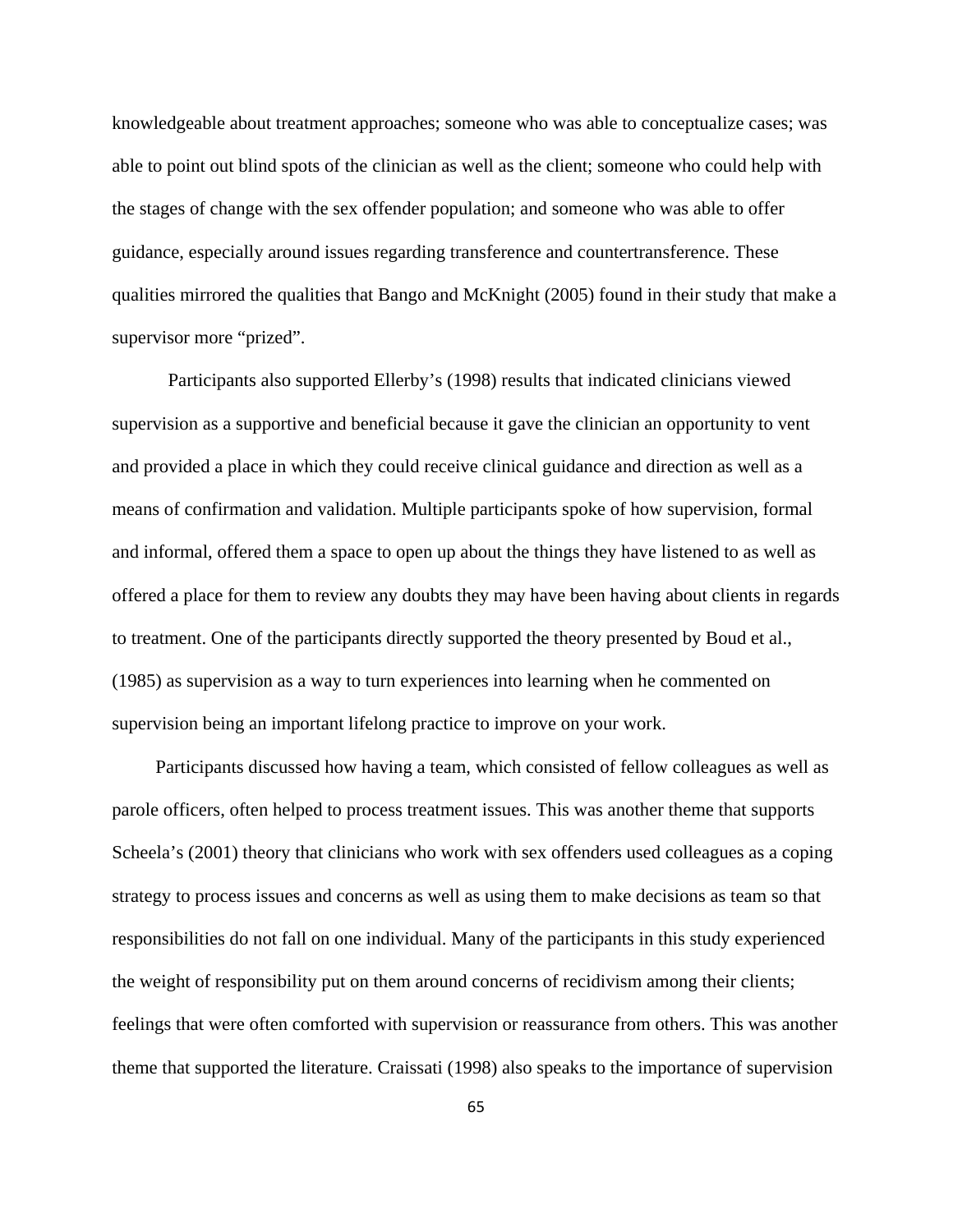knowledgeable about treatment approaches; someone who was able to conceptualize cases; was able to point out blind spots of the clinician as well as the client; someone who could help with the stages of change with the sex offender population; and someone who was able to offer guidance, especially around issues regarding transference and countertransference. These qualities mirrored the qualities that Bango and McKnight (2005) found in their study that make a supervisor more "prized".

Participants also supported Ellerby's (1998) results that indicated clinicians viewed supervision as a supportive and beneficial because it gave the clinician an opportunity to vent and provided a place in which they could receive clinical guidance and direction as well as a means of confirmation and validation. Multiple participants spoke of how supervision, formal and informal, offered them a space to open up about the things they have listened to as well as offered a place for them to review any doubts they may have been having about clients in regards to treatment. One of the participants directly supported the theory presented by Boud et al., (1985) as supervision as a way to turn experiences into learning when he commented on supervision being an important lifelong practice to improve on your work.

 Participants discussed how having a team, which consisted of fellow colleagues as well as parole officers, often helped to process treatment issues. This was another theme that supports Scheela's (2001) theory that clinicians who work with sex offenders used colleagues as a coping strategy to process issues and concerns as well as using them to make decisions as team so that responsibilities do not fall on one individual. Many of the participants in this study experienced the weight of responsibility put on them around concerns of recidivism among their clients; feelings that were often comforted with supervision or reassurance from others. This was another theme that supported the literature. Craissati (1998) also speaks to the importance of supervision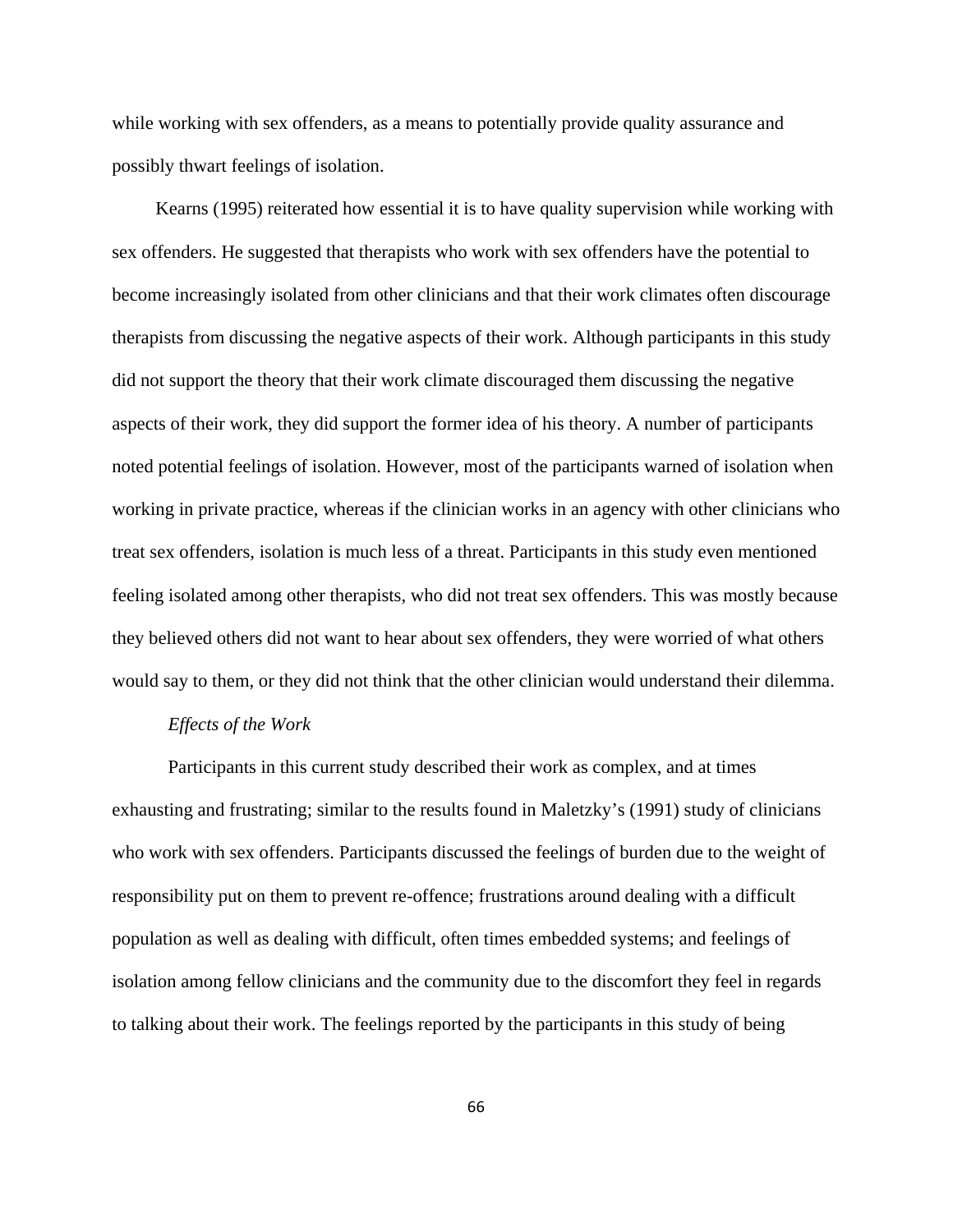while working with sex offenders, as a means to potentially provide quality assurance and possibly thwart feelings of isolation.

 Kearns (1995) reiterated how essential it is to have quality supervision while working with sex offenders. He suggested that therapists who work with sex offenders have the potential to become increasingly isolated from other clinicians and that their work climates often discourage therapists from discussing the negative aspects of their work. Although participants in this study did not support the theory that their work climate discouraged them discussing the negative aspects of their work, they did support the former idea of his theory. A number of participants noted potential feelings of isolation. However, most of the participants warned of isolation when working in private practice, whereas if the clinician works in an agency with other clinicians who treat sex offenders, isolation is much less of a threat. Participants in this study even mentioned feeling isolated among other therapists, who did not treat sex offenders. This was mostly because they believed others did not want to hear about sex offenders, they were worried of what others would say to them, or they did not think that the other clinician would understand their dilemma.

## *Effects of the Work*

Participants in this current study described their work as complex, and at times exhausting and frustrating; similar to the results found in Maletzky's (1991) study of clinicians who work with sex offenders. Participants discussed the feelings of burden due to the weight of responsibility put on them to prevent re-offence; frustrations around dealing with a difficult population as well as dealing with difficult, often times embedded systems; and feelings of isolation among fellow clinicians and the community due to the discomfort they feel in regards to talking about their work. The feelings reported by the participants in this study of being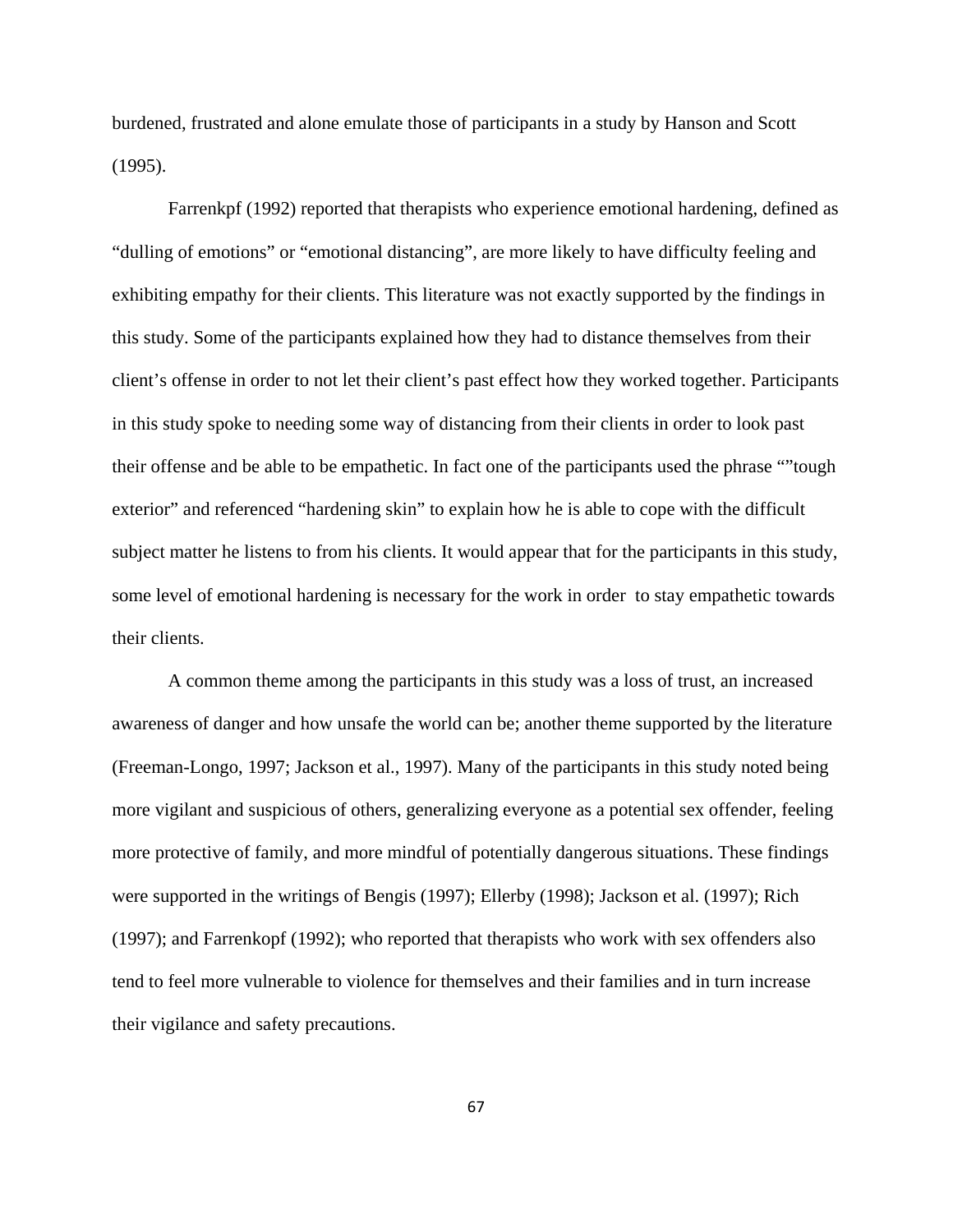burdened, frustrated and alone emulate those of participants in a study by Hanson and Scott (1995).

Farrenkpf (1992) reported that therapists who experience emotional hardening, defined as "dulling of emotions" or "emotional distancing", are more likely to have difficulty feeling and exhibiting empathy for their clients. This literature was not exactly supported by the findings in this study. Some of the participants explained how they had to distance themselves from their client's offense in order to not let their client's past effect how they worked together. Participants in this study spoke to needing some way of distancing from their clients in order to look past their offense and be able to be empathetic. In fact one of the participants used the phrase ""tough exterior" and referenced "hardening skin" to explain how he is able to cope with the difficult subject matter he listens to from his clients. It would appear that for the participants in this study, some level of emotional hardening is necessary for the work in order to stay empathetic towards their clients.

A common theme among the participants in this study was a loss of trust, an increased awareness of danger and how unsafe the world can be; another theme supported by the literature (Freeman-Longo, 1997; Jackson et al., 1997). Many of the participants in this study noted being more vigilant and suspicious of others, generalizing everyone as a potential sex offender, feeling more protective of family, and more mindful of potentially dangerous situations. These findings were supported in the writings of Bengis (1997); Ellerby (1998); Jackson et al. (1997); Rich (1997); and Farrenkopf (1992); who reported that therapists who work with sex offenders also tend to feel more vulnerable to violence for themselves and their families and in turn increase their vigilance and safety precautions.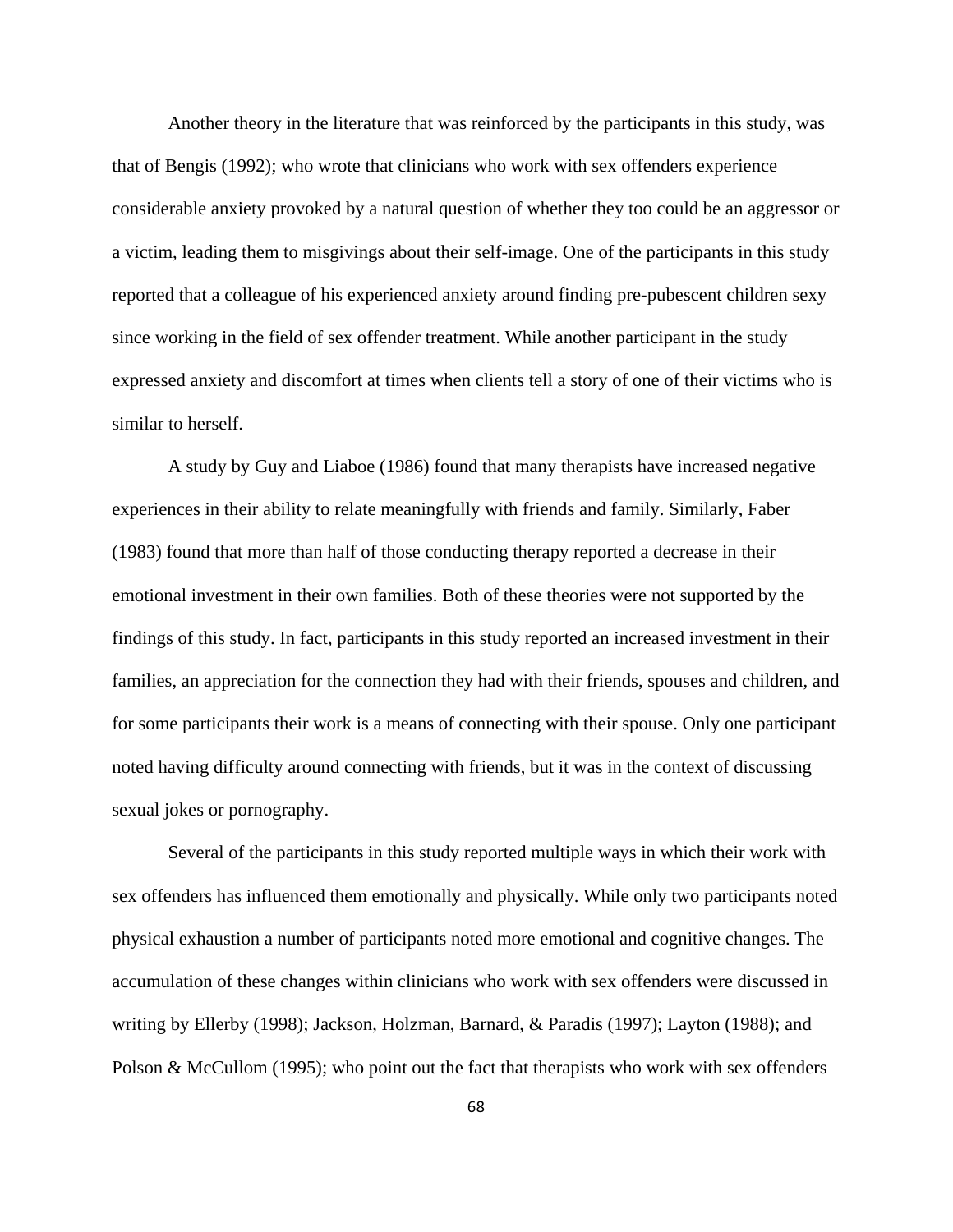Another theory in the literature that was reinforced by the participants in this study, was that of Bengis (1992); who wrote that clinicians who work with sex offenders experience considerable anxiety provoked by a natural question of whether they too could be an aggressor or a victim, leading them to misgivings about their self-image. One of the participants in this study reported that a colleague of his experienced anxiety around finding pre-pubescent children sexy since working in the field of sex offender treatment. While another participant in the study expressed anxiety and discomfort at times when clients tell a story of one of their victims who is similar to herself.

A study by Guy and Liaboe (1986) found that many therapists have increased negative experiences in their ability to relate meaningfully with friends and family. Similarly, Faber (1983) found that more than half of those conducting therapy reported a decrease in their emotional investment in their own families. Both of these theories were not supported by the findings of this study. In fact, participants in this study reported an increased investment in their families, an appreciation for the connection they had with their friends, spouses and children, and for some participants their work is a means of connecting with their spouse. Only one participant noted having difficulty around connecting with friends, but it was in the context of discussing sexual jokes or pornography.

Several of the participants in this study reported multiple ways in which their work with sex offenders has influenced them emotionally and physically. While only two participants noted physical exhaustion a number of participants noted more emotional and cognitive changes. The accumulation of these changes within clinicians who work with sex offenders were discussed in writing by Ellerby (1998); Jackson, Holzman, Barnard, & Paradis (1997); Layton (1988); and Polson & McCullom (1995); who point out the fact that therapists who work with sex offenders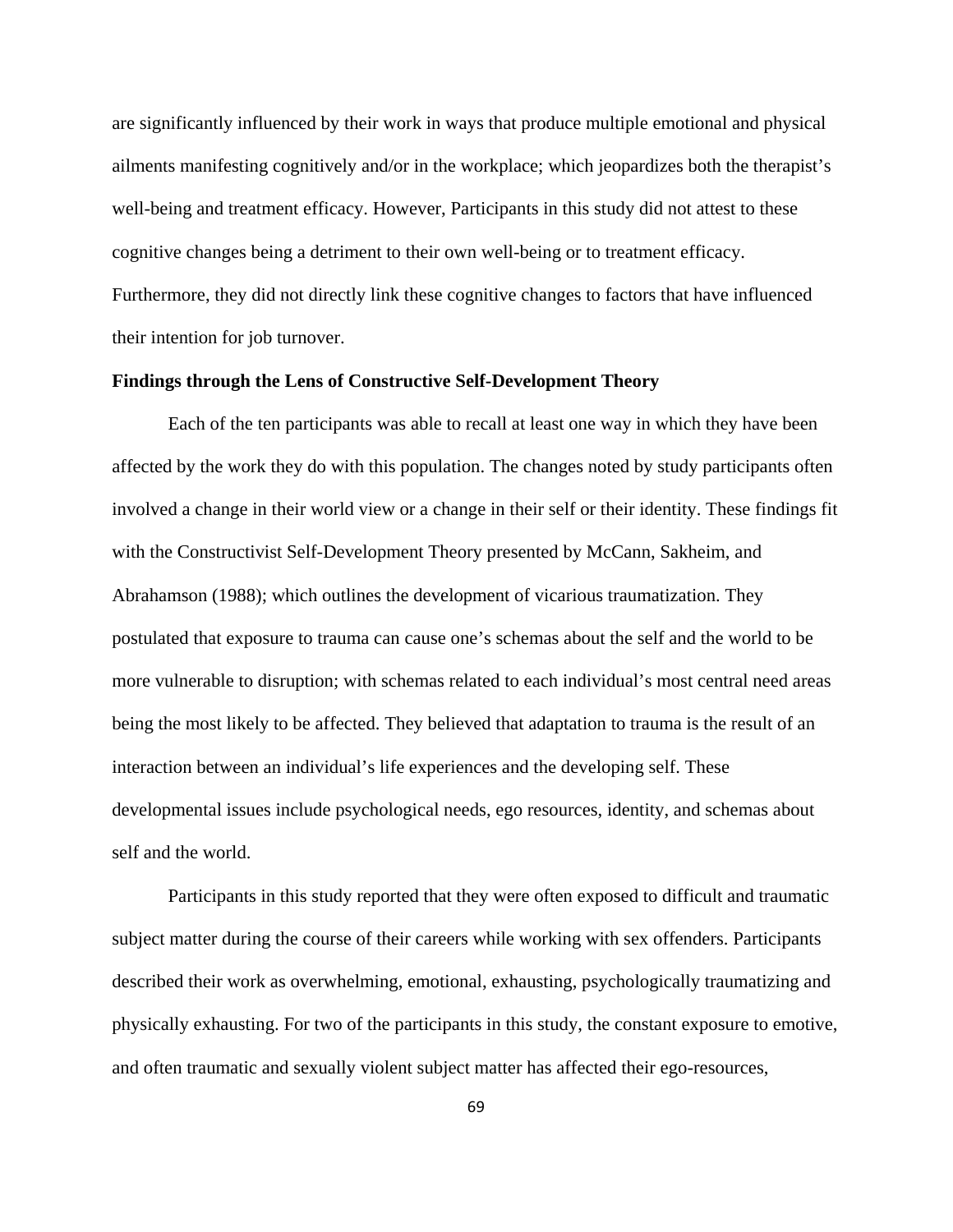are significantly influenced by their work in ways that produce multiple emotional and physical ailments manifesting cognitively and/or in the workplace; which jeopardizes both the therapist's well-being and treatment efficacy. However, Participants in this study did not attest to these cognitive changes being a detriment to their own well-being or to treatment efficacy. Furthermore, they did not directly link these cognitive changes to factors that have influenced their intention for job turnover.

#### **Findings through the Lens of Constructive Self-Development Theory**

Each of the ten participants was able to recall at least one way in which they have been affected by the work they do with this population. The changes noted by study participants often involved a change in their world view or a change in their self or their identity. These findings fit with the Constructivist Self-Development Theory presented by McCann, Sakheim, and Abrahamson (1988); which outlines the development of vicarious traumatization. They postulated that exposure to trauma can cause one's schemas about the self and the world to be more vulnerable to disruption; with schemas related to each individual's most central need areas being the most likely to be affected. They believed that adaptation to trauma is the result of an interaction between an individual's life experiences and the developing self. These developmental issues include psychological needs, ego resources, identity, and schemas about self and the world.

Participants in this study reported that they were often exposed to difficult and traumatic subject matter during the course of their careers while working with sex offenders. Participants described their work as overwhelming, emotional, exhausting, psychologically traumatizing and physically exhausting. For two of the participants in this study, the constant exposure to emotive, and often traumatic and sexually violent subject matter has affected their ego-resources,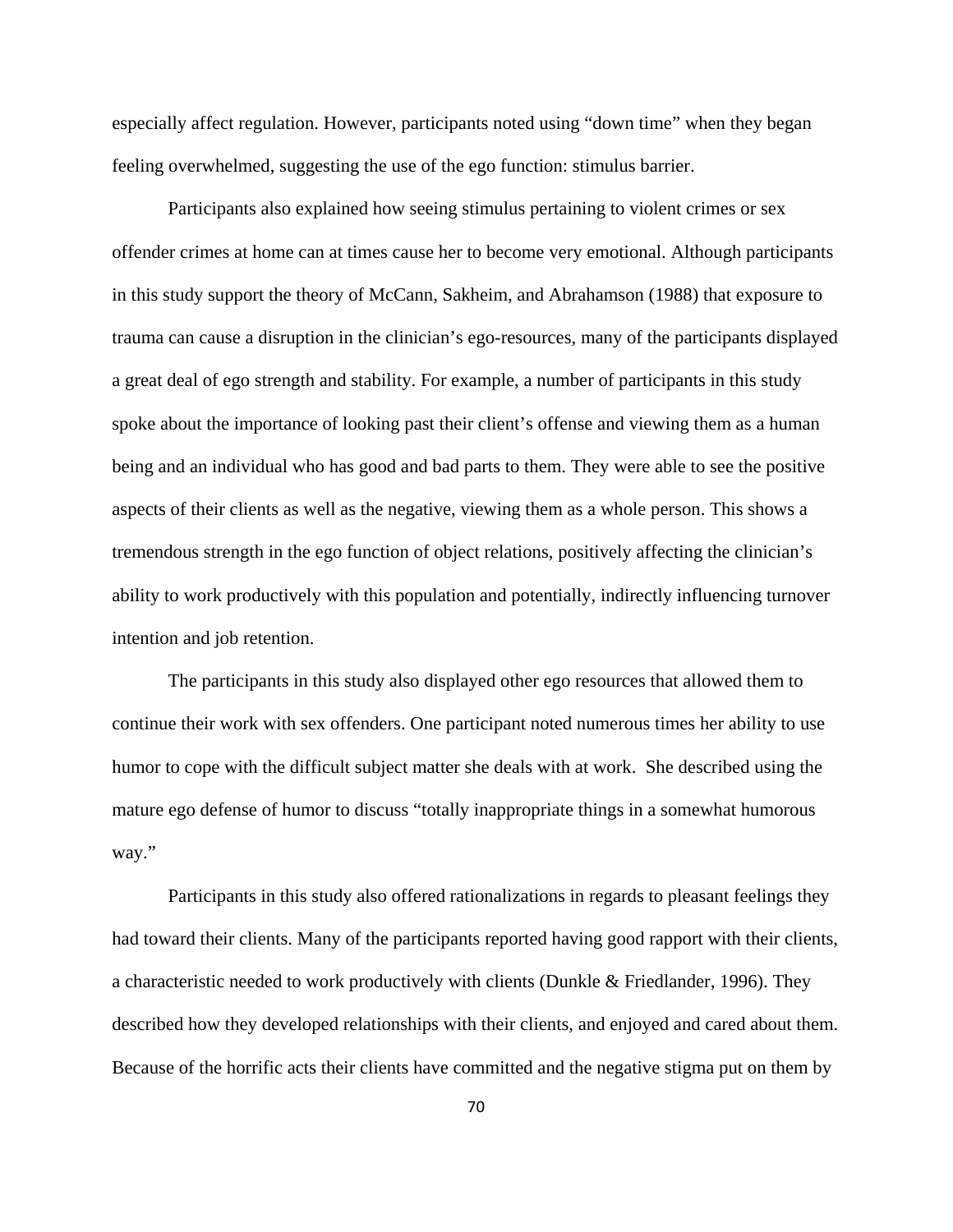especially affect regulation. However, participants noted using "down time" when they began feeling overwhelmed, suggesting the use of the ego function: stimulus barrier.

Participants also explained how seeing stimulus pertaining to violent crimes or sex offender crimes at home can at times cause her to become very emotional. Although participants in this study support the theory of McCann, Sakheim, and Abrahamson (1988) that exposure to trauma can cause a disruption in the clinician's ego-resources, many of the participants displayed a great deal of ego strength and stability. For example, a number of participants in this study spoke about the importance of looking past their client's offense and viewing them as a human being and an individual who has good and bad parts to them. They were able to see the positive aspects of their clients as well as the negative, viewing them as a whole person. This shows a tremendous strength in the ego function of object relations, positively affecting the clinician's ability to work productively with this population and potentially, indirectly influencing turnover intention and job retention.

The participants in this study also displayed other ego resources that allowed them to continue their work with sex offenders. One participant noted numerous times her ability to use humor to cope with the difficult subject matter she deals with at work. She described using the mature ego defense of humor to discuss "totally inappropriate things in a somewhat humorous way."

Participants in this study also offered rationalizations in regards to pleasant feelings they had toward their clients. Many of the participants reported having good rapport with their clients, a characteristic needed to work productively with clients (Dunkle & Friedlander, 1996). They described how they developed relationships with their clients, and enjoyed and cared about them. Because of the horrific acts their clients have committed and the negative stigma put on them by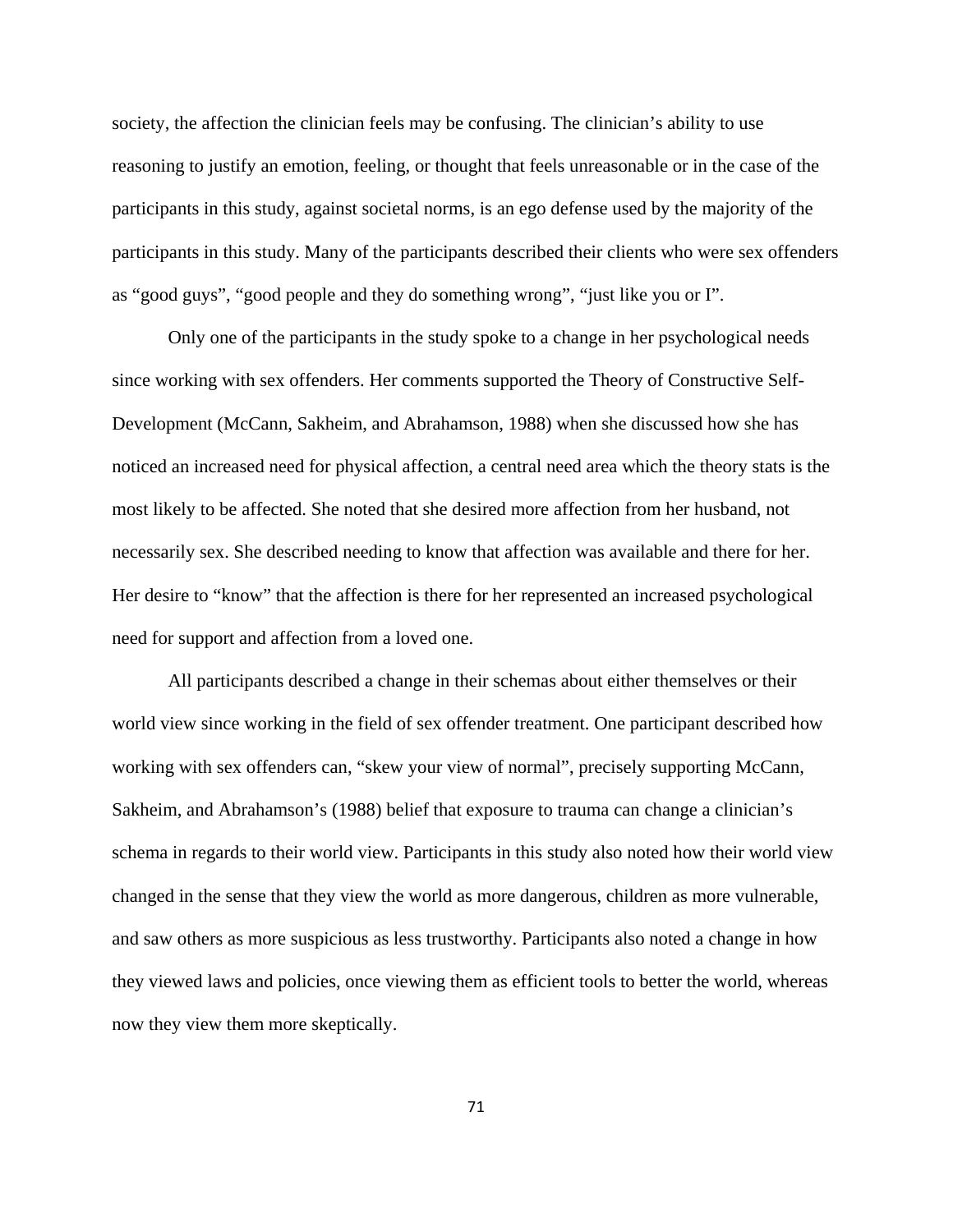society, the affection the clinician feels may be confusing. The clinician's ability to use reasoning to justify an emotion, feeling, or thought that feels unreasonable or in the case of the participants in this study, against societal norms, is an ego defense used by the majority of the participants in this study. Many of the participants described their clients who were sex offenders as "good guys", "good people and they do something wrong", "just like you or I".

 Only one of the participants in the study spoke to a change in her psychological needs since working with sex offenders. Her comments supported the Theory of Constructive Self-Development (McCann, Sakheim, and Abrahamson, 1988) when she discussed how she has noticed an increased need for physical affection, a central need area which the theory stats is the most likely to be affected. She noted that she desired more affection from her husband, not necessarily sex. She described needing to know that affection was available and there for her. Her desire to "know" that the affection is there for her represented an increased psychological need for support and affection from a loved one.

 All participants described a change in their schemas about either themselves or their world view since working in the field of sex offender treatment. One participant described how working with sex offenders can, "skew your view of normal", precisely supporting McCann, Sakheim, and Abrahamson's (1988) belief that exposure to trauma can change a clinician's schema in regards to their world view. Participants in this study also noted how their world view changed in the sense that they view the world as more dangerous, children as more vulnerable, and saw others as more suspicious as less trustworthy. Participants also noted a change in how they viewed laws and policies, once viewing them as efficient tools to better the world, whereas now they view them more skeptically.

71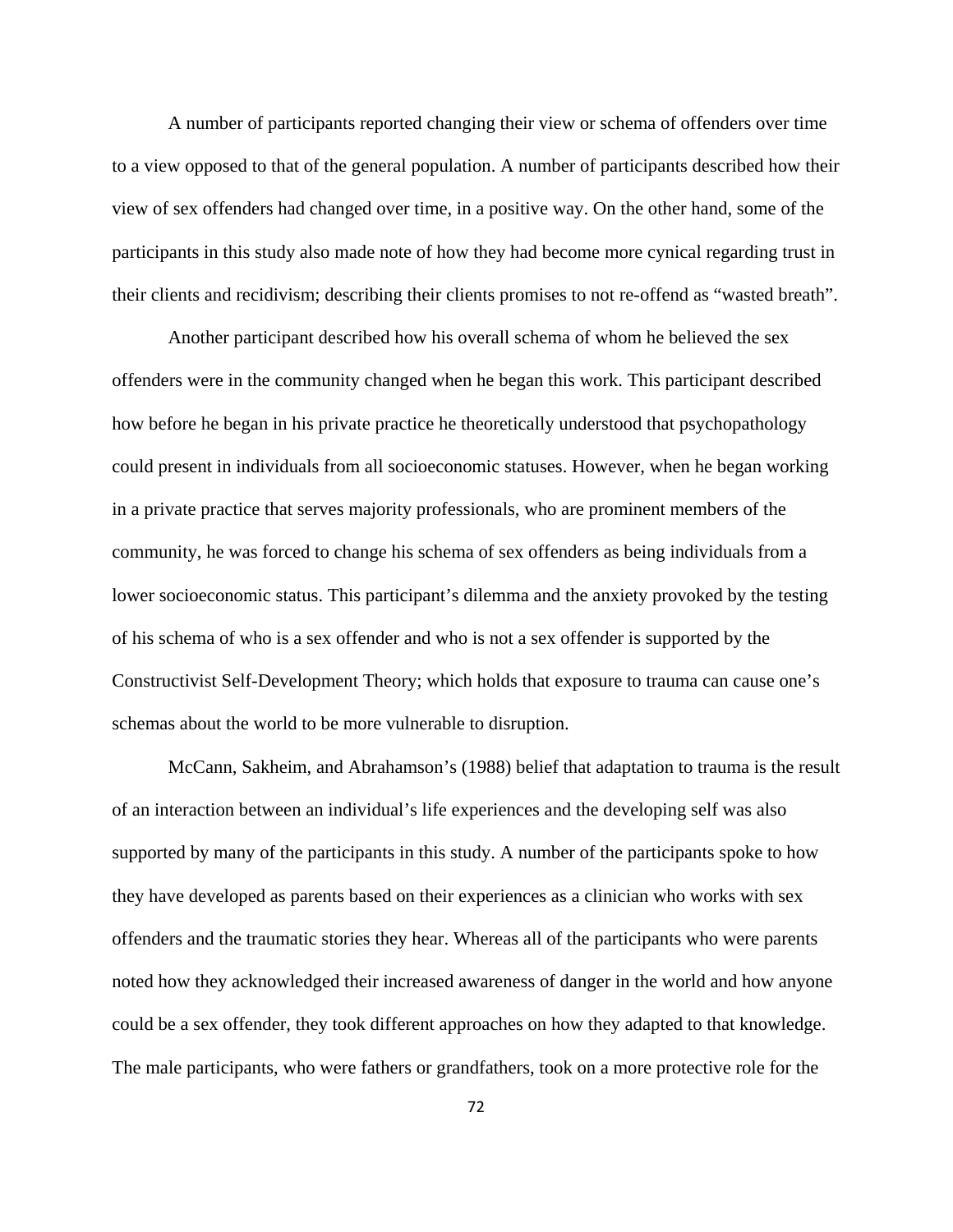A number of participants reported changing their view or schema of offenders over time to a view opposed to that of the general population. A number of participants described how their view of sex offenders had changed over time, in a positive way. On the other hand, some of the participants in this study also made note of how they had become more cynical regarding trust in their clients and recidivism; describing their clients promises to not re-offend as "wasted breath".

 Another participant described how his overall schema of whom he believed the sex offenders were in the community changed when he began this work. This participant described how before he began in his private practice he theoretically understood that psychopathology could present in individuals from all socioeconomic statuses. However, when he began working in a private practice that serves majority professionals, who are prominent members of the community, he was forced to change his schema of sex offenders as being individuals from a lower socioeconomic status. This participant's dilemma and the anxiety provoked by the testing of his schema of who is a sex offender and who is not a sex offender is supported by the Constructivist Self-Development Theory; which holds that exposure to trauma can cause one's schemas about the world to be more vulnerable to disruption.

 McCann, Sakheim, and Abrahamson's (1988) belief that adaptation to trauma is the result of an interaction between an individual's life experiences and the developing self was also supported by many of the participants in this study. A number of the participants spoke to how they have developed as parents based on their experiences as a clinician who works with sex offenders and the traumatic stories they hear. Whereas all of the participants who were parents noted how they acknowledged their increased awareness of danger in the world and how anyone could be a sex offender, they took different approaches on how they adapted to that knowledge. The male participants, who were fathers or grandfathers, took on a more protective role for the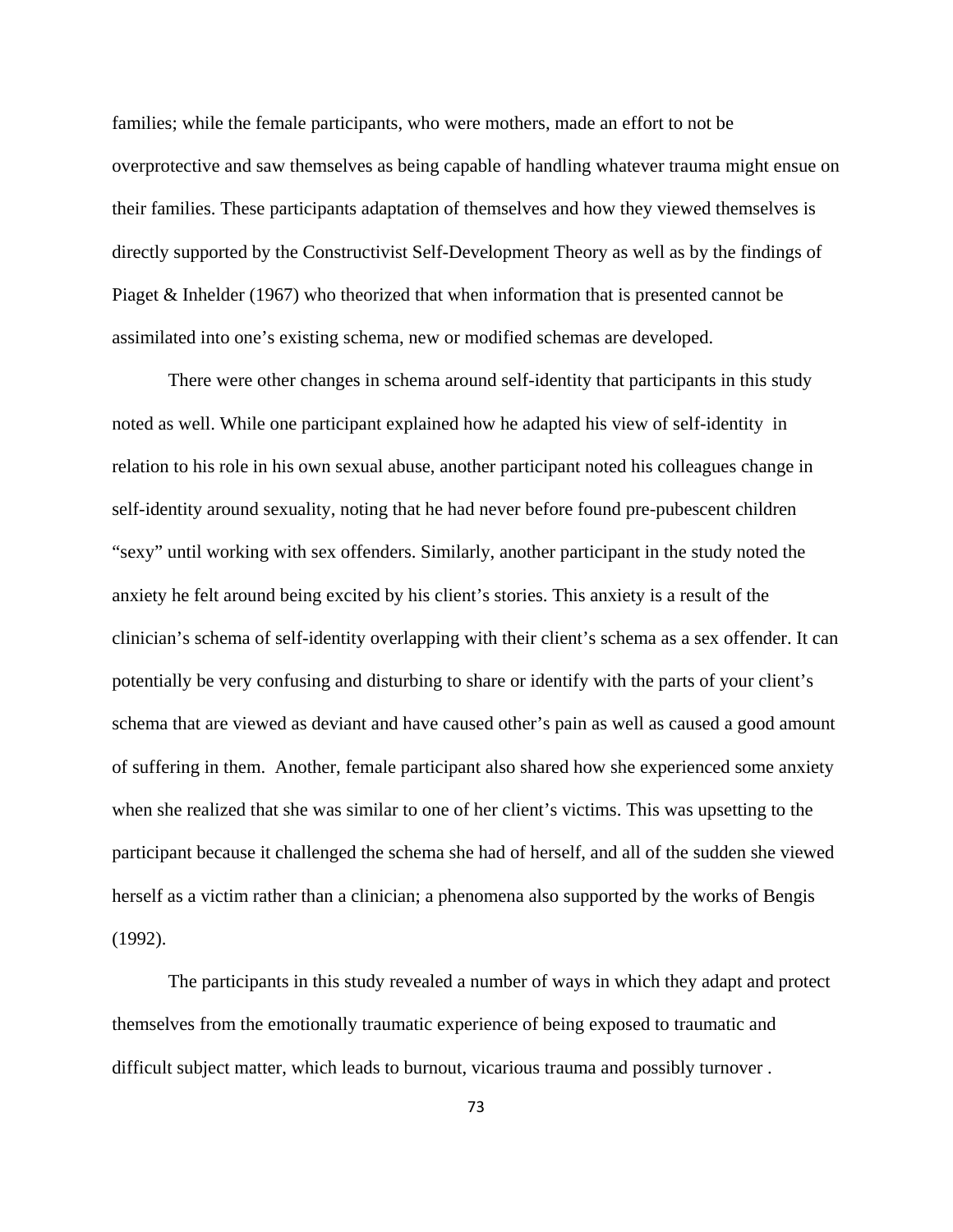families; while the female participants, who were mothers, made an effort to not be overprotective and saw themselves as being capable of handling whatever trauma might ensue on their families. These participants adaptation of themselves and how they viewed themselves is directly supported by the Constructivist Self-Development Theory as well as by the findings of Piaget & Inhelder (1967) who theorized that when information that is presented cannot be assimilated into one's existing schema, new or modified schemas are developed.

 There were other changes in schema around self-identity that participants in this study noted as well. While one participant explained how he adapted his view of self-identity in relation to his role in his own sexual abuse, another participant noted his colleagues change in self-identity around sexuality, noting that he had never before found pre-pubescent children "sexy" until working with sex offenders. Similarly, another participant in the study noted the anxiety he felt around being excited by his client's stories. This anxiety is a result of the clinician's schema of self-identity overlapping with their client's schema as a sex offender. It can potentially be very confusing and disturbing to share or identify with the parts of your client's schema that are viewed as deviant and have caused other's pain as well as caused a good amount of suffering in them. Another, female participant also shared how she experienced some anxiety when she realized that she was similar to one of her client's victims. This was upsetting to the participant because it challenged the schema she had of herself, and all of the sudden she viewed herself as a victim rather than a clinician; a phenomena also supported by the works of Bengis (1992).

The participants in this study revealed a number of ways in which they adapt and protect themselves from the emotionally traumatic experience of being exposed to traumatic and difficult subject matter, which leads to burnout, vicarious trauma and possibly turnover .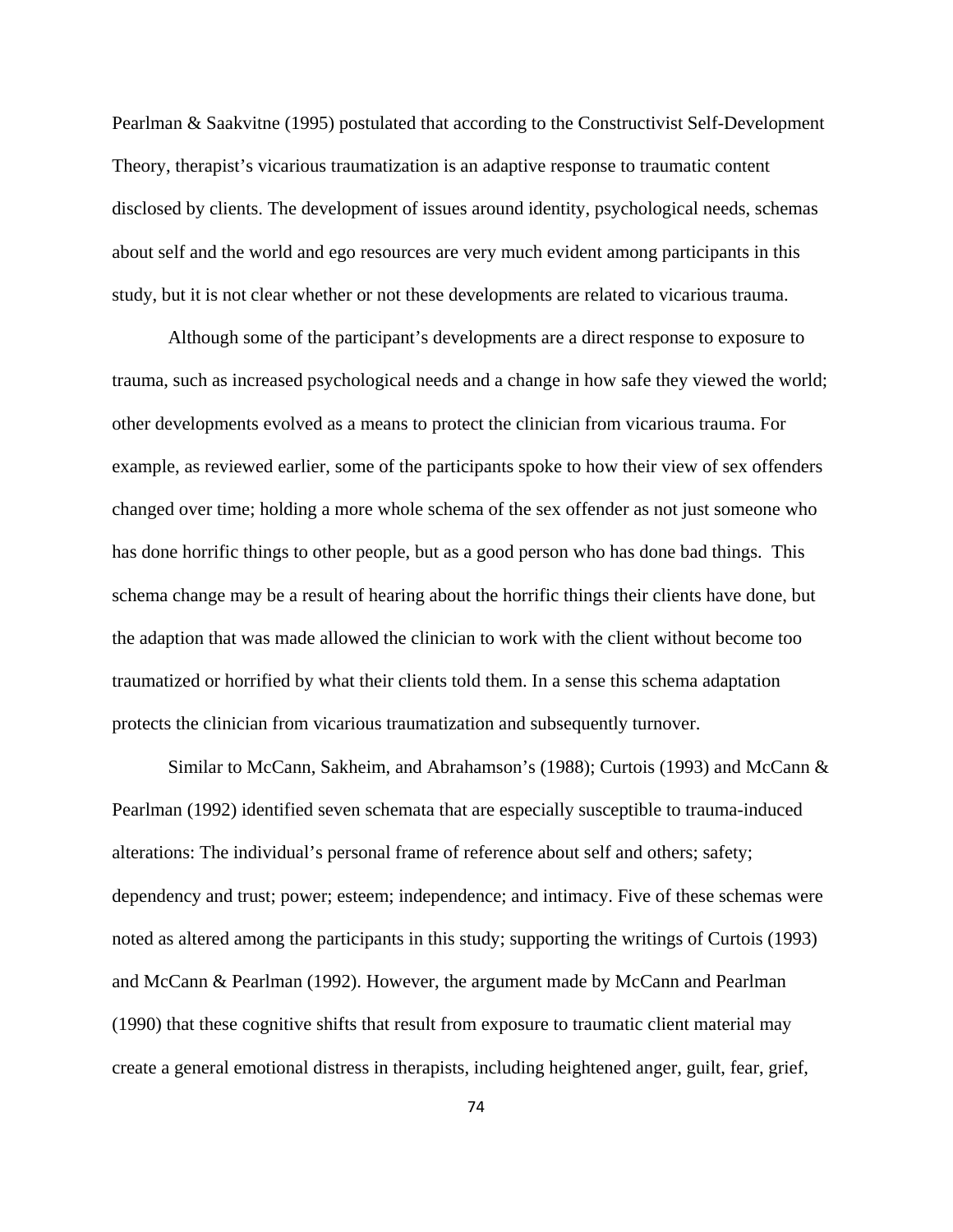Pearlman & Saakvitne (1995) postulated that according to the Constructivist Self-Development Theory, therapist's vicarious traumatization is an adaptive response to traumatic content disclosed by clients. The development of issues around identity, psychological needs, schemas about self and the world and ego resources are very much evident among participants in this study, but it is not clear whether or not these developments are related to vicarious trauma.

 Although some of the participant's developments are a direct response to exposure to trauma, such as increased psychological needs and a change in how safe they viewed the world; other developments evolved as a means to protect the clinician from vicarious trauma. For example, as reviewed earlier, some of the participants spoke to how their view of sex offenders changed over time; holding a more whole schema of the sex offender as not just someone who has done horrific things to other people, but as a good person who has done bad things. This schema change may be a result of hearing about the horrific things their clients have done, but the adaption that was made allowed the clinician to work with the client without become too traumatized or horrified by what their clients told them. In a sense this schema adaptation protects the clinician from vicarious traumatization and subsequently turnover.

 Similar to McCann, Sakheim, and Abrahamson's (1988); Curtois (1993) and McCann & Pearlman (1992) identified seven schemata that are especially susceptible to trauma-induced alterations: The individual's personal frame of reference about self and others; safety; dependency and trust; power; esteem; independence; and intimacy. Five of these schemas were noted as altered among the participants in this study; supporting the writings of Curtois (1993) and McCann & Pearlman (1992). However, the argument made by McCann and Pearlman (1990) that these cognitive shifts that result from exposure to traumatic client material may create a general emotional distress in therapists, including heightened anger, guilt, fear, grief,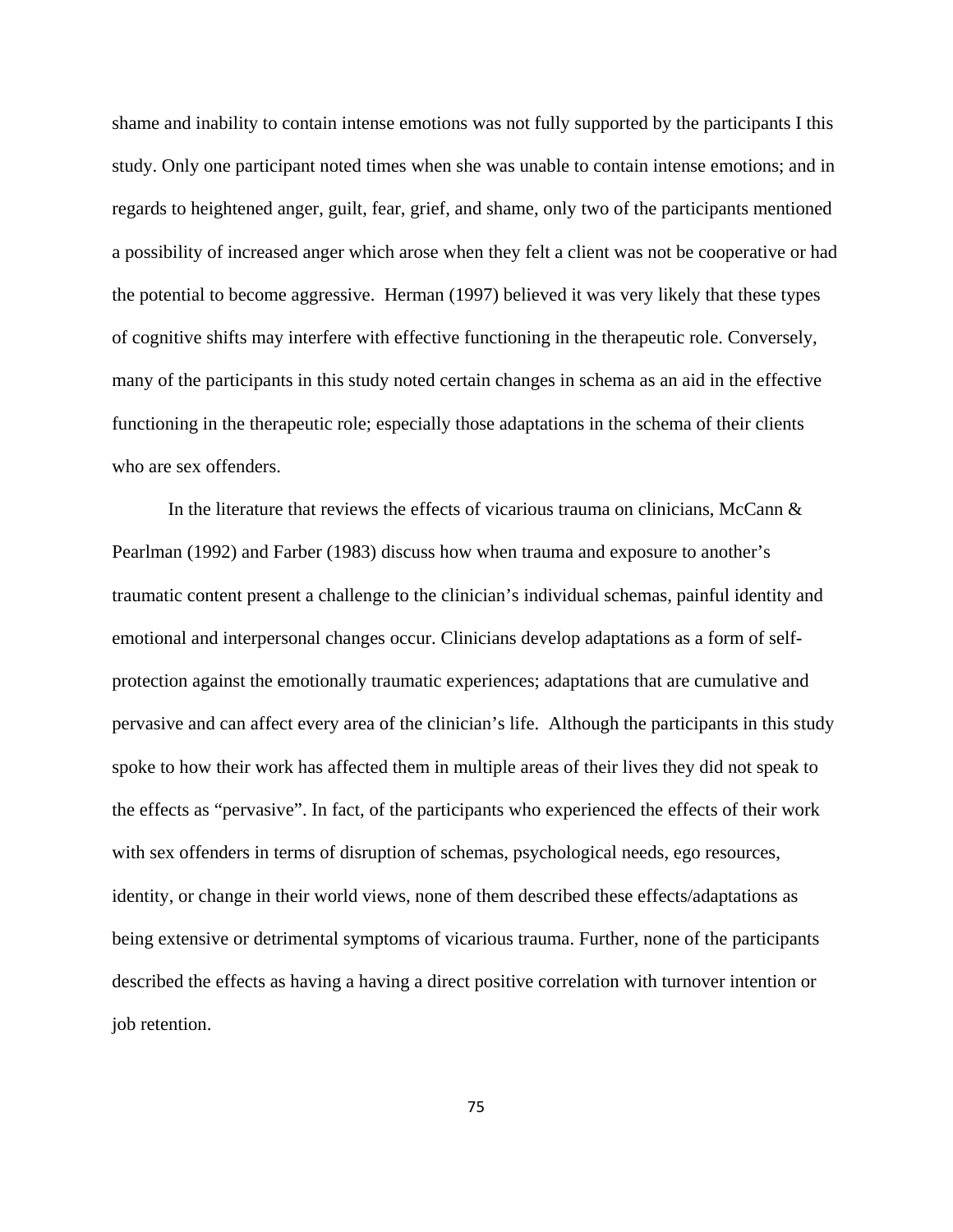shame and inability to contain intense emotions was not fully supported by the participants I this study. Only one participant noted times when she was unable to contain intense emotions; and in regards to heightened anger, guilt, fear, grief, and shame, only two of the participants mentioned a possibility of increased anger which arose when they felt a client was not be cooperative or had the potential to become aggressive. Herman (1997) believed it was very likely that these types of cognitive shifts may interfere with effective functioning in the therapeutic role. Conversely, many of the participants in this study noted certain changes in schema as an aid in the effective functioning in the therapeutic role; especially those adaptations in the schema of their clients who are sex offenders.

In the literature that reviews the effects of vicarious trauma on clinicians, McCann  $\&$ Pearlman (1992) and Farber (1983) discuss how when trauma and exposure to another's traumatic content present a challenge to the clinician's individual schemas, painful identity and emotional and interpersonal changes occur. Clinicians develop adaptations as a form of selfprotection against the emotionally traumatic experiences; adaptations that are cumulative and pervasive and can affect every area of the clinician's life. Although the participants in this study spoke to how their work has affected them in multiple areas of their lives they did not speak to the effects as "pervasive". In fact, of the participants who experienced the effects of their work with sex offenders in terms of disruption of schemas, psychological needs, ego resources, identity, or change in their world views, none of them described these effects/adaptations as being extensive or detrimental symptoms of vicarious trauma. Further, none of the participants described the effects as having a having a direct positive correlation with turnover intention or job retention.

75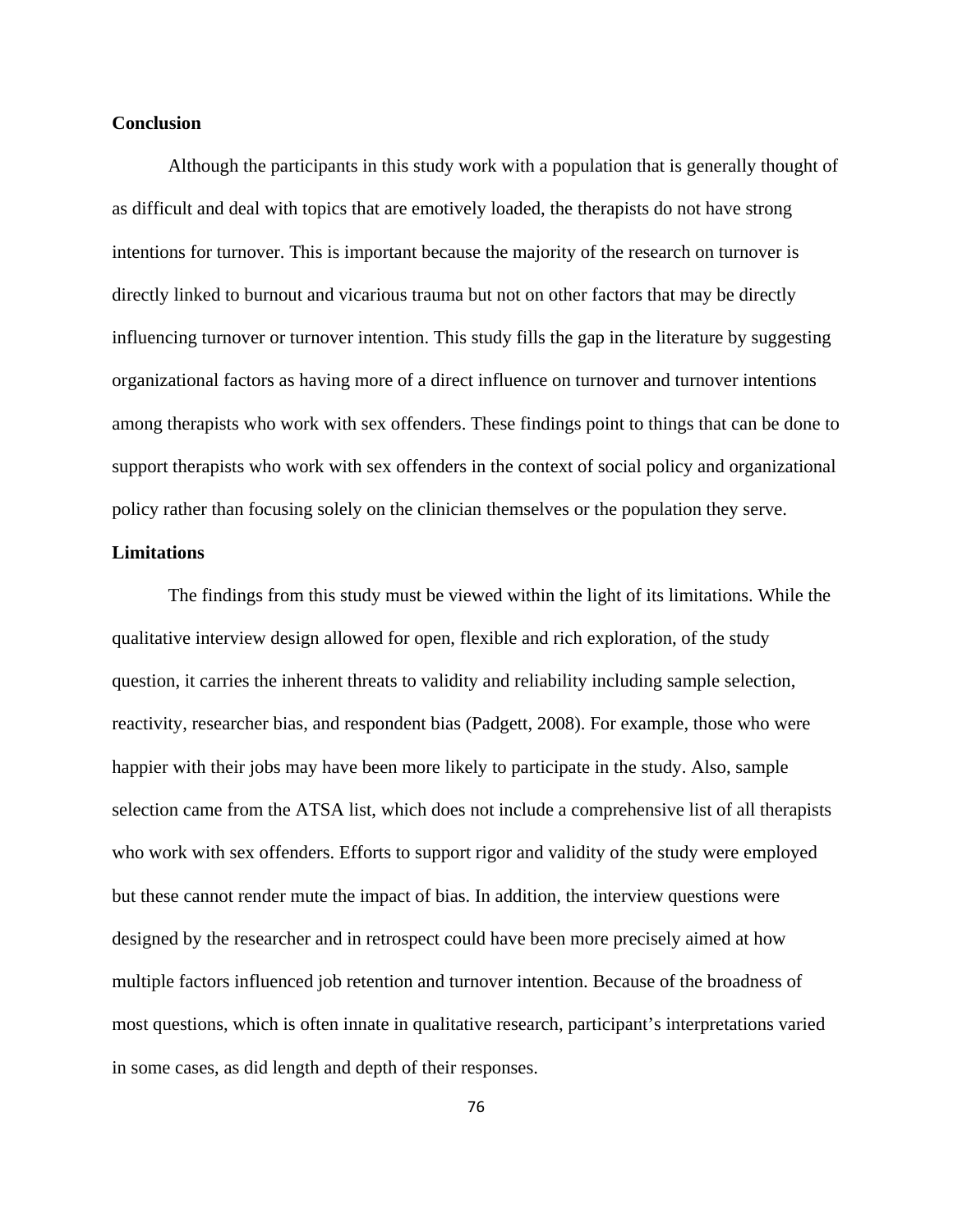### **Conclusion**

Although the participants in this study work with a population that is generally thought of as difficult and deal with topics that are emotively loaded, the therapists do not have strong intentions for turnover. This is important because the majority of the research on turnover is directly linked to burnout and vicarious trauma but not on other factors that may be directly influencing turnover or turnover intention. This study fills the gap in the literature by suggesting organizational factors as having more of a direct influence on turnover and turnover intentions among therapists who work with sex offenders. These findings point to things that can be done to support therapists who work with sex offenders in the context of social policy and organizational policy rather than focusing solely on the clinician themselves or the population they serve.

### **Limitations**

The findings from this study must be viewed within the light of its limitations. While the qualitative interview design allowed for open, flexible and rich exploration, of the study question, it carries the inherent threats to validity and reliability including sample selection, reactivity, researcher bias, and respondent bias (Padgett, 2008). For example, those who were happier with their jobs may have been more likely to participate in the study. Also, sample selection came from the ATSA list, which does not include a comprehensive list of all therapists who work with sex offenders. Efforts to support rigor and validity of the study were employed but these cannot render mute the impact of bias. In addition, the interview questions were designed by the researcher and in retrospect could have been more precisely aimed at how multiple factors influenced job retention and turnover intention. Because of the broadness of most questions, which is often innate in qualitative research, participant's interpretations varied in some cases, as did length and depth of their responses.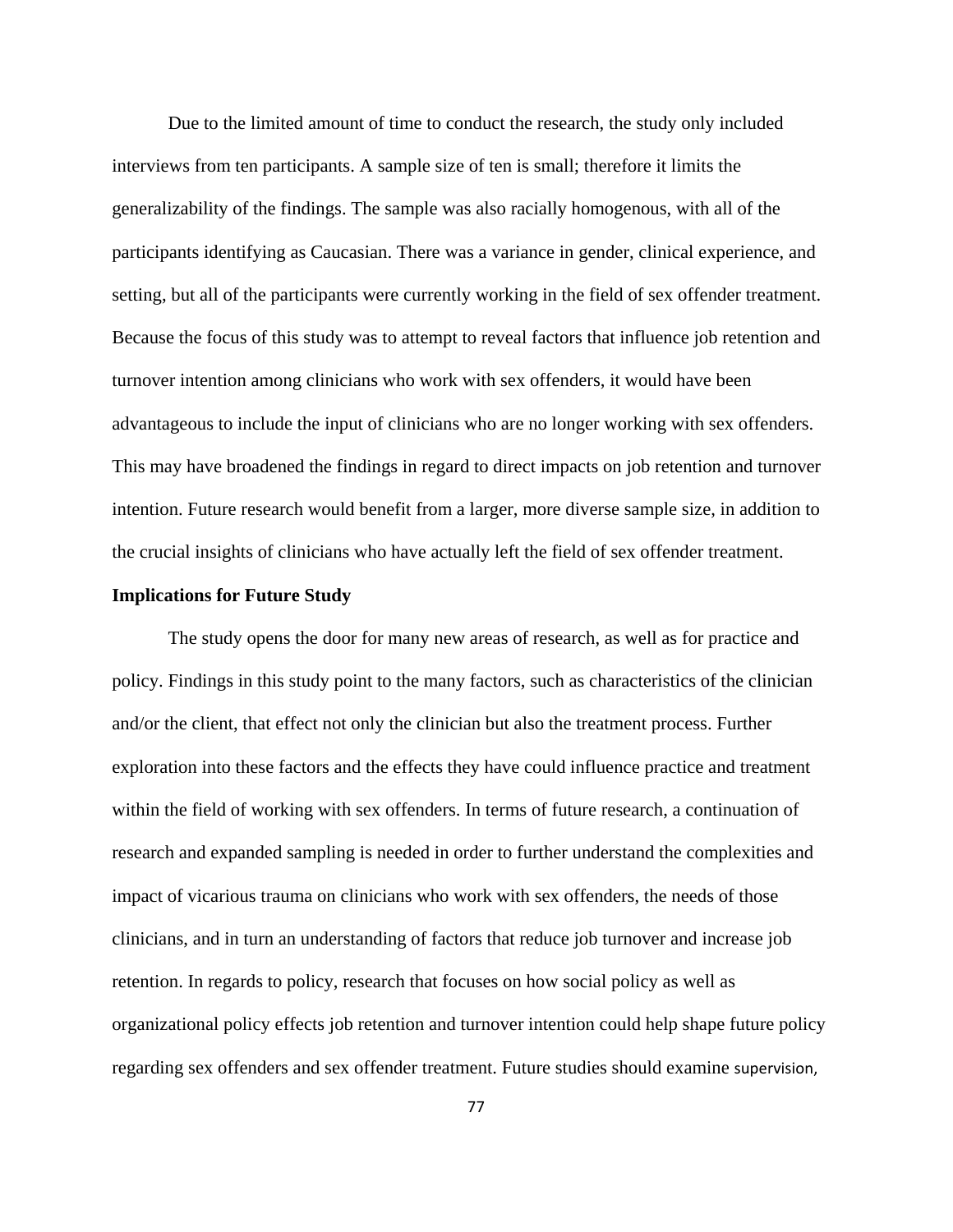Due to the limited amount of time to conduct the research, the study only included interviews from ten participants. A sample size of ten is small; therefore it limits the generalizability of the findings. The sample was also racially homogenous, with all of the participants identifying as Caucasian. There was a variance in gender, clinical experience, and setting, but all of the participants were currently working in the field of sex offender treatment. Because the focus of this study was to attempt to reveal factors that influence job retention and turnover intention among clinicians who work with sex offenders, it would have been advantageous to include the input of clinicians who are no longer working with sex offenders. This may have broadened the findings in regard to direct impacts on job retention and turnover intention. Future research would benefit from a larger, more diverse sample size, in addition to the crucial insights of clinicians who have actually left the field of sex offender treatment.

### **Implications for Future Study**

The study opens the door for many new areas of research, as well as for practice and policy. Findings in this study point to the many factors, such as characteristics of the clinician and/or the client, that effect not only the clinician but also the treatment process. Further exploration into these factors and the effects they have could influence practice and treatment within the field of working with sex offenders. In terms of future research, a continuation of research and expanded sampling is needed in order to further understand the complexities and impact of vicarious trauma on clinicians who work with sex offenders, the needs of those clinicians, and in turn an understanding of factors that reduce job turnover and increase job retention. In regards to policy, research that focuses on how social policy as well as organizational policy effects job retention and turnover intention could help shape future policy regarding sex offenders and sex offender treatment. Future studies should examine supervision,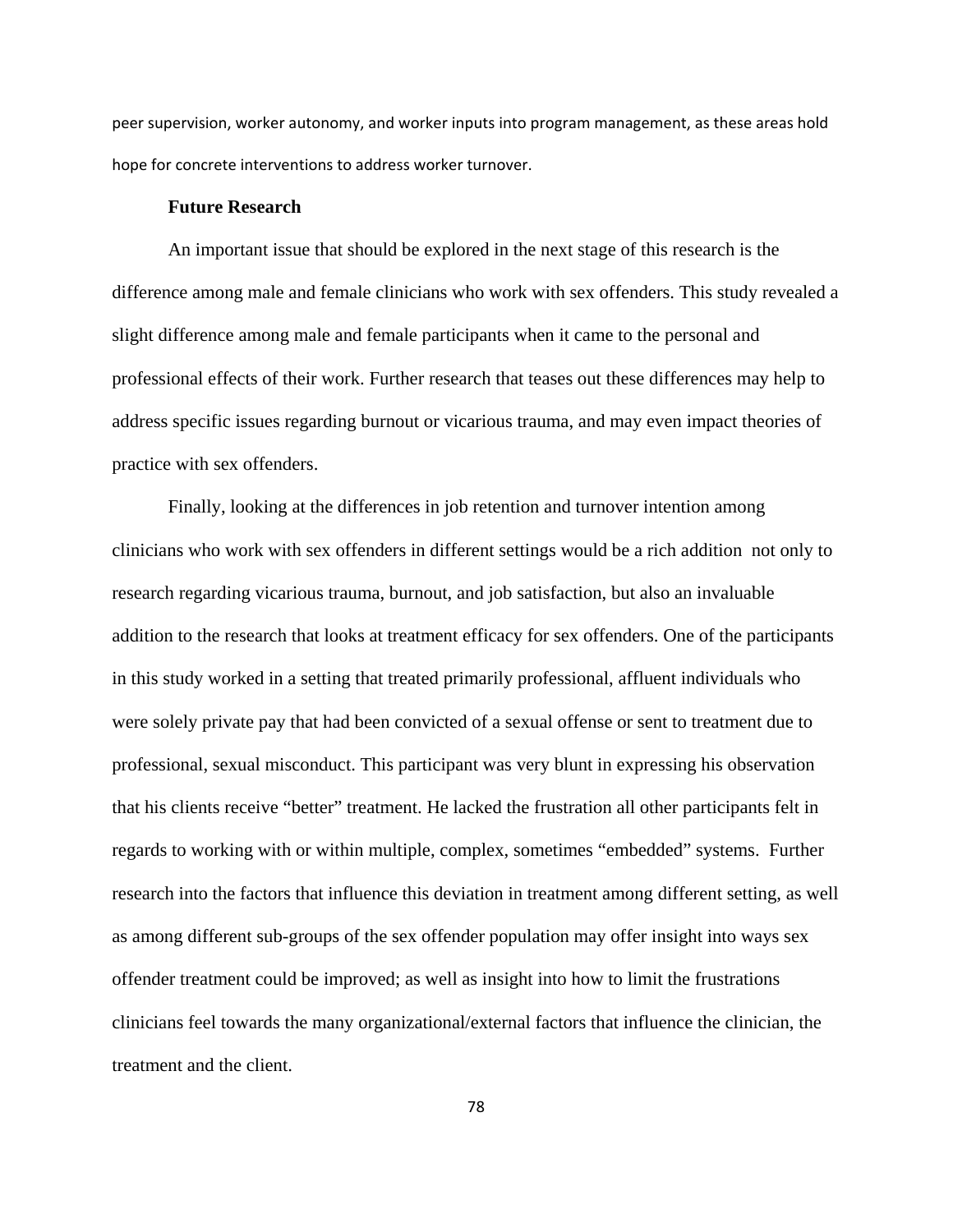peer supervision, worker autonomy, and worker inputs into program management, as these areas hold hope for concrete interventions to address worker turnover.

#### **Future Research**

An important issue that should be explored in the next stage of this research is the difference among male and female clinicians who work with sex offenders. This study revealed a slight difference among male and female participants when it came to the personal and professional effects of their work. Further research that teases out these differences may help to address specific issues regarding burnout or vicarious trauma, and may even impact theories of practice with sex offenders.

Finally, looking at the differences in job retention and turnover intention among clinicians who work with sex offenders in different settings would be a rich addition not only to research regarding vicarious trauma, burnout, and job satisfaction, but also an invaluable addition to the research that looks at treatment efficacy for sex offenders. One of the participants in this study worked in a setting that treated primarily professional, affluent individuals who were solely private pay that had been convicted of a sexual offense or sent to treatment due to professional, sexual misconduct. This participant was very blunt in expressing his observation that his clients receive "better" treatment. He lacked the frustration all other participants felt in regards to working with or within multiple, complex, sometimes "embedded" systems. Further research into the factors that influence this deviation in treatment among different setting, as well as among different sub-groups of the sex offender population may offer insight into ways sex offender treatment could be improved; as well as insight into how to limit the frustrations clinicians feel towards the many organizational/external factors that influence the clinician, the treatment and the client.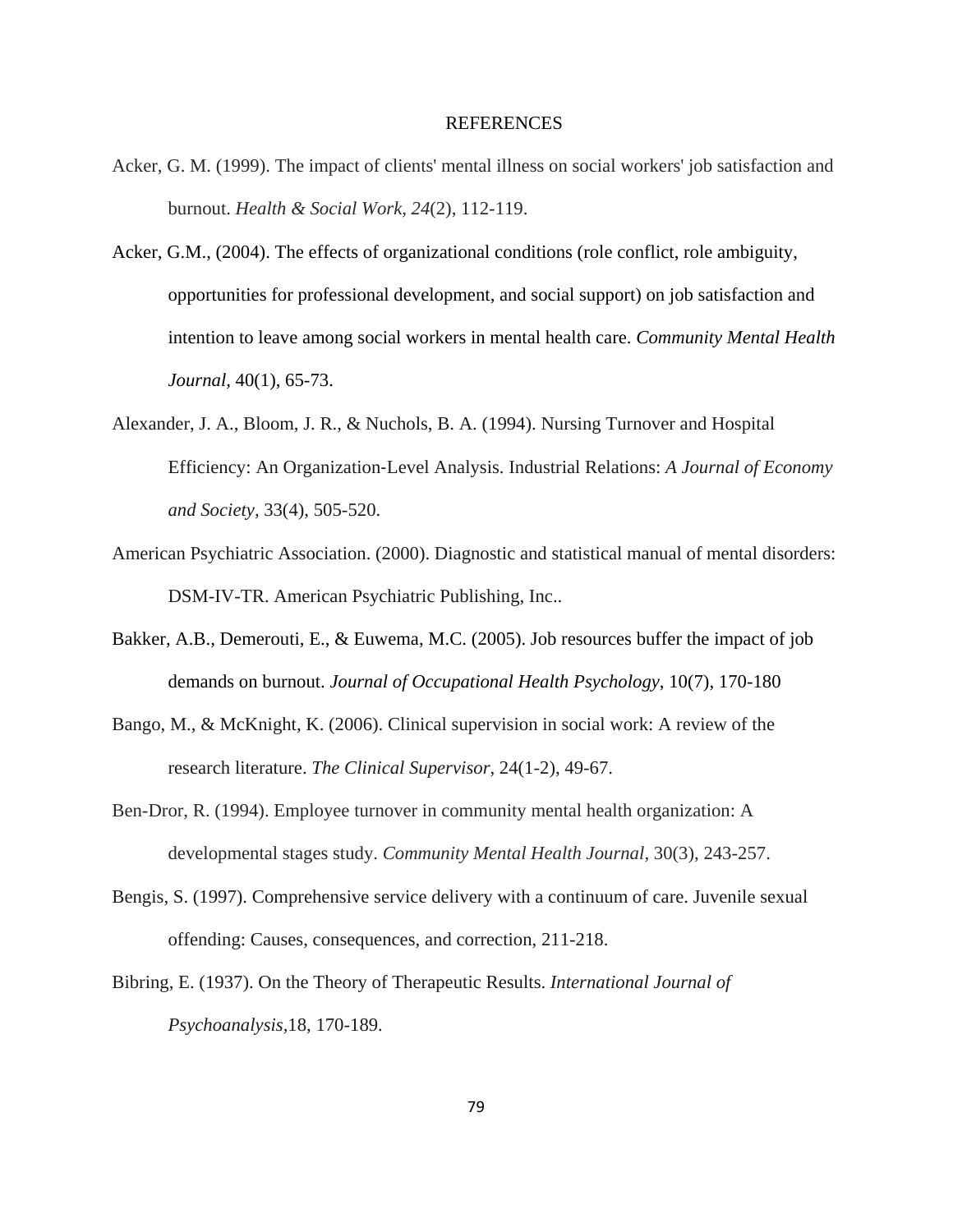#### REFERENCES

- Acker, G. M. (1999). The impact of clients' mental illness on social workers' job satisfaction and burnout. *Health & Social Work, 24*(2), 112-119.
- Acker, G.M., (2004). The effects of organizational conditions (role conflict, role ambiguity, opportunities for professional development, and social support) on job satisfaction and intention to leave among social workers in mental health care. *Community Mental Health Journal,* 40(1), 65-73.
- Alexander, J. A., Bloom, J. R., & Nuchols, B. A. (1994). Nursing Turnover and Hospital Efficiency: An Organization‐Level Analysis. Industrial Relations: *A Journal of Economy and Society,* 33(4), 505-520.
- American Psychiatric Association. (2000). Diagnostic and statistical manual of mental disorders: DSM-IV-TR. American Psychiatric Publishing, Inc..
- Bakker, A.B., Demerouti, E., & Euwema, M.C. (2005). Job resources buffer the impact of job demands on burnout. *Journal of Occupational Health Psychology*, 10(7), 170-180
- Bango, M., & McKnight, K. (2006). Clinical supervision in social work: A review of the research literature. *The Clinical Supervisor*, 24(1-2), 49-67.
- Ben-Dror, R. (1994). Employee turnover in community mental health organization: A developmental stages study. *Community Mental Health Journal*, 30(3), 243-257.
- Bengis, S. (1997). Comprehensive service delivery with a continuum of care. Juvenile sexual offending: Causes, consequences, and correction, 211-218.
- Bibring, E. (1937). On the Theory of Therapeutic Results. *International Journal of Psychoanalysis,*18, 170-189.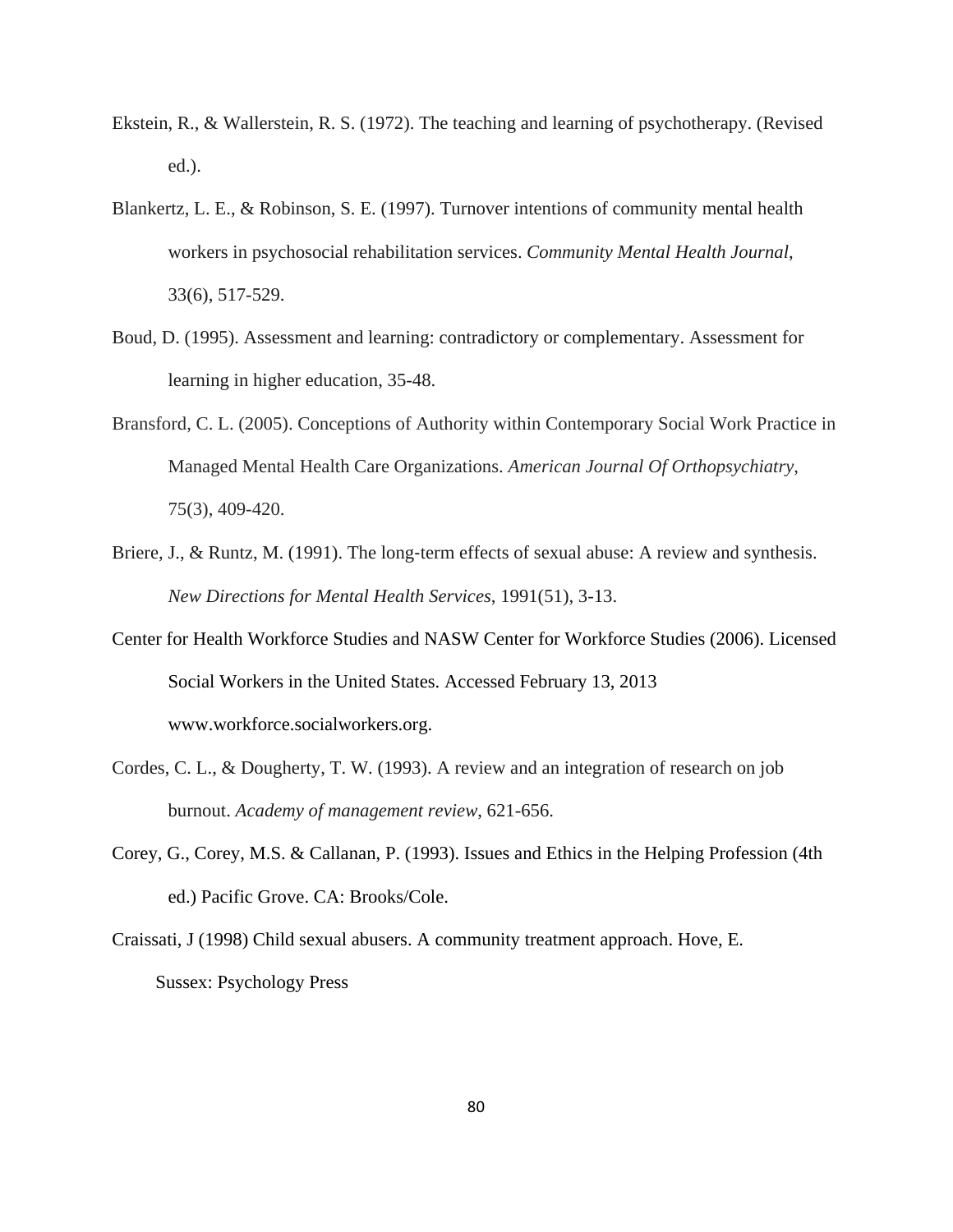- Ekstein, R., & Wallerstein, R. S. (1972). The teaching and learning of psychotherapy. (Revised ed.).
- Blankertz, L. E., & Robinson, S. E. (1997). Turnover intentions of community mental health workers in psychosocial rehabilitation services. *Community Mental Health Journal*, 33(6), 517-529.
- Boud, D. (1995). Assessment and learning: contradictory or complementary. Assessment for learning in higher education, 35-48.
- Bransford, C. L. (2005). Conceptions of Authority within Contemporary Social Work Practice in Managed Mental Health Care Organizations. *American Journal Of Orthopsychiatry*, 75(3), 409-420.
- Briere, J., & Runtz, M. (1991). The long-term effects of sexual abuse: A review and synthesis. *New Directions for Mental Health Services*, 1991(51), 3-13.
- Center for Health Workforce Studies and NASW Center for Workforce Studies (2006). Licensed Social Workers in the United States. Accessed February 13, 2013 www.workforce.socialworkers.org.
- Cordes, C. L., & Dougherty, T. W. (1993). A review and an integration of research on job burnout. *Academy of management review*, 621-656.
- Corey, G., Corey, M.S. & Callanan, P. (1993). Issues and Ethics in the Helping Profession (4th ed.) Pacific Grove. CA: Brooks/Cole.
- Craissati, J (1998) Child sexual abusers. A community treatment approach. Hove, E. Sussex: Psychology Press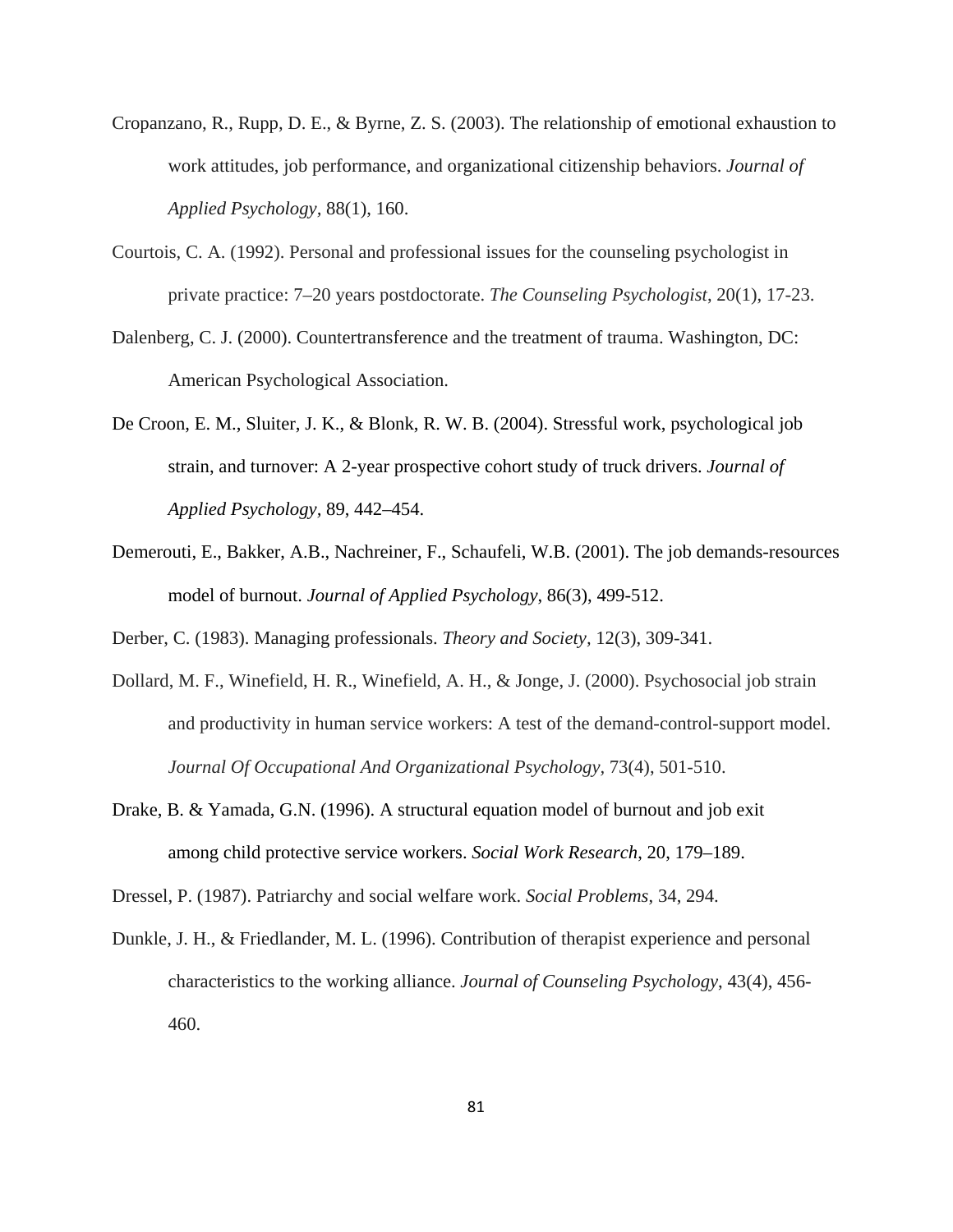- Cropanzano, R., Rupp, D. E., & Byrne, Z. S. (2003). The relationship of emotional exhaustion to work attitudes, job performance, and organizational citizenship behaviors. *Journal of Applied Psychology,* 88(1), 160.
- Courtois, C. A. (1992). Personal and professional issues for the counseling psychologist in private practice: 7–20 years postdoctorate. *The Counseling Psychologist*, 20(1), 17-23.
- Dalenberg, C. J. (2000). Countertransference and the treatment of trauma. Washington, DC: American Psychological Association.
- De Croon, E. M., Sluiter, J. K., & Blonk, R. W. B. (2004). Stressful work, psychological job strain, and turnover: A 2-year prospective cohort study of truck drivers. *Journal of Applied Psychology,* 89, 442–454.
- Demerouti, E., Bakker, A.B., Nachreiner, F., Schaufeli, W.B. (2001). The job demands-resources model of burnout. *Journal of Applied Psychology*, 86(3), 499-512.

Derber, C. (1983). Managing professionals. *Theory and Society,* 12(3), 309-341.

- Dollard, M. F., Winefield, H. R., Winefield, A. H., & Jonge, J. (2000). Psychosocial job strain and productivity in human service workers: A test of the demand-control-support model. *Journal Of Occupational And Organizational Psychology,* 73(4), 501-510.
- Drake, B. & Yamada, G.N. (1996). A structural equation model of burnout and job exit among child protective service workers. *Social Work Research*, 20, 179–189.

Dressel, P. (1987). Patriarchy and social welfare work. *Social Problems*, 34, 294.

Dunkle, J. H., & Friedlander, M. L. (1996). Contribution of therapist experience and personal characteristics to the working alliance. *Journal of Counseling Psychology*, 43(4), 456- 460.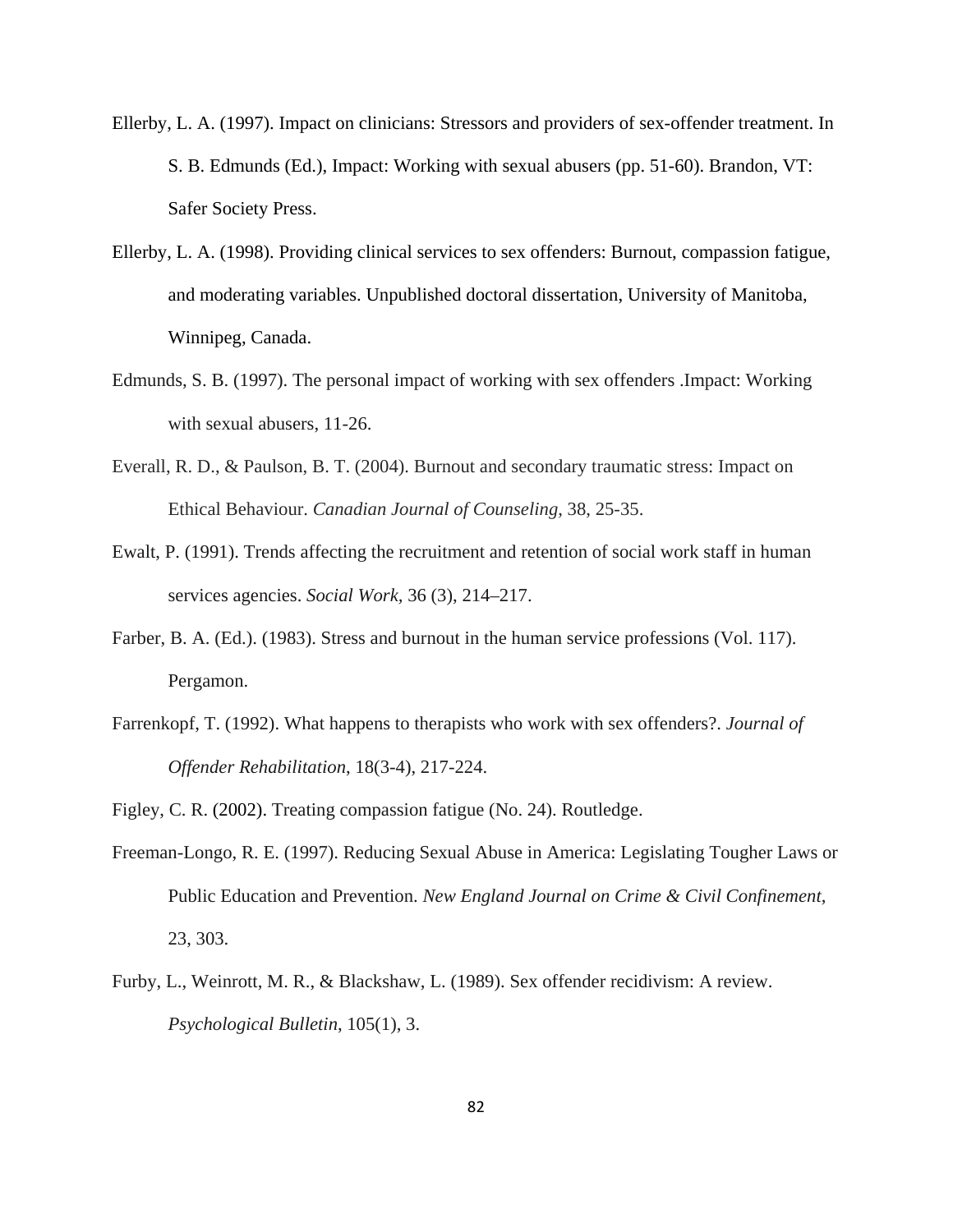- Ellerby, L. A. (1997). Impact on clinicians: Stressors and providers of sex-offender treatment. In S. B. Edmunds (Ed.), Impact: Working with sexual abusers (pp. 51-60). Brandon, VT: Safer Society Press.
- Ellerby, L. A. (1998). Providing clinical services to sex offenders: Burnout, compassion fatigue, and moderating variables. Unpublished doctoral dissertation, University of Manitoba, Winnipeg, Canada.
- Edmunds, S. B. (1997). The personal impact of working with sex offenders .Impact: Working with sexual abusers, 11-26.
- Everall, R. D., & Paulson, B. T. (2004). Burnout and secondary traumatic stress: Impact on Ethical Behaviour. *Canadian Journal of Counseling*, 38, 25-35.
- Ewalt, P. (1991). Trends affecting the recruitment and retention of social work staff in human services agencies. *Social Work,* 36 (3), 214–217.
- Farber, B. A. (Ed.). (1983). Stress and burnout in the human service professions (Vol. 117). Pergamon.
- Farrenkopf, T. (1992). What happens to therapists who work with sex offenders?. *Journal of Offender Rehabilitation*, 18(3-4), 217-224.
- Figley, C. R. (2002). Treating compassion fatigue (No. 24). Routledge.
- Freeman-Longo, R. E. (1997). Reducing Sexual Abuse in America: Legislating Tougher Laws or Public Education and Prevention. *New England Journal on Crime & Civil Confinement*, 23, 303.
- Furby, L., Weinrott, M. R., & Blackshaw, L. (1989). Sex offender recidivism: A review. *Psychological Bulletin*, 105(1), 3.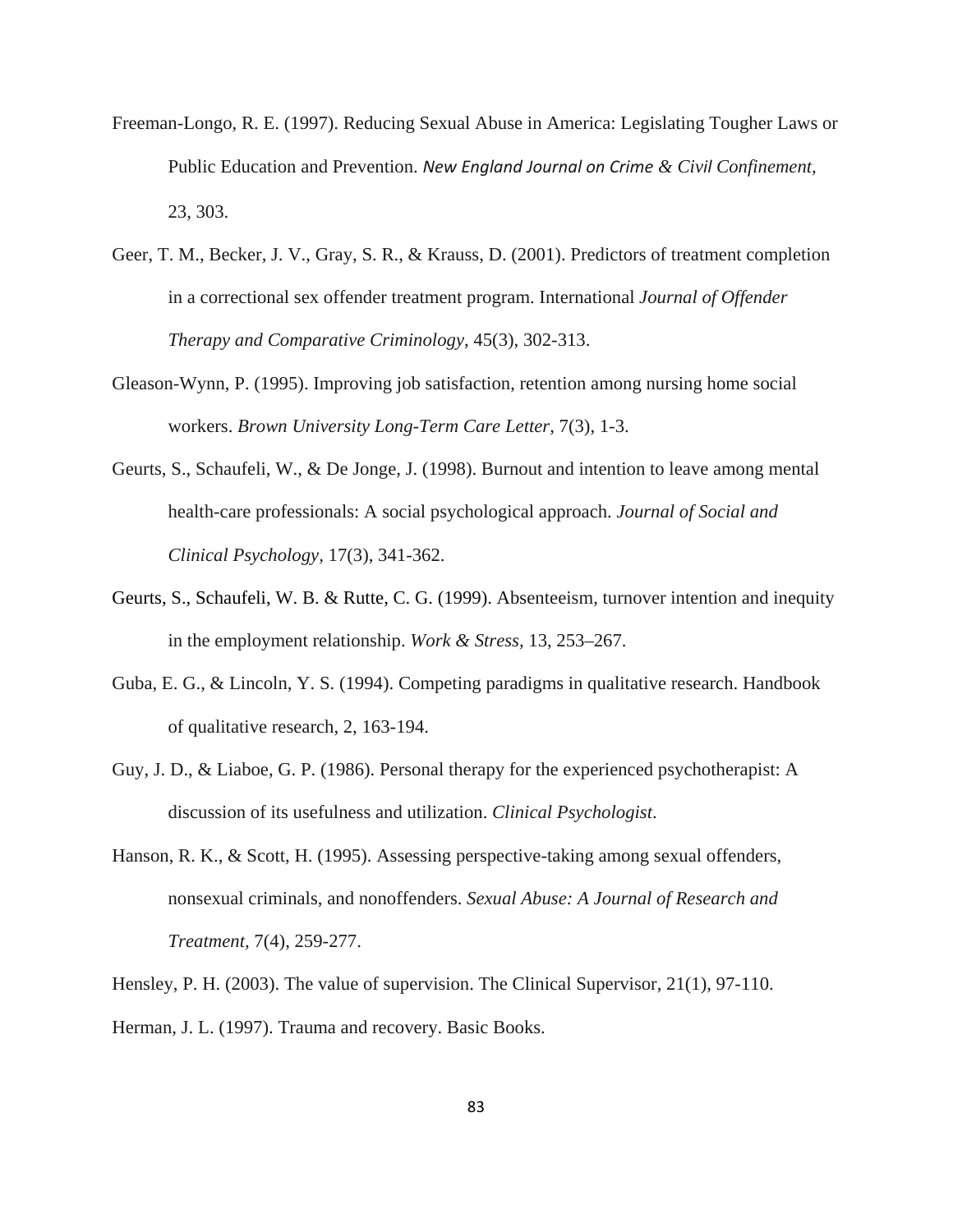- Freeman-Longo, R. E. (1997). Reducing Sexual Abuse in America: Legislating Tougher Laws or Public Education and Prevention. *New England Journal on Crime & Civil Confinement,* 23, 303.
- Geer, T. M., Becker, J. V., Gray, S. R., & Krauss, D. (2001). Predictors of treatment completion in a correctional sex offender treatment program. International *Journal of Offender Therapy and Comparative Criminology*, 45(3), 302-313.
- Gleason-Wynn, P. (1995). Improving job satisfaction, retention among nursing home social workers. *Brown University Long-Term Care Letter*, 7(3), 1-3.
- Geurts, S., Schaufeli, W., & De Jonge, J. (1998). Burnout and intention to leave among mental health-care professionals: A social psychological approach. *Journal of Social and Clinical Psychology,* 17(3), 341-362.
- Geurts, S., Schaufeli, W. B. & Rutte, C. G. (1999). Absenteeism, turnover intention and inequity in the employment relationship. *Work & Stress,* 13, 253–267.
- Guba, E. G., & Lincoln, Y. S. (1994). Competing paradigms in qualitative research. Handbook of qualitative research, 2, 163-194.
- Guy, J. D., & Liaboe, G. P. (1986). Personal therapy for the experienced psychotherapist: A discussion of its usefulness and utilization. *Clinical Psychologist*.
- Hanson, R. K., & Scott, H. (1995). Assessing perspective-taking among sexual offenders, nonsexual criminals, and nonoffenders. *Sexual Abuse: A Journal of Research and Treatment,* 7(4), 259-277.

Hensley, P. H. (2003). The value of supervision. The Clinical Supervisor, 21(1), 97-110. Herman, J. L. (1997). Trauma and recovery. Basic Books.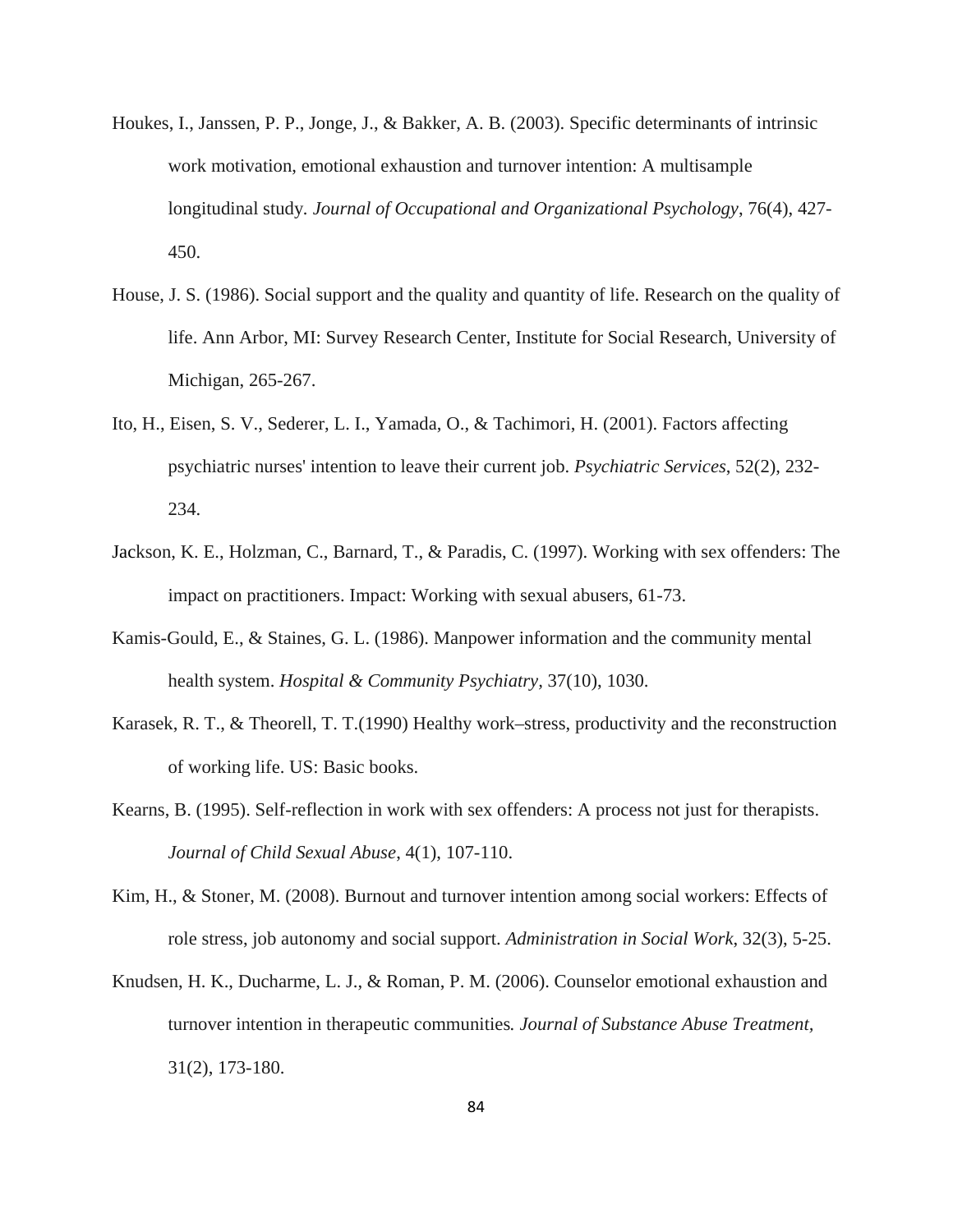- Houkes, I., Janssen, P. P., Jonge, J., & Bakker, A. B. (2003). Specific determinants of intrinsic work motivation, emotional exhaustion and turnover intention: A multisample longitudinal study*. Journal of Occupational and Organizational Psychology*, 76(4), 427- 450.
- House, J. S. (1986). Social support and the quality and quantity of life. Research on the quality of life. Ann Arbor, MI: Survey Research Center, Institute for Social Research, University of Michigan, 265-267.
- Ito, H., Eisen, S. V., Sederer, L. I., Yamada, O., & Tachimori, H. (2001). Factors affecting psychiatric nurses' intention to leave their current job. *Psychiatric Services*, 52(2), 232- 234.
- Jackson, K. E., Holzman, C., Barnard, T., & Paradis, C. (1997). Working with sex offenders: The impact on practitioners. Impact: Working with sexual abusers, 61-73.
- Kamis-Gould, E., & Staines, G. L. (1986). Manpower information and the community mental health system. *Hospital & Community Psychiatry,* 37(10), 1030.
- Karasek, R. T., & Theorell, T. T.(1990) Healthy work–stress, productivity and the reconstruction of working life. US: Basic books.
- Kearns, B. (1995). Self-reflection in work with sex offenders: A process not just for therapists. *Journal of Child Sexual Abuse*, 4(1), 107-110.
- Kim, H., & Stoner, M. (2008). Burnout and turnover intention among social workers: Effects of role stress, job autonomy and social support. *Administration in Social Work*, 32(3), 5-25.
- Knudsen, H. K., Ducharme, L. J., & Roman, P. M. (2006). Counselor emotional exhaustion and turnover intention in therapeutic communities*. Journal of Substance Abuse Treatment,* 31(2), 173-180.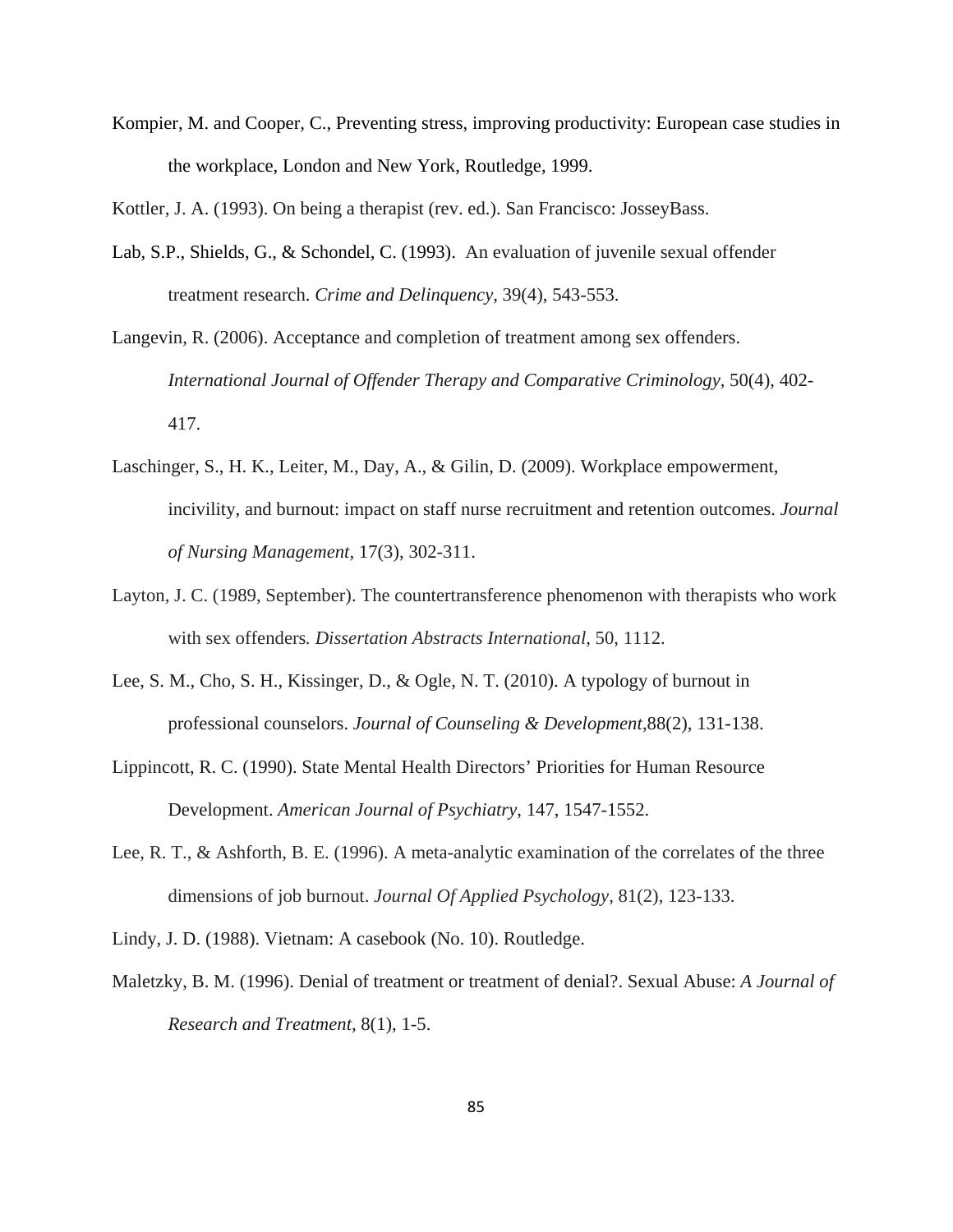Kompier, M. and Cooper, C., Preventing stress, improving productivity: European case studies in the workplace, London and New York, Routledge, 1999.

Kottler, J. A. (1993). On being a therapist (rev. ed.). San Francisco: JosseyBass.

- Lab, S.P., Shields, G., & Schondel, C. (1993). An evaluation of juvenile sexual offender treatment research. *Crime and Delinquency,* 39(4), 543-553.
- Langevin, R. (2006). Acceptance and completion of treatment among sex offenders. *International Journal of Offender Therapy and Comparative Criminology,* 50(4), 402- 417.
- Laschinger, S., H. K., Leiter, M., Day, A., & Gilin, D. (2009). Workplace empowerment, incivility, and burnout: impact on staff nurse recruitment and retention outcomes. *Journal of Nursing Management,* 17(3), 302-311.
- Layton, J. C. (1989, September). The countertransference phenomenon with therapists who work with sex offenders*. Dissertation Abstracts International*, 50, 1112.
- Lee, S. M., Cho, S. H., Kissinger, D., & Ogle, N. T. (2010). A typology of burnout in professional counselors. *Journal of Counseling & Development*,88(2), 131-138.
- Lippincott, R. C. (1990). State Mental Health Directors' Priorities for Human Resource Development. *American Journal of Psychiatry*, 147, 1547-1552.
- Lee, R. T., & Ashforth, B. E. (1996). A meta-analytic examination of the correlates of the three dimensions of job burnout. *Journal Of Applied Psychology*, 81(2), 123-133.
- Lindy, J. D. (1988). Vietnam: A casebook (No. 10). Routledge.
- Maletzky, B. M. (1996). Denial of treatment or treatment of denial?. Sexual Abuse: *A Journal of Research and Treatment,* 8(1), 1-5.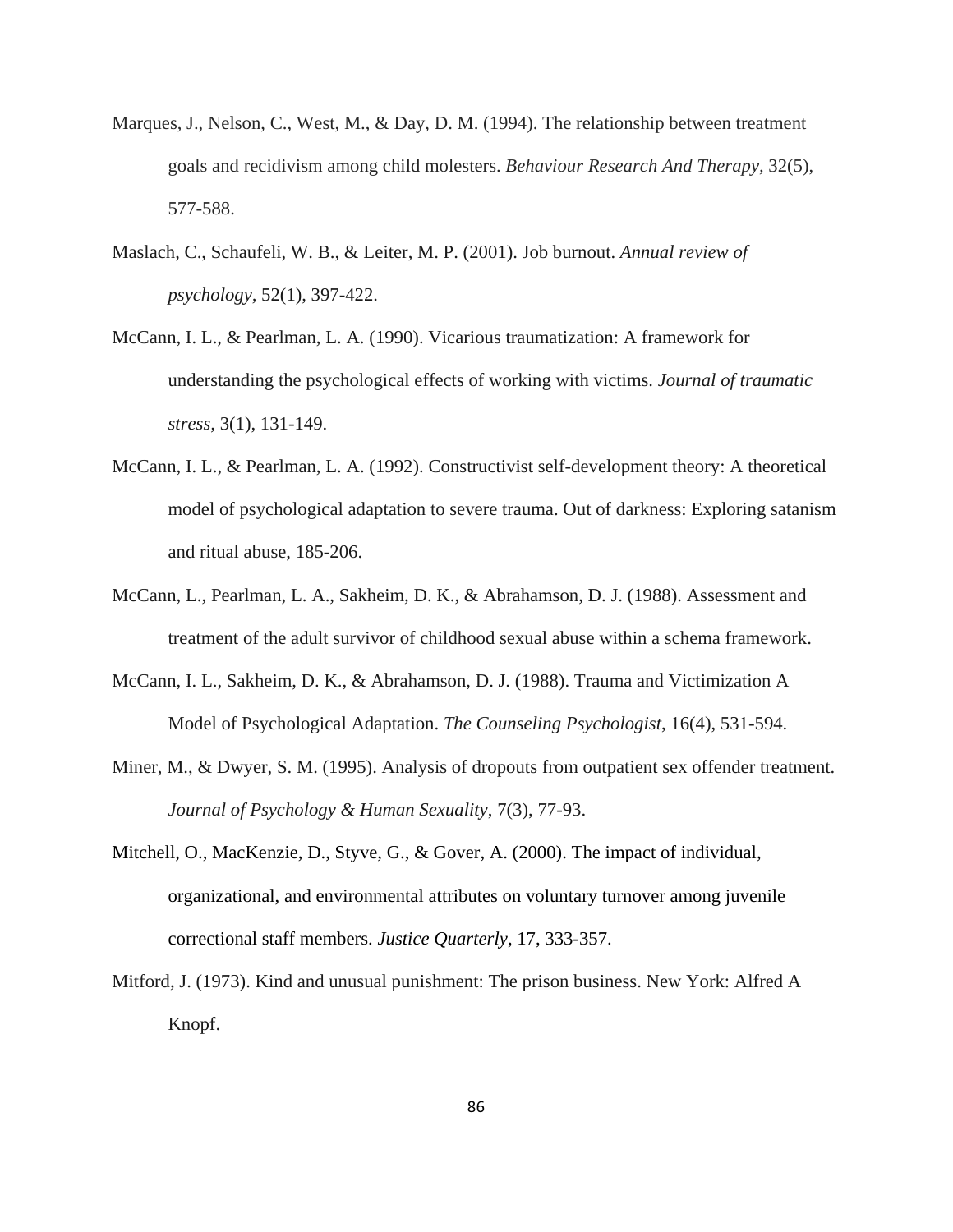- Marques, J., Nelson, C., West, M., & Day, D. M. (1994). The relationship between treatment goals and recidivism among child molesters. *Behaviour Research And Therapy,* 32(5), 577-588.
- Maslach, C., Schaufeli, W. B., & Leiter, M. P. (2001). Job burnout. *Annual review of psychology,* 52(1), 397-422.
- McCann, I. L., & Pearlman, L. A. (1990). Vicarious traumatization: A framework for understanding the psychological effects of working with victims. *Journal of traumatic stress,* 3(1), 131-149.
- McCann, I. L., & Pearlman, L. A. (1992). Constructivist self-development theory: A theoretical model of psychological adaptation to severe trauma. Out of darkness: Exploring satanism and ritual abuse, 185-206.
- McCann, L., Pearlman, L. A., Sakheim, D. K., & Abrahamson, D. J. (1988). Assessment and treatment of the adult survivor of childhood sexual abuse within a schema framework.
- McCann, I. L., Sakheim, D. K., & Abrahamson, D. J. (1988). Trauma and Victimization A Model of Psychological Adaptation. *The Counseling Psychologist*, 16(4), 531-594.
- Miner, M., & Dwyer, S. M. (1995). Analysis of dropouts from outpatient sex offender treatment. *Journal of Psychology & Human Sexuality*, 7(3), 77-93.
- Mitchell, O., MacKenzie, D., Styve, G., & Gover, A. (2000). The impact of individual, organizational, and environmental attributes on voluntary turnover among juvenile correctional staff members. *Justice Quarterly,* 17, 333-357.
- Mitford, J. (1973). Kind and unusual punishment: The prison business. New York: Alfred A Knopf.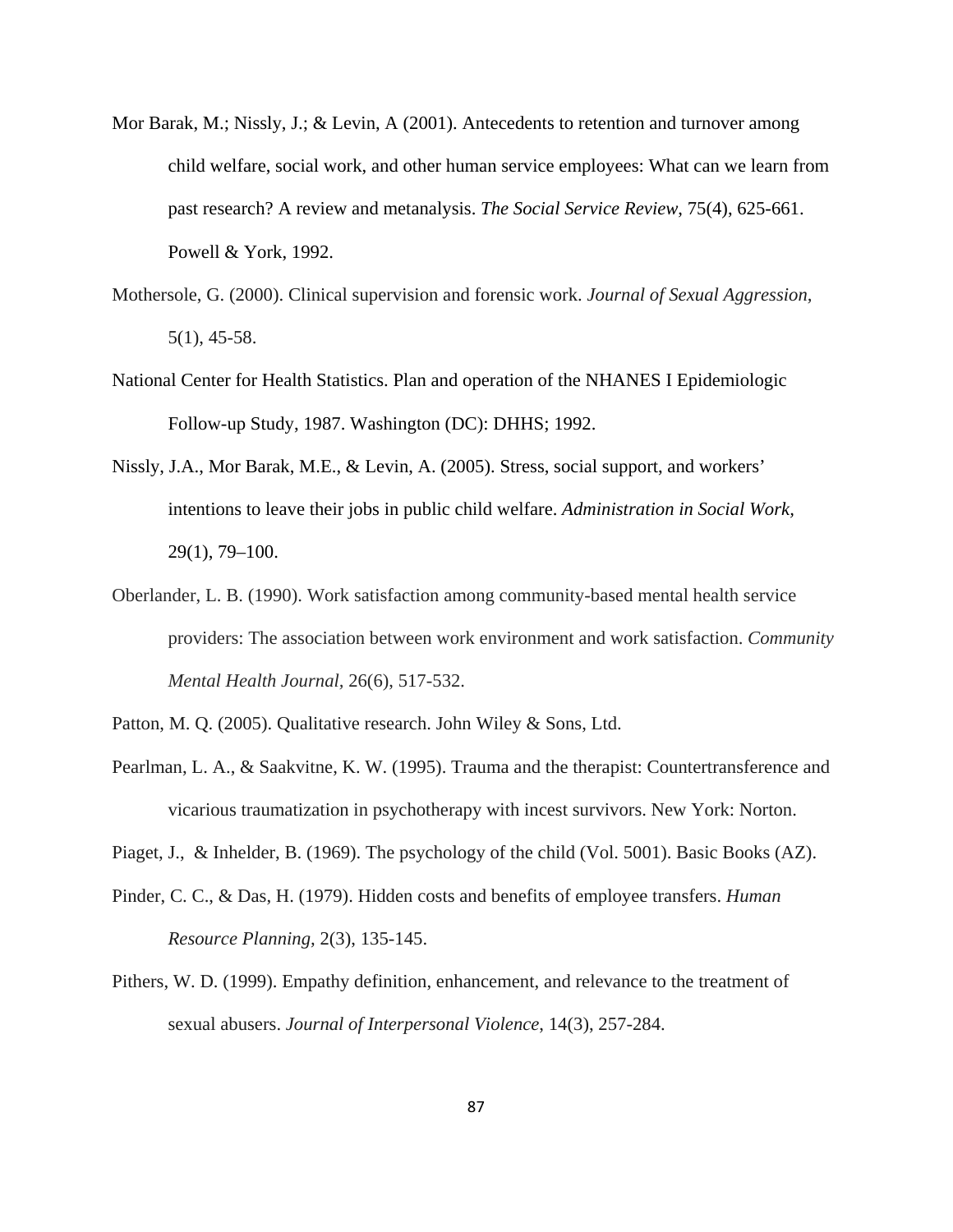- Mor Barak, M.; Nissly, J.; & Levin, A (2001). Antecedents to retention and turnover among child welfare, social work, and other human service employees: What can we learn from past research? A review and metanalysis. *The Social Service Review*, 75(4), 625-661. Powell & York, 1992.
- Mothersole, G. (2000). Clinical supervision and forensic work. *Journal of Sexual Aggression,*  5(1), 45-58.
- National Center for Health Statistics. Plan and operation of the NHANES I Epidemiologic Follow-up Study, 1987. Washington (DC): DHHS; 1992.
- Nissly, J.A., Mor Barak, M.E., & Levin, A. (2005). Stress, social support, and workers' intentions to leave their jobs in public child welfare. *Administration in Social Work,* 29(1), 79–100.
- Oberlander, L. B. (1990). Work satisfaction among community-based mental health service providers: The association between work environment and work satisfaction. *Community Mental Health Journal,* 26(6), 517-532.
- Patton, M. Q. (2005). Qualitative research. John Wiley & Sons, Ltd.
- Pearlman, L. A., & Saakvitne, K. W. (1995). Trauma and the therapist: Countertransference and vicarious traumatization in psychotherapy with incest survivors. New York: Norton.
- Piaget, J., & Inhelder, B. (1969). The psychology of the child (Vol. 5001). Basic Books (AZ).
- Pinder, C. C., & Das, H. (1979). Hidden costs and benefits of employee transfers. *Human Resource Planning,* 2(3), 135-145.
- Pithers, W. D. (1999). Empathy definition, enhancement, and relevance to the treatment of sexual abusers. *Journal of Interpersonal Violence*, 14(3), 257-284.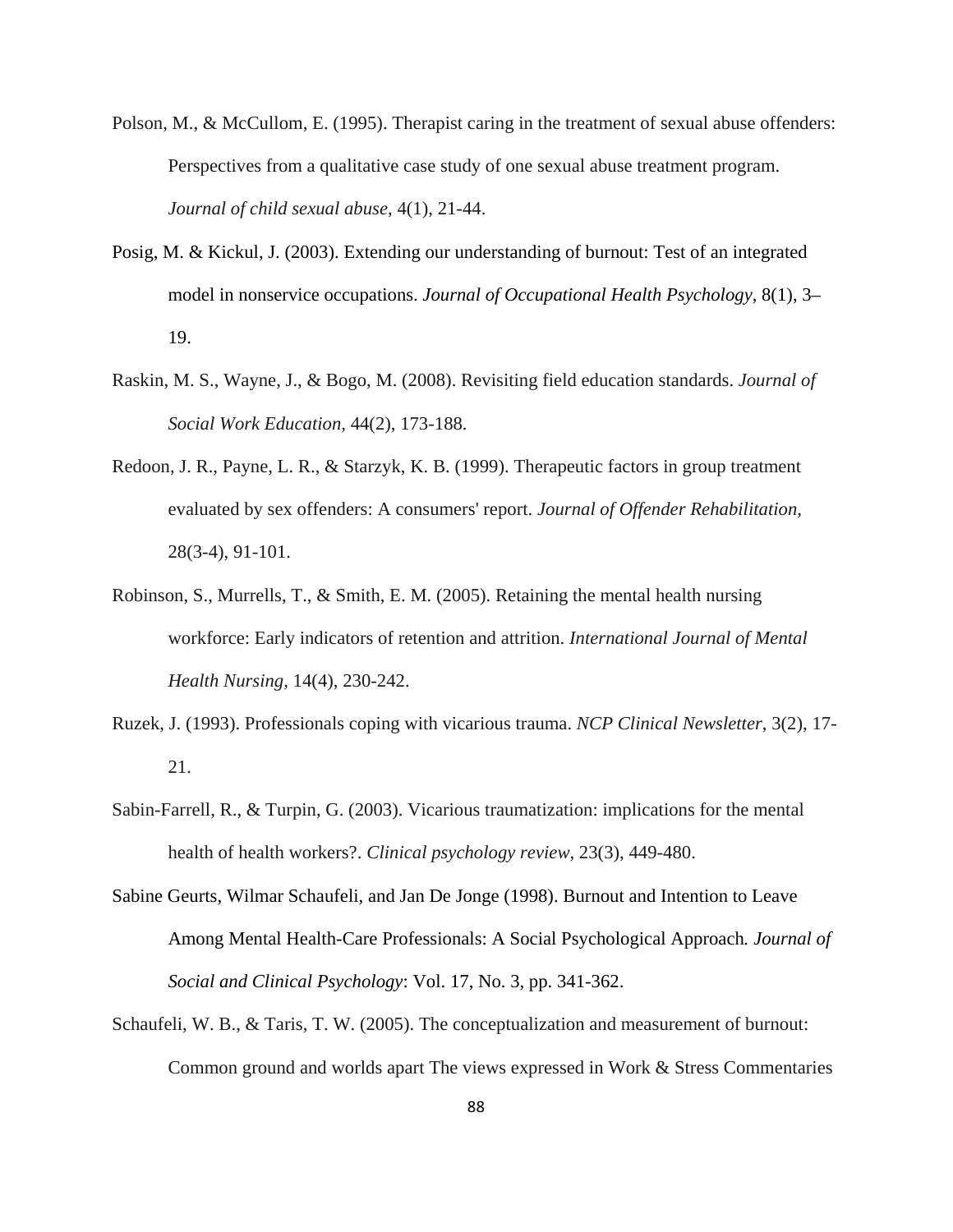- Polson, M., & McCullom, E. (1995). Therapist caring in the treatment of sexual abuse offenders: Perspectives from a qualitative case study of one sexual abuse treatment program. *Journal of child sexual abuse,* 4(1), 21-44.
- Posig, M. & Kickul, J. (2003). Extending our understanding of burnout: Test of an integrated model in nonservice occupations. *Journal of Occupational Health Psychology*, 8(1), 3– 19.
- Raskin, M. S., Wayne, J., & Bogo, M. (2008). Revisiting field education standards. *Journal of Social Work Education,* 44(2), 173-188.
- Redoon, J. R., Payne, L. R., & Starzyk, K. B. (1999). Therapeutic factors in group treatment evaluated by sex offenders: A consumers' report. *Journal of Offender Rehabilitation,* 28(3-4), 91-101.
- Robinson, S., Murrells, T., & Smith, E. M. (2005). Retaining the mental health nursing workforce: Early indicators of retention and attrition. *International Journal of Mental Health Nursing,* 14(4), 230-242.
- Ruzek, J. (1993). Professionals coping with vicarious trauma. *NCP Clinical Newsletter*, 3(2), 17- 21.
- Sabin-Farrell, R., & Turpin, G. (2003). Vicarious traumatization: implications for the mental health of health workers?. *Clinical psychology review,* 23(3), 449-480.
- Sabine Geurts, Wilmar Schaufeli, and Jan De Jonge (1998). Burnout and Intention to Leave Among Mental Health-Care Professionals: A Social Psychological Approach*. Journal of Social and Clinical Psychology*: Vol. 17, No. 3, pp. 341-362.
- Schaufeli, W. B., & Taris, T. W. (2005). The conceptualization and measurement of burnout: Common ground and worlds apart The views expressed in Work & Stress Commentaries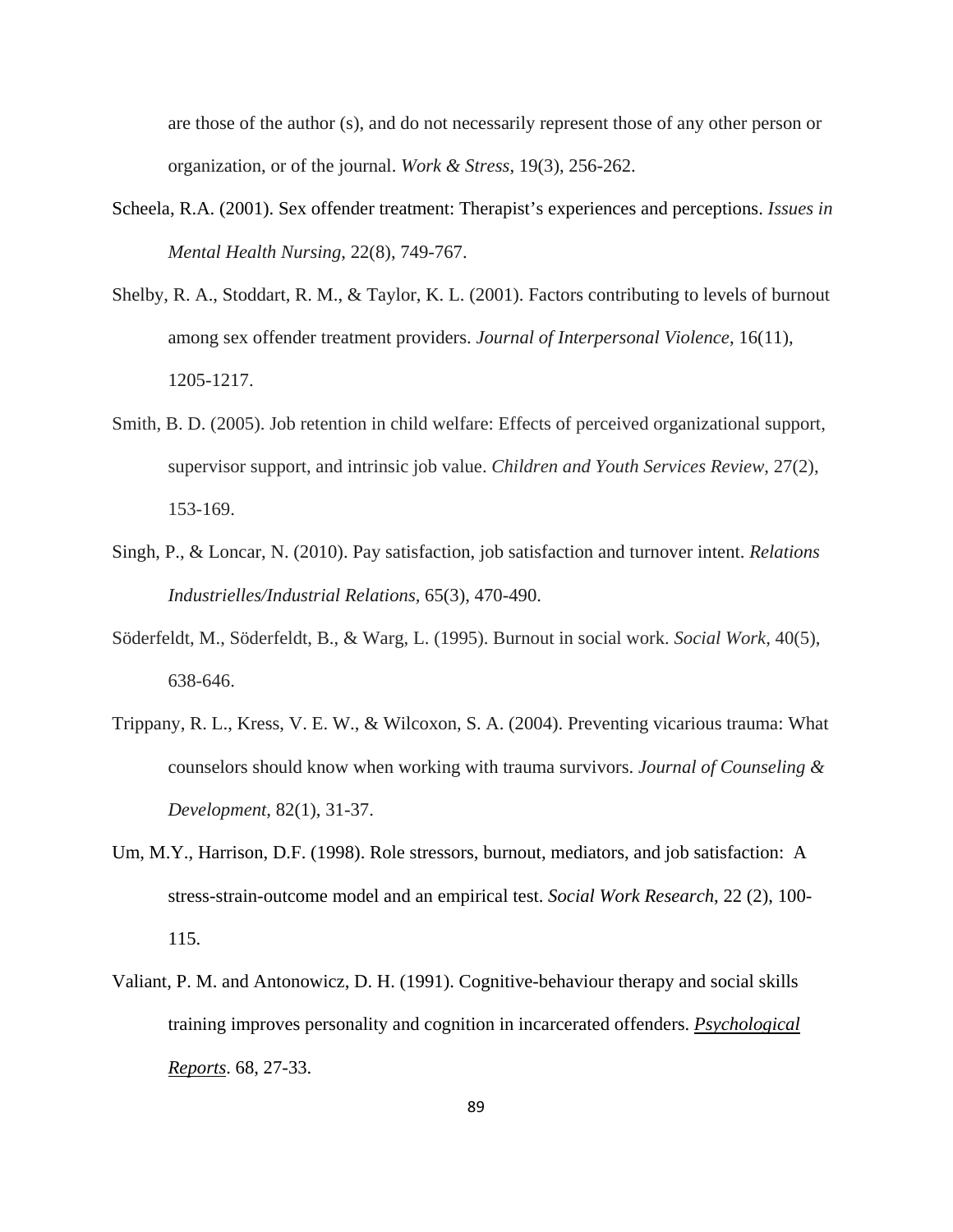are those of the author (s), and do not necessarily represent those of any other person or organization, or of the journal. *Work & Stress*, 19(3), 256-262.

- Scheela, R.A. (2001). Sex offender treatment: Therapist's experiences and perceptions. *Issues in Mental Health Nursing*, 22(8), 749-767.
- Shelby, R. A., Stoddart, R. M., & Taylor, K. L. (2001). Factors contributing to levels of burnout among sex offender treatment providers. *Journal of Interpersonal Violence*, 16(11), 1205-1217.
- Smith, B. D. (2005). Job retention in child welfare: Effects of perceived organizational support, supervisor support, and intrinsic job value. *Children and Youth Services Review*, 27(2), 153-169.
- Singh, P., & Loncar, N. (2010). Pay satisfaction, job satisfaction and turnover intent. *Relations Industrielles/Industrial Relations,* 65(3), 470-490.
- Söderfeldt, M., Söderfeldt, B., & Warg, L. (1995). Burnout in social work. *Social Work,* 40(5), 638-646.
- Trippany, R. L., Kress, V. E. W., & Wilcoxon, S. A. (2004). Preventing vicarious trauma: What counselors should know when working with trauma survivors. *Journal of Counseling & Development,* 82(1), 31-37.
- Um, M.Y., Harrison, D.F. (1998). Role stressors, burnout, mediators, and job satisfaction: A stress-strain-outcome model and an empirical test. *Social Work Research*, 22 (2), 100- 115.
- Valiant, P. M. and Antonowicz, D. H. (1991). Cognitive-behaviour therapy and social skills training improves personality and cognition in incarcerated offenders. *Psychological Reports*. 68, 27-33.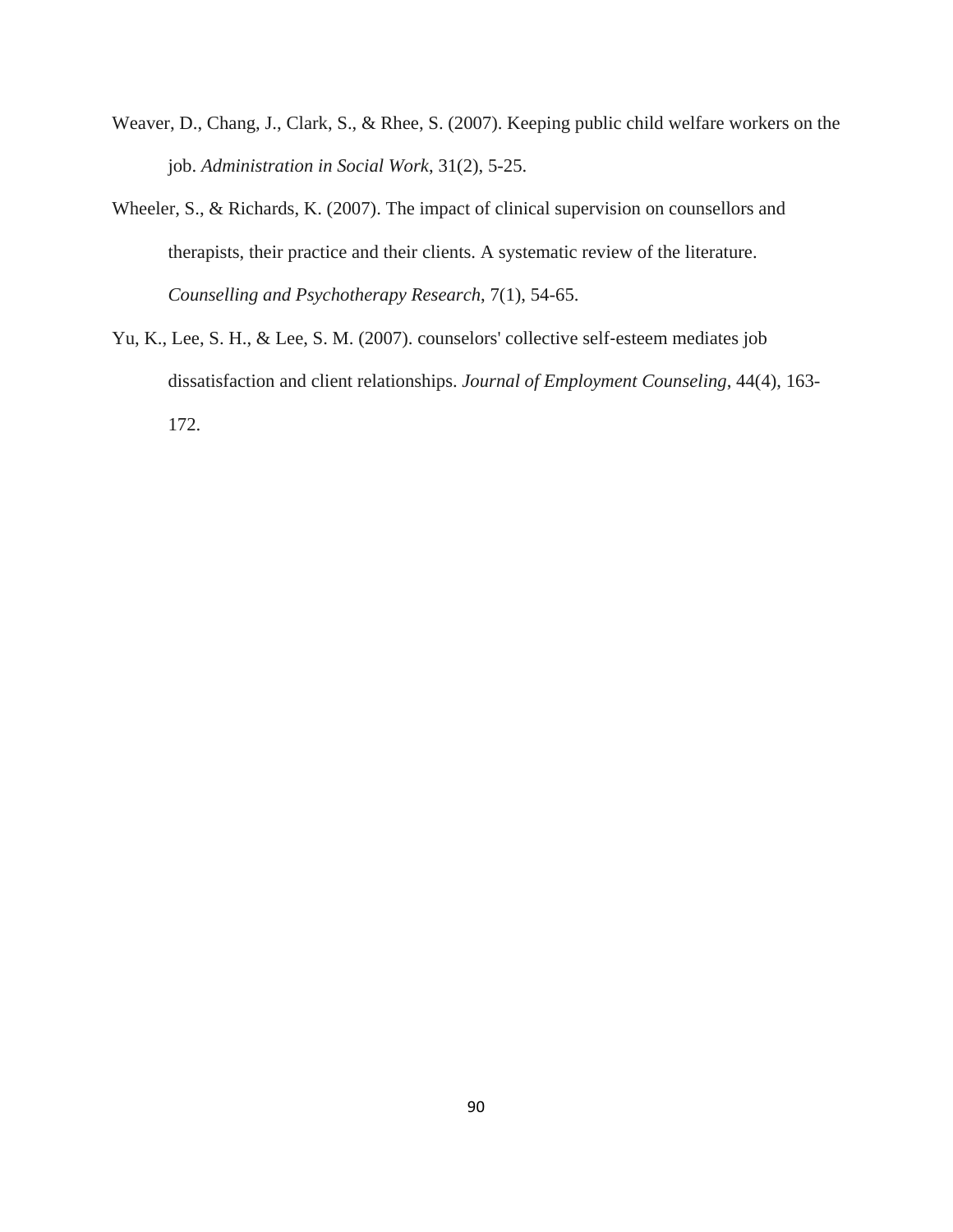- Weaver, D., Chang, J., Clark, S., & Rhee, S. (2007). Keeping public child welfare workers on the job. *Administration in Social Work*, 31(2), 5-25.
- Wheeler, S., & Richards, K. (2007). The impact of clinical supervision on counsellors and therapists, their practice and their clients. A systematic review of the literature. *Counselling and Psychotherapy Research*, 7(1), 54-65.
- Yu, K., Lee, S. H., & Lee, S. M. (2007). counselors' collective self‐esteem mediates job dissatisfaction and client relationships. *Journal of Employment Counseling*, 44(4), 163- 172.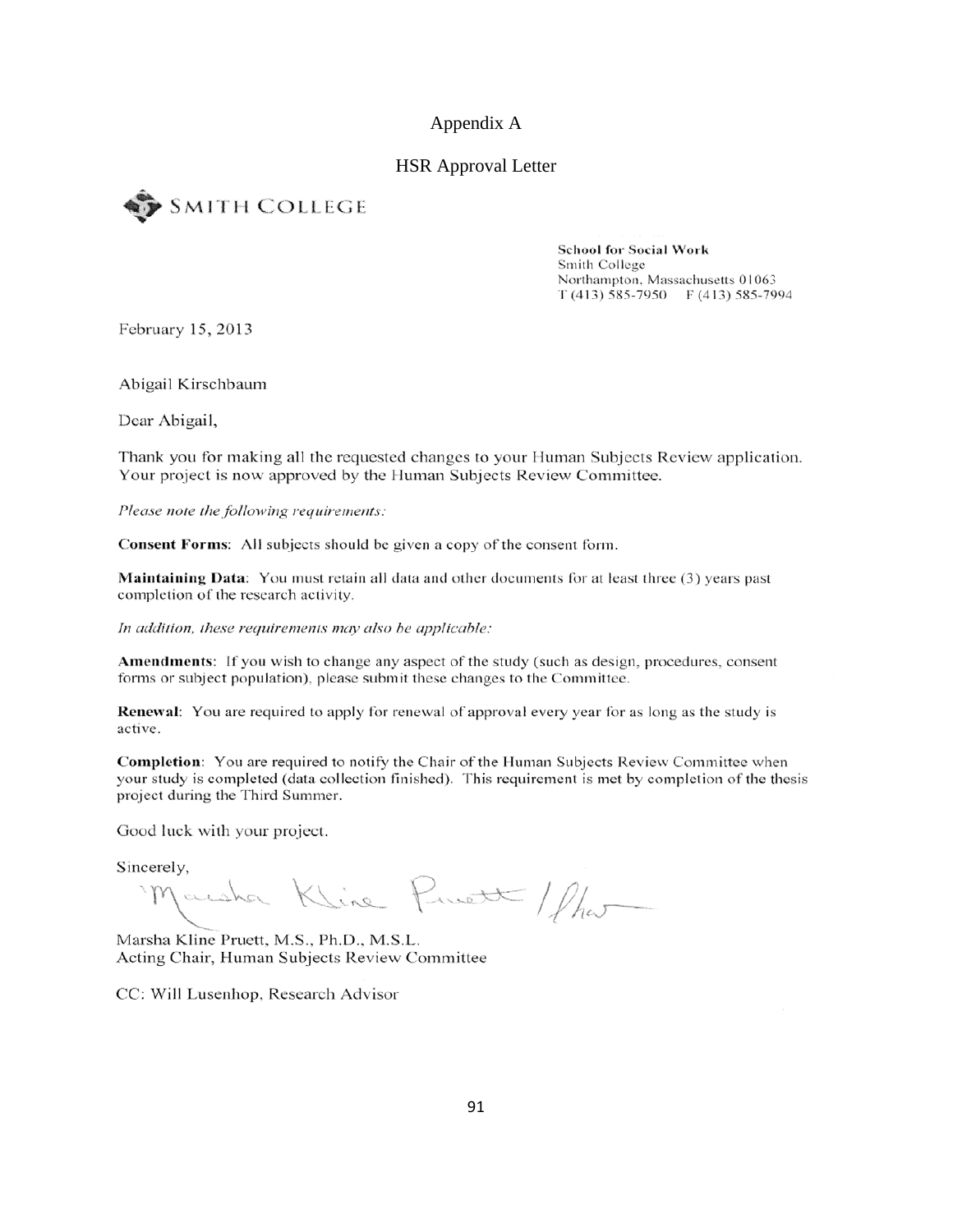### Appendix A

### HSR Approval Letter



**School for Social Work** Smith College Northampton, Massachusetts 01063  $T(413)$  585-7950 F (413) 585-7994

February 15, 2013

Abigail Kirschbaum

Dear Abigail,

Thank you for making all the requested changes to your Human Subjects Review application. Your project is now approved by the Human Subjects Review Committee.

Please note the following requirements:

**Consent Forms:** All subjects should be given a copy of the consent form.

**Maintaining Data:** You must retain all data and other documents for at least three (3) years past completion of the research activity.

In addition, these requirements may also be applicable:

**Amendments:** If you wish to change any aspect of the study (such as design, procedures, consent forms or subject population), please submit these changes to the Committee.

**Renewal:** You are required to apply for renewal of approval every year for as long as the study is active.

Completion: You are required to notify the Chair of the Human Subjects Review Committee when your study is completed (data collection finished). This requirement is met by completion of the thesis project during the Third Summer.

Good luck with your project.

Sincerely,

Jacoba Kline Pruett / Shor

Marsha Kline Pruett, M.S., Ph.D., M.S.L. Acting Chair, Human Subjects Review Committee

CC: Will Lusenhop, Research Advisor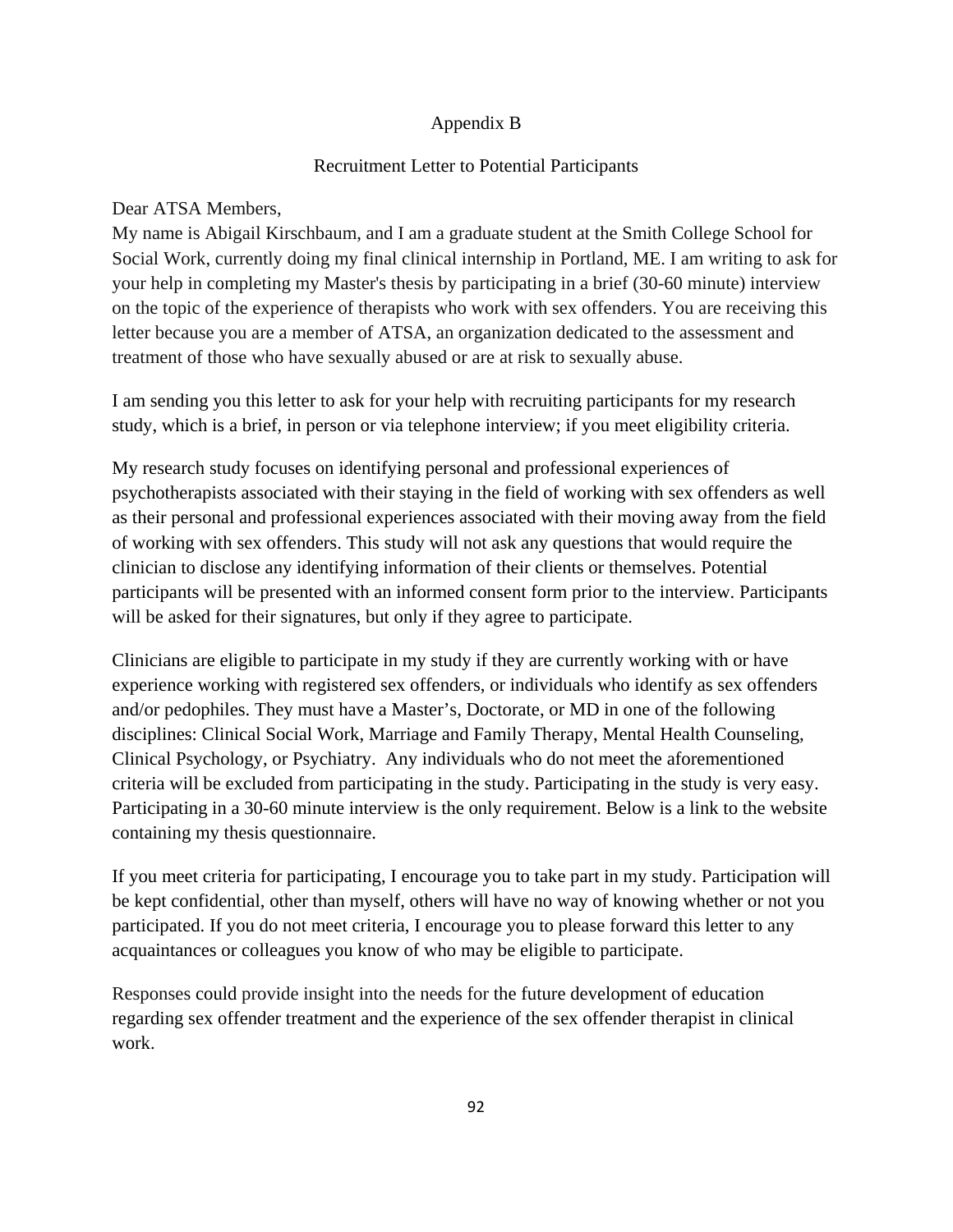## Appendix B

## Recruitment Letter to Potential Participants

### Dear ATSA Members,

My name is Abigail Kirschbaum, and I am a graduate student at the Smith College School for Social Work, currently doing my final clinical internship in Portland, ME. I am writing to ask for your help in completing my Master's thesis by participating in a brief (30-60 minute) interview on the topic of the experience of therapists who work with sex offenders. You are receiving this letter because you are a member of ATSA, an organization dedicated to the assessment and treatment of those who have sexually abused or are at risk to sexually abuse.

I am sending you this letter to ask for your help with recruiting participants for my research study, which is a brief, in person or via telephone interview; if you meet eligibility criteria.

My research study focuses on identifying personal and professional experiences of psychotherapists associated with their staying in the field of working with sex offenders as well as their personal and professional experiences associated with their moving away from the field of working with sex offenders. This study will not ask any questions that would require the clinician to disclose any identifying information of their clients or themselves. Potential participants will be presented with an informed consent form prior to the interview. Participants will be asked for their signatures, but only if they agree to participate.

Clinicians are eligible to participate in my study if they are currently working with or have experience working with registered sex offenders, or individuals who identify as sex offenders and/or pedophiles. They must have a Master's, Doctorate, or MD in one of the following disciplines: Clinical Social Work, Marriage and Family Therapy, Mental Health Counseling, Clinical Psychology, or Psychiatry. Any individuals who do not meet the aforementioned criteria will be excluded from participating in the study. Participating in the study is very easy. Participating in a 30-60 minute interview is the only requirement. Below is a link to the website containing my thesis questionnaire.

If you meet criteria for participating, I encourage you to take part in my study. Participation will be kept confidential, other than myself, others will have no way of knowing whether or not you participated. If you do not meet criteria, I encourage you to please forward this letter to any acquaintances or colleagues you know of who may be eligible to participate.

Responses could provide insight into the needs for the future development of education regarding sex offender treatment and the experience of the sex offender therapist in clinical work.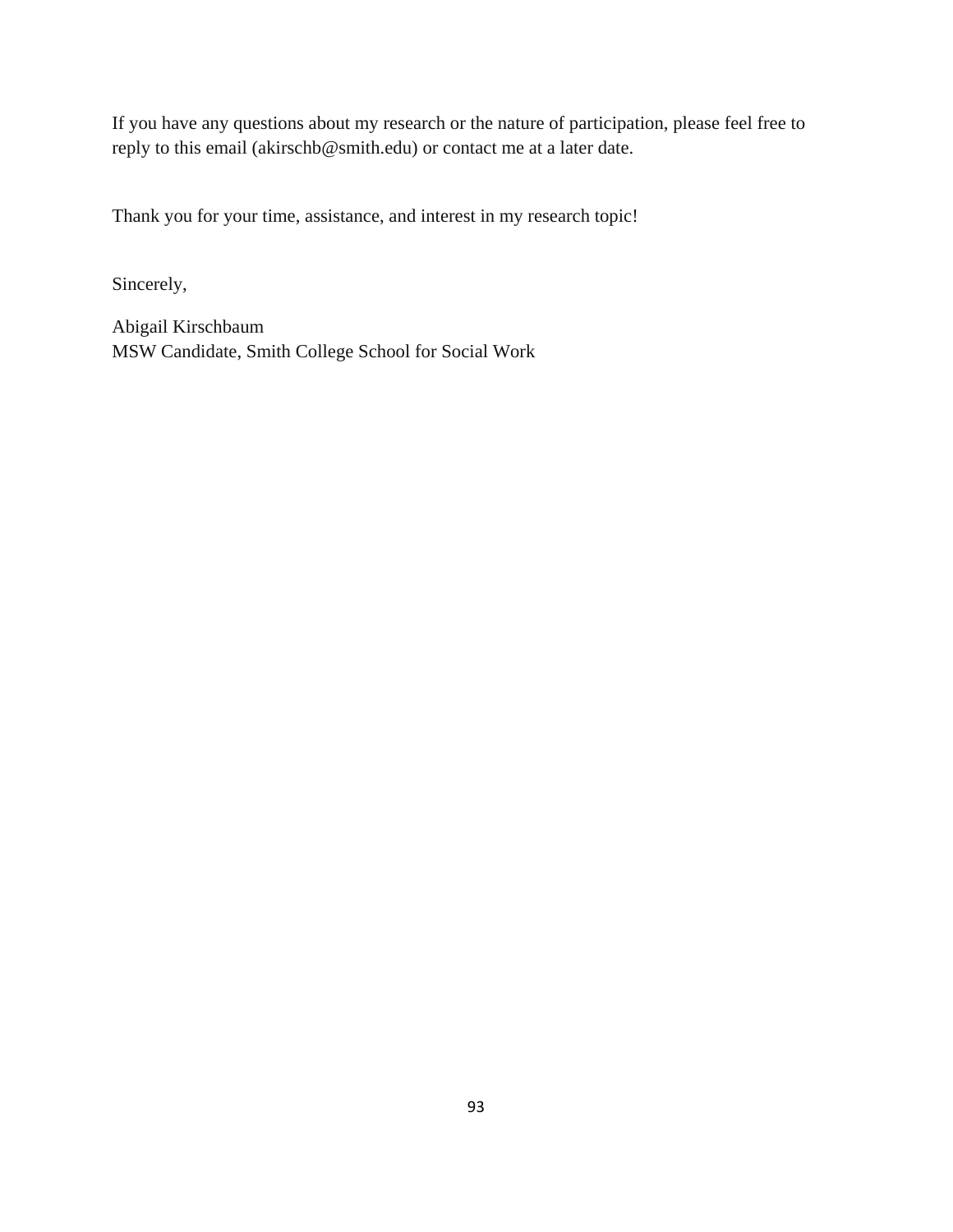If you have any questions about my research or the nature of participation, please feel free to reply to this email (akirschb@smith.edu) or contact me at a later date.

Thank you for your time, assistance, and interest in my research topic!

Sincerely,

Abigail Kirschbaum MSW Candidate, Smith College School for Social Work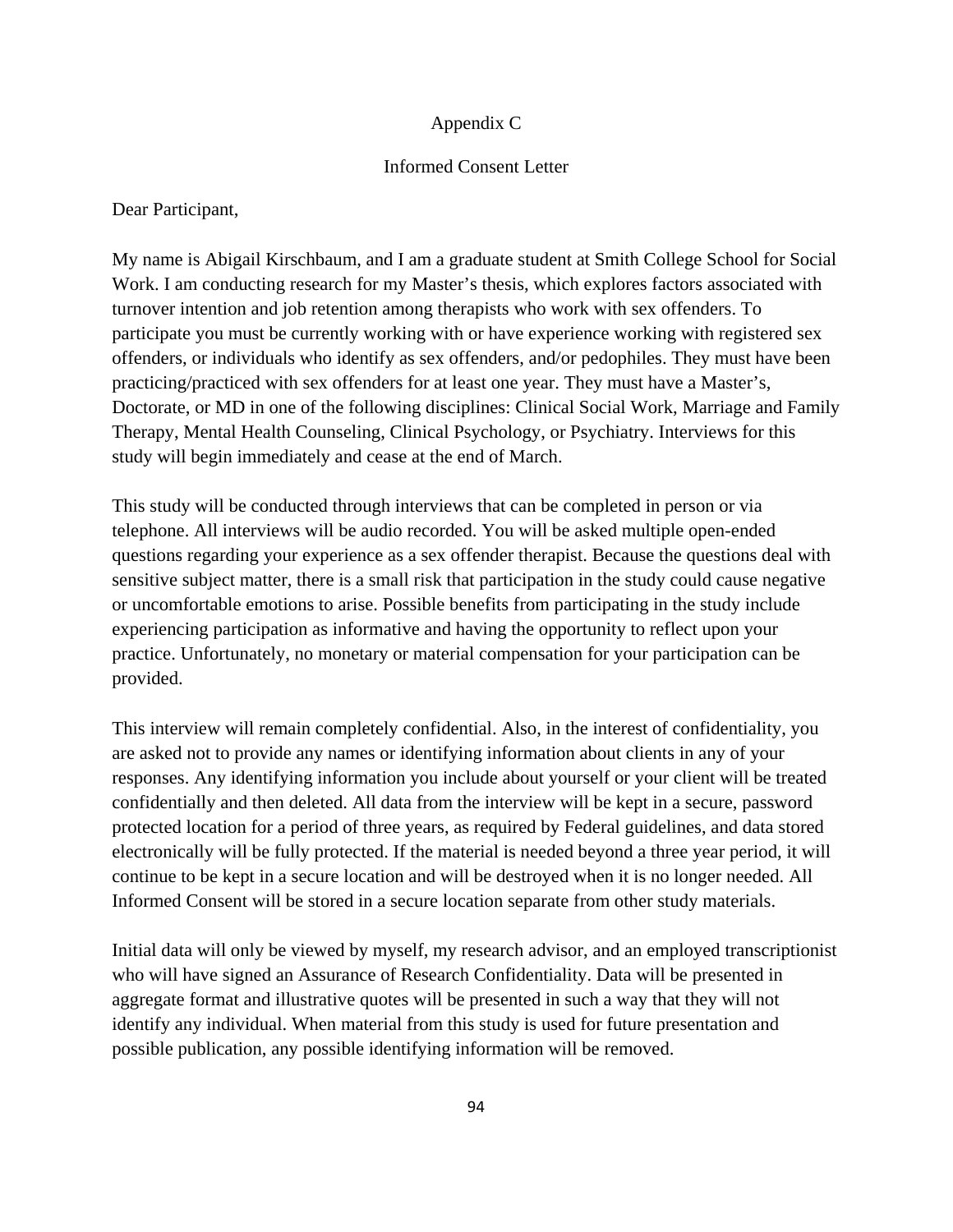## Appendix C

## Informed Consent Letter

Dear Participant,

My name is Abigail Kirschbaum, and I am a graduate student at Smith College School for Social Work. I am conducting research for my Master's thesis, which explores factors associated with turnover intention and job retention among therapists who work with sex offenders. To participate you must be currently working with or have experience working with registered sex offenders, or individuals who identify as sex offenders, and/or pedophiles. They must have been practicing/practiced with sex offenders for at least one year. They must have a Master's, Doctorate, or MD in one of the following disciplines: Clinical Social Work, Marriage and Family Therapy, Mental Health Counseling, Clinical Psychology, or Psychiatry. Interviews for this study will begin immediately and cease at the end of March.

This study will be conducted through interviews that can be completed in person or via telephone. All interviews will be audio recorded. You will be asked multiple open-ended questions regarding your experience as a sex offender therapist. Because the questions deal with sensitive subject matter, there is a small risk that participation in the study could cause negative or uncomfortable emotions to arise. Possible benefits from participating in the study include experiencing participation as informative and having the opportunity to reflect upon your practice. Unfortunately, no monetary or material compensation for your participation can be provided.

This interview will remain completely confidential. Also, in the interest of confidentiality, you are asked not to provide any names or identifying information about clients in any of your responses. Any identifying information you include about yourself or your client will be treated confidentially and then deleted. All data from the interview will be kept in a secure, password protected location for a period of three years, as required by Federal guidelines, and data stored electronically will be fully protected. If the material is needed beyond a three year period, it will continue to be kept in a secure location and will be destroyed when it is no longer needed. All Informed Consent will be stored in a secure location separate from other study materials.

Initial data will only be viewed by myself, my research advisor, and an employed transcriptionist who will have signed an Assurance of Research Confidentiality. Data will be presented in aggregate format and illustrative quotes will be presented in such a way that they will not identify any individual. When material from this study is used for future presentation and possible publication, any possible identifying information will be removed.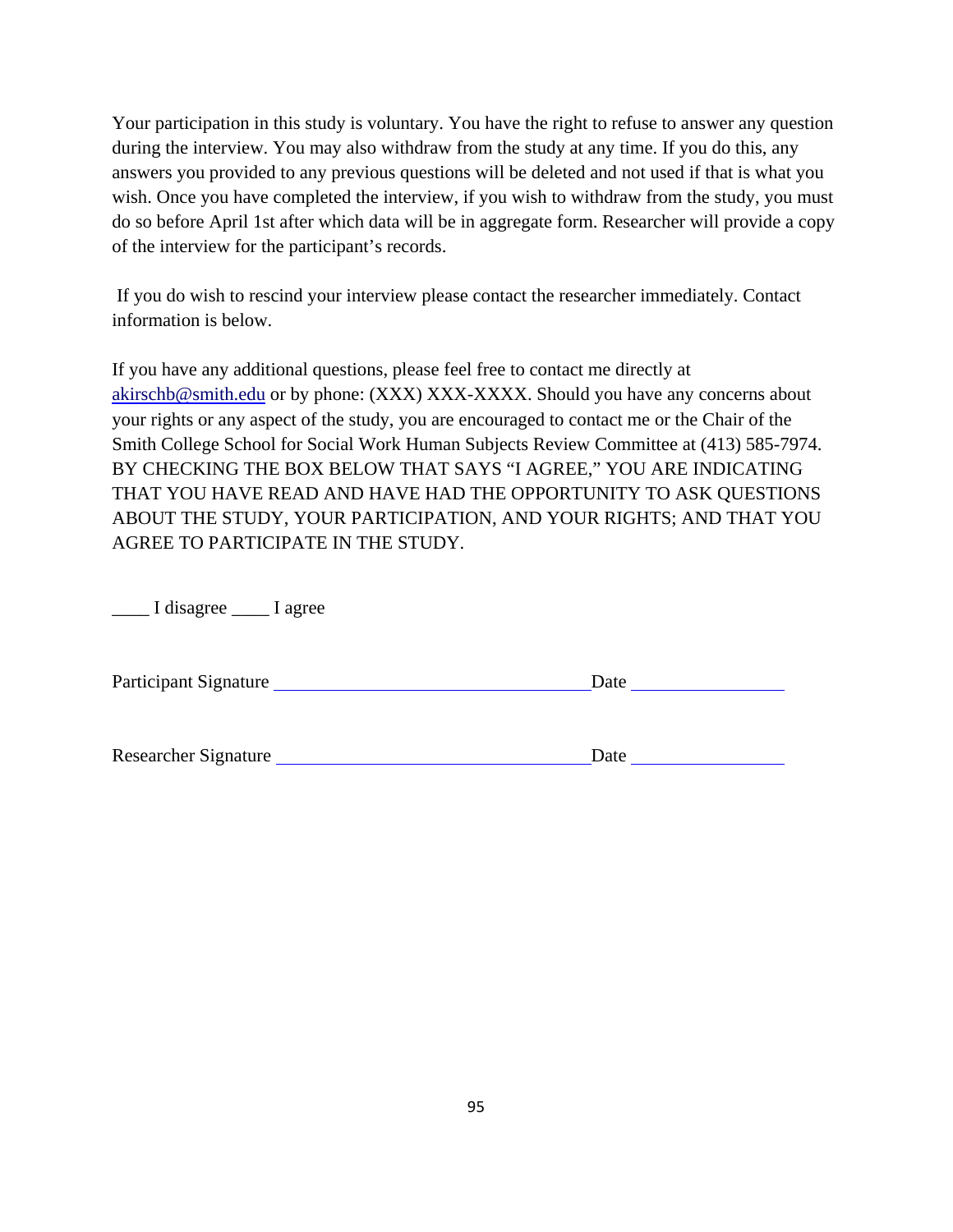Your participation in this study is voluntary. You have the right to refuse to answer any question during the interview. You may also withdraw from the study at any time. If you do this, any answers you provided to any previous questions will be deleted and not used if that is what you wish. Once you have completed the interview, if you wish to withdraw from the study, you must do so before April 1st after which data will be in aggregate form. Researcher will provide a copy of the interview for the participant's records.

 If you do wish to rescind your interview please contact the researcher immediately. Contact information is below.

If you have any additional questions, please feel free to contact me directly at akirschb@smith.edu or by phone: (XXX) XXX-XXXX. Should you have any concerns about your rights or any aspect of the study, you are encouraged to contact me or the Chair of the Smith College School for Social Work Human Subjects Review Committee at (413) 585-7974. BY CHECKING THE BOX BELOW THAT SAYS "I AGREE," YOU ARE INDICATING THAT YOU HAVE READ AND HAVE HAD THE OPPORTUNITY TO ASK QUESTIONS ABOUT THE STUDY, YOUR PARTICIPATION, AND YOUR RIGHTS; AND THAT YOU AGREE TO PARTICIPATE IN THE STUDY.

\_\_\_\_ I disagree \_\_\_\_ I agree

| <b>Participant Signature</b> | Jate |
|------------------------------|------|
|------------------------------|------|

Researcher Signature Date Date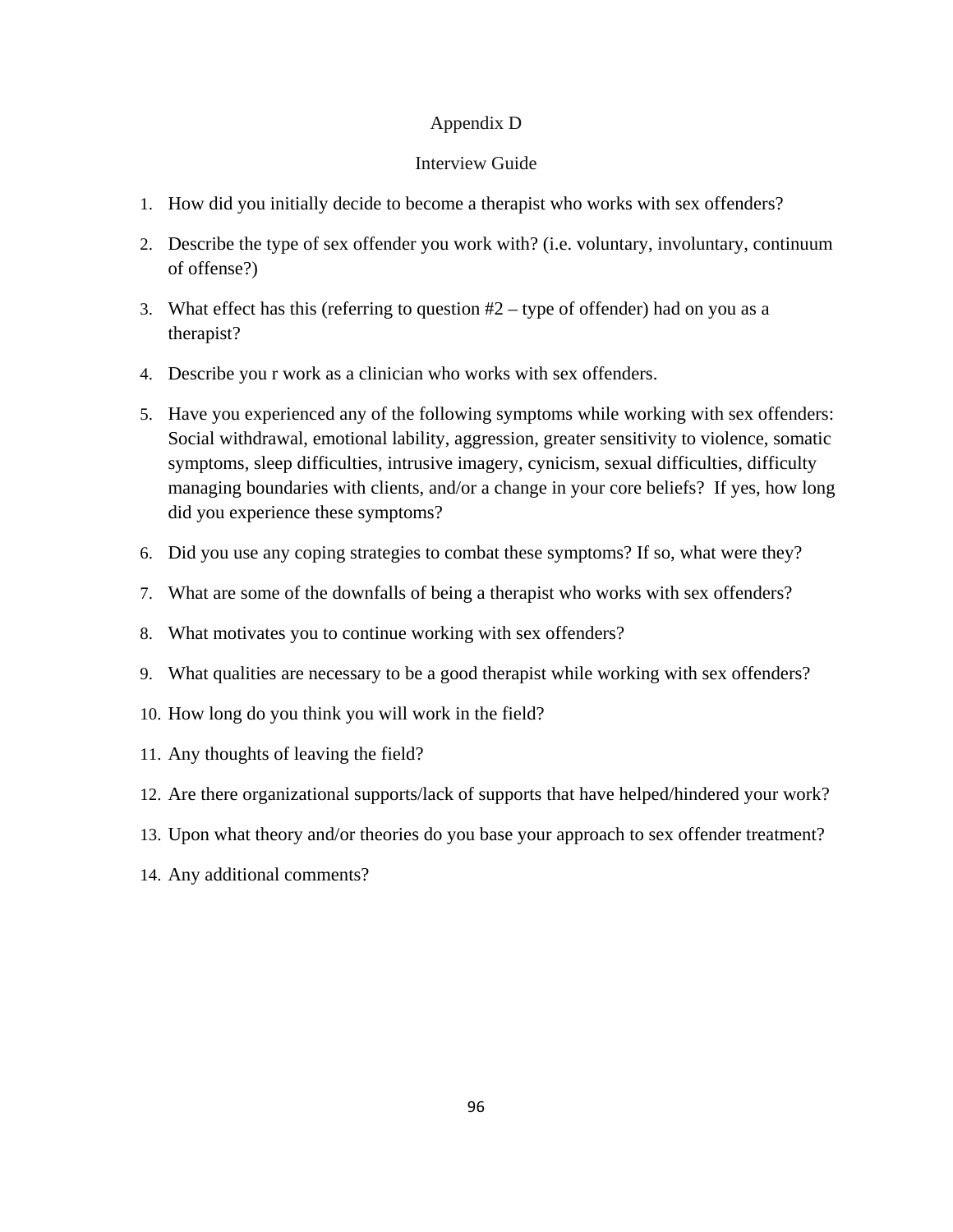### Appendix D

### Interview Guide

- 1. How did you initially decide to become a therapist who works with sex offenders?
- 2. Describe the type of sex offender you work with? (i.e. voluntary, involuntary, continuum of offense?)
- 3. What effect has this (referring to question  $#2 -$  type of offender) had on you as a therapist?
- 4. Describe you r work as a clinician who works with sex offenders.
- 5. Have you experienced any of the following symptoms while working with sex offenders: Social withdrawal, emotional lability, aggression, greater sensitivity to violence, somatic symptoms, sleep difficulties, intrusive imagery, cynicism, sexual difficulties, difficulty managing boundaries with clients, and/or a change in your core beliefs? If yes, how long did you experience these symptoms?
- 6. Did you use any coping strategies to combat these symptoms? If so, what were they?
- 7. What are some of the downfalls of being a therapist who works with sex offenders?
- 8. What motivates you to continue working with sex offenders?
- 9. What qualities are necessary to be a good therapist while working with sex offenders?
- 10. How long do you think you will work in the field?
- 11. Any thoughts of leaving the field?
- 12. Are there organizational supports/lack of supports that have helped/hindered your work?
- 13. Upon what theory and/or theories do you base your approach to sex offender treatment?
- 14. Any additional comments?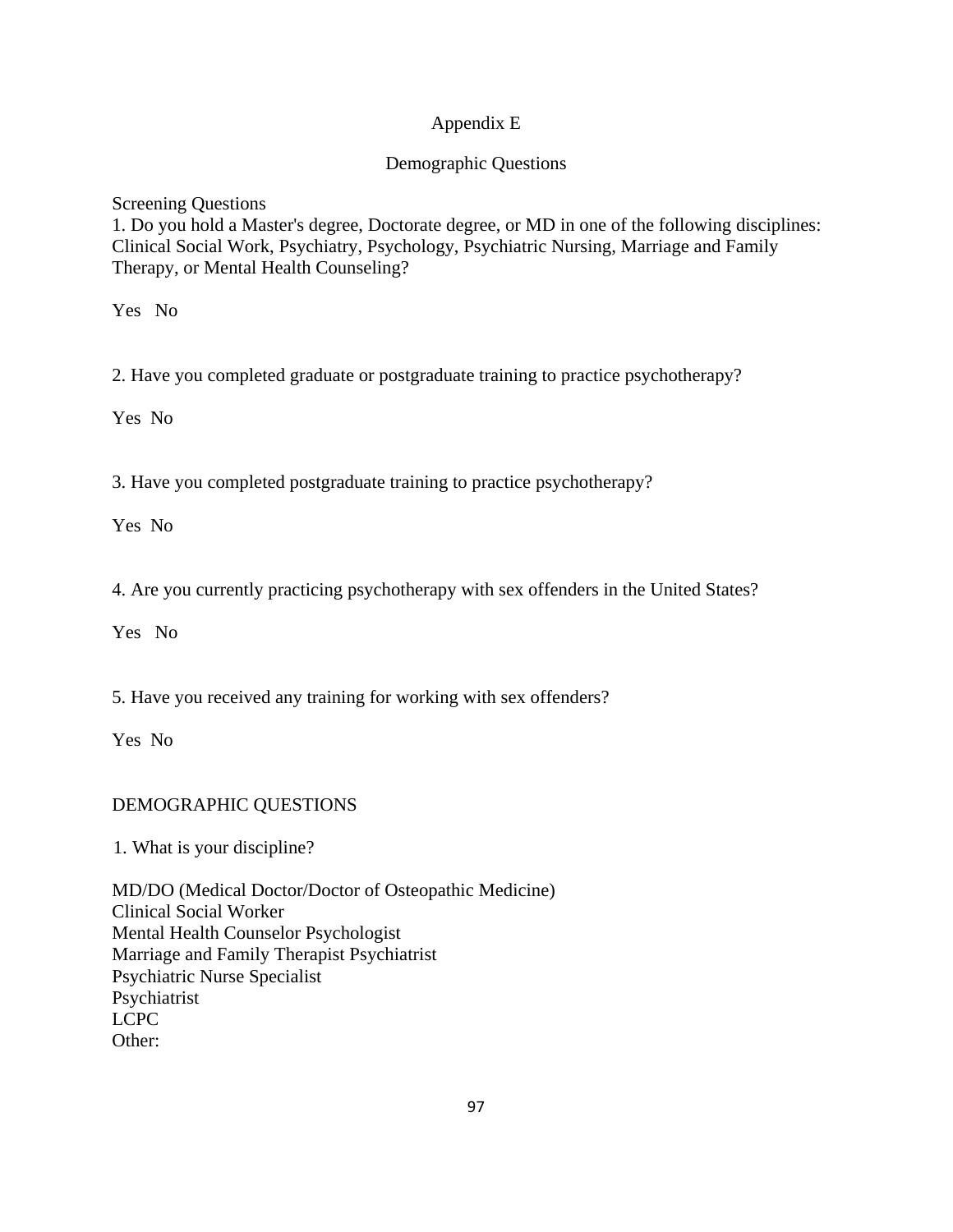# Appendix E

## Demographic Questions

Screening Questions

1. Do you hold a Master's degree, Doctorate degree, or MD in one of the following disciplines: Clinical Social Work, Psychiatry, Psychology, Psychiatric Nursing, Marriage and Family Therapy, or Mental Health Counseling?

Yes No

2. Have you completed graduate or postgraduate training to practice psychotherapy?

Yes No

3. Have you completed postgraduate training to practice psychotherapy?

Yes No

4. Are you currently practicing psychotherapy with sex offenders in the United States?

Yes No

5. Have you received any training for working with sex offenders?

Yes No

# DEMOGRAPHIC QUESTIONS

1. What is your discipline?

MD/DO (Medical Doctor/Doctor of Osteopathic Medicine) Clinical Social Worker Mental Health Counselor Psychologist Marriage and Family Therapist Psychiatrist Psychiatric Nurse Specialist Psychiatrist LCPC Other: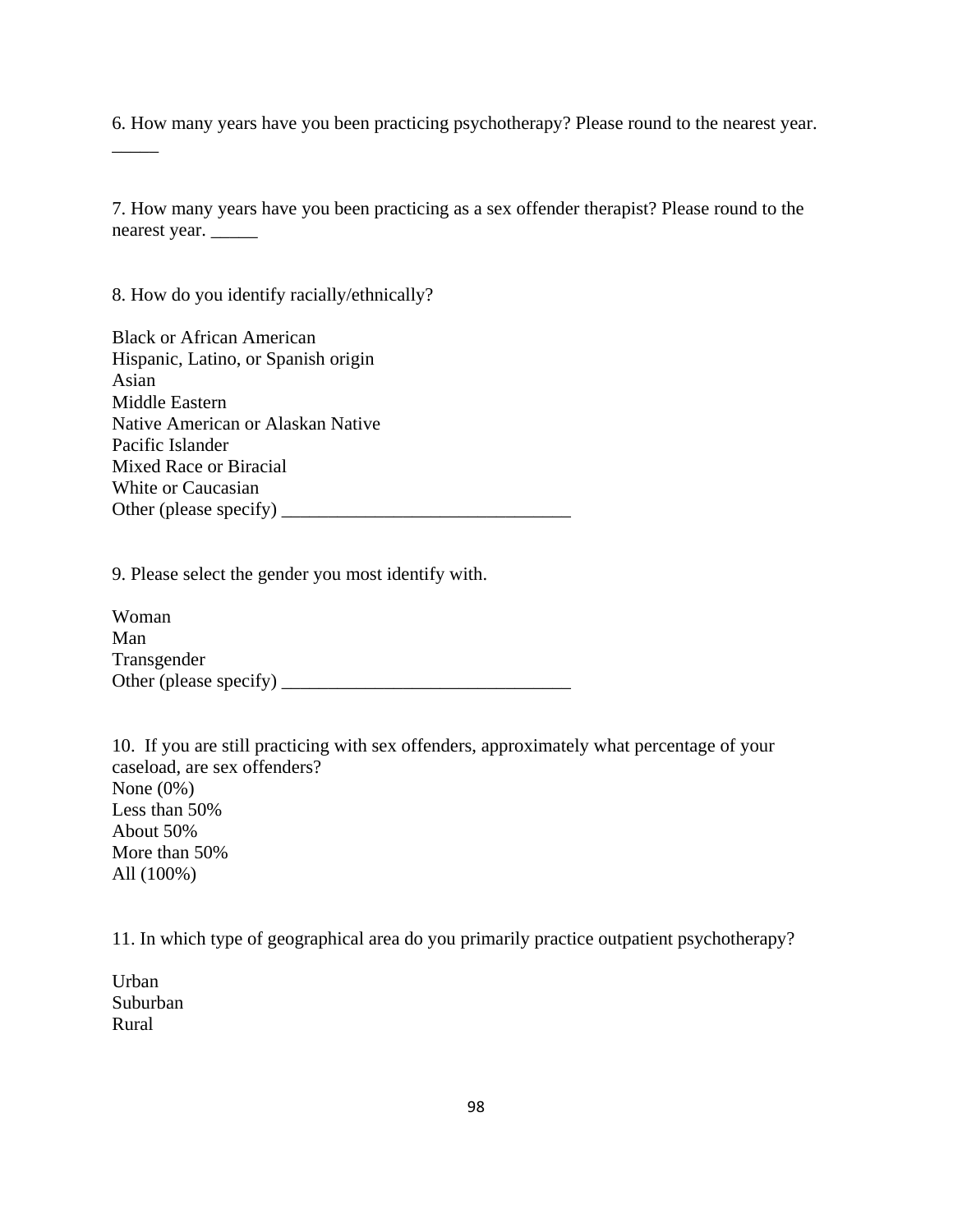6. How many years have you been practicing psychotherapy? Please round to the nearest year.

7. How many years have you been practicing as a sex offender therapist? Please round to the nearest year. \_\_\_\_\_

8. How do you identify racially/ethnically?

 $\overline{\phantom{a}}$ 

Black or African American Hispanic, Latino, or Spanish origin Asian Middle Eastern Native American or Alaskan Native Pacific Islander Mixed Race or Biracial White or Caucasian Other (please specify)  $\frac{1}{2}$ 

9. Please select the gender you most identify with.

Woman Man Transgender Other (please specify)  $\frac{1}{2}$ 

10. If you are still practicing with sex offenders, approximately what percentage of your caseload, are sex offenders? None (0%) Less than 50% About 50% More than 50% All (100%)

11. In which type of geographical area do you primarily practice outpatient psychotherapy?

Urban Suburban Rural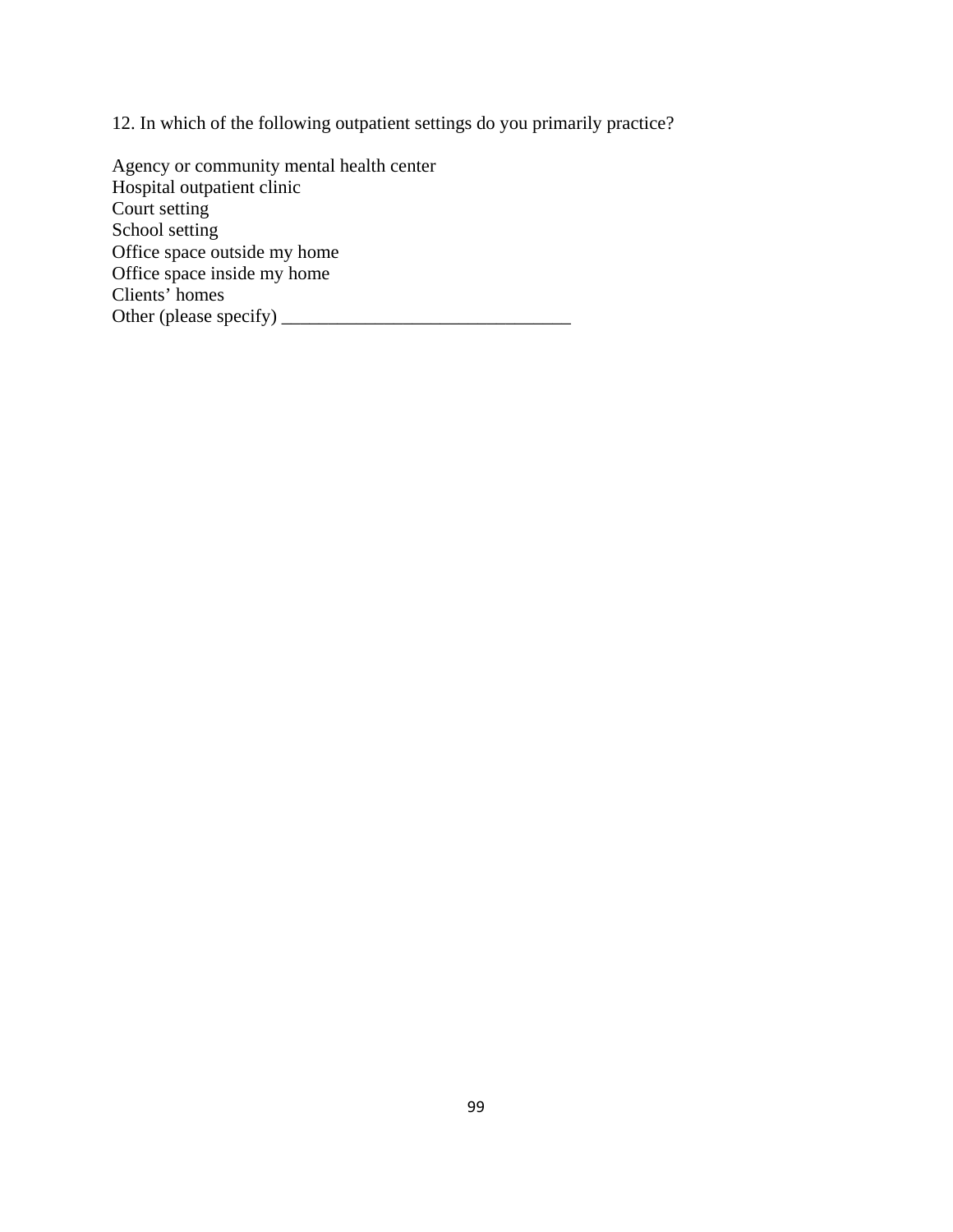12. In which of the following outpatient settings do you primarily practice?

Agency or community mental health center Hospital outpatient clinic Court setting School setting Office space outside my home Office space inside my home Clients' homes Other (please specify)  $\frac{1}{\sqrt{2}}$